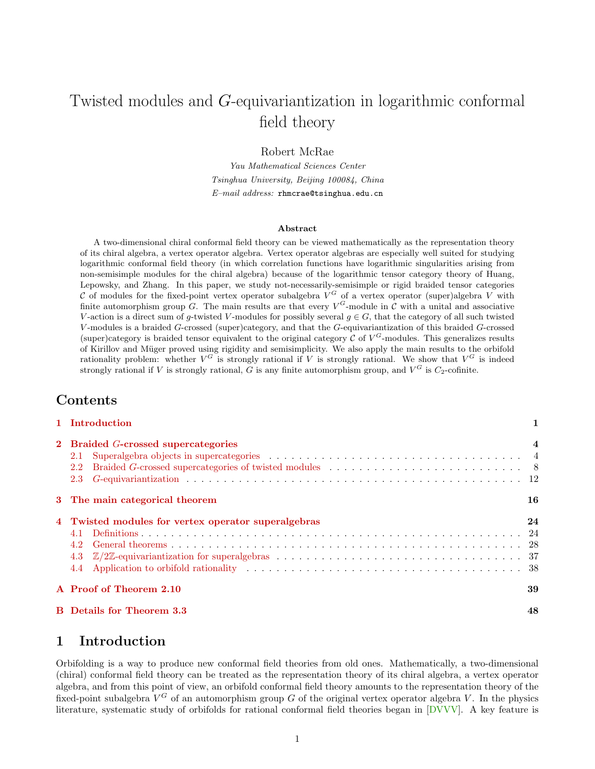# Twisted modules and G-equivariantization in logarithmic conformal field theory

Robert McRae

Yau Mathematical Sciences Center Tsinghua University, Beijing 100084, China  $E$ -mail address: rhmcrae@tsinghua.edu.cn

#### Abstract

A two-dimensional chiral conformal field theory can be viewed mathematically as the representation theory of its chiral algebra, a vertex operator algebra. Vertex operator algebras are especially well suited for studying logarithmic conformal field theory (in which correlation functions have logarithmic singularities arising from non-semisimple modules for the chiral algebra) because of the logarithmic tensor category theory of Huang, Lepowsky, and Zhang. In this paper, we study not-necessarily-semisimple or rigid braided tensor categories C of modules for the fixed-point vertex operator subalgebra  $V^G$  of a vertex operator (super)algebra V with finite automorphism group G. The main results are that every  $V^G$ -module in C with a unital and associative V-action is a direct sum of q-twisted V-modules for possibly several  $q \in G$ , that the category of all such twisted V -modules is a braided G-crossed (super)category, and that the G-equivariantization of this braided G-crossed (super)category is braided tensor equivalent to the original category  $\mathcal C$  of  $V^G$ -modules. This generalizes results of Kirillov and Müger proved using rigidity and semisimplicity. We also apply the main results to the orbifold rationality problem: whether  $V^G$  is strongly rational if V is strongly rational. We show that  $V^G$  is indeed strongly rational if V is strongly rational, G is any finite automorphism group, and  $V^G$  is  $C_2$ -cofinite.

### Contents

| 1 Introduction                                      | $\mathbf{1}$   |
|-----------------------------------------------------|----------------|
| 2 Braided G-crossed supercategories                 | $\overline{4}$ |
| 3 The main categorical theorem                      | 16             |
| 4 Twisted modules for vertex operator superalgebras | 24             |
| A Proof of Theorem 2.10                             | 39             |
| <b>B</b> Details for Theorem 3.3                    | 48             |

# <span id="page-0-0"></span>1 Introduction

Orbifolding is a way to produce new conformal field theories from old ones. Mathematically, a two-dimensional (chiral) conformal field theory can be treated as the representation theory of its chiral algebra, a vertex operator algebra, and from this point of view, an orbifold conformal field theory amounts to the representation theory of the fixed-point subalgebra  $V^G$  of an automorphism group G of the original vertex operator algebra V. In the physics literature, systematic study of orbifolds for rational conformal field theories began in [\[DVVV\]](#page-54-0). A key feature is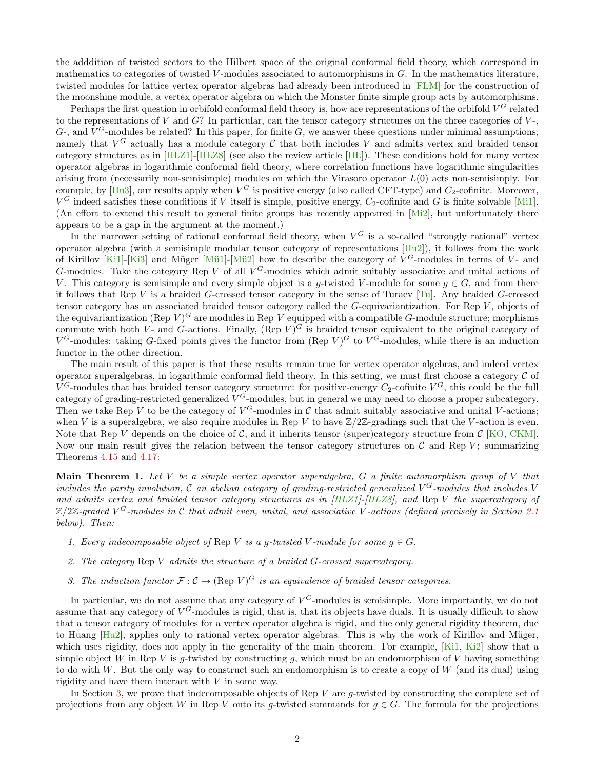the adddition of twisted sectors to the Hilbert space of the original conformal field theory, which correspond in mathematics to categories of twisted V-modules associated to automorphisms in  $G$ . In the mathematics literature, twisted modules for lattice vertex operator algebras had already been introduced in [\[FLM\]](#page-54-1) for the construction of the moonshine module, a vertex operator algebra on which the Monster finite simple group acts by automorphisms.

Perhaps the first question in orbifold conformal field theory is, how are representations of the orbifold  $V^G$  related to the representations of  $V$  and  $G$ ? In particular, can the tensor category structures on the three categories of  $V$ -,  $G$ -, and  $V^G$ -modules be related? In this paper, for finite  $G$ , we answer these questions under minimal assumptions, namely that  $V^G$  actually has a module category  $C$  that both includes V and admits vertex and braided tensor category structures as in [\[HLZ1\]](#page-54-2)-[\[HLZ8\]](#page-55-0) (see also the review article [\[HL\]](#page-54-3)). These conditions hold for many vertex operator algebras in logarithmic conformal field theory, where correlation functions have logarithmic singularities arising from (necessarily non-semisimple) modules on which the Virasoro operator  $L(0)$  acts non-semisimply. For example, by [\[Hu3\]](#page-54-4), our results apply when  $V^G$  is positive energy (also called CFT-type) and  $C_2$ -cofinite. Moreover,  $V^G$  indeed satisfies these conditions if V itself is simple, positive energy,  $C_2$ -cofinite and G is finite solvable [\[Mi1\]](#page-55-1). (An effort to extend this result to general finite groups has recently appeared in  $[M_12]$ , but unfortunately there appears to be a gap in the argument at the moment.)

In the narrower setting of rational conformal field theory, when  $V^G$  is a so-called "strongly rational" vertex operator algebra (with a semisimple modular tensor category of representations  $[Hu2]$ ), it follows from the work of Kirillov [\[Ki1\]](#page-55-3)-[\[Ki3\]](#page-55-4) and Müger [Mü1]-[Mü2] how to describe the category of  $V^G$ -modules in terms of  $V$ - and G-modules. Take the category Rep V of all  $V^G$ -modules which admit suitably associative and unital actions of V. This category is semisimple and every simple object is a g-twisted V-module for some  $g \in G$ , and from there it follows that Rep V is a braided G-crossed tensor category in the sense of Turaev [\[Tu\]](#page-55-7). Any braided G-crossed tensor category has an associated braided tensor category called the G-equivariantization. For Rep V , objects of the equivariantization (Rep  $V)^G$  are modules in Rep V equipped with a compatible G-module structure; morphisms commute with both V- and G-actions. Finally,  $(\text{Rep } V)^G$  is braided tensor equivalent to the original category of  $V^G$ -modules: taking G-fixed points gives the functor from (Rep V)<sup>G</sup> to  $V^G$ -modules, while there is an induction functor in the other direction.

The main result of this paper is that these results remain true for vertex operator algebras, and indeed vertex operator superalgebras, in logarithmic conformal field theory. In this setting, we must first choose a category  $C$  of  $V^G$ -modules that has braided tensor category structure: for positive-energy  $C_2$ -cofinite  $V^G$ , this could be the full category of grading-restricted generalized  $V^G$ -modules, but in general we may need to choose a proper subcategory. Then we take Rep V to be the category of  $V^G$ -modules in C that admit suitably associative and unital V-actions; when V is a superalgebra, we also require modules in Rep V to have  $\mathbb{Z}/2\mathbb{Z}$ -gradings such that the V-action is even. Note that Rep V depends on the choice of C, and it inherits tensor (super)category structure from  $\mathcal{C}$  [\[KO,](#page-55-8) [CKM\]](#page-53-0). Now our main result gives the relation between the tensor category structures on  $\mathcal C$  and Rep V; summarizing Theorems [4.15](#page-30-0) and [4.17:](#page-33-0)

<span id="page-1-0"></span>**Main Theorem 1.** Let V be a simple vertex operator superalgebra,  $G$  a finite automorphism group of V that includes the parity involution, C an abelian category of grading-restricted generalized  $V^G$ -modules that includes V and admits vertex and braided tensor category structures as in [\[HLZ1\]](#page-54-2)-[\[HLZ8\]](#page-55-0), and Rep V the supercategory of  $\mathbb{Z}/2\mathbb{Z}$ -graded V<sup>G</sup>-modules in C that admit even, unital, and associative V-actions (defined precisely in Section [2.1](#page-3-1)) below). Then:

- 1. Every indecomposable object of Rep V is a g-twisted V-module for some  $g \in G$ .
- 2. The category  $\text{Rep } V$  admits the structure of a braided G-crossed supercategory.
- 3. The induction functor  $\mathcal{F}: \mathcal{C} \to (\text{Rep } V)^G$  is an equivalence of braided tensor categories.

In particular, we do not assume that any category of  $V^G$ -modules is semisimple. More importantly, we do not assume that any category of  $V^G$ -modules is rigid, that is, that its objects have duals. It is usually difficult to show that a tensor category of modules for a vertex operator algebra is rigid, and the only general rigidity theorem, due to Huang  $[Hu2]$ , applies only to rational vertex operator algebras. This is why the work of Kirillov and Müger, which uses rigidity, does not apply in the generality of the main theorem. For example, [\[Ki1,](#page-55-3) [Ki2\]](#page-55-9) show that a simple object W in Rep V is g-twisted by constructing q, which must be an endomorphism of V having something to do with W. But the only way to construct such an endomorphism is to create a copy of  $W$  (and its dual) using rigidity and have them interact with V in some way.

In Section [3,](#page-15-0) we prove that indecomposable objects of Rep  $V$  are g-twisted by constructing the complete set of projections from any object W in Rep V onto its g-twisted summands for  $g \in G$ . The formula for the projections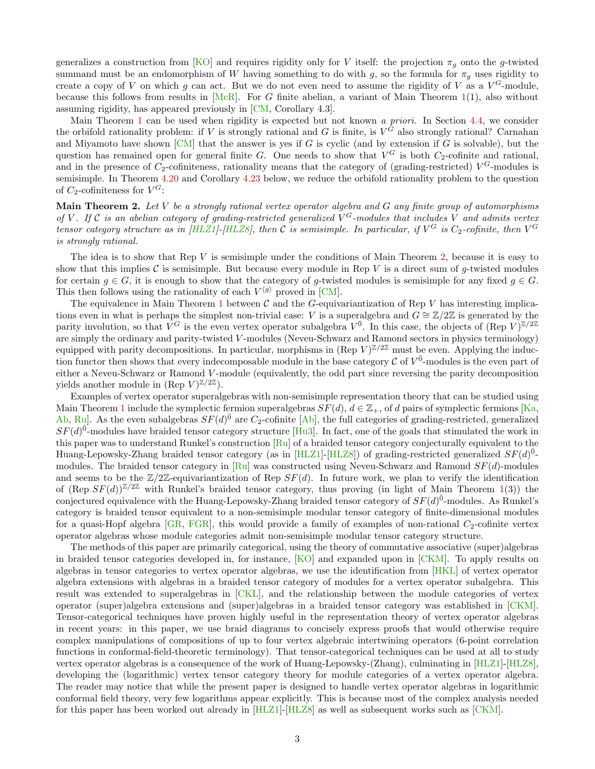generalizes a construction from [\[KO\]](#page-55-8) and requires rigidity only for V itself: the projection  $\pi_q$  onto the g-twisted summand must be an endomorphism of W having something to do with g, so the formula for  $\pi<sub>g</sub>$  uses rigidity to create a copy of V on which g can act. But we do not even need to assume the rigidity of V as a  $V^G$ -module, because this follows from results in  $[McR]$ . For G finite abelian, a variant of Main Theorem [1\(](#page-1-0)1), also without assuming rigidity, has appeared previously in [\[CM,](#page-53-1) Corollary 4.3].

Main Theorem [1](#page-1-0) can be used when rigidity is expected but not known a priori. In Section [4.4,](#page-37-0) we consider the orbifold rationality problem: if V is strongly rational and G is finite, is  $V^G$  also strongly rational? Carnahan and Miyamoto have shown  $[CM]$  that the answer is yes if G is cyclic (and by extension if G is solvable), but the question has remained open for general finite G. One needs to show that  $V^G$  is both  $C_2$ -cofinite and rational, and in the presence of  $C_2$ -cofiniteness, rationality means that the category of (grading-restricted)  $V^G$ -modules is semisimple. In Theorem [4.20](#page-37-1) and Corollary [4.23](#page-38-1) below, we reduce the orbifold rationality problem to the question of  $C_2$ -cofiniteness for  $V^G$ :

<span id="page-2-0"></span>**Main Theorem 2.** Let V be a strongly rational vertex operator algebra and G any finite group of automorphisms of V. If C is an abelian category of grading-restricted generalized  $V^G$ -modules that includes V and admits vertex tensor category structure as in [\[HLZ1\]](#page-54-2)-[\[HLZ8\]](#page-55-0), then C is semisimple. In particular, if  $V^G$  is  $C_2$ -cofinite, then  $V^G$ is strongly rational.

The idea is to show that  $\text{Rep } V$  is semisimple under the conditions of Main Theorem [2,](#page-2-0) because it is easy to show that this implies C is semisimple. But because every module in Rep V is a direct sum of q-twisted modules for certain  $g \in G$ , it is enough to show that the category of g-twisted modules is semisimple for any fixed  $g \in G$ . This then follows using the rationality of each  $V^{\langle g \rangle}$  proved in [\[CM\]](#page-53-1).

The equivalence in Main Theorem [1](#page-1-0) between  $\mathcal C$  and the G-equivariantization of Rep V has interesting implications even in what is perhaps the simplest non-trivial case: V is a superalgebra and  $G \cong \mathbb{Z}/2\mathbb{Z}$  is generated by the parity involution, so that  $V^G$  is the even vertex operator subalgebra  $V^{\bar{0}}$ . In this case, the objects of (Rep  $V)^{\mathbb{Z}/2\mathbb{Z}}$ are simply the ordinary and parity-twisted V -modules (Neveu-Schwarz and Ramond sectors in physics terminology) equipped with parity decompositions. In particular, morphisms in (Rep  $V^{\mathbb{Z}/2\mathbb{Z}}$  must be even. Applying the induction functor then shows that every indecomposable module in the base category  $\mathcal C$  of  $V^{\bar0}$ -modules is the even part of either a Neveu-Schwarz or Ramond V -module (equivalently, the odd part since reversing the parity decomposition yields another module in  $(\text{Rep } V)^{\mathbb{Z}/2\mathbb{Z}}$ ).

Examples of vertex operator superalgebras with non-semisimple representation theory that can be studied using Main Theorem [1](#page-1-0) include the symplectic fermion superalgebras  $SF(d)$ ,  $d \in \mathbb{Z}_+$ , of d pairs of symplectic fermions [\[Ka,](#page-55-11) [Ab,](#page-53-2) [Ru\]](#page-55-12). As the even subalgebras  $SF(d)^{\bar{0}}$  are  $C_2$ -cofinite [\[Ab\]](#page-53-2), the full categories of grading-restricted, generalized  $SF(d)^{\overline{0}}$ -modules have braided tensor category structure [\[Hu3\]](#page-54-4). In fact, one of the goals that stimulated the work in this paper was to understand Runkel's construction  $\lceil \text{R} \cdot \text{u} \rceil$  of a braided tensor category conjecturally equivalent to the Huang-Lepowsky-Zhang braided tensor category (as in [\[HLZ1\]](#page-54-2)-[\[HLZ8\]](#page-55-0)) of grading-restricted generalized  $SF(d)^{\bar{0}}$ -modules. The braided tensor category in [\[Ru\]](#page-55-12) was constructed using Neveu-Schwarz and Ramond  $SF(d)$ -modules and seems to be the  $\mathbb{Z}/2\mathbb{Z}$ -equivariantization of Rep  $SF(d)$ . In future work, we plan to verify the identification of  $(\text{Rep } SF(d))^{\mathbb{Z}/2\mathbb{Z}}$  with Runkel's braided tensor category, thus proving (in light of Main Theorem [1\(](#page-1-0)3)) the conjectured equivalence with the Huang-Lepowsky-Zhang braided tensor category of  $SF(d)^{\bar{0}}$ -modules. As Runkel's category is braided tensor equivalent to a non-semisimple modular tensor category of finite-dimensional modules for a quasi-Hopf algebra  $[GR, FGR]$  $[GR, FGR]$  $[GR, FGR]$ , this would provide a family of examples of non-rational  $C_2$ -cofinite vertex operator algebras whose module categories admit non-semisimple modular tensor category structure.

The methods of this paper are primarily categorical, using the theory of commutative associative (super)algebras in braided tensor categories developed in, for instance, [\[KO\]](#page-55-8) and expanded upon in [\[CKM\]](#page-53-0). To apply results on algebras in tensor categories to vertex operator algebras, we use the identification from [\[HKL\]](#page-54-8) of vertex operator algebra extensions with algebras in a braided tensor category of modules for a vertex operator subalgebra. This result was extended to superalgebras in [\[CKL\]](#page-53-3), and the relationship between the module categories of vertex operator (super)algebra extensions and (super)algebras in a braided tensor category was established in [\[CKM\]](#page-53-0). Tensor-categorical techniques have proven highly useful in the representation theory of vertex operator algebras in recent years: in this paper, we use braid diagrams to concisely express proofs that would otherwise require complex manipulations of compositions of up to four vertex algebraic intertwining operators (6-point correlation functions in conformal-field-theoretic terminology). That tensor-categorical techniques can be used at all to study vertex operator algebras is a consequence of the work of Huang-Lepowsky-(Zhang), culminating in [\[HLZ1\]](#page-54-2)-[\[HLZ8\]](#page-55-0), developing the (logarithmic) vertex tensor category theory for module categories of a vertex operator algebra. The reader may notice that while the present paper is designed to handle vertex operator algebras in logarithmic conformal field theory, very few logarithms appear explicitly. This is because most of the complex analysis needed for this paper has been worked out already in [\[HLZ1\]](#page-54-2)-[\[HLZ8\]](#page-55-0) as well as subsequent works such as [\[CKM\]](#page-53-0).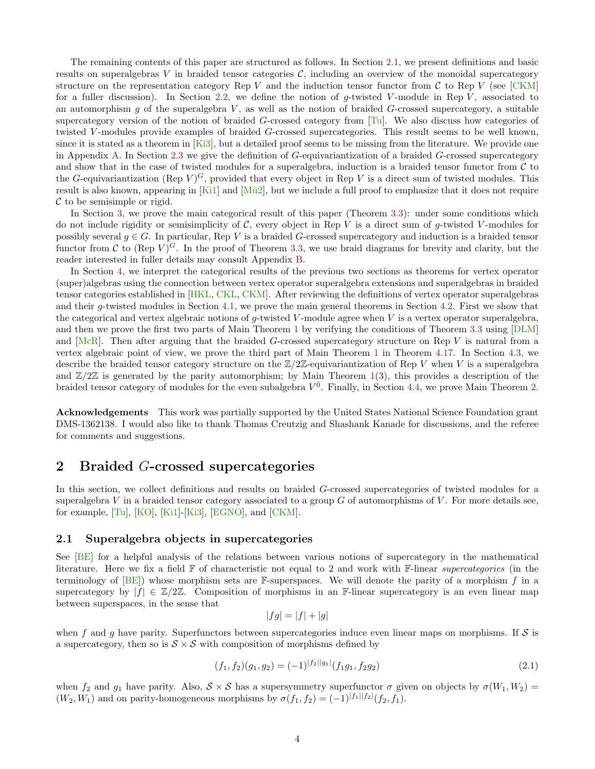The remaining contents of this paper are structured as follows. In Section [2.1,](#page-3-1) we present definitions and basic results on superalgebras V in braided tensor categories  $\mathcal{C}$ , including an overview of the monoidal supercategory structure on the representation category Rep V and the induction tensor functor from C to Rep V (see  $[CKM]$ ) for a fuller discussion). In Section [2.2,](#page-7-0) we define the notion of q-twisted V-module in Rep V, associated to an automorphism g of the superalgebra  $V$ , as well as the notion of braided G-crossed supercategory, a suitable supercategory version of the notion of braided G-crossed category from  $[T_u]$ . We also discuss how categories of twisted V-modules provide examples of braided G-crossed supercategories. This result seems to be well known, since it is stated as a theorem in  $[Ki3]$ , but a detailed proof seems to be missing from the literature. We provide one in Appendix [A.](#page-38-0) In Section [2.3](#page-11-0) we give the definition of G-equivariantization of a braided G-crossed supercategory and show that in the case of twisted modules for a superalgebra, induction is a braided tensor functor from  $\mathcal C$  to the G-equivariantization (Rep  $V$ )<sup>G</sup>, provided that every object in Rep V is a direct sum of twisted modules. This result is also known, appearing in  $[Ki1]$  and  $[Mü2]$ , but we include a full proof to emphasize that it does not require  $\mathcal C$  to be semisimple or rigid.

In Section [3,](#page-15-0) we prove the main categorical result of this paper (Theorem [3.3\)](#page-16-0): under some conditions which do not include rigidity or semisimplicity of  $\mathcal{C}$ , every object in Rep V is a direct sum of g-twisted V-modules for possibly several  $g \in G$ . In particular, Rep V is a braided G-crossed supercategory and induction is a braided tensor functor from C to (Rep  $V$ )<sup>G</sup>. In the proof of Theorem [3.3,](#page-16-0) we use braid diagrams for brevity and clarity, but the reader interested in fuller details may consult Appendix [B.](#page-47-0)

In Section [4,](#page-23-0) we interpret the categorical results of the previous two sections as theorems for vertex operator (super)algebras using the connection between vertex operator superalgebra extensions and superalgebras in braided tensor categories established in [\[HKL,](#page-54-8) [CKL,](#page-53-3) [CKM\]](#page-53-0). After reviewing the definitions of vertex operator superalgebras and their g-twisted modules in Section [4.1,](#page-23-1) we prove the main general theorems in Section [4.2.](#page-27-0) First we show that the categorical and vertex algebraic notions of  $g$ -twisted  $V$ -module agree when  $V$  is a vertex operator superalgebra, and then we prove the first two parts of Main Theorem [1](#page-1-0) by verifying the conditions of Theorem [3.3](#page-16-0) using [\[DLM\]](#page-54-9) and  $[McR]$ . Then after arguing that the braided G-crossed supercategory structure on Rep V is natural from a vertex algebraic point of view, we prove the third part of Main Theorem [1](#page-1-0) in Theorem [4.17.](#page-33-0) In Section [4.3,](#page-36-0) we describe the braided tensor category structure on the  $\mathbb{Z}/2\mathbb{Z}$ -equivariantization of Rep V when V is a superalgebra and  $\mathbb{Z}/2\mathbb{Z}$  is generated by the parity automorphism; by Main Theorem [1\(](#page-1-0)3), this provides a description of the braided tensor category of modules for the even subalgebra  $V^{\bar{0}}$ . Finally, in Section [4.4,](#page-37-0) we prove Main Theorem [2.](#page-2-0)

Acknowledgements This work was partially supported by the United States National Science Foundation grant DMS-1362138. I would also like to thank Thomas Creutzig and Shashank Kanade for discussions, and the referee for comments and suggestions.

## <span id="page-3-0"></span>2 Braided G-crossed supercategories

In this section, we collect definitions and results on braided G-crossed supercategories of twisted modules for a superalgebra  $V$  in a braided tensor category associated to a group  $G$  of automorphisms of  $V$ . For more details see, for example, [\[Tu\]](#page-55-7), [\[KO\]](#page-55-8), [\[Ki1\]](#page-55-3)-[\[Ki3\]](#page-55-4), [\[EGNO\]](#page-54-10), and [\[CKM\]](#page-53-0).

### <span id="page-3-1"></span>2.1 Superalgebra objects in supercategories

See [\[BE\]](#page-53-4) for a helpful analysis of the relations between various notions of supercategory in the mathematical literature. Here we fix a field  $\mathbb F$  of characteristic not equal to 2 and work with  $\mathbb F$ -linear *supercategories* (in the terminology of  $[BE]$ ) whose morphism sets are F-superspaces. We will denote the parity of a morphism f in a supercategory by  $|f| \in \mathbb{Z}/2\mathbb{Z}$ . Composition of morphisms in an F-linear supercategory is an even linear map between superspaces, in the sense that

<span id="page-3-2"></span>
$$
|fg| = |f| + |g|
$$

when f and g have parity. Superfunctors between supercategories induce even linear maps on morphisms. If  $S$  is a supercategory, then so is  $S \times S$  with composition of morphisms defined by

$$
(f_1, f_2)(g_1, g_2) = (-1)^{|f_2||g_1|} (f_1g_1, f_2g_2)
$$
\n(2.1)

when  $f_2$  and  $g_1$  have parity. Also,  $S \times S$  has a supersymmetry superfunctor  $\sigma$  given on objects by  $\sigma(W_1, W_2)$  $(W_2, W_1)$  and on parity-homogeneous morphisms by  $\sigma(f_1, f_2) = (-1)^{|f_1||f_2|}(f_2, f_1)$ .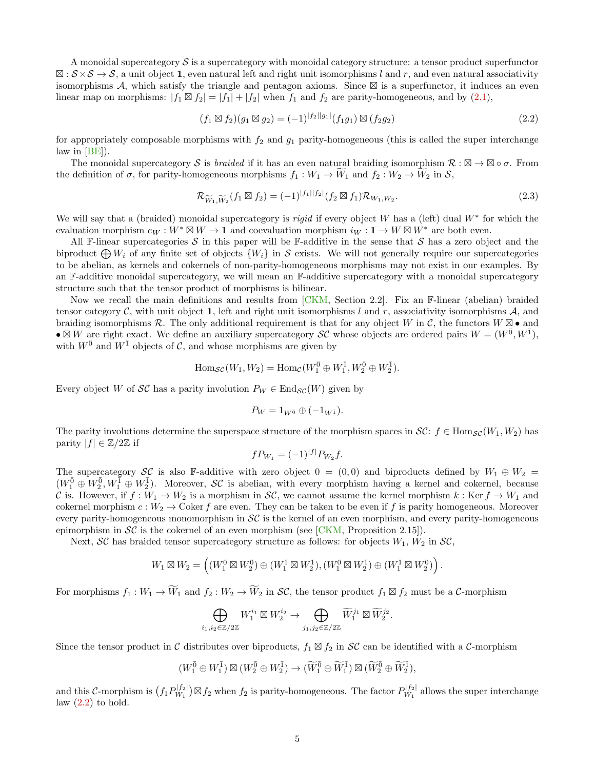A monoidal supercategory  $\mathcal S$  is a supercategory with monoidal category structure: a tensor product superfunctor  $\mathbb{Z}: \mathcal{S} \times \mathcal{S} \to \mathcal{S}$ , a unit object 1, even natural left and right unit isomorphisms l and r, and even natural associativity isomorphisms  $A$ , which satisfy the triangle and pentagon axioms. Since  $\boxtimes$  is a superfunctor, it induces an even linear map on morphisms:  $|f_1 \boxtimes f_2| = |f_1| + |f_2|$  when  $f_1$  and  $f_2$  are parity-homogeneous, and by [\(2.1\)](#page-3-2),

<span id="page-4-0"></span>
$$
(f_1 \boxtimes f_2)(g_1 \boxtimes g_2) = (-1)^{|f_2||g_1|} (f_1g_1) \boxtimes (f_2g_2)
$$
\n(2.2)

for appropriately composable morphisms with  $f_2$  and  $g_1$  parity-homogeneous (this is called the super interchange law in [\[BE\]](#page-53-4)).

The monoidal supercategory S is *braided* if it has an even natural braiding isomorphism  $\mathcal{R}: \mathbb{Z} \to \mathbb{Z} \circ \sigma$ . From the definition of  $\sigma$ , for parity-homogeneous morphisms  $f_1 : W_1 \to W_1$  and  $f_2 : W_2 \to W_2$  in  $\mathcal{S}$ ,

<span id="page-4-1"></span>
$$
\mathcal{R}_{\widetilde{W}_1, \widetilde{W}_2}(f_1 \boxtimes f_2) = (-1)^{|f_1||f_2|} (f_2 \boxtimes f_1) \mathcal{R}_{W_1, W_2}.
$$
\n(2.3)

We will say that a (braided) monoidal supercategory is *rigid* if every object W has a (left) dual  $W^*$  for which the evaluation morphism  $e_W : W^* \boxtimes W \to \mathbf{1}$  and coevaluation morphism  $i_W : \mathbf{1} \to W \boxtimes W^*$  are both even.

All F-linear supercategories S in this paper will be F-additive in the sense that S has a zero object and the biproduct  $\bigoplus W_i$  of any finite set of objects  $\{W_i\}$  in S exists. We will not generally require our supercategories to be abelian, as kernels and cokernels of non-parity-homogeneous morphisms may not exist in our examples. By an F-additive monoidal supercategory, we will mean an F-additive supercategory with a monoidal supercategory structure such that the tensor product of morphisms is bilinear.

Now we recall the main definitions and results from [\[CKM,](#page-53-0) Section 2.2]. Fix an F-linear (abelian) braided tensor category  $\mathcal C$ , with unit object 1, left and right unit isomorphisms l and r, associativity isomorphisms A, and braiding isomorphisms R. The only additional requirement is that for any object W in C, the functors  $W \boxtimes \bullet$  and  $\bullet \boxtimes W$  are right exact. We define an auxiliary supercategory SC whose objects are ordered pairs  $W = (W^{\bar{0}}, W^{\bar{1}})$ , with  $W^{\bar{0}}$  and  $W^{\bar{1}}$  objects of C, and whose morphisms are given by

$$
\mathrm{Hom}_{\mathcal{SC}}(W_1,W_2)=\mathrm{Hom}_{\mathcal{C}}(W_1^{\bar{0}}\oplus W_1^{\bar{1}},W_2^{\bar{0}}\oplus W_2^{\bar{1}}).
$$

Every object W of  $\mathcal{SC}$  has a parity involution  $P_W \in \text{End}_{\mathcal{SC}}(W)$  given by

$$
P_W = 1_{W^0} \oplus (-1_{W^1}).
$$

The parity involutions determine the superspace structure of the morphism spaces in  $\mathcal{SC}: f \in \text{Hom}_{\mathcal{SC}}(W_1, W_2)$  has parity  $|f| \in \mathbb{Z}/2\mathbb{Z}$  if

$$
f P_{W_1} = (-1)^{|f|} P_{W_2} f.
$$

The supercategory SC is also F-additive with zero object  $0 = (0, 0)$  and biproducts defined by  $W_1 \oplus W_2 =$  $(W_1^{\overline{0}} \oplus W_2^{\overline{0}}, W_1^{\overline{1}} \oplus W_2^{\overline{1}})$ . Moreover,  $\mathcal{SC}$  is abelian, with every morphism having a kernel and cokernel, because C is. However, if  $f: W_1 \to W_2$  is a morphism in SC, we cannot assume the kernel morphism  $k: \text{Ker } f \to W_1$  and cokernel morphism  $c: W_2 \to \text{Coker } f$  are even. They can be taken to be even if f is parity homogeneous. Moreover every parity-homogeneous monomorphism in  $\mathcal{SC}$  is the kernel of an even morphism, and every parity-homogeneous epimorphism in  $\mathcal{SC}$  is the cokernel of an even morphism (see [\[CKM,](#page-53-0) Proposition 2.15]).

Next,  $\mathcal{SC}$  has braided tensor supercategory structure as follows: for objects  $W_1$ ,  $W_2$  in  $\mathcal{SC}$ ,

$$
W_1\boxtimes W_2=\left((W_1^{\bar 0}\boxtimes W_2^{\bar 0})\oplus(W_1^{\bar 1}\boxtimes W_2^{\bar 1}),(W_1^{\bar 0}\boxtimes W_2^{\bar 1})\oplus(W_1^{\bar 1}\boxtimes W_2^{\bar 0})\right).
$$

For morphisms  $f_1: W_1 \to \widetilde{W}_1$  and  $f_2: W_2 \to \widetilde{W}_2$  in  $\mathcal{SC}$ , the tensor product  $f_1 \boxtimes f_2$  must be a  $\mathcal{C}$ -morphism

$$
\bigoplus_{i_1,i_2\in\mathbb{Z}/2\mathbb{Z}} W_1^{i_1}\boxtimes W_2^{i_2}\to \bigoplus_{j_1,j_2\in\mathbb{Z}/2\mathbb{Z}} \widetilde{W}_1^{j_1}\boxtimes \widetilde{W}_2^{j_2}.
$$

Since the tensor product in C distributes over biproducts,  $f_1 \boxtimes f_2$  in SC can be identified with a C-morphism

$$
(W_1^{\overline{0}} \oplus W_1^{\overline{1}}) \boxtimes (W_2^{\overline{0}} \oplus W_2^{\overline{1}}) \to (\widetilde{W}_1^{\overline{0}} \oplus \widetilde{W}_1^{\overline{1}}) \boxtimes (\widetilde{W}_2^{\overline{0}} \oplus \widetilde{W}_2^{\overline{1}}),
$$

and this C-morphism is  $(f_1 P_{W_1}^{|f_2|})$  $\mathbb{E}_{W_1}^{[f_2]}$   $\boxtimes$   $f_2$  when  $f_2$  is parity-homogeneous. The factor  $P_{W_1}^{[f_2]}$  $\frac{W^{1/2}}{W_1}$  allows the super interchange law  $(2.2)$  to hold.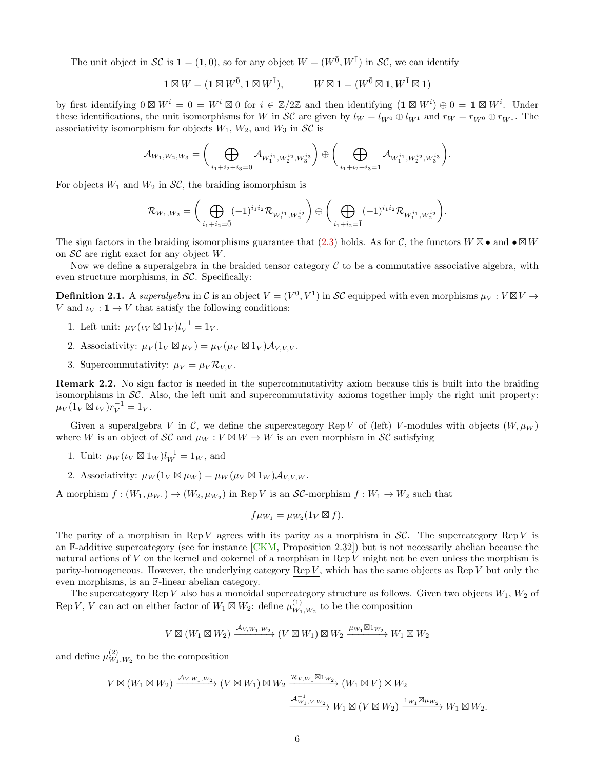The unit object in SC is  $\mathbf{1} = (1,0)$ , so for any object  $W = (W^{\bar{0}}, W^{\bar{1}})$  in SC, we can identify

$$
\mathbf{1} \boxtimes W = (\mathbf{1} \boxtimes W^{\bar{0}}, \mathbf{1} \boxtimes W^{\bar{1}}), \qquad W \boxtimes \mathbf{1} = (W^{\bar{0}} \boxtimes \mathbf{1}, W^{\bar{1}} \boxtimes \mathbf{1})
$$

by first identifying  $0 \boxtimes W^i = 0 = W^i \boxtimes 0$  for  $i \in \mathbb{Z}/2\mathbb{Z}$  and then identifying  $(\mathbf{1} \boxtimes W^i) \oplus 0 = \mathbf{1} \boxtimes W^i$ . Under these identifications, the unit isomorphisms for W in  $\mathcal{SC}$  are given by  $l_W = l_{W^{\bar{0}}} \oplus l_{W^{\bar{1}}}$  and  $r_W = r_{W^{\bar{0}}} \oplus r_{W^{\bar{1}}}$ . The associativity isomorphism for objects  $W_1$ ,  $W_2$ , and  $W_3$  in  $\mathcal{SC}$  is

$$
\mathcal{A}_{W_1,W_2,W_3} = \bigg(\bigoplus_{i_1+i_2+i_3=\bar{0}} \mathcal{A}_{W_1^{i_1}, W_2^{i_2}, W_3^{i_3}}\bigg) \oplus \bigg(\bigoplus_{i_1+i_2+i_3=\bar{1}} \mathcal{A}_{W_1^{i_1}, W_2^{i_2}, W_3^{i_3}}\bigg).
$$

For objects  $W_1$  and  $W_2$  in  $\mathcal{SC}$ , the braiding isomorphism is

$$
\mathcal{R}_{W_1,W_2} = \bigg(\bigoplus_{i_1+i_2=0} (-1)^{i_1i_2} \mathcal{R}_{W_1^{i_1},W_2^{i_2}}\bigg) \oplus \bigg(\bigoplus_{i_1+i_2=1} (-1)^{i_1i_2} \mathcal{R}_{W_1^{i_1},W_2^{i_2}}\bigg).
$$

The sign factors in the braiding isomorphisms guarantee that  $(2.3)$  holds. As for C, the functors  $W \boxtimes \bullet$  and  $\bullet \boxtimes W$ on  $\mathcal{SC}$  are right exact for any object W.

Now we define a superalgebra in the braided tensor category  $C$  to be a commutative associative algebra, with even structure morphisms, in  $\mathcal{SC}$ . Specifically:

**Definition 2.1.** A superalgebra in C is an object  $V = (V^{\bar{0}}, V^{\bar{1}})$  in SC equipped with even morphisms  $\mu_V : V \boxtimes V \to V$ V and  $\iota_V : \mathbf{1} \to V$  that satisfy the following conditions:

- 1. Left unit:  $\mu_V(\iota_V \boxtimes 1_V)l_V^{-1} = 1_V.$
- 2. Associativity:  $\mu_V(1_V \boxtimes \mu_V) = \mu_V(\mu_V \boxtimes 1_V) \mathcal{A}_{V,V,V}.$
- 3. Supercommutativity:  $\mu_V = \mu_V \mathcal{R}_{V,V}$ .

Remark 2.2. No sign factor is needed in the supercommutativity axiom because this is built into the braiding isomorphisms in  $\mathcal{SC}$ . Also, the left unit and supercommutativity axioms together imply the right unit property:  $\mu_V(1_V \boxtimes \iota_V)r_V^{-1} = 1_V.$ 

Given a superalgebra V in C, we define the supercategory Rep V of (left) V-modules with objects  $(W, \mu_W)$ where W is an object of  $\mathcal{SC}$  and  $\mu_W : V \boxtimes W \to W$  is an even morphism in  $\mathcal{SC}$  satisfying

- 1. Unit:  $\mu_W(\iota_V \boxtimes 1_W)l_W^{-1} = 1_W$ , and
- 2. Associativity:  $\mu_W(1_V \boxtimes \mu_W) = \mu_W(\mu_V \boxtimes 1_W) \mathcal{A}_{V,V,W}$ .

A morphism  $f:(W_1,\mu_{W_1})\to(W_2,\mu_{W_2})$  in Rep V is an SC-morphism  $f:W_1\to W_2$  such that

$$
f\mu_{W_1} = \mu_{W_2}(1_V \boxtimes f).
$$

The parity of a morphism in Rep V agrees with its parity as a morphism in  $\mathcal{SC}$ . The supercategory Rep V is an F-additive supercategory (see for instance  $[CKM,$  Proposition 2.32)) but is not necessarily abelian because the natural actions of V on the kernel and cokernel of a morphism in Rep V might not be even unless the morphism is parity-homogeneous. However, the underlying category Rep  $V$ , which has the same objects as Rep  $V$  but only the even morphisms, is an F-linear abelian category.

The supercategory Rep V also has a monoidal supercategory structure as follows. Given two objects  $W_1, W_2$  of Rep V, V can act on either factor of  $W_1 \boxtimes W_2$ : define  $\mu_{W_1}^{(1)}$  $W_{1,W_2}^{(1)}$  to be the composition

$$
V \boxtimes (W_1 \boxtimes W_2) \xrightarrow{\mathcal{A}_{V,W_1,W_2}} (V \boxtimes W_1) \boxtimes W_2 \xrightarrow{\mu_{W_1} \boxtimes 1_{W_2}} W_1 \boxtimes W_2
$$

and define  $\mu_{W_1}^{(2)}$  $\binom{2}{W_1,W_2}$  to be the composition

$$
V\boxtimes (W_1\boxtimes W_2)\xrightarrow[]{\mathcal{A}_{V,W_1,W_2}}(V\boxtimes W_1)\boxtimes W_2\xrightarrow[]{\mathcal{R}_{V,W_1}\boxtimes 1_{W_2}}(W_1\boxtimes V)\boxtimes W_2
$$
  

$$
\xrightarrow[]{\mathcal{A}_{W_1,V,W_2}^{-1}}W_1\boxtimes (V\boxtimes W_2)\xrightarrow[]{1_{W_1}\boxtimes \mu_{W_2}}W_1\boxtimes W_2.
$$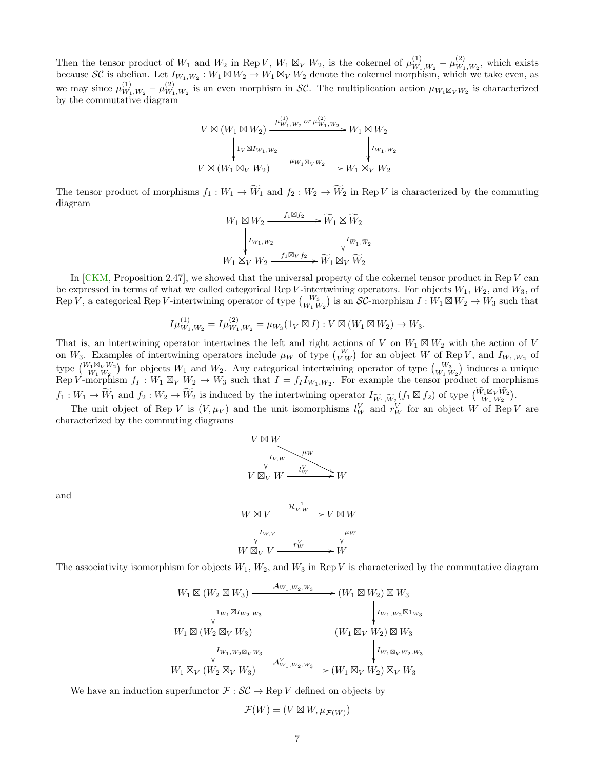Then the tensor product of  $W_1$  and  $W_2$  in Rep V,  $W_1 \boxtimes_V W_2$ , is the cokernel of  $\mu_{W_1}^{(1)}$  $\frac{(1)}{W_1,W_2}-\mu\frac{(2)}{W_1}$  $W_1, W_2$ , which exists because SC is abelian. Let  $I_{W_1,W_2}: W_1 \boxtimes W_2 \to W_1 \boxtimes_V W_2$  denote the cokernel morphism, which we take even, as we may since  $\mu_{W_1}^{(1)}$  $\frac{(1)}{W_1,W_2}-\mu\frac{(2)}{W_1}$  $\mathcal{W}_1, W_2$  is an even morphism in SC. The multiplication action  $\mu_{W_1 \boxtimes_V W_2}$  is characterized by the commutative diagram

$$
V \boxtimes (W_1 \boxtimes W_2) \xrightarrow{\mu_{W_1, W_2}^{(1)} \text{ or } \mu_{W_1, W_2}^{(2)}} W_1 \boxtimes W_2
$$
\n
$$
\downarrow \qquad \qquad \downarrow \qquad \qquad \downarrow \qquad \qquad \downarrow \qquad \qquad \downarrow \qquad \qquad \downarrow \qquad \qquad \downarrow \qquad \qquad \downarrow \qquad \qquad \downarrow \qquad \qquad \downarrow \qquad \qquad \downarrow \qquad \qquad \downarrow \qquad \qquad \downarrow \qquad \qquad \downarrow \qquad \qquad \downarrow \qquad \qquad \downarrow \qquad \qquad \downarrow \qquad \qquad \downarrow \qquad \qquad \downarrow \qquad \qquad \downarrow \qquad \qquad \downarrow \qquad \qquad \downarrow \qquad \qquad \downarrow \qquad \qquad \downarrow \qquad \qquad \downarrow \qquad \qquad \downarrow \qquad \qquad \downarrow \qquad \downarrow \qquad \qquad \downarrow \qquad \downarrow \qquad \downarrow \qquad \qquad \downarrow \qquad \downarrow \qquad \qquad \downarrow \qquad \downarrow \qquad \downarrow \qquad \downarrow \qquad \downarrow \qquad \downarrow \qquad \downarrow \qquad \downarrow \qquad \downarrow \qquad \downarrow \qquad \downarrow \qquad \downarrow \qquad \downarrow \qquad \downarrow \qquad \downarrow \qquad \downarrow \qquad \downarrow \qquad \downarrow \qquad \downarrow \qquad \downarrow \qquad \downarrow \qquad \downarrow \qquad \downarrow \qquad \downarrow \qquad \downarrow \qquad \downarrow \qquad \downarrow \qquad \downarrow \qquad \downarrow \qquad \downarrow \qquad \downarrow \qquad \downarrow \qquad \downarrow \qquad \downarrow \qquad \downarrow \qquad \downarrow \qquad \downarrow \qquad \downarrow \qquad \downarrow \qquad \downarrow \qquad \downarrow \qquad \downarrow \qquad \downarrow \qquad \downarrow \qquad \downarrow \qquad \downarrow \qquad \downarrow \qquad \downarrow \qquad \downarrow \qquad \downarrow \qquad \downarrow \qquad \downarrow \qquad \downarrow \qquad \downarrow \qquad \downarrow \qquad \downarrow \qquad \downarrow \qquad \downarrow \qquad \downarrow \qquad \downarrow \qquad \downarrow \qquad \downarrow \qquad \downarrow \qquad \downarrow \qquad \downarrow \qquad \downarrow \qquad \downarrow \qquad \
$$

The tensor product of morphisms  $f_1 : W_1 \to \widetilde{W}_1$  and  $f_2 : W_2 \to \widetilde{W}_2$  in Rep V is characterized by the commuting diagram

$$
\begin{array}{ccc}\n W_1\boxtimes W_2 & \xrightarrow{f_1\boxtimes f_2} \cdots \widehat{W}_1\boxtimes \widetilde{W}_2\\ \downarrow I_{W_1,W_2} & & \downarrow I_{\widetilde{W}_1,\widetilde{W}_2}\\ \downarrow V_1\boxtimes_V W_2 & \xrightarrow{f_1\boxtimes_V f_2} \widetilde{W}_1\boxtimes_V \widetilde{W}_2\end{array}
$$

In [\[CKM,](#page-53-0) Proposition 2.47], we showed that the universal property of the cokernel tensor product in Rep V can be expressed in terms of what we called categorical Rep V-intertwining operators. For objects  $W_1$ ,  $W_2$ , and  $W_3$ , of Rep V, a categorical Rep V-intertwining operator of type  ${W_3 \choose W_1 W_2}$  is an SC-morphism  $I: W_1 \boxtimes W_2 \to W_3$  such that

$$
I\mu_{W_1,W_2}^{(1)} = I\mu_{W_1,W_2}^{(2)} = \mu_{W_3}(1_V \boxtimes I) : V \boxtimes (W_1 \boxtimes W_2) \to W_3.
$$

That is, an intertwining operator intertwines the left and right actions of V on  $W_1 \boxtimes W_2$  with the action of V on W<sub>3</sub>. Examples of intertwining operators include  $\mu_W$  of type  ${W \choose V W}$  for an object W of Rep V, and  $I_{W_1,W_2}$  of type  $\binom{W_1 \boxtimes_V W_2}{W_1 W_2}$  for objects  $W_1$  and  $W_2$ . Any categorical intertwining operator of type  $\binom{W_3}{W_1 W_2}$  induces a unique Rep V-morphism  $f_1: W_1 \boxtimes_V W_2 \to W_3$  such that  $I = f_1 I_{W_1,W_2}$ . For example the tensor product of morphisms  $f_1: W_1 \to \widetilde{W}_1$  and  $f_2: W_2 \to \widetilde{W}_2$  is induced by the intertwining operator  $I_{\widetilde{W}_1,\widetilde{W}_2}(f_1 \boxtimes f_2)$  of type  $\begin{pmatrix} \widetilde{W}_1 \boxtimes_V \widetilde{W}_2 \\ W_1 W_2 \end{pmatrix}$ .

The unit object of Rep V is  $(V, \mu_V)$  and the unit isomorphisms  $l_W^V$  and  $r_W^V$  for an object W of Rep V are characterized by the commuting diagrams



and



The associativity isomorphism for objects  $W_1, W_2$ , and  $W_3$  in Rep V is characterized by the commutative diagram

$$
W_1 \boxtimes (W_2 \boxtimes W_3) \xrightarrow{\mathcal{A}_{W_1, W_2, W_3}} (W_1 \boxtimes W_2) \boxtimes W_3
$$
  
\n
$$
\downarrow_{1_{W_1} \boxtimes I_{W_2, W_3}} \qquad \qquad \downarrow_{I_{W_1, W_2} \boxtimes 1_{W_3}}
$$
  
\n
$$
W_1 \boxtimes (W_2 \boxtimes_V W_3) \qquad (W_1 \boxtimes_V W_2) \boxtimes W_3
$$
  
\n
$$
\downarrow_{I_{W_1, W_2} \boxtimes_V W_3} \qquad \qquad \downarrow_{I_{W_1} \boxtimes_V W_2, W_3}
$$
  
\n
$$
W_1 \boxtimes_V (W_2 \boxtimes_V W_3) \xrightarrow{\mathcal{A}_{W_1, W_2, W_3}^V} (W_1 \boxtimes_V W_2) \boxtimes_V W_3
$$

We have an induction superfunctor  $\mathcal{F} : \mathcal{SC} \to \text{Rep } V$  defined on objects by

$$
\mathcal{F}(W) = (V \boxtimes W, \mu_{\mathcal{F}(W)})
$$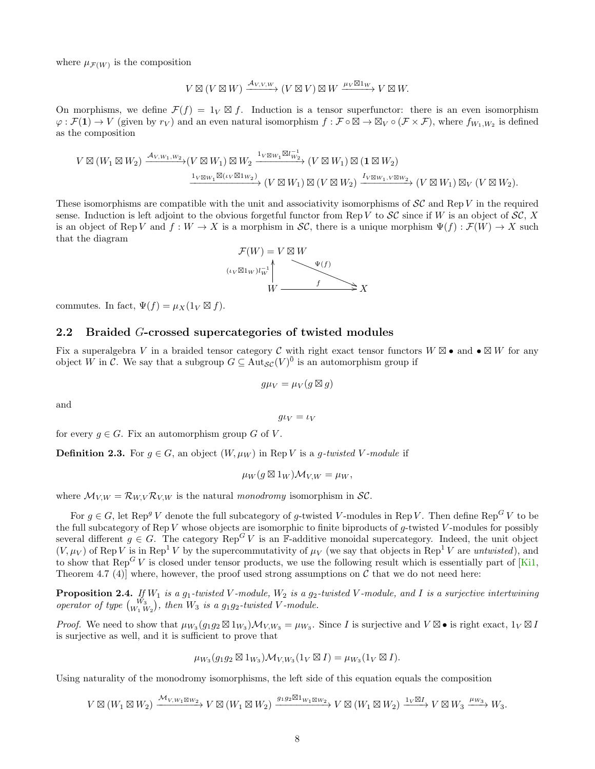where  $\mu_{\mathcal{F}(W)}$  is the composition

$$
V \boxtimes (V \boxtimes W) \xrightarrow{\mathcal{A}_{V,V,W}} (V \boxtimes V) \boxtimes W \xrightarrow{\mu_V \boxtimes 1_W} V \boxtimes W.
$$

On morphisms, we define  $\mathcal{F}(f) = 1_V \boxtimes f$ . Induction is a tensor superfunctor: there is an even isomorphism  $\varphi : \mathcal{F}(1) \to V$  (given by  $r_V$ ) and an even natural isomorphism  $f : \mathcal{F} \circ \overline{\mathbb{Z}} \to \mathbb{Z}_V \circ (\mathcal{F} \times \mathcal{F})$ , where  $f_{W_1, W_2}$  is defined as the composition

$$
V \boxtimes (W_1 \boxtimes W_2) \xrightarrow{\mathcal{A}_{V,W_1,W_2}} (V \boxtimes W_1) \boxtimes W_2 \xrightarrow{\mathbf{1}_{V \boxtimes W_1} \boxtimes l_{W_2}^{-1}} (V \boxtimes W_1) \boxtimes (\mathbf{1} \boxtimes W_2)
$$
  

$$
\xrightarrow{\mathbf{1}_{V \boxtimes W_1} \boxtimes (\iota_V \boxtimes \iota_{W_2})} (V \boxtimes W_1) \boxtimes (V \boxtimes W_2) \xrightarrow{\mathbf{1}_{V \boxtimes W_1, V \boxtimes W_2}} (V \boxtimes W_1) \boxtimes_V (V \boxtimes W_2).
$$

These isomorphisms are compatible with the unit and associativity isomorphisms of  $\mathcal{SC}$  and Rep V in the required sense. Induction is left adjoint to the obvious forgetful functor from Rep V to  $\mathcal{SC}$  since if W is an object of  $\mathcal{SC}$ , X is an object of Rep V and  $f: W \to X$  is a morphism in SC, there is a unique morphism  $\Psi(f): \mathcal{F}(W) \to X$  such that the diagram



commutes. In fact,  $\Psi(f) = \mu_X(1_V \boxtimes f)$ .

#### <span id="page-7-0"></span>2.2 Braided G-crossed supercategories of twisted modules

Fix a superalgebra V in a braided tensor category C with right exact tensor functors  $W \boxtimes \bullet$  and  $\bullet \boxtimes W$  for any object  $\hat{W}$  in  $\tilde{\mathcal{C}}$ . We say that a subgroup  $G \subseteq Aut_{\mathcal{SC}}(V)^{\bar{0}}$  is an automorphism group if

$$
g\mu_V = \mu_V(g \boxtimes g)
$$

and

 $g\iota_V = \iota_V$ 

<span id="page-7-1"></span>for every  $q \in G$ . Fix an automorphism group G of V.

**Definition 2.3.** For  $g \in G$ , an object  $(W, \mu_W)$  in Rep V is a g-twisted V-module if

$$
\mu_W(g\boxtimes 1_W)\mathcal{M}_{V,W}=\mu_W,
$$

where  $\mathcal{M}_{V,W} = \mathcal{R}_{W,V} \mathcal{R}_{V,W}$  is the natural monodromy isomorphism in SC.

For  $g \in G$ , let Rep<sup>g</sup> V denote the full subcategory of g-twisted V-modules in Rep V. Then define Rep<sup>G</sup> V to be the full subcategory of Rep V whose objects are isomorphic to finite biproducts of g-twisted V-modules for possibly several different  $g \in G$ . The category  $\text{Rep}^G V$  is an F-additive monoidal supercategory. Indeed, the unit object  $(V, \mu_V)$  of Rep V is in Rep<sup>1</sup> V by the supercommutativity of  $\mu_V$  (we say that objects in Rep<sup>1</sup> V are *untwisted*), and to show that Rep<sup>G</sup> V is closed under tensor products, we use the following result which is essentially part of [\[Ki1,](#page-55-3) Theorem 4.7 (4)] where, however, the proof used strong assumptions on  $\mathcal C$  that we do not need here:

<span id="page-7-2"></span>**Proposition 2.4.** If  $W_1$  is a  $g_1$ -twisted V-module,  $W_2$  is a  $g_2$ -twisted V-module, and I is a surjective intertwining operator of type  $\binom{W_3}{W_1 W_2}$ , then  $W_3$  is a  $g_1 g_2$ -twisted V-module.

*Proof.* We need to show that  $\mu_{W_3}(g_1g_2 \boxtimes 1_{W_3})\mathcal{M}_{V,W_3} = \mu_{W_3}$ . Since I is surjective and  $V \boxtimes \bullet$  is right exact,  $1_V \boxtimes I$ is surjective as well, and it is sufficient to prove that

$$
\mu_{W_3}(g_1g_2 \boxtimes 1_{W_3})\mathcal{M}_{V,W_3}(1_V \boxtimes I) = \mu_{W_3}(1_V \boxtimes I).
$$

Using naturality of the monodromy isomorphisms, the left side of this equation equals the composition

 $V\boxtimes (W_1\boxtimes W_2) \xrightarrow{\mathcal{M}_{V,W_1\boxtimes W_2}} V\boxtimes (W_1\boxtimes W_2) \xrightarrow{g_1g_2\boxtimes 1_{W_1\boxtimes W_2}} V\boxtimes (W_1\boxtimes W_2) \xrightarrow{1_V\boxtimes I} V\boxtimes W_3 \xrightarrow{\mu_{W_3}} W_3.$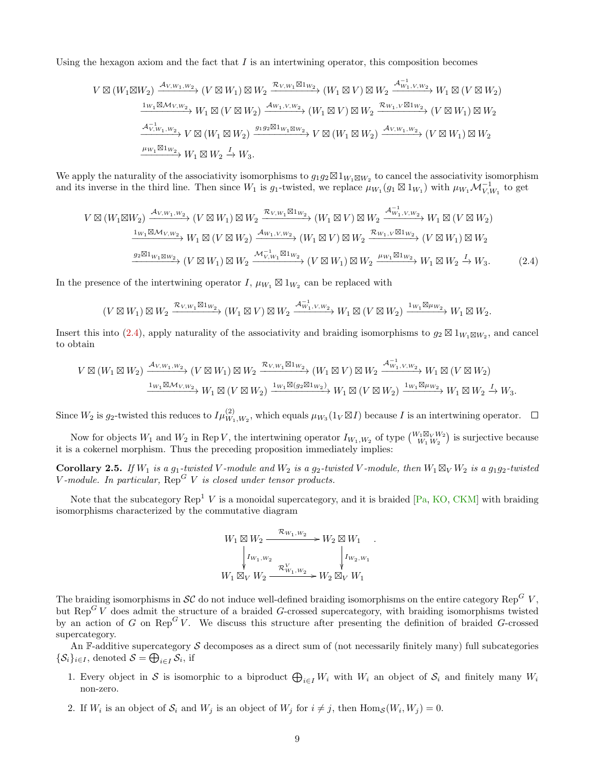Using the hexagon axiom and the fact that  $I$  is an intertwining operator, this composition becomes

$$
V \boxtimes (W_1 \boxtimes W_2) \xrightarrow{\mathcal{A}_{V,W_1,W_2}} (V \boxtimes W_1) \boxtimes W_2 \xrightarrow{\mathcal{R}_{V,W_1} \boxtimes 1_{W_2}} (W_1 \boxtimes V) \boxtimes W_2 \xrightarrow{\mathcal{A}_{W_1,V,W_2}^{-1}} W_1 \boxtimes (V \boxtimes W_2)
$$
  

$$
\xrightarrow{\mathcal{A}_{V,W_1,W_2}^{-1}} W_1 \boxtimes (V \boxtimes W_2) \xrightarrow{\mathcal{A}_{W_1,V,W_2}} (W_1 \boxtimes V) \boxtimes W_2 \xrightarrow{\mathcal{R}_{W_1,V} \boxtimes 1_{W_2}} (V \boxtimes W_1) \boxtimes W_2
$$
  

$$
\xrightarrow{\mathcal{A}_{V,W_1,W_2}^{-1}} V \boxtimes (W_1 \boxtimes W_2) \xrightarrow{g_1 g_2 \boxtimes 1_{W_1} \boxtimes w_2} V \boxtimes (W_1 \boxtimes W_2) \xrightarrow{\mathcal{A}_{V,W_1,W_2}} (V \boxtimes W_1) \boxtimes W_2
$$
  

$$
\xrightarrow{\mu_{W_1} \boxtimes 1_{W_2}} W_1 \boxtimes W_2 \xrightarrow{\mathcal{A}} W_3.
$$

We apply the naturality of the associativity isomorphisms to  $g_1g_2\boxtimes 1_{W_1\boxtimes W_2}$  to cancel the associativity isomorphism and its inverse in the third line. Then since  $W_1$  is  $g_1$ -twisted, we replace  $\mu_{W_1}(g_1 \boxtimes 1_{W_1})$  with  $\mu_{W_1} \mathcal{M}_{V,W_1}^{-1}$  to get

$$
V \boxtimes (W_1 \boxtimes W_2) \xrightarrow{\mathcal{A}_{V,W_1,W_2}} (V \boxtimes W_1) \boxtimes W_2 \xrightarrow{\mathcal{R}_{V,W_1} \boxtimes 1_{W_2}} (W_1 \boxtimes V) \boxtimes W_2 \xrightarrow{\mathcal{A}_{W_1,V,W_2}^{-1}} W_1 \boxtimes (V \boxtimes W_2)
$$
  

$$
\xrightarrow{\mathbf{1}_{W_1} \boxtimes \mathcal{M}_{V,W_2}} W_1 \boxtimes (V \boxtimes W_2) \xrightarrow{\mathcal{A}_{W_1,V,W_2}} (W_1 \boxtimes V) \boxtimes W_2 \xrightarrow{\mathcal{R}_{W_1,V} \boxtimes 1_{W_2}} (V \boxtimes W_1) \boxtimes W_2
$$
  

$$
\xrightarrow{g_2 \boxtimes 1_{W_1 \boxtimes W_2}} (V \boxtimes W_1) \boxtimes W_2 \xrightarrow{\mathcal{M}_{V,W_1}^{-1} \boxtimes 1_{W_2}} (V \boxtimes W_1) \boxtimes W_2 \xrightarrow{\mu_{W_1} \boxtimes 1_{W_2}} W_1 \boxtimes W_2 \xrightarrow{\mathcal{L}} W_3.
$$
 (2.4)

In the presence of the intertwining operator I,  $\mu_{W_1} \boxtimes 1_{W_2}$  can be replaced with

$$
(V\boxtimes W_1)\boxtimes W_2 \xrightarrow{\mathcal{R}_{V,W_1}\boxtimes 1_{W_2}} (W_1\boxtimes V)\boxtimes W_2 \xrightarrow{\mathcal{A}_{W_1,V,W_2}^{-1}} W_1\boxtimes (V\boxtimes W_2) \xrightarrow{1_{W_1}\boxtimes \mu_{W_2}} W_1\boxtimes W_2.
$$

Insert this into [\(2.4\)](#page-8-0), apply naturality of the associativity and braiding isomorphisms to  $g_2 \boxtimes 1_{W_1 \boxtimes W_2}$ , and cancel to obtain

$$
V\boxtimes (W_1\boxtimes W_2)\xrightarrow{\mathcal{A}_{V,W_1,W_2}}(V\boxtimes W_1)\boxtimes W_2\xrightarrow{\mathcal{R}_{V,W_1}\boxtimes 1_{W_2}}(W_1\boxtimes V)\boxtimes W_2\xrightarrow{\mathcal{A}_{W_1,V,W_2}^{-1}}W_1\boxtimes (V\boxtimes W_2)\xrightarrow{\mathbf{1}_{W_1}\boxtimes \mathcal{M}_{V,W_2}}W_1\boxtimes (V\boxtimes W_2)\xrightarrow{\mathbf{1}_{W_1}\boxtimes \mathcal{M}_{V,W_2}}W_1\boxtimes (V\boxtimes W_2)\xrightarrow{\mathbf{1}_{W_1}\boxtimes \mathcal{M}_{V,W_2}}W_1\boxtimes (V\boxtimes W_2)\xrightarrow{\mathbf{1}_{W_1}\boxtimes \mathcal{M}_{V,W_2}}W_1\boxtimes (V\boxtimes W_2)\xrightarrow{\mathbf{1}_{W_1}\boxtimes \mathcal{M}_{V,W_2}}W_1\boxtimes (V\boxtimes W_2)\xrightarrow{\mathbf{1}_{W_1}\boxtimes \mathcal{M}_{V,W_2}}W_1\boxtimes (V\boxtimes W_2)\xrightarrow{\mathbf{1}_{W_1}\boxtimes \mathcal{M}_{V,W_2}}W_1\boxtimes (V\boxtimes W_2)\xrightarrow{\mathbf{1}_{W_1}\boxtimes \mathcal{M}_{V,W_2}}W_1\boxtimes (V\boxtimes W_2)\xrightarrow{\mathbf{1}_{W_1}\boxtimes \mathcal{M}_{V,W_2}}W_1\boxtimes (V\boxtimes W_2)\xrightarrow{\mathbf{1}_{W_1}\boxtimes \mathcal{M}_{V,W_2}}W_1\boxtimes (V\boxtimes W_2)\xrightarrow{\mathbf{1}_{W_1}\boxtimes \mathcal{M}_{V,W_2}}W_1\boxtimes (V\boxtimes W_2)\xrightarrow{\mathbf{1}_{W_1}\boxtimes \mathcal{M}_{V,W_2}}W_1\boxtimes (V\boxtimes W_2)\xrightarrow{\mathbf{1}_{W_1}\boxtimes \mathcal{M}_{V,W_2}}W_1\boxtimes (V\boxtimes W_2)\xrightarrow{\mathbf{1}_{W_1}\boxtimes \mathcal{M}_{V,W_2}}W_1\boxtimes (V\boxtimes W_2)\xrightarrow{\mathbf{1}_{W_1}\boxtimes \mathcal{M}_{V,W_2}}W_1\boxtimes (V\boxtimes W_2)\xrightarrow{\mathbf{1}_{W_1}\boxtimes \mathcal{M}_{V,W_2}}W_1\boxtimes (V\boxtimes W_2)\xrightarrow{\math
$$

Since  $W_2$  is  $g_2$ -twisted this reduces to  $I\mu_{W_1,W_2}^{(2)}$ , which equals  $\mu_{W_3}(1_V \boxtimes I)$  because I is an intertwining operator.

Now for objects  $W_1$  and  $W_2$  in Rep V, the intertwining operator  $I_{W_1,W_2}$  of type  $\binom{W_1 \boxtimes_V W_2}{W_1 W_2}$  is surjective because it is a cokernel morphism. Thus the preceding proposition immediately implies:

<span id="page-8-1"></span>**Corollary 2.5.** If  $W_1$  is a  $g_1$ -twisted V-module and  $W_2$  is a  $g_2$ -twisted V-module, then  $W_1 \boxtimes_V W_2$  is a  $g_1g_2$ -twisted V-module. In particular,  $\text{Rep}^G V$  is closed under tensor products.

Note that the subcategory  $\text{Rep}^1$  V is a monoidal supercategory, and it is braided  $[\text{Pa}, \text{KO}, \text{CKM}]$  with braiding isomorphisms characterized by the commutative diagram

$$
W_1 \boxtimes W_2 \xrightarrow{\mathcal{R}_{W_1, W_2}} W_2 \boxtimes W_1
$$
  
\n
$$
\downarrow I_{W_1, W_2} \qquad \qquad \downarrow I_{W_2, W_1}
$$
  
\n
$$
W_1 \boxtimes_V W_2 \xrightarrow{\mathcal{R}_{W_1, W_2}} W_2 \boxtimes_V W_1
$$

<span id="page-8-0"></span>.

The braiding isomorphisms in SC do not induce well-defined braiding isomorphisms on the entire category Rep<sup>G</sup> V, but  $\text{Rep}^G V$  does admit the structure of a braided G-crossed supercategory, with braiding isomorphisms twisted by an action of G on  $\text{Rep}^G V$ . We discuss this structure after presenting the definition of braided G-crossed supercategory.

An F-additive supercategory  $S$  decomposes as a direct sum of (not necessarily finitely many) full subcategories  $\{\mathcal{S}_i\}_{i\in I}$ , denoted  $\mathcal{S} = \bigoplus_{i\in I} \mathcal{S}_i$ , if

- 1. Every object in S is isomorphic to a biproduct  $\bigoplus_{i\in I}W_i$  with  $W_i$  an object of  $\mathcal{S}_i$  and finitely many  $W_i$ non-zero.
- 2. If  $W_i$  is an object of  $S_i$  and  $W_j$  is an object of  $W_j$  for  $i \neq j$ , then  $\text{Hom}_{\mathcal{S}}(W_i, W_j) = 0$ .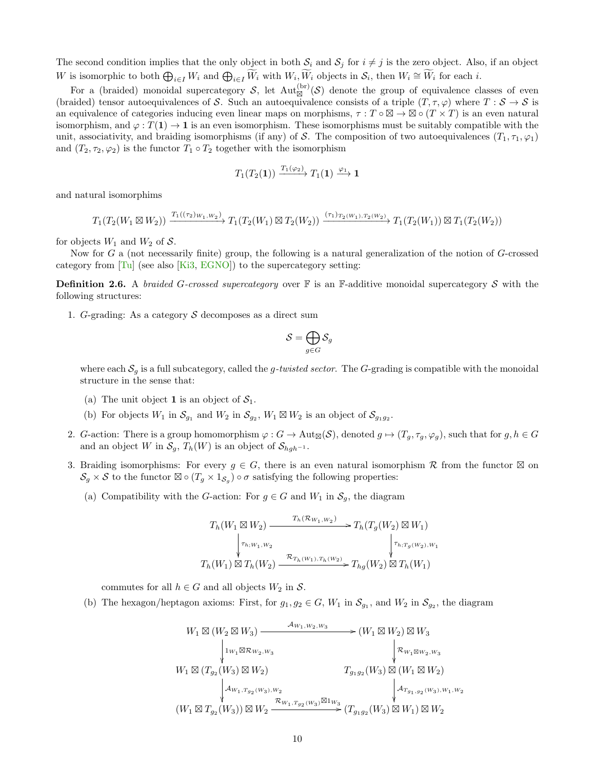The second condition implies that the only object in both  $S_i$  and  $S_j$  for  $i \neq j$  is the zero object. Also, if an object W is isomorphic to both  $\bigoplus_{i\in I} W_i$  and  $\bigoplus_{i\in I} \widetilde{W}_i$  with  $W_i$ ,  $\widetilde{W}_i$  objects in  $\mathcal{S}_i$ , then  $W_i \cong \widetilde{W}_i$  for each i.

For a (braided) monoidal supercategory S, let  $Aut_{\boxtimes}^{(br)}(\mathcal{S})$  denote the group of equivalence classes of even (braided) tensor autoequivalences of S. Such an autoequivalence consists of a triple  $(T, \tau, \varphi)$  where  $T : S \to S$  is an equivalence of categories inducing even linear maps on morphisms,  $\tau : T \circ \boxtimes \to \boxtimes \circ (T \times T)$  is an even natural isomorphism, and  $\varphi: T(1) \to 1$  is an even isomorphism. These isomorphisms must be suitably compatible with the unit, associativity, and braiding isomorphisms (if any) of S. The composition of two autoequivalences  $(T_1, \tau_1, \varphi_1)$ and  $(T_2, \tau_2, \varphi_2)$  is the functor  $T_1 \circ T_2$  together with the isomorphism

$$
T_1(T_2(\mathbf{1})) \xrightarrow{T_1(\varphi_2)} T_1(\mathbf{1}) \xrightarrow{\varphi_1} \mathbf{1}
$$

and natural isomorphims

 $T_1(T_2(W_1 \boxtimes W_2)) \xrightarrow{T_1((\tau_2)_{W_1,W_2})} T_1(T_2(W_1) \boxtimes T_2(W_2)) \xrightarrow{(\tau_1)_{T_2(W_1),T_2(W_2)}} T_1(T_2(W_1)) \boxtimes T_1(T_2(W_2))$ 

for objects  $W_1$  and  $W_2$  of  $S$ .

Now for  $G$  a (not necessarily finite) group, the following is a natural generalization of the notion of  $G$ -crossed category from  $[T_u]$  (see also  $[Ki3, EGNO]$  $[Ki3, EGNO]$  $[Ki3, EGNO]$ ) to the supercategory setting:

**Definition 2.6.** A braided G-crossed supercategory over  $\mathbb{F}$  is an  $\mathbb{F}$ -additive monoidal supercategory S with the following structures:

1. G-grading: As a category  $S$  decomposes as a direct sum

$$
\mathcal{S}=\bigoplus_{g\in G}\mathcal{S}_g
$$

where each  $S<sub>q</sub>$  is a full subcategory, called the *g*-twisted sector. The G-grading is compatible with the monoidal structure in the sense that:

- (a) The unit object 1 is an object of  $S_1$ .
- (b) For objects  $W_1$  in  $S_{g_1}$  and  $W_2$  in  $S_{g_2}$ ,  $W_1 \boxtimes W_2$  is an object of  $S_{g_1g_2}$ .
- 2. G-action: There is a group homomorphism  $\varphi: G \to \text{Aut}_{\mathbb{Z}}(\mathcal{S})$ , denoted  $g \mapsto (T_g, \tau_g, \varphi_g)$ , such that for  $g, h \in G$ and an object W in  $S_g$ ,  $T_h(W)$  is an object of  $S_{hgh^{-1}}$ .
- 3. Braiding isomorphisms: For every  $g \in G$ , there is an even natural isomorphism R from the functor  $\boxtimes$  on  $S_g \times S$  to the functor  $\boxtimes \circ (T_g \times 1_{S_g}) \circ \sigma$  satisfying the following properties:
	- (a) Compatibility with the G-action: For  $g \in G$  and  $W_1$  in  $\mathcal{S}_g$ , the diagram

$$
T_h(W_1 \boxtimes W_2) \xrightarrow{T_h(\mathcal{R}_{W_1,W_2})} T_h(T_g(W_2) \boxtimes W_1)
$$
  
\n
$$
\downarrow_{\tau_h, w_1, w_2} \qquad \qquad \downarrow_{\tau_h, \tau_g(w_2), w_1} T_h(W_1) \boxtimes T_h(W_2) \xrightarrow{\mathcal{R}_{T_h(w_1), \tau_h(w_2)}} T_{hg}(W_2) \boxtimes T_h(W_1)
$$

commutes for all  $h \in G$  and all objects  $W_2$  in S.

(b) The hexagon/heptagon axioms: First, for  $g_1, g_2 \in G$ ,  $W_1$  in  $\mathcal{S}_{g_1}$ , and  $W_2$  in  $\mathcal{S}_{g_2}$ , the diagram

$$
W_1 \boxtimes (W_2 \boxtimes W_3) \xrightarrow{\mathcal{A}_{W_1, W_2, W_3}} (W_1 \boxtimes W_2) \boxtimes W_3
$$
  
\n
$$
\downarrow_{1_{W_1} \boxtimes \mathcal{R}_{W_2, W_3}} \qquad \qquad \downarrow \mathcal{R}_{W_1 \boxtimes W_2, W_3}
$$
  
\n
$$
W_1 \boxtimes (T_{g_2}(W_3) \boxtimes W_2) \qquad T_{g_1g_2}(W_3) \boxtimes (W_1 \boxtimes W_2)
$$
  
\n
$$
\downarrow_{4_{W_1, T_{g_2}(W_3), W_2}} \qquad \qquad \downarrow_{4_{T_{g_1, g_2}(W_3), W_1, W_2}}
$$
  
\n
$$
(W_1 \boxtimes T_{g_2}(W_3)) \boxtimes W_2 \xrightarrow{\mathcal{R}_{W_1, T_{g_2}(W_3)} \boxtimes 1_{W_3}} (T_{g_1g_2}(W_3) \boxtimes W_1) \boxtimes W_2
$$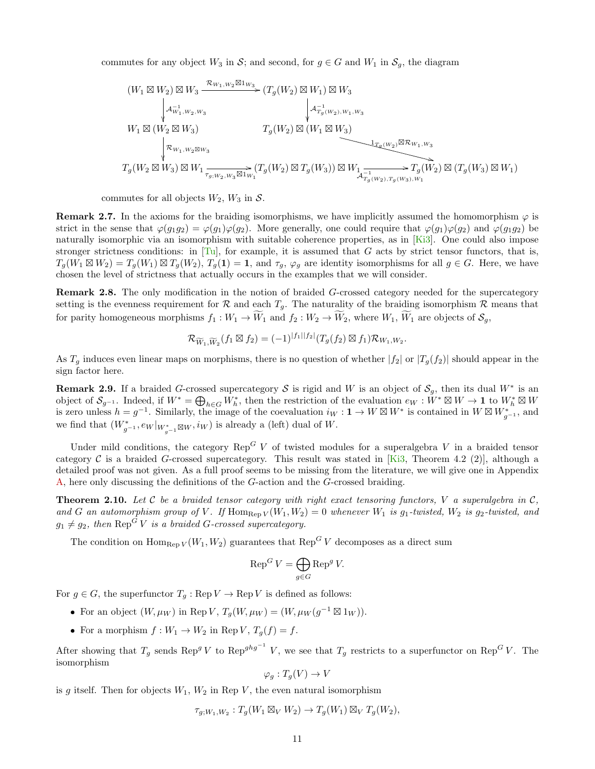commutes for any object  $W_3$  in S; and second, for  $g \in G$  and  $W_1$  in  $S_g$ , the diagram

$$
(W_1 \boxtimes W_2) \boxtimes W_3 \xrightarrow{\mathcal{R}_{W_1,W_2} \boxtimes 1_{W_3}} (T_g(W_2) \boxtimes W_1) \boxtimes W_3
$$
\n
$$
\downarrow \qquad \qquad \downarrow \qquad \qquad \downarrow \qquad \qquad \downarrow \qquad \qquad \downarrow \qquad \qquad \downarrow \qquad \qquad \downarrow \qquad \qquad \downarrow \qquad \downarrow \qquad \downarrow \qquad \downarrow \qquad \downarrow \qquad \downarrow \qquad \downarrow \qquad \downarrow \qquad \downarrow \qquad \downarrow \qquad \downarrow \qquad \downarrow \qquad \downarrow \qquad \downarrow \qquad \downarrow \qquad \downarrow \qquad \downarrow \qquad \downarrow \qquad \downarrow \qquad \downarrow \qquad \downarrow \qquad \downarrow \qquad \downarrow \qquad \downarrow \qquad \downarrow \qquad \downarrow \qquad \downarrow \qquad \downarrow \qquad \downarrow \qquad \downarrow \qquad \downarrow \qquad \downarrow \qquad \downarrow \qquad \downarrow \qquad \downarrow \qquad \downarrow \qquad \downarrow \qquad \downarrow \qquad \downarrow \qquad \downarrow \qquad \downarrow \qquad \downarrow \qquad \downarrow \qquad \downarrow \qquad \downarrow \qquad \downarrow \qquad \downarrow \qquad \downarrow \qquad \downarrow \qquad \downarrow \qquad \downarrow \qquad \downarrow \qquad \downarrow \qquad \downarrow \qquad \downarrow \qquad \downarrow \qquad \downarrow \qquad \downarrow \qquad \downarrow \qquad \downarrow \qquad \downarrow \qquad \downarrow \qquad \downarrow \qquad \downarrow \qquad \downarrow \qquad \downarrow \qquad \downarrow \qquad \downarrow \qquad \downarrow \qquad \downarrow \qquad \downarrow \qquad \downarrow \qquad \downarrow \qquad \downarrow \qquad \downarrow \qquad \downarrow \qquad \downarrow \qquad \downarrow \qquad \downarrow \qquad \downarrow \qquad \downarrow \qquad \downarrow \qquad \downarrow \qquad \downarrow \qquad \downarrow \qquad \downarrow \qquad \downarrow \qquad \downarrow \qquad \downarrow \qquad \downarrow \qquad \downarrow \qquad \downarrow \qquad \downarrow \qquad \downarrow \qquad \downarrow \qquad \downarrow \qquad \downarrow \qquad \downarrow \qquad \downarrow \qquad \downarrow \qquad \downarrow \qquad \downarrow \qquad \downarrow \qquad \downarrow \qquad \
$$

commutes for all objects  $W_2$ ,  $W_3$  in S.

**Remark 2.7.** In the axioms for the braiding isomorphisms, we have implicitly assumed the homomorphism  $\varphi$  is strict in the sense that  $\varphi(g_1g_2) = \varphi(g_1)\varphi(g_2)$ . More generally, one could require that  $\varphi(g_1)\varphi(g_2)$  and  $\varphi(g_1g_2)$  be naturally isomorphic via an isomorphism with suitable coherence properties, as in [\[Ki3\]](#page-55-4). One could also impose stronger strictness conditions: in  $\text{Tu}$ , for example, it is assumed that G acts by strict tensor functors, that is,  $T_g(W_1 \boxtimes W_2) = T_g(W_1) \boxtimes T_g(W_2)$ ,  $T_g(1) = 1$ , and  $\tau_g$ ,  $\varphi_g$  are identity isomorphisms for all  $g \in G$ . Here, we have chosen the level of strictness that actually occurs in the examples that we will consider.

Remark 2.8. The only modification in the notion of braided G-crossed category needed for the supercategory setting is the evenness requirement for  $\mathcal R$  and each  $T_q$ . The naturality of the braiding isomorphism  $\mathcal R$  means that for parity homogeneous morphisms  $f_1 : W_1 \to \widetilde{W}_1$  and  $f_2 : W_2 \to \widetilde{W}_2$ , where  $W_1, \widetilde{W}_1$  are objects of  $\mathcal{S}_q$ ,

$$
\mathcal{R}_{\widetilde{W}_1,\widetilde{W}_2}(f_1\boxtimes f_2)=(-1)^{|f_1||f_2|}(T_g(f_2)\boxtimes f_1)\mathcal{R}_{W_1,W_2}.
$$

As  $T_g$  induces even linear maps on morphisms, there is no question of whether  $|f_2|$  or  $|T_g(f_2)|$  should appear in the sign factor here.

**Remark 2.9.** If a braided G-crossed supercategory S is rigid and W is an object of  $S_g$ , then its dual W<sup>\*</sup> is an object of  $\mathcal{S}_{g^{-1}}$ . Indeed, if  $W^* = \bigoplus_{h \in G} W_h^*$ , then the restriction of the evaluation  $e_W : W^* \boxtimes W \to \mathbf{1}$  to  $W_h^* \boxtimes W$ is zero unless  $h = g^{-1}$ . Similarly, the image of the coevaluation  $i_W : \mathbf{1} \to W \boxtimes W^*$  is contained in  $W \boxtimes W_{g^{-1}}^*$ , and we find that  $(W^*_{g^{-1}}, e_W|_{W^*_{g^{-1}} \boxtimes W}, i_W)$  is already a (left) dual of W.

Under mild conditions, the category  $\text{Rep}^G V$  of twisted modules for a superalgebra V in a braided tensor category C is a braided G-crossed supercategory. This result was stated in [\[Ki3,](#page-55-4) Theorem 4.2 (2)], although a detailed proof was not given. As a full proof seems to be missing from the literature, we will give one in Appendix [A,](#page-38-0) here only discussing the definitions of the G-action and the G-crossed braiding.

<span id="page-10-0"></span>**Theorem 2.10.** Let  $C$  be a braided tensor category with right exact tensoring functors,  $V$  a superalgebra in  $C$ , and G an automorphism group of V. If  $\text{Hom}_{\text{Rep }V}(W_1, W_2) = 0$  whenever  $W_1$  is  $g_1$ -twisted,  $W_2$  is  $g_2$ -twisted, and  $g_1 \neq g_2$ , then  $\text{Rep}^G V$  is a braided G-crossed supercategory.

The condition on  $\text{Hom}_{\text{Rep }V}(W_1, W_2)$  guarantees that  $\text{Rep}^G V$  decomposes as a direct sum

$$
\operatorname{Rep}^G V = \bigoplus_{g \in G} \operatorname{Rep}^g V.
$$

For  $g \in G$ , the superfunctor  $T_g : \text{Rep } V \to \text{Rep } V$  is defined as follows:

- For an object  $(W, \mu_W)$  in Rep V,  $T_g(W, \mu_W) = (W, \mu_W(g^{-1} \boxtimes 1_W)).$
- For a morphism  $f: W_1 \to W_2$  in Rep  $V, T_g(f) = f$ .

After showing that  $T_g$  sends  $\text{Rep}^g V$  to  $\text{Rep}^{ghg^{-1}} V$ , we see that  $T_g$  restricts to a superfunctor on  $\text{Rep}^G V$ . The isomorphism

$$
\varphi_g: T_g(V) \to V
$$

is g itself. Then for objects  $W_1, W_2$  in Rep V, the even natural isomorphism

$$
\tau_{g;W_1,W_2}: T_g(W_1 \boxtimes_V W_2) \to T_g(W_1) \boxtimes_V T_g(W_2),
$$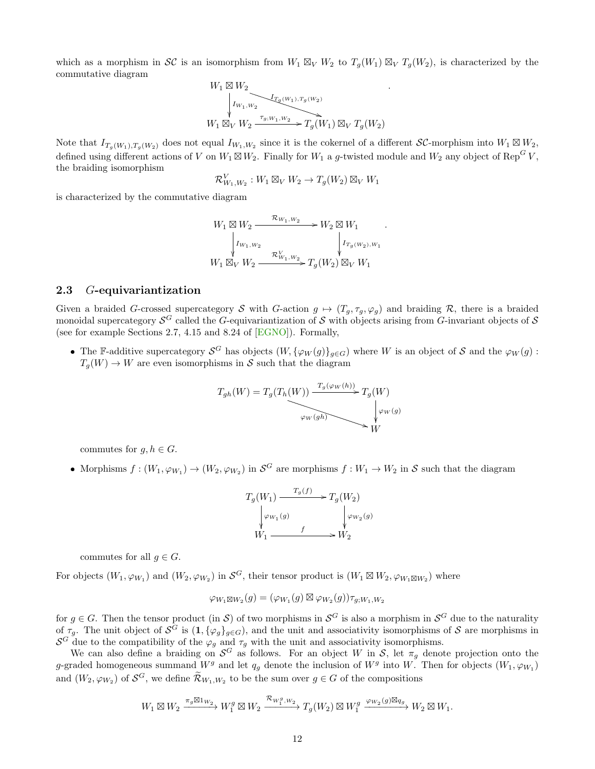which as a morphism in SC is an isomorphism from  $W_1 \boxtimes_V W_2$  to  $T_g(W_1) \boxtimes_V T_g(W_2)$ , is characterized by the commutative diagram

.

.

$$
\begin{array}{c}\nW_1 \boxtimes W_2 \\
\downarrow I_{W_1,W_2} \\
W_1 \boxtimes_V W_2 \xrightarrow{\tau_{g;W_1,W_2}} T_g(W_1) \boxtimes_V T_g(W_2)\n\end{array}
$$

Note that  $I_{T_g(W_1),T_g(W_2)}$  does not equal  $I_{W_1,W_2}$  since it is the cokernel of a different SC-morphism into  $W_1 \boxtimes W_2$ , defined using different actions of V on  $W_1 \boxtimes W_2$ . Finally for  $W_1$  a g-twisted module and  $W_2$  any object of Rep<sup>G</sup>V, the braiding isomorphism

$$
\mathcal{R}_{W_1,W_2}^V: W_1 \boxtimes_V W_2 \to T_g(W_2) \boxtimes_V W_1
$$

is characterized by the commutative diagram

$$
W_1 \boxtimes W_2 \xrightarrow{\mathcal{R}_{W_1, W_2}} W_2 \boxtimes W_1
$$
  
\n
$$
\downarrow I_{W_1, W_2} \qquad \qquad \downarrow I_{T_g(W_2), W_1}
$$
  
\n
$$
W_1 \boxtimes_V W_2 \xrightarrow{\mathcal{R}_{W_1, W_2}} T_g(W_2) \boxtimes_V W_1
$$

#### <span id="page-11-0"></span>2.3 G-equivariantization

Given a braided G-crossed supercategory S with G-action  $g \mapsto (T_g, \tau_g, \varphi_g)$  and braiding R, there is a braided monoidal supercategory  $S^G$  called the G-equivariantization of S with objects arising from G-invariant objects of S (see for example Sections 2.7, 4.15 and 8.24 of [\[EGNO\]](#page-54-10)). Formally,

• The F-additive supercategory  $S^G$  has objects  $(W, {\{\varphi_W(g)\}}_{g\in G})$  where W is an object of S and the  $\varphi_W(g)$ :  $T_q(W) \to W$  are even isomorphisms in S such that the diagram

$$
T_{gh}(W) = T_g(T_h(W)) \xrightarrow{T_g(\varphi_W(h))} T_g(W) \downarrow \varphi_W(g)
$$
  

$$
\varphi_W(gh) \searrow \psi_W(g)
$$

commutes for  $g, h \in G$ .

• Morphisms  $f:(W_1,\varphi_{W_1})\to(W_2,\varphi_{W_2})$  in  $\mathcal{S}^G$  are morphisms  $f:W_1\to W_2$  in  $\mathcal S$  such that the diagram

$$
T_g(W_1) \xrightarrow{T_g(f)} T_g(W_2)
$$
  
\n
$$
\downarrow \varphi_{W_1(g)} \qquad \qquad \downarrow \varphi_{W_2(g)}
$$
  
\n
$$
W_1 \xrightarrow{f} W_2
$$

commutes for all  $q \in G$ .

For objects  $(W_1, \varphi_{W_1})$  and  $(W_2, \varphi_{W_2})$  in  $\mathcal{S}^G$ , their tensor product is  $(W_1 \boxtimes W_2, \varphi_{W_1 \boxtimes W_2})$  where

$$
\varphi_{W_1 \boxtimes W_2}(g) = (\varphi_{W_1}(g) \boxtimes \varphi_{W_2}(g)) \tau_{g;W_1,W_2}
$$

for  $g \in G$ . Then the tensor product (in S) of two morphisms in  $\mathcal{S}^G$  is also a morphism in  $\mathcal{S}^G$  due to the naturality of  $\tau_g$ . The unit object of  $\mathcal{S}^G$  is  $(1, \{\varphi_g\}_{g \in G})$ , and the unit and associativity isomorphisms of  $\mathcal S$  are morphisms in  $S^G$  due to the compatibility of the  $\varphi_g$  and  $\tau_g$  with the unit and associativity isomorphisms.

We can also define a braiding on  $\mathcal{S}^G$  as follows. For an object W in S, let  $\pi_g$  denote projection onto the g-graded homogeneous summand  $W^g$  and let  $q_g$  denote the inclusion of  $W^g$  into W. Then for objects  $(W_1, \varphi_{W_1})$ and  $(W_2, \varphi_{W_2})$  of  $\mathcal{S}^G$ , we define  $\widetilde{\mathcal{R}}_{W_1, W_2}$  to be the sum over  $g \in G$  of the compositions

$$
W_1\boxtimes W_2 \xrightarrow{\pi_g\boxtimes 1_{W_2}} W_1^g\boxtimes W_2 \xrightarrow{\mathcal{R}_{W_1^g,W_2}} T_g(W_2)\boxtimes W_1^g\xrightarrow{\varphi_{W_2}(g)\boxtimes q_g} W_2\boxtimes W_1.
$$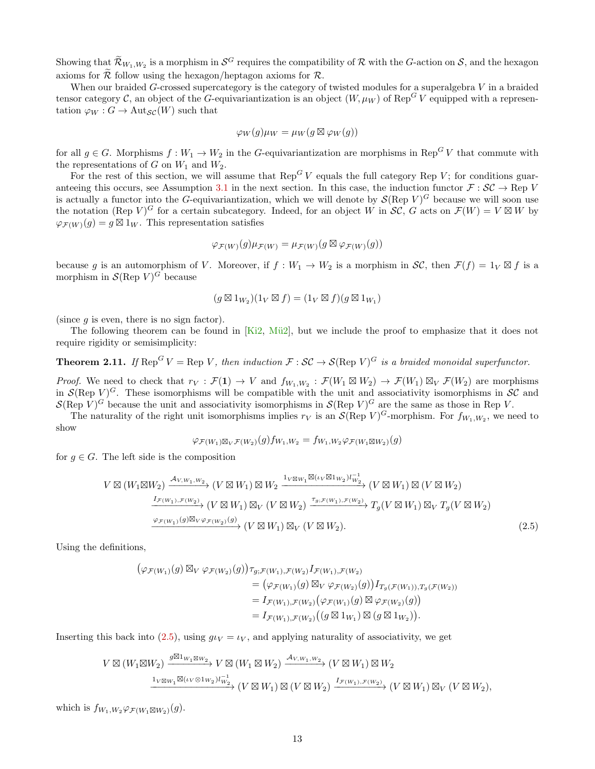Showing that  $\widetilde{\mathcal{R}}_{W_1,W_2}$  is a morphism in  $\mathcal{S}^G$  requires the compatibility of  $\mathcal R$  with the G-action on  $\mathcal S$ , and the hexagon axioms for  $\widetilde{\mathcal{R}}$  follow using the hexagon/heptagon axioms for  $\mathcal{R}$ .

When our braided G-crossed supercategory is the category of twisted modules for a superalgebra V in a braided tensor category C, an object of the G-equivariantization is an object  $(W, \mu_W)$  of Rep<sup>G</sup> V equipped with a representation  $\varphi_W : G \to \text{Aut}_{\mathcal{SC}}(W)$  such that

$$
\varphi_W(g)\mu_W = \mu_W(g \boxtimes \varphi_W(g))
$$

for all  $g \in G$ . Morphisms  $f : W_1 \to W_2$  in the G-equivariantization are morphisms in Rep<sup>G</sup>V that commute with the representations of  $G$  on  $W_1$  and  $W_2$ .

For the rest of this section, we will assume that  $\text{Rep}^G V$  equals the full category Rep V; for conditions guar-anteeing this occurs, see Assumption [3.1](#page-15-1) in the next section. In this case, the induction functor  $\mathcal{F}: \mathcal{SC} \to \text{Rep } V$ is actually a functor into the G-equivariantization, which we will denote by  $\mathcal{S}(\text{Rep }V)^G$  because we will soon use the notation (Rep V)<sup>G</sup> for a certain subcategory. Indeed, for an object W in  $\mathcal{SC}, G$  acts on  $\mathcal{F}(W) = V \boxtimes W$  by  $\varphi_{\mathcal{F}(W)}(g) = g \boxtimes 1_W$ . This representation satisfies

$$
\varphi_{\mathcal{F}(W)}(g)\mu_{\mathcal{F}(W)} = \mu_{\mathcal{F}(W)}(g \boxtimes \varphi_{\mathcal{F}(W)}(g))
$$

because g is an automorphism of V. Moreover, if  $f: W_1 \to W_2$  is a morphism in  $\mathcal{SC}$ , then  $\mathcal{F}(f) = 1_V \boxtimes f$  is a morphism in  $\mathcal{S}(\text{Rep } V)^G$  because

$$
(g \boxtimes 1_{W_2})(1_V \boxtimes f) = (1_V \boxtimes f)(g \boxtimes 1_{W_1})
$$

(since  $g$  is even, there is no sign factor).

The following theorem can be found in  $[Ki2, M\ddot{u}2]$  $[Ki2, M\ddot{u}2]$ , but we include the proof to emphasize that it does not require rigidity or semisimplicity:

<span id="page-12-1"></span>**Theorem 2.11.** If  $\text{Rep}^G V = \text{Rep } V$ , then induction  $\mathcal{F} : \mathcal{SC} \to \mathcal{S}(\text{Rep } V)^G$  is a braided monoidal superfunctor.

*Proof.* We need to check that  $r_V : \mathcal{F}(1) \to V$  and  $f_{W_1,W_2} : \mathcal{F}(W_1 \boxtimes W_2) \to \mathcal{F}(W_1) \boxtimes_V \mathcal{F}(W_2)$  are morphisms in  $\mathcal{S}(\text{Rep }V)^G$ . These isomorphisms will be compatible with the unit and associativity isomorphisms in  $\mathcal{SC}$  and  $\mathcal{S}(\text{Rep } V)^G$  because the unit and associativity isomorphisms in  $\mathcal{S}(\text{Rep } V)^G$  are the same as those in Rep V.

The naturality of the right unit isomorphisms implies  $r_V$  is an  $\mathcal{S}(\text{Rep } V)^G$ -morphism. For  $f_{W_1,W_2}$ , we need to show

<span id="page-12-0"></span>
$$
\varphi_{\mathcal{F}(W_1)\boxtimes_V \mathcal{F}(W_2)}(g) f_{W_1,W_2} = f_{W_1,W_2} \varphi_{\mathcal{F}(W_1\boxtimes W_2)}(g)
$$

for  $g \in G$ . The left side is the composition

$$
V \boxtimes (W_1 \boxtimes W_2) \xrightarrow{\mathcal{A}_{V,W_1,W_2}} (V \boxtimes W_1) \boxtimes W_2 \xrightarrow{\mathbf{1}_V \boxtimes w_1 \boxtimes (\iota_V \boxtimes \mathbf{1}_{W_2}) \iota_{W_2}^{-1}} (V \boxtimes W_1) \boxtimes (V \boxtimes W_2)
$$
  

$$
\xrightarrow{\underline{I_{\mathcal{F}(W_1), \mathcal{F}(W_2)}}} (V \boxtimes W_1) \boxtimes_V (V \boxtimes W_2) \xrightarrow{\tau_{g, \mathcal{F}(W_1), \mathcal{F}(W_2)}} T_g(V \boxtimes W_1) \boxtimes_V T_g(V \boxtimes W_2)
$$
  

$$
\xrightarrow{\varphi_{\mathcal{F}(W_1)}(g) \boxtimes_V \varphi_{\mathcal{F}(W_2)}(g)} (V \boxtimes W_1) \boxtimes_V (V \boxtimes W_2).
$$
 (2.5)

Using the definitions,

$$
\begin{aligned}\n\left(\varphi_{\mathcal{F}(W_1)}(g) \boxtimes_V \varphi_{\mathcal{F}(W_2)}(g)\right) & \tau_{g;\mathcal{F}(W_1),\mathcal{F}(W_2)} I_{\mathcal{F}(W_1),\mathcal{F}(W_2)} \\
&= \left(\varphi_{\mathcal{F}(W_1)}(g) \boxtimes_V \varphi_{\mathcal{F}(W_2)}(g)\right) I_{T_g(\mathcal{F}(W_1)),T_g(\mathcal{F}(W_2))} \\
&= I_{\mathcal{F}(W_1),\mathcal{F}(W_2)} \left(\varphi_{\mathcal{F}(W_1)}(g) \boxtimes \varphi_{\mathcal{F}(W_2)}(g)\right) \\
&= I_{\mathcal{F}(W_1),\mathcal{F}(W_2)} \left((g \boxtimes 1_{W_1}) \boxtimes (g \boxtimes 1_{W_2})\right).\n\end{aligned}
$$

Inserting this back into [\(2.5\)](#page-12-0), using  $q_{UV} = \iota_V$ , and applying naturality of associativity, we get

$$
V \boxtimes (W_1 \boxtimes W_2) \xrightarrow{g \boxtimes 1_{W_1 \boxtimes W_2}} V \boxtimes (W_1 \boxtimes W_2) \xrightarrow{\mathcal{A}_{V,W_1,W_2}} (V \boxtimes W_1) \boxtimes W_2
$$
  

$$
\xrightarrow{\mathbf{1}_{V \boxtimes W_1} \boxtimes (\iota_V \otimes \mathbf{1}_{W_2}) l_{W_2}^{-1}} (V \boxtimes W_1) \boxtimes (V \boxtimes W_2) \xrightarrow{\mathbf{1}_{\mathcal{F}(W_1), \mathcal{F}(W_2)}} (V \boxtimes W_1) \boxtimes_V (V \boxtimes W_2),
$$

which is  $f_{W_1,W_2}\varphi_{\mathcal{F}(W_1\boxtimes W_2)}(g)$ .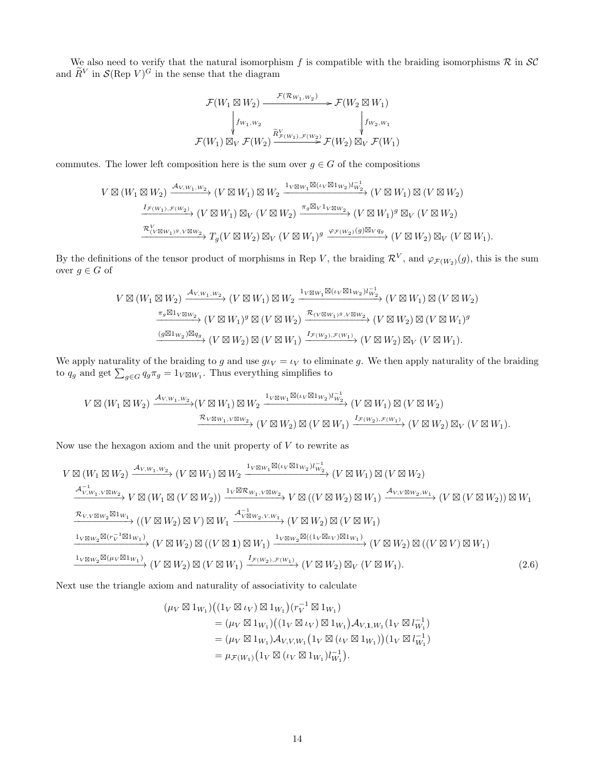We also need to verify that the natural isomorphism f is compatible with the braiding isomorphisms  $\mathcal R$  in  $\mathcal SC$ and  $\tilde{R}^V$  in  $\mathcal{S}(\text{Rep } V)^G$  in the sense that the diagram

$$
\mathcal{F}(W_1 \boxtimes W_2) \xrightarrow{\mathcal{F}(\mathcal{R}_{W_1,W_2})} \mathcal{F}(W_2 \boxtimes W_1)
$$
\n
$$
\downarrow f_{W_1,W_2} \qquad \qquad \downarrow f_{W_2,W_1}
$$
\n
$$
\mathcal{F}(W_1) \boxtimes_V \mathcal{F}(W_2) \xrightarrow{\widetilde{R}^V_{\mathcal{F}(W_1), \mathcal{F}(W_2)}} \mathcal{F}(W_2) \boxtimes_V \mathcal{F}(W_1)
$$

commutes. The lower left composition here is the sum over  $g \in G$  of the compositions

$$
V \boxtimes (W_1 \boxtimes W_2) \xrightarrow{\mathcal{A}_{V,W_1,W_2}} (V \boxtimes W_1) \boxtimes W_2 \xrightarrow{\mathbf{1}_{V \boxtimes W_1} \boxtimes (\iota_V \boxtimes \iota_{W_2}) l_{W_2}^{-1}} (V \boxtimes W_1) \boxtimes (V \boxtimes W_2)
$$
  

$$
\xrightarrow{\mathbf{1}_{\mathcal{F}(W_1),\mathcal{F}(W_2)}} (V \boxtimes W_1) \boxtimes_V (V \boxtimes W_2) \xrightarrow{\pi_g \boxtimes_V \iota_V \boxtimes w_2} (V \boxtimes W_1)^g \boxtimes_V (V \boxtimes W_2)
$$
  

$$
\xrightarrow{\mathcal{R}_{(V \boxtimes W_1)^g,V \boxtimes W_2}} T_g(V \boxtimes W_2) \boxtimes_V (V \boxtimes W_1)^g \xrightarrow{\varphi_{\mathcal{F}(W_2)}(g) \boxtimes_V g_g} (V \boxtimes W_2) \boxtimes_V (V \boxtimes W_1).
$$

By the definitions of the tensor product of morphisms in Rep V, the braiding  $\mathcal{R}^V$ , and  $\varphi_{\mathcal{F}(W_2)}(g)$ , this is the sum over  $g \in G$  of

$$
V \boxtimes (W_1 \boxtimes W_2) \xrightarrow{\mathcal{A}_{V,W_1,W_2}} (V \boxtimes W_1) \boxtimes W_2 \xrightarrow{\mathbf{1}_{V \boxtimes W_1} \boxtimes (\iota_V \boxtimes \iota_{W_2}) l_{W_2}^{-1}} (V \boxtimes W_1) \boxtimes (V \boxtimes W_2)
$$

$$
\xrightarrow{\pi_g \boxtimes \mathbf{1}_{V \boxtimes W_2}} (V \boxtimes W_1)^g \boxtimes (V \boxtimes W_2) \xrightarrow{\mathcal{R}_{(V \boxtimes W_1)^g, V \boxtimes W_2}} (V \boxtimes W_2) \boxtimes (V \boxtimes W_1)^g
$$

$$
\xrightarrow{(\mathcal{G} \boxtimes \iota_{W_2}) \boxtimes q_g} (V \boxtimes W_2) \boxtimes (V \boxtimes W_1) \xrightarrow{\mathcal{I}_{\mathcal{F}(W_2), \mathcal{F}(W_1)}} (V \boxtimes W_2) \boxtimes (V \boxtimes W_1)^g
$$

We apply naturality of the braiding to g and use  $g\iota_V = \iota_V$  to eliminate g. We then apply naturality of the braiding to  $q_g$  and get  $\sum_{g \in G} q_g \pi_g = 1_{V \boxtimes W_1}$ . Thus everything simplifies to

$$
V \boxtimes (W_1 \boxtimes W_2) \xrightarrow{\mathcal{A}_{V,W_1,W_2}} (V \boxtimes W_1) \boxtimes W_2 \xrightarrow{\mathbb{1}_{V \boxtimes W_1} \boxtimes (\iota_V \boxtimes \mathbb{1}_{W_2}) l_{W_2}^{-1}} (V \boxtimes W_1) \boxtimes (V \boxtimes W_2)
$$
  

$$
\xrightarrow{\mathcal{R}_{V \boxtimes W_1, V \boxtimes W_2}} (V \boxtimes W_2) \boxtimes (V \boxtimes W_1) \xrightarrow{\mathcal{I}_{\mathcal{F}(W_2), \mathcal{F}(W_1)}} (V \boxtimes W_2) \boxtimes_V (V \boxtimes W_1).
$$

Now use the hexagon axiom and the unit property of  $V$  to rewrite as

$$
V \boxtimes (W_1 \boxtimes W_2) \xrightarrow{\mathcal{A}_{V,W_1,W_2}} (V \boxtimes W_1) \boxtimes W_2 \xrightarrow{1_{V \boxtimes W_1} \boxtimes (\iota_V \boxtimes 1_{W_2}) l_{W_2}^{-1}} (V \boxtimes W_1) \boxtimes (V \boxtimes W_2)
$$
\n
$$
\xrightarrow{\mathcal{A}_{V,W_1,V \boxtimes W_2}^{-1}} V \boxtimes (W_1 \boxtimes (V \boxtimes W_2)) \xrightarrow{1_V \boxtimes \mathcal{R}_{W_1,V \boxtimes W_2}} V \boxtimes ((V \boxtimes W_2) \boxtimes W_1) \xrightarrow{\mathcal{A}_{V,V \boxtimes W_2,W_1}} (V \boxtimes (V \boxtimes W_2)) \boxtimes W_1
$$
\n
$$
\xrightarrow{\mathcal{R}_{V,V \boxtimes W_2} \boxtimes 1_{W_1}} ((V \boxtimes W_2) \boxtimes V) \boxtimes W_1 \xrightarrow{\mathcal{A}_{V \boxtimes W_2,V,W_1}} (V \boxtimes W_2) \boxtimes (V \boxtimes W_1)
$$
\n
$$
\xrightarrow{1_{V \boxtimes W_2} \boxtimes (r_V^{-1} \boxtimes 1_{W_1})} (V \boxtimes W_2) \boxtimes ((V \boxtimes 1) \boxtimes W_1) \xrightarrow{1_{V \boxtimes W_2} \boxtimes ((1_V \boxtimes \iota_V) \boxtimes 1_{W_1})} (V \boxtimes W_2) \boxtimes ((V \boxtimes V) \boxtimes W_1)
$$
\n
$$
\xrightarrow{1_{V \boxtimes W_2} \boxtimes (\mu_V \boxtimes 1_{W_1})} (V \boxtimes W_2) \boxtimes (V \boxtimes W_1) \xrightarrow{I_{\mathcal{F}(W_2), \mathcal{F}(W_1)}} (V \boxtimes W_2) \boxtimes_V (V \boxtimes W_1).
$$
\n(2.6)

Next use the triangle axiom and naturality of associativity to calculate

<span id="page-13-0"></span>
$$
(\mu_V \boxtimes 1_{W_1})((1_V \boxtimes \iota_V) \boxtimes 1_{W_1})(r_V^{-1} \boxtimes 1_{W_1})
$$
  
=  $(\mu_V \boxtimes 1_{W_1})((1_V \boxtimes \iota_V) \boxtimes 1_{W_1})\mathcal{A}_{V,1,W_1}(1_V \boxtimes l_{W_1}^{-1})$   
=  $(\mu_V \boxtimes 1_{W_1})\mathcal{A}_{V,V,W_1}(1_V \boxtimes (\iota_V \boxtimes 1_{W_1})) (1_V \boxtimes l_{W_1}^{-1})$   
=  $\mu_{\mathcal{F}(W_1)}(1_V \boxtimes (\iota_V \boxtimes 1_{W_1})l_{W_1}^{-1}).$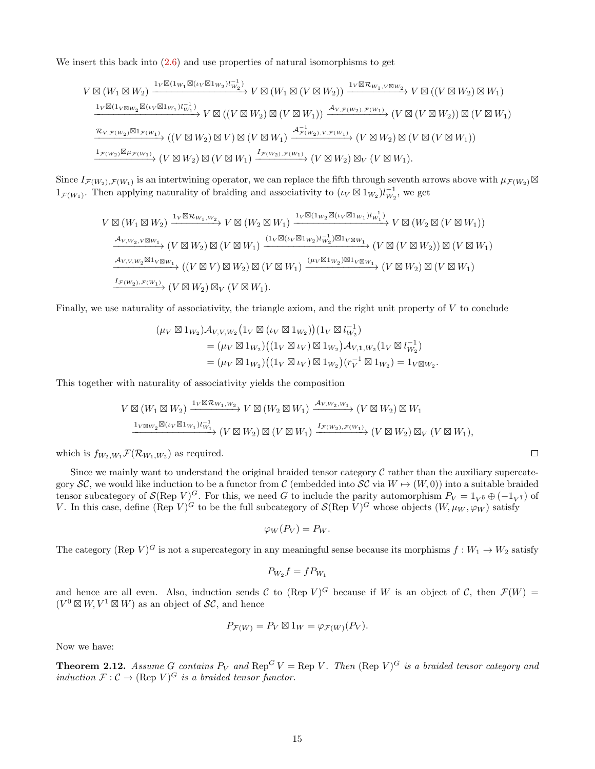We insert this back into  $(2.6)$  and use properties of natural isomorphisms to get

$$
V \boxtimes (W_1 \boxtimes W_2) \xrightarrow{1_V \boxtimes (1_{W_1} \boxtimes (\iota_V \boxtimes 1_{W_2}) l_{W_2}^{-1})} V \boxtimes (W_1 \boxtimes (V \boxtimes W_2)) \xrightarrow{1_V \boxtimes \mathcal{R}_{W_1, V \boxtimes W_2}} V \boxtimes ((V \boxtimes W_2) \boxtimes W_1)
$$
  
\n
$$
\xrightarrow{1_V \boxtimes (1_V \boxtimes w_2 \boxtimes (\iota_V \boxtimes 1_{W_1}) l_{W_1}^{-1})} V \boxtimes ((V \boxtimes W_2) \boxtimes (V \boxtimes W_1)) \xrightarrow{A_{V, \mathcal{F}(W_2), \mathcal{F}(W_1)}} (V \boxtimes (V \boxtimes W_2)) \boxtimes (V \boxtimes W_1)
$$
  
\n
$$
\xrightarrow{\mathcal{R}_{V, \mathcal{F}(W_2)} \boxtimes 1_{\mathcal{F}(W_1)}} ((V \boxtimes W_2) \boxtimes V) \boxtimes (V \boxtimes W_1) \xrightarrow{A_{\mathcal{F}(W_2), V, \mathcal{F}(W_1)}} (V \boxtimes W_2) \boxtimes (V \boxtimes W_1))
$$
  
\n
$$
\xrightarrow{1_{\mathcal{F}(W_2)} \boxtimes \mu_{\mathcal{F}(W_1)}} (V \boxtimes W_2) \boxtimes (V \boxtimes W_1) \xrightarrow{I_{\mathcal{F}(W_2), \mathcal{F}(W_1)}} (V \boxtimes W_2) \boxtimes_V (V \boxtimes W_1).
$$

Since  $I_{\mathcal{F}(W_2),\mathcal{F}(W_1)}$  is an intertwining operator, we can replace the fifth through seventh arrows above with  $\mu_{\mathcal{F}(W_2)}\boxtimes$  $1_{\mathcal{F}(W_1)}$ . Then applying naturality of braiding and associativity to  $(\iota_V \boxtimes 1_{W_2}) l_{W_2}^{-1}$ , we get

$$
V \boxtimes (W_1 \boxtimes W_2) \xrightarrow{1_V \boxtimes \mathcal{R}_{W_1, W_2}} V \boxtimes (W_2 \boxtimes W_1) \xrightarrow{1_V \boxtimes (1_{W_2} \boxtimes (\iota_V \boxtimes 1_{W_1}) l_{W_1}^{-1})} V \boxtimes (W_2 \boxtimes (V \boxtimes W_1))
$$
  
\n
$$
\xrightarrow{\mathcal{A}_{V, W_2, V \boxtimes W_1}} (V \boxtimes W_2) \boxtimes (V \boxtimes W_1) \xrightarrow{(1_V \boxtimes (\iota_V \boxtimes 1_{W_2}) l_{W_2}^{-1}) \boxtimes 1_V \boxtimes w_1} (V \boxtimes (V \boxtimes W_2)) \boxtimes (V \boxtimes W_1)
$$
  
\n
$$
\xrightarrow{\mathcal{A}_{V, V, W_2} \boxtimes 1_V \boxtimes w_1} ((V \boxtimes V) \boxtimes W_2) \boxtimes (V \boxtimes W_1) \xrightarrow{(\mu_V \boxtimes 1_{W_2}) \boxtimes 1_V \boxtimes w_1} (V \boxtimes W_2) \boxtimes (V \boxtimes W_1)
$$
  
\n
$$
\xrightarrow{I_{\mathcal{F}(W_2), \mathcal{F}(W_1)}} (V \boxtimes W_2) \boxtimes_V (V \boxtimes W_1).
$$

Finally, we use naturality of associativity, the triangle axiom, and the right unit property of  $V$  to conclude

$$
(\mu_V \boxtimes 1_{W_2}) \mathcal{A}_{V,V,W_2} (1_V \boxtimes (\iota_V \boxtimes 1_{W_2})) (1_V \boxtimes l_{W_2}^{-1})
$$
  
=  $(\mu_V \boxtimes 1_{W_2}) ((1_V \boxtimes \iota_V) \boxtimes 1_{W_2}) \mathcal{A}_{V,1,W_2} (1_V \boxtimes l_{W_2}^{-1})$   
=  $(\mu_V \boxtimes 1_{W_2}) ((1_V \boxtimes \iota_V) \boxtimes 1_{W_2}) (r_V^{-1} \boxtimes 1_{W_2}) = 1_{V \boxtimes W_2}.$ 

This together with naturality of associativity yields the composition

$$
V \boxtimes (W_1 \boxtimes W_2) \xrightarrow{1_V \boxtimes \mathcal{R}_{W_1, W_2}} V \boxtimes (W_2 \boxtimes W_1) \xrightarrow{\mathcal{A}_{V, W_2, W_1}} (V \boxtimes W_2) \boxtimes W_1
$$
  

$$
\xrightarrow{1_V \boxtimes w_2 \boxtimes (\iota_V \boxtimes 1_{W_1}) l_{W_1}^{-1}} (V \boxtimes W_2) \boxtimes (V \boxtimes W_1) \xrightarrow{I_{\mathcal{F}(W_2), \mathcal{F}(W_1)}} (V \boxtimes W_2) \boxtimes_V (V \boxtimes W_1),
$$

 $\Box$ 

which is  $f_{W_2,W_1} \mathcal{F}(\mathcal{R}_{W_1,W_2})$  as required.

Since we mainly want to understand the original braided tensor category  $\mathcal C$  rather than the auxiliary supercategory  $\mathcal{SC}$ , we would like induction to be a functor from C (embedded into  $\mathcal{SC}$  via  $W \mapsto (W, 0)$ ) into a suitable braided tensor subcategory of  $\mathcal{S}(\text{Rep }V)^G$ . For this, we need G to include the parity automorphism  $P_V = 1_{V^{\bar{0}}} \oplus (-1_{V^{\bar{1}}})$  of V. In this case, define (Rep V)<sup>G</sup> to be the full subcategory of  $\mathcal{S}(\text{Rep }V)^G$  whose objects  $(W, \mu_W, \varphi_W)$  satisfy

$$
\varphi_W(P_V) = P_W.
$$

The category (Rep  $V)^G$  is not a supercategory in any meaningful sense because its morphisms  $f: W_1 \to W_2$  satisfy

$$
P_{W_2}f=fP_{W_1}
$$

and hence are all even. Also, induction sends C to  $(\text{Rep } V)^G$  because if W is an object of C, then  $\mathcal{F}(W)$  =  $(V^{\bar{0}} \boxtimes W, V^{\bar{1}} \boxtimes W)$  as an object of  $\mathcal{SC}$ , and hence

$$
P_{\mathcal{F}(W)} = P_V \boxtimes 1_W = \varphi_{\mathcal{F}(W)}(P_V).
$$

<span id="page-14-0"></span>Now we have:

**Theorem 2.12.** Assume G contains  $P_V$  and  $\text{Rep}^G V = \text{Rep } V$ . Then  $(\text{Rep } V)^G$  is a braided tensor category and induction  $\mathcal{F}: \mathcal{C} \to (\text{Rep } V)^G$  is a braided tensor functor.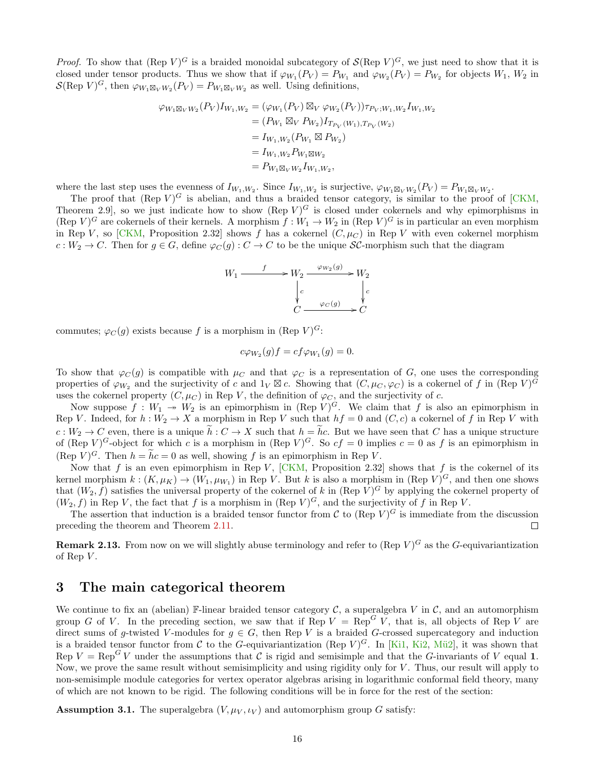*Proof.* To show that  $(\text{Rep } V)^G$  is a braided monoidal subcategory of  $\mathcal{S}(\text{Rep } V)^G$ , we just need to show that it is closed under tensor products. Thus we show that if  $\varphi_{W_1}(P_V) = P_{W_1}$  and  $\varphi_{W_2}(P_V) = P_{W_2}$  for objects  $W_1, W_2$  in  $\mathcal{S}(\text{Rep } V)^G$ , then  $\varphi_{W_1 \boxtimes_V W_2}(P_V) = P_{W_1 \boxtimes_V W_2}$  as well. Using definitions,

$$
\varphi_{W_1 \boxtimes_V W_2}(P_V) I_{W_1, W_2} = (\varphi_{W_1}(P_V) \boxtimes_V \varphi_{W_2}(P_V)) \tau_{P_V; W_1, W_2} I_{W_1, W_2}
$$
  
\n
$$
= (P_{W_1} \boxtimes_V P_{W_2}) I_{T_{P_V}(W_1), T_{P_V}(W_2)}
$$
  
\n
$$
= I_{W_1, W_2}(P_{W_1} \boxtimes P_{W_2})
$$
  
\n
$$
= I_{W_1, W_2} P_{W_1 \boxtimes W_2}
$$
  
\n
$$
= P_{W_1 \boxtimes_V W_2} I_{W_1, W_2},
$$

where the last step uses the evenness of  $I_{W_1,W_2}$ . Since  $I_{W_1,W_2}$  is surjective,  $\varphi_{W_1 \boxtimes_V W_2}(P_V) = P_{W_1 \boxtimes_V W_2}$ .

The proof that  $(\text{Rep } V)^G$  is abelian, and thus a braided tensor category, is similar to the proof of [\[CKM,](#page-53-0) Theorem 2.9, so we just indicate how to show  $(\text{Rep } V)^G$  is closed under cokernels and why epimorphisms in (Rep  $V$ )<sup>*G*</sup> are cokernels of their kernels. A morphism  $f: W_1 \to W_2$  in (Rep  $V$ )<sup>*G*</sup> is in particular an even morphism in Rep V, so [\[CKM,](#page-53-0) Proposition 2.32] shows f has a cokernel  $(C, \mu_C)$  in Rep V with even cokernel morphism  $c: W_2 \to C$ . Then for  $g \in G$ , define  $\varphi_C(g) : C \to C$  to be the unique SC-morphism such that the diagram



commutes;  $\varphi_C(g)$  exists because f is a morphism in (Rep V)<sup>G</sup>:

$$
c\varphi_{W_2}(g)f = cf\varphi_{W_1}(g) = 0.
$$

To show that  $\varphi_C(g)$  is compatible with  $\mu_C$  and that  $\varphi_C$  is a representation of G, one uses the corresponding properties of  $\varphi_{W_2}$  and the surjectivity of c and  $1_V \boxtimes c$ . Showing that  $(C, \mu_C, \varphi_C)$  is a cokernel of f in  $(\text{Rep } V)^G$ uses the cokernel property  $(C, \mu_C)$  in Rep V, the definition of  $\varphi_C$ , and the surjectivity of c.

Now suppose  $f: W_1 \to W_2$  is an epimorphism in (Rep V)<sup>G</sup>. We claim that f is also an epimorphism in Rep V. Indeed, for  $h: W_2 \to X$  a morphism in Rep V such that  $hf = 0$  and  $(C, c)$  a cokernel of f in Rep V with  $c: W_2 \to C$  even, there is a unique  $\tilde{h}: C \to X$  such that  $h = \tilde{h}c$ . But we have seen that C has a unique structure of  $(\text{Rep } V)^G$ -object for which c is a morphism in  $(\text{Rep } V)^G$ . So  $cf = 0$  implies  $c = 0$  as f is an epimorphism in  $(\text{Rep } V)^G$ . Then  $h = hc = 0$  as well, showing f is an epimorphism in Rep V.

Now that f is an even epimorphism in Rep V,  $[CKM,$  Proposition 2.32 shows that f is the cokernel of its kernel morphism  $k:(K,\mu_K) \to (W_1,\mu_{W_1})$  in Rep V. But k is also a morphism in  $(\text{Rep } V)^G$ , and then one shows that  $(W_2, f)$  satisfies the universal property of the cokernel of k in (Rep V)<sup>G</sup> by applying the cokernel property of  $(W_2, f)$  in Rep V, the fact that f is a morphism in (Rep V)<sup>G</sup>, and the surjectivity of f in Rep V.

The assertion that induction is a braided tensor functor from C to (Rep  $V$ )<sup>G</sup> is immediate from the discussion preceding the theorem and Theorem [2.11.](#page-12-1)  $\Box$ 

**Remark 2.13.** From now on we will slightly abuse terminology and refer to (Rep  $V$ )<sup>G</sup> as the G-equivariantization of Rep  $V$ .

### <span id="page-15-0"></span>3 The main categorical theorem

We continue to fix an (abelian) F-linear braided tensor category  $\mathcal{C}$ , a superalgebra V in  $\mathcal{C}$ , and an automorphism group G of V. In the preceding section, we saw that if Rep  $V = Rep^G V$ , that is, all objects of Rep V are direct sums of g-twisted V-modules for  $g \in G$ , then Rep V is a braided G-crossed supercategory and induction is a braided tensor functor from C to the G-equivariantization (Rep  $V$ )<sup>G</sup>. In [\[Ki1,](#page-55-3) [Ki2,](#page-55-9) Mü2], it was shown that Rep  $V = \text{Rep}^G V$  under the assumptions that C is rigid and semisimple and that the G-invariants of V equal 1. Now, we prove the same result without semisimplicity and using rigidity only for  $V$ . Thus, our result will apply to non-semisimple module categories for vertex operator algebras arising in logarithmic conformal field theory, many of which are not known to be rigid. The following conditions will be in force for the rest of the section:

<span id="page-15-1"></span>**Assumption 3.1.** The superalgebra  $(V, \mu_V, \iota_V)$  and automorphism group G satisfy: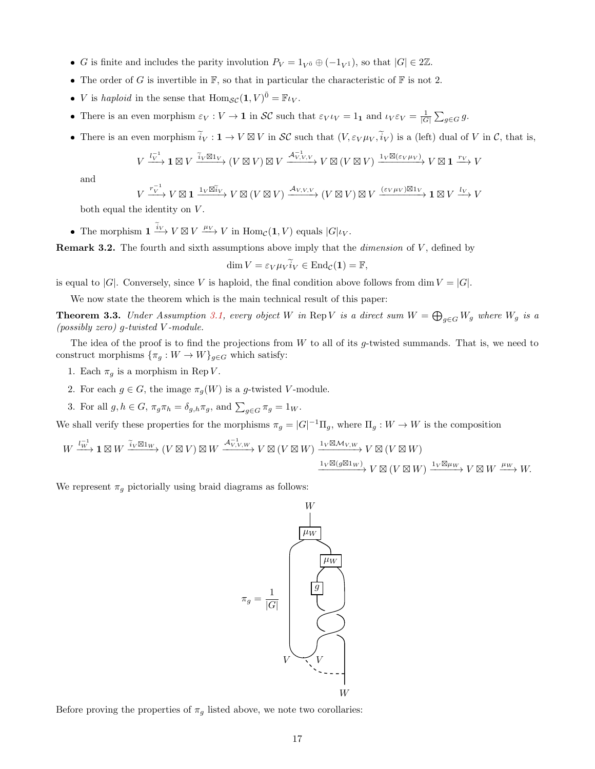- G is finite and includes the parity involution  $P_V = 1_{V^{\bar{0}}} \oplus (-1_{V^{\bar{1}}})$ , so that  $|G| \in 2\mathbb{Z}$ .
- The order of G is invertible in  $\mathbb{F}$ , so that in particular the characteristic of  $\mathbb{F}$  is not 2.
- *V* is haploid in the sense that  $\text{Hom}_{\mathcal{SC}}(\mathbf{1}, V)^{\bar{0}} = \mathbb{F}_{\mathcal{UV}}$ .
- There is an even morphism  $\varepsilon_V : V \to \mathbf{1}$  in  $\mathcal{SC}$  such that  $\varepsilon_V \iota_V = 1_{\mathbf{1}}$  and  $\iota_V \varepsilon_V = \frac{1}{|G|} \sum_{g \in G} g$ .
- There is an even morphism  $\tilde{i}_V : \mathbf{1} \to V \boxtimes V$  in  $\mathcal{SC}$  such that  $(V, \varepsilon_V \mu_V, \tilde{i}_V)$  is a (left) dual of V in C, that is,

$$
V \xrightarrow{l_V^{-1}} \mathbf{1} \boxtimes V \xrightarrow{\widetilde{i}_V \boxtimes 1_V} (V \boxtimes V) \boxtimes V \xrightarrow{\mathcal{A}_{V,V,V}} V \boxtimes (V \boxtimes V) \xrightarrow{1_V \boxtimes (\varepsilon_V \mu_V)} V \boxtimes \mathbf{1} \xrightarrow{r_V} V
$$

and

$$
V \xrightarrow{r_V^{-1}} V \boxtimes \mathbf{1} \xrightarrow{1_V \boxtimes V_V} V \boxtimes (V \boxtimes V) \xrightarrow{\mathcal{A}_{V,V,V}} (V \boxtimes V) \boxtimes V \xrightarrow{(\varepsilon_V \mu_V) \boxtimes 1_V} \mathbf{1} \boxtimes V \xrightarrow{l_V} V
$$

both equal the identity on  $V$ .

• The morphism  $\mathbf{1} \xrightarrow{i_V} V \boxtimes V \xrightarrow{\mu_V} V$  in  $\text{Hom}_{\mathcal{C}}(\mathbf{1}, V)$  equals  $|G|\iota_V$ .

**Remark 3.2.** The fourth and sixth assumptions above imply that the *dimension* of  $V$ , defined by

$$
\dim V = \varepsilon_V \mu_V \widetilde{i}_V \in \text{End}_{\mathcal{C}}(\mathbf{1}) = \mathbb{F},
$$

is equal to |G|. Conversely, since V is haploid, the final condition above follows from dim  $V = |G|$ .

We now state the theorem which is the main technical result of this paper:

<span id="page-16-0"></span>**Theorem 3.3.** Under Assumption [3.1,](#page-15-1) every object W in Rep V is a direct sum  $W = \bigoplus_{g \in G} W_g$  where  $W_g$  is a (possibly zero) g-twisted V -module.

The idea of the proof is to find the projections from  $W$  to all of its g-twisted summands. That is, we need to construct morphisms  $\{\pi_g: W \to W\}_{g \in G}$  which satisfy:

- 1. Each  $\pi_g$  is a morphism in Rep V.
- 2. For each  $g \in G$ , the image  $\pi_g(W)$  is a g-twisted V-module.
- 3. For all  $g, h \in G$ ,  $\pi_g \pi_h = \delta_{g,h} \pi_g$ , and  $\sum_{g \in G} \pi_g = 1_W$ .

We shall verify these properties for the morphisms  $\pi_g = |G|^{-1} \Pi_g$ , where  $\Pi_g : W \to W$  is the composition

$$
W \xrightarrow{l_W^{-1}} \mathbf{1} \boxtimes W \xrightarrow{\tilde{i}_V \boxtimes 1_W} (V \boxtimes V) \boxtimes W \xrightarrow{\mathcal{A}_{V,V,W}^{-1}} V \boxtimes (V \boxtimes W) \xrightarrow{\mathbf{1}_V \boxtimes \mathcal{M}_{V,W}} V \boxtimes (V \boxtimes W)
$$
  

$$
\xrightarrow{\mathbf{1}_V \boxtimes (g \boxtimes 1_W)} V \boxtimes (V \boxtimes W) \xrightarrow{\mathbf{1}_V \boxtimes \mathcal{M}_{V,W}} V \boxtimes (V \boxtimes W) \xrightarrow{\mathbf{1}_V \boxtimes \mu_W} V \boxtimes W \xrightarrow{\mu_W} W.
$$

We represent  $\pi_q$  pictorially using braid diagrams as follows:



<span id="page-16-1"></span>Before proving the properties of  $\pi<sub>g</sub>$  listed above, we note two corollaries: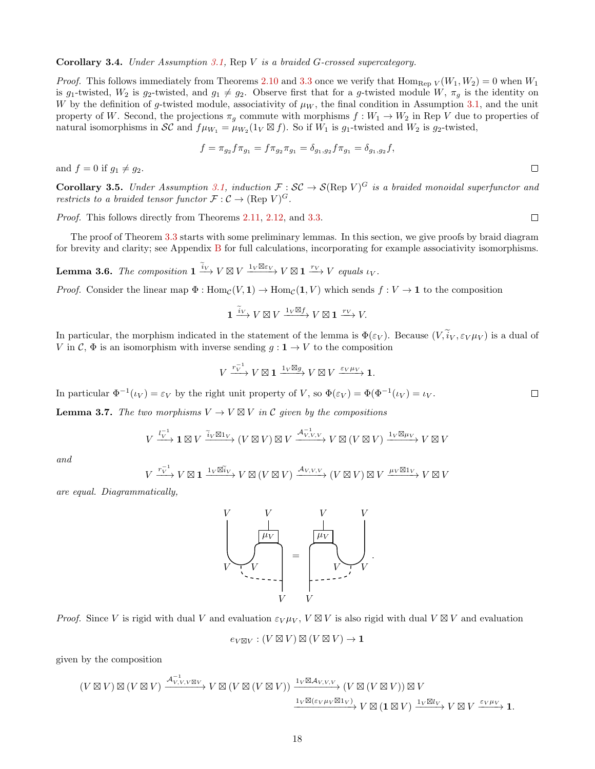#### Corollary 3.4. Under Assumption [3.1,](#page-15-1) Rep V is a braided G-crossed supercategory.

*Proof.* This follows immediately from Theorems [2.10](#page-10-0) and [3.3](#page-16-0) once we verify that Hom<sub>Rep V</sub> $(W_1, W_2) = 0$  when  $W_1$ is g<sub>1</sub>-twisted,  $W_2$  is g<sub>2</sub>-twisted, and  $g_1 \neq g_2$ . Observe first that for a g-twisted module  $W$ ,  $\pi_g$  is the identity on W by the definition of g-twisted module, associativity of  $\mu_W$ , the final condition in Assumption [3.1,](#page-15-1) and the unit property of W. Second, the projections  $\pi_g$  commute with morphisms  $f: W_1 \to W_2$  in Rep V due to properties of natural isomorphisms in SC and  $f\mu_{W_1} = \mu_{W_2}(1_V \boxtimes f)$ . So if  $W_1$  is  $g_1$ -twisted and  $W_2$  is  $g_2$ -twisted,

$$
f = \pi_{g_2} f \pi_{g_1} = f \pi_{g_2} \pi_{g_1} = \delta_{g_1, g_2} f \pi_{g_1} = \delta_{g_1, g_2} f,
$$

and  $f = 0$  if  $q_1 \neq q_2$ .

**Corollary 3.5.** Under Assumption [3.1,](#page-15-1) induction  $\mathcal{F}: \mathcal{SC} \to \mathcal{S}(\text{Rep } V)^G$  is a braided monoidal superfunctor and restricts to a braided tensor functor  $\mathcal{F}: \mathcal{C} \to (\text{Rep } V)^G$ .

Proof. This follows directly from Theorems [2.11,](#page-12-1) [2.12,](#page-14-0) and [3.3.](#page-16-0)

The proof of Theorem [3.3](#page-16-0) starts with some preliminary lemmas. In this section, we give proofs by braid diagram for brevity and clarity; see Appendix [B](#page-47-0) for full calculations, incorporating for example associativity isomorphisms.

<span id="page-17-1"></span>**Lemma 3.6.** The composition  $\mathbf{1} \xrightarrow{\tilde{i}_V} V \boxtimes V \xrightarrow{1_V \boxtimes \varepsilon_V} V \boxtimes \mathbf{1} \xrightarrow{r_V} V$  equals  $\iota_V$ .

*Proof.* Consider the linear map  $\Phi : \text{Hom}_{\mathcal{C}}(V, \mathbf{1}) \to \text{Hom}_{\mathcal{C}}(\mathbf{1}, V)$  which sends  $f : V \to \mathbf{1}$  to the composition

$$
\mathbf{1} \xrightarrow{\tilde{i}_V} V \boxtimes V \xrightarrow{1_V \boxtimes f} V \boxtimes \mathbf{1} \xrightarrow{r_V} V.
$$

In particular, the morphism indicated in the statement of the lemma is  $\Phi(\varepsilon_V)$ . Because  $(V, \tilde{i}_V, \varepsilon_V \mu_V)$  is a dual of V in C,  $\Phi$  is an isomorphism with inverse sending  $g: \mathbf{1} \to V$  to the composition

$$
V \xrightarrow{r_V^{-1}} V \boxtimes \mathbf{1} \xrightarrow{1_V \boxtimes g} V \boxtimes V \xrightarrow{\varepsilon_V \mu_V} \mathbf{1}.
$$

In particular  $\Phi^{-1}(\iota_V) = \varepsilon_V$  by the right unit property of V, so  $\Phi(\varepsilon_V) = \Phi(\Phi^{-1}(\iota_V) = \iota_V$ .

<span id="page-17-0"></span>**Lemma 3.7.** The two morphisms  $V \to V \boxtimes V$  in C given by the compositions

$$
V \xrightarrow{l_V^{-1}} \mathbf{1} \boxtimes V \xrightarrow{\widetilde{i}_V \boxtimes 1_V} (V \boxtimes V) \boxtimes V \xrightarrow{\mathcal{A}_{V,V,V}^{-1}} V \boxtimes (V \boxtimes V) \xrightarrow{1_V \boxtimes \mu_V} V \boxtimes V
$$

and

$$
V \xrightarrow{r_V^{-1}} V \boxtimes \mathbf{1} \xrightarrow{1_V \boxtimes \widetilde{u}_V} V \boxtimes (V \boxtimes V) \xrightarrow{\mathcal{A}_{V,V,V}} (V \boxtimes V) \boxtimes V \xrightarrow{\mu_V \boxtimes 1_V} V \boxtimes V
$$

are equal. Diagrammatically,



Proof. Since V is rigid with dual V and evaluation  $\varepsilon_V \mu_V$ ,  $V \boxtimes V$  is also rigid with dual  $V \boxtimes V$  and evaluation

$$
e_{V\boxtimes V} : (V \boxtimes V) \boxtimes (V \boxtimes V) \to \mathbf{1}
$$

given by the composition

$$
(V \boxtimes V) \boxtimes (V \boxtimes V) \xrightarrow{\mathcal{A}_{V,V,V \boxtimes V}^{-1}} V \boxtimes (V \boxtimes (V \boxtimes V)) \xrightarrow{1_V \boxtimes \mathcal{A}_{V,V,V}} (V \boxtimes (V \boxtimes V)) \boxtimes V
$$

$$
\xrightarrow{1_V \boxtimes (\varepsilon_V \mu_V \boxtimes 1_V)} V \boxtimes (1 \boxtimes V) \xrightarrow{1_V \boxtimes l_V} V \boxtimes V \xrightarrow{\varepsilon_V \mu_V} 1.
$$

 $\Box$ 

 $\Box$ 

 $\Box$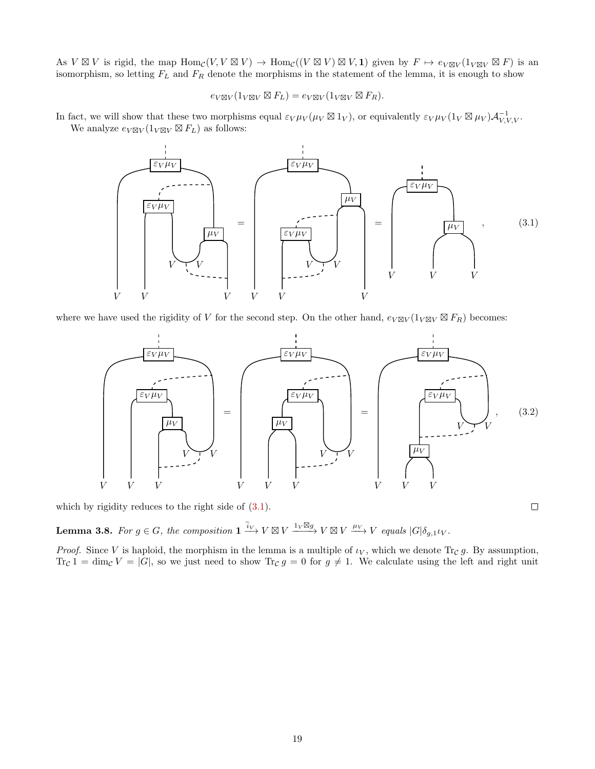As  $V \boxtimes V$  is rigid, the map  $\text{Hom}_{\mathcal{C}}(V, V \boxtimes V) \to \text{Hom}_{\mathcal{C}}((V \boxtimes V) \boxtimes V, 1)$  given by  $F \mapsto e_{V \boxtimes V}(1_{V \boxtimes V} \boxtimes F)$  is an isomorphism, so letting  $F_L$  and  $F_R$  denote the morphisms in the statement of the lemma, it is enough to show

$$
e_{V\boxtimes V}(1_{V\boxtimes V}\boxtimes F_L)=e_{V\boxtimes V}(1_{V\boxtimes V}\boxtimes F_R).
$$

In fact, we will show that these two morphisms equal  $\varepsilon_V \mu_V (\mu_V \boxtimes 1_V)$ , or equivalently  $\varepsilon_V \mu_V (1_V \boxtimes \mu_V) \mathcal{A}_{V,V,V}^{-1}$ . We analyze  $e_{V\boxtimes V}(1_{V\boxtimes V}\boxtimes F_L)$  as follows:



where we have used the rigidity of V for the second step. On the other hand,  $e_{V\boxtimes V}(1_{V\boxtimes V}\boxtimes F_R)$  becomes:



which by rigidity reduces to the right side of [\(3.1\)](#page-18-0).

<span id="page-18-1"></span>**Lemma 3.8.** For  $g \in G$ , the composition  $\mathbf{1} \xrightarrow{\tilde{i}_V} V \boxtimes V \xrightarrow{1_V \boxtimes g} V \boxtimes V \xrightarrow{\mu_V} V$  equals  $|G|\delta_{g,1} \iota_V$ .

*Proof.* Since V is haploid, the morphism in the lemma is a multiple of  $\iota_V$ , which we denote  $\text{Tr}_{\mathcal{C}} g$ . By assumption,  $\text{Tr}_{\mathcal{C}} 1 = \dim_{\mathcal{C}} V = |G|$ , so we just need to show  $\text{Tr}_{\mathcal{C}} g = 0$  for  $g \neq 1$ . We calculate using the left and right unit

<span id="page-18-2"></span><span id="page-18-0"></span> $\Box$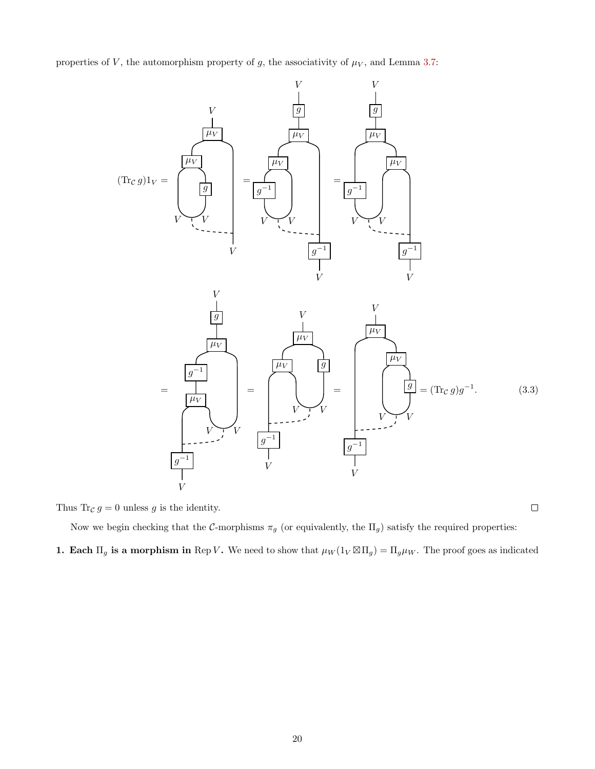properties of  $V$ , the automorphism property of  $g$ , the associativity of  $\mu_V$ , and Lemma [3.7:](#page-17-0)



Thus Tr<sub>C</sub>  $g = 0$  unless g is the identity.

<span id="page-19-0"></span>Now we begin checking that the  $C$ -morphisms  $\pi_g$  (or equivalently, the  $\Pi_g$ ) satisfy the required properties:

**1. Each**  $\Pi_g$  is a morphism in Rep V. We need to show that  $\mu_W(1_V \boxtimes \Pi_g) = \Pi_g \mu_W$ . The proof goes as indicated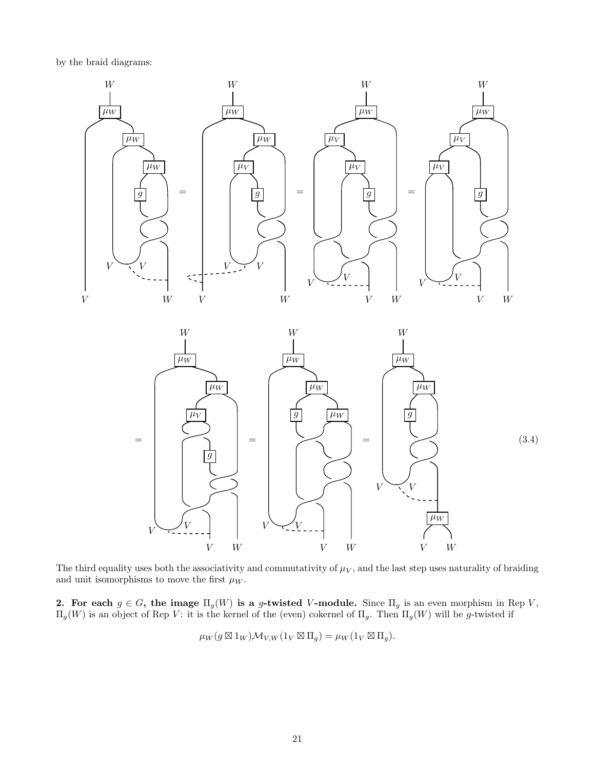by the braid diagrams:



The third equality uses both the associativity and commutativity of  $\mu_V$ , and the last step uses naturality of braiding and unit isomorphisms to move the first  $\mu_W$ .

2. For each  $g \in G$ , the image  $\Pi_g(W)$  is a g-twisted V-module. Since  $\Pi_g$  is an even morphism in Rep V,  $\Pi_g(W)$  is an object of Rep V: it is the kernel of the (even) cokernel of  $\Pi_g$ . Then  $\Pi_g(W)$  will be g-twisted if

<span id="page-20-0"></span>
$$
\mu_W(g \boxtimes 1_W) \mathcal{M}_{V,W}(1_V \boxtimes \Pi_g) = \mu_W(1_V \boxtimes \Pi_g).
$$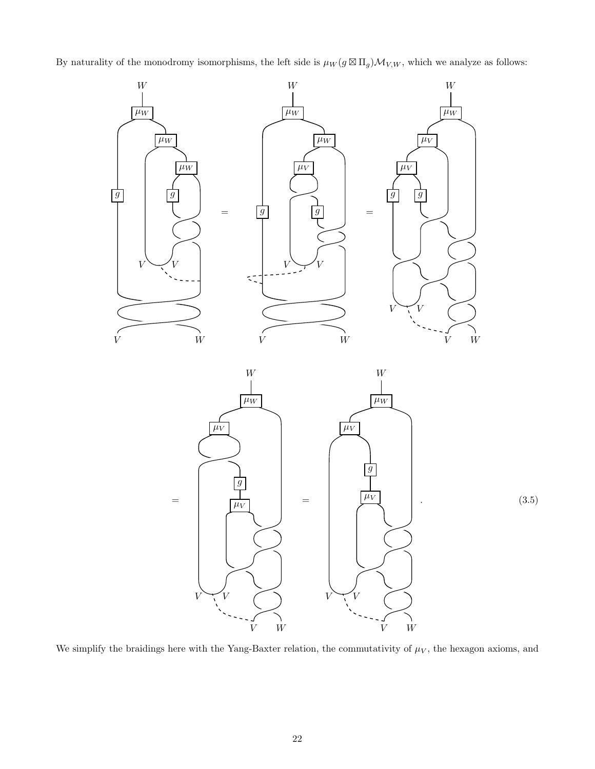By naturality of the monodromy isomorphisms, the left side is  $\mu_W(g \boxtimes \Pi_g) \mathcal{M}_{V,W}$ , which we analyze as follows:



<span id="page-21-0"></span>

We simplify the braidings here with the Yang-Baxter relation, the commutativity of  $\mu_V$ , the hexagon axioms, and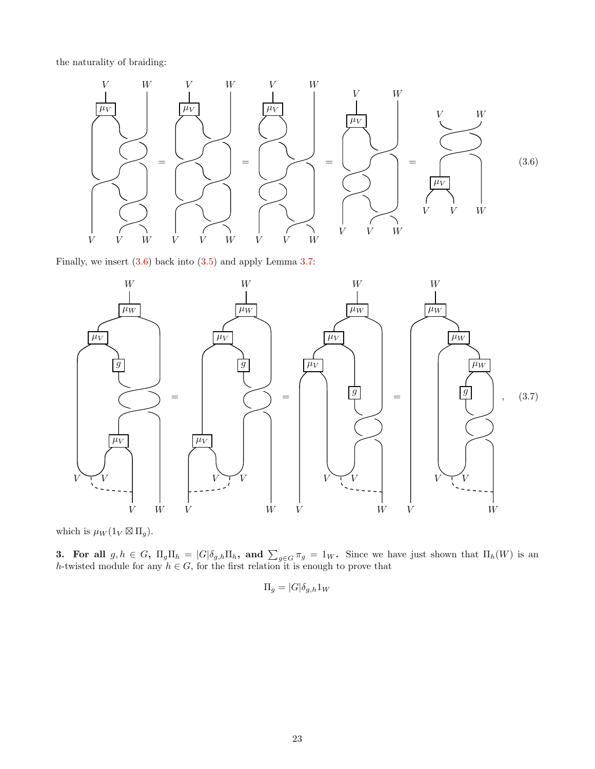the naturality of braiding:

<span id="page-22-0"></span>

Finally, we insert [\(3.6\)](#page-22-0) back into [\(3.5\)](#page-21-0) and apply Lemma [3.7:](#page-17-0)



which is  $\mu_W(1_V \boxtimes \Pi_g)$ .

**3.** For all  $g, h \in G$ ,  $\Pi_g \Pi_h = |G|\delta_{g,h} \Pi_h$ , and  $\sum_{g \in G} \pi_g = 1_W$ . Since we have just shown that  $\Pi_h(W)$  is an h-twisted module for any  $h \in G$ , for the first relation it is enough to prove that

<span id="page-22-1"></span>
$$
\Pi_g = |G| \delta_{g,h} 1_W
$$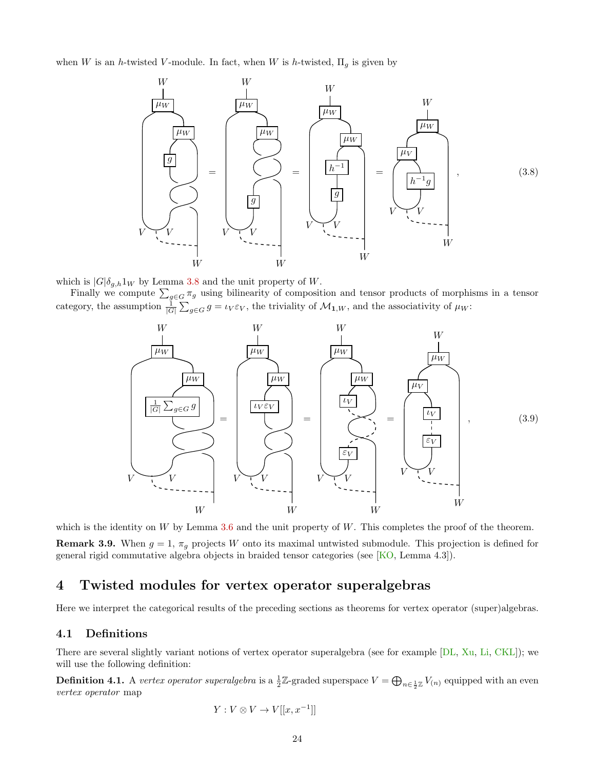when W is an h-twisted V-module. In fact, when W is h-twisted,  $\Pi_q$  is given by

<span id="page-23-2"></span>

which is  $|G|\delta_{g,h}1_W$  by Lemma [3.8](#page-18-1) and the unit property of W.

Finally we compute  $\sum_{g\in G}\pi_g$  using bilinearity of composition and tensor products of morphisms in a tensor category, the assumption  $\frac{1}{|G|}\sum_{g\in G}g = \iota_V \varepsilon_V$ , the triviality of  $\mathcal{M}_{1,W}$ , and the associativity of  $\mu_W$ :

<span id="page-23-3"></span>

which is the identity on  $W$  by Lemma [3.6](#page-17-1) and the unit property of  $W$ . This completes the proof of the theorem. **Remark 3.9.** When  $g = 1$ ,  $\pi_g$  projects W onto its maximal untwisted submodule. This projection is defined for general rigid commutative algebra objects in braided tensor categories (see [\[KO,](#page-55-8) Lemma 4.3]).

### <span id="page-23-0"></span>4 Twisted modules for vertex operator superalgebras

Here we interpret the categorical results of the preceding sections as theorems for vertex operator (super)algebras.

#### <span id="page-23-1"></span>4.1 Definitions

There are several slightly variant notions of vertex operator superalgebra (see for example [\[DL,](#page-54-11) [Xu,](#page-55-14) [Li,](#page-55-15) [CKL\]](#page-53-3)); we will use the following definition:

**Definition 4.1.** A vertex operator superalgebra is a  $\frac{1}{2}\mathbb{Z}$ -graded superspace  $V = \bigoplus_{n \in \frac{1}{2}\mathbb{Z}} V_{(n)}$  equipped with an even vertex operator map

$$
Y: V \otimes V \to V[[x, x^{-1}]]
$$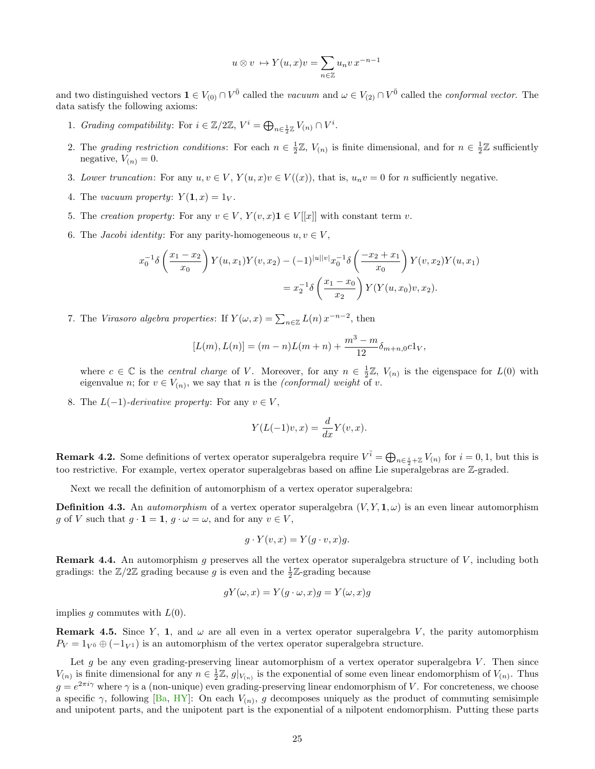$$
u \otimes v \ \mapsto Y(u, x)v = \sum_{n \in \mathbb{Z}} u_n v x^{-n-1}
$$

and two distinguished vectors  $1 \in V_{(0)} \cap V^{\bar{0}}$  called the vacuum and  $\omega \in V_{(2)} \cap V^{\bar{0}}$  called the conformal vector. The data satisfy the following axioms:

- 1. Grading compatibility: For  $i \in \mathbb{Z}/2\mathbb{Z}$ ,  $V^i = \bigoplus_{n \in \frac{1}{2}\mathbb{Z}} V_{(n)} \cap V^i$ .
- 2. The grading restriction conditions: For each  $n \in \frac{1}{2}\mathbb{Z}$ ,  $V_{(n)}$  is finite dimensional, and for  $n \in \frac{1}{2}\mathbb{Z}$  sufficiently negative,  $V_{(n)} = 0$ .
- 3. Lower truncation: For any  $u, v \in V$ ,  $Y(u, x)v \in V((x))$ , that is,  $u_n v = 0$  for n sufficiently negative.
- 4. The vacuum property:  $Y(1, x) = 1_V$ .
- 5. The creation property: For any  $v \in V$ ,  $Y(v, x) \mathbf{1} \in V[[x]]$  with constant term v.
- 6. The *Jacobi identity*: For any parity-homogeneous  $u, v \in V$ ,

$$
x_0^{-1}\delta\left(\frac{x_1 - x_2}{x_0}\right)Y(u, x_1)Y(v, x_2) - (-1)^{|u||v|}x_0^{-1}\delta\left(\frac{-x_2 + x_1}{x_0}\right)Y(v, x_2)Y(u, x_1)
$$
  
=  $x_2^{-1}\delta\left(\frac{x_1 - x_0}{x_2}\right)Y(Y(u, x_0)v, x_2).$ 

7. The Virasoro algebra properties: If  $Y(\omega, x) = \sum_{n \in \mathbb{Z}} L(n) x^{-n-2}$ , then

$$
[L(m), L(n)] = (m - n)L(m + n) + \frac{m^3 - m}{12} \delta_{m+n,0} c1_V,
$$

where  $c \in \mathbb{C}$  is the *central charge* of V. Moreover, for any  $n \in \frac{1}{2}\mathbb{Z}$ ,  $V_{(n)}$  is the eigenspace for  $L(0)$  with eigenvalue *n*; for  $v \in V_{(n)}$ , we say that *n* is the *(conformal) weight* of *v*.

8. The  $L(-1)$ -derivative property: For any  $v \in V$ ,

$$
Y(L(-1)v, x) = \frac{d}{dx}Y(v, x).
$$

**Remark 4.2.** Some definitions of vertex operator superalgebra require  $V^{\bar{i}} = \bigoplus_{n \in \frac{i}{2} + \mathbb{Z}} V_{(n)}$  for  $i = 0, 1$ , but this is too restrictive. For example, vertex operator superalgebras based on affine Lie superalgebras are Z-graded.

Next we recall the definition of automorphism of a vertex operator superalgebra:

**Definition 4.3.** An *automorphism* of a vertex operator superalgebra  $(V, Y, \mathbf{1}, \omega)$  is an even linear automorphism g of V such that  $g \cdot \mathbf{1} = \mathbf{1}, g \cdot \omega = \omega$ , and for any  $v \in V$ ,

$$
g \cdot Y(v, x) = Y(g \cdot v, x)g.
$$

**Remark 4.4.** An automorphism g preserves all the vertex operator superalgebra structure of  $V$ , including both gradings: the  $\mathbb{Z}/2\mathbb{Z}$  grading because g is even and the  $\frac{1}{2}\mathbb{Z}$ -grading because

$$
gY(\omega, x) = Y(g \cdot \omega, x)g = Y(\omega, x)g
$$

implies q commutes with  $L(0)$ .

**Remark 4.5.** Since Y, 1, and  $\omega$  are all even in a vertex operator superalgebra V, the parity automorphism  $P_V = 1_{V^{\bar{0}}} \oplus (-1_{V^{\bar{1}}})$  is an automorphism of the vertex operator superalgebra structure.

Let g be any even grading-preserving linear automorphism of a vertex operator superalgebra  $V$ . Then since  $V_{(n)}$  is finite dimensional for any  $n \in \frac{1}{2}\mathbb{Z}$ ,  $g|_{V_{(n)}}$  is the exponential of some even linear endomorphism of  $V_{(n)}$ . Thus  $g = e^{2\pi i \gamma}$  where  $\gamma$  is a (non-unique) even grading-preserving linear endomorphism of V. For concreteness, we choose a specific  $\gamma$ , following [\[Ba,](#page-53-5) [HY\]](#page-55-16): On each  $V_{(n)}$ , g decomposes uniquely as the product of commuting semisimple and unipotent parts, and the unipotent part is the exponential of a nilpotent endomorphism. Putting these parts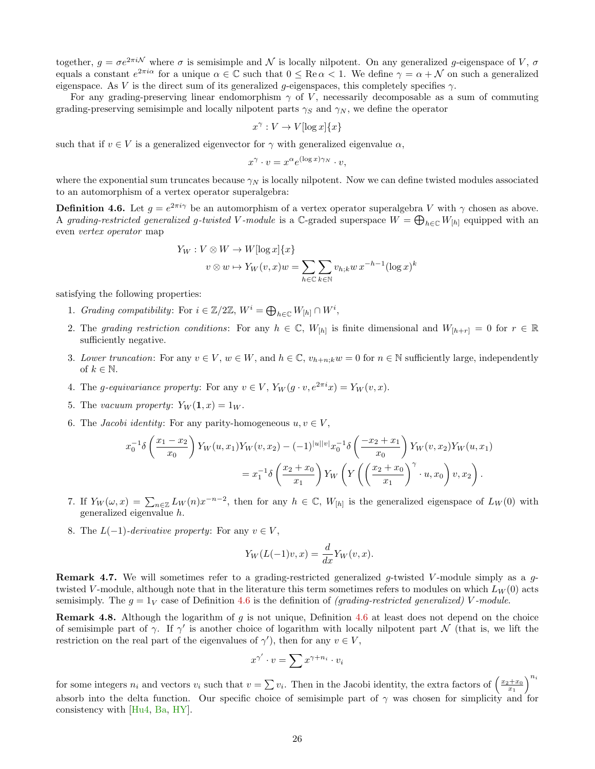together,  $g = \sigma e^{2\pi i \mathcal{N}}$  where  $\sigma$  is semisimple and  $\mathcal N$  is locally nilpotent. On any generalized g-eigenspace of V,  $\sigma$ equals a constant  $e^{2\pi i\alpha}$  for a unique  $\alpha \in \mathbb{C}$  such that  $0 \leq \text{Re}\,\alpha < 1$ . We define  $\gamma = \alpha + \mathcal{N}$  on such a generalized eigenspace. As V is the direct sum of its generalized g-eigenspaces, this completely specifies  $\gamma$ .

For any grading-preserving linear endomorphism  $\gamma$  of V, necessarily decomposable as a sum of commuting grading-preserving semisimple and locally nilpotent parts  $\gamma_S$  and  $\gamma_N$ , we define the operator

$$
x^{\gamma}: V \to V[\log x] \{x\}
$$

such that if  $v \in V$  is a generalized eigenvector for  $\gamma$  with generalized eigenvalue  $\alpha$ ,

$$
x^{\gamma} \cdot v = x^{\alpha} e^{(\log x) \gamma_N} \cdot v,
$$

where the exponential sum truncates because  $\gamma_N$  is locally nilpotent. Now we can define twisted modules associated to an automorphism of a vertex operator superalgebra:

<span id="page-25-0"></span>**Definition 4.6.** Let  $g = e^{2\pi i \gamma}$  be an automorphism of a vertex operator superalgebra V with  $\gamma$  chosen as above. A grading-restricted generalized g-twisted V-module is a C-graded superspace  $W = \bigoplus_{h \in \mathbb{C}} W_{[h]}$  equipped with an even vertex operator map

$$
Y_W : V \otimes W \to W[\log x] \{x\}
$$
  

$$
v \otimes w \mapsto Y_W(v, x)w = \sum_{h \in \mathbb{C}} \sum_{k \in \mathbb{N}} v_{h;k} w x^{-h-1} (\log x)^k
$$

satisfying the following properties:

- 1. Grading compatibility: For  $i \in \mathbb{Z}/2\mathbb{Z}$ ,  $W^i = \bigoplus_{h \in \mathbb{C}} W_{[h]} \cap W^i$ ,
- 2. The grading restriction conditions: For any  $h \in \mathbb{C}$ ,  $W_{[h]}$  is finite dimensional and  $W_{[h+r]} = 0$  for  $r \in \mathbb{R}$ sufficiently negative.
- 3. Lower truncation: For any  $v \in V$ ,  $w \in W$ , and  $h \in \mathbb{C}$ ,  $v_{h+n;k}w = 0$  for  $n \in \mathbb{N}$  sufficiently large, independently of  $k \in \mathbb{N}$ .
- 4. The *g*-equivariance property: For any  $v \in V$ ,  $Y_W(q \cdot v, e^{2\pi i}x) = Y_W(v, x)$ .
- 5. The vacuum property:  $Y_W(1, x) = 1_W$ .
- 6. The *Jacobi identity*: For any parity-homogeneous  $u, v \in V$ ,

$$
x_0^{-1}\delta\left(\frac{x_1 - x_2}{x_0}\right)Y_W(u, x_1)Y_W(v, x_2) - (-1)^{|u||v|}x_0^{-1}\delta\left(\frac{-x_2 + x_1}{x_0}\right)Y_W(v, x_2)Y_W(u, x_1)
$$
  
=  $x_1^{-1}\delta\left(\frac{x_2 + x_0}{x_1}\right)Y_W\left(Y\left(\left(\frac{x_2 + x_0}{x_1}\right)^\gamma \cdot u, x_0\right)v, x_2\right).$ 

- 7. If  $Y_W(\omega, x) = \sum_{n \in \mathbb{Z}} L_W(n) x^{-n-2}$ , then for any  $h \in \mathbb{C}$ ,  $W_{[h]}$  is the generalized eigenspace of  $L_W(0)$  with generalized eigenvalue h.
- 8. The  $L(-1)$ -derivative property: For any  $v \in V$ ,

$$
Y_W(L(-1)v, x) = \frac{d}{dx} Y_W(v, x).
$$

**Remark 4.7.** We will sometimes refer to a grading-restricted generalized g-twisted V-module simply as a gtwisted V-module, although note that in the literature this term sometimes refers to modules on which  $L_W(0)$  acts semisimply. The  $g = 1_V$  case of Definition [4.6](#page-25-0) is the definition of *(grading-restricted generalized)* V-module.

**Remark 4.8.** Although the logarithm of q is not unique, Definition [4.6](#page-25-0) at least does not depend on the choice of semisimple part of  $\gamma$ . If  $\gamma'$  is another choice of logarithm with locally nilpotent part N (that is, we lift the restriction on the real part of the eigenvalues of  $\gamma'$ , then for any  $v \in V$ ,

$$
x^{\gamma'} \cdot v = \sum x^{\gamma + n_i} \cdot v_i
$$

for some integers  $n_i$  and vectors  $v_i$  such that  $v = \sum v_i$ . Then in the Jacobi identity, the extra factors of  $\left(\frac{x_2+x_0}{x_1}\right)^{n_i}$ absorb into the delta function. Our specific choice of semisimple part of  $\gamma$  was chosen for simplicity and for consistency with [\[Hu4,](#page-54-12) [Ba,](#page-53-5) [HY\]](#page-55-16).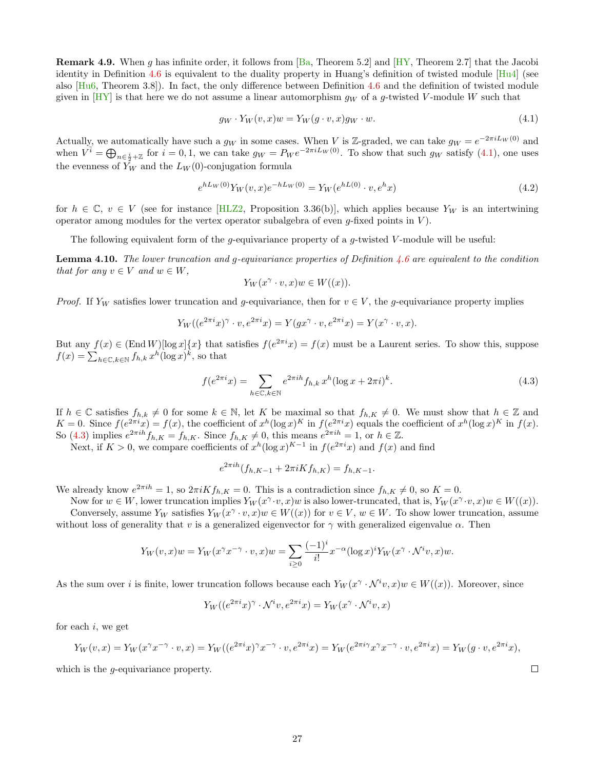**Remark 4.9.** When g has infinite order, it follows from  $[Ba,$  Theorem 5.2 and  $[HY,$  Theorem 2.7 that the Jacobi identity in Definition [4.6](#page-25-0) is equivalent to the duality property in Huang's definition of twisted module [\[Hu4\]](#page-54-12) (see also  $[Hu6, Theorem 3.8])$  $[Hu6, Theorem 3.8])$ . In fact, the only difference between Definition [4.6](#page-25-0) and the definition of twisted module given in  $[HY]$  is that here we do not assume a linear automorphism  $q_W$  of a g-twisted V-module W such that

<span id="page-26-0"></span>
$$
g_W \cdot Y_W(v, x)w = Y_W(g \cdot v, x)g_W \cdot w. \tag{4.1}
$$

Actually, we automatically have such a  $g_W$  in some cases. When V is Z-graded, we can take  $g_W = e^{-2\pi i L_W(0)}$  and when  $V^{\tilde{i}} = \bigoplus_{n \in \frac{i}{2} + \mathbb{Z}}$  for  $i = 0, 1$ , we can take  $g_W = P_W e^{-2\pi i L_W(0)}$ . To show that such  $g_W$  satisfy [\(4.1\)](#page-26-0), one uses the evenness of  $Y_W$  and the  $L_W(0)$ -conjugation formula

$$
e^{hL_W(0)}Y_W(v,x)e^{-hL_W(0)} = Y_W(e^{hL(0)} \cdot v, e^h x)
$$
\n(4.2)

for  $h \in \mathbb{C}$ ,  $v \in V$  (see for instance [\[HLZ2,](#page-54-14) Proposition 3.36(b)], which applies because  $Y_W$  is an intertwining operator among modules for the vertex operator subalgebra of even  $q$ -fixed points in  $V$ ).

The following equivalent form of the g-equivariance property of a g-twisted V-module will be useful:

<span id="page-26-2"></span>**Lemma 4.10.** The lower truncation and q-equivariance properties of Definition [4.6](#page-25-0) are equivalent to the condition that for any  $v \in V$  and  $w \in W$ ,

<span id="page-26-1"></span>
$$
Y_W(x^{\gamma} \cdot v, x)w \in W((x)).
$$

*Proof.* If Y<sub>W</sub> satisfies lower truncation and g-equivariance, then for  $v \in V$ , the g-equivariance property implies

$$
Y_W((e^{2\pi i}x)^{\gamma} \cdot v, e^{2\pi i}x) = Y(gx^{\gamma} \cdot v, e^{2\pi i}x) = Y(x^{\gamma} \cdot v, x).
$$

But any  $f(x) \in (\text{End } W) [\log x] \{x\}$  that satisfies  $f(e^{2\pi i}x) = f(x)$  must be a Laurent series. To show this, suppose  $f(x) = \sum_{h \in \mathbb{C}, k \in \mathbb{N}} f_{h,k} x^h (\log x)^k$ , so that

$$
f(e^{2\pi i}x) = \sum_{h \in \mathbb{C}, k \in \mathbb{N}} e^{2\pi i h} f_{h,k} x^h (\log x + 2\pi i)^k.
$$
 (4.3)

If  $h \in \mathbb{C}$  satisfies  $f_{h,k} \neq 0$  for some  $k \in \mathbb{N}$ , let K be maximal so that  $f_{h,K} \neq 0$ . We must show that  $h \in \mathbb{Z}$  and  $K = 0$ . Since  $f(e^{2\pi i}x) = f(x)$ , the coefficient of  $x^h(\log x)^K$  in  $f(e^{2\pi i}x)$  equals the coefficient of  $x^h(\log x)^K$  in  $f(x)$ . So [\(4.3\)](#page-26-1) implies  $e^{2\pi i h} f_{h,K} = f_{h,K}$ . Since  $f_{h,K} \neq 0$ , this means  $e^{2\pi i h} = 1$ , or  $h \in \mathbb{Z}$ .

Next, if  $K > 0$ , we compare coefficients of  $x^h(\log x)^{K-1}$  in  $f(e^{2\pi i}x)$  and  $f(x)$  and find

$$
e^{2\pi i h}(f_{h,K-1} + 2\pi i K f_{h,K}) = f_{h,K-1}.
$$

We already know  $e^{2\pi i h} = 1$ , so  $2\pi i K f_{h,K} = 0$ . This is a contradiction since  $f_{h,K} \neq 0$ , so  $K = 0$ .

Now for  $w \in W$ , lower truncation implies  $Y_W(x^{\gamma} \cdot v, x)w$  is also lower-truncated, that is,  $Y_W(x^{\gamma} \cdot v, x)w \in W((x))$ . Conversely, assume  $Y_W$  satisfies  $Y_W(x^{\gamma} \cdot v, x)w \in W((x))$  for  $v \in V$ ,  $w \in W$ . To show lower truncation, assume without loss of generality that v is a generalized eigenvector for  $\gamma$  with generalized eigenvalue  $\alpha$ . Then

$$
Y_W(v,x)w = Y_W(x^{\gamma}x^{-\gamma} \cdot v, x)w = \sum_{i \ge 0} \frac{(-1)^i}{i!} x^{-\alpha} (\log x)^i Y_W(x^{\gamma} \cdot \mathcal{N}^i v, x)w.
$$

As the sum over i is finite, lower truncation follows because each  $Y_W(x^{\gamma} \cdot \mathcal{N}^i v, x)w \in W((x))$ . Moreover, since

$$
Y_W((e^{2\pi i}x)^{\gamma} \cdot \mathcal{N}^i v, e^{2\pi i}x) = Y_W(x^{\gamma} \cdot \mathcal{N}^i v, x)
$$

for each  $i$ , we get

$$
Y_W(v, x) = Y_W(x^{\gamma} x^{-\gamma} \cdot v, x) = Y_W((e^{2\pi i} x)^{\gamma} x^{-\gamma} \cdot v, e^{2\pi i} x) = Y_W(e^{2\pi i \gamma} x^{\gamma} x^{-\gamma} \cdot v, e^{2\pi i} x) = Y_W(g \cdot v, e^{2\pi i} x),
$$

which is the *q*-equivariance property.

 $\Box$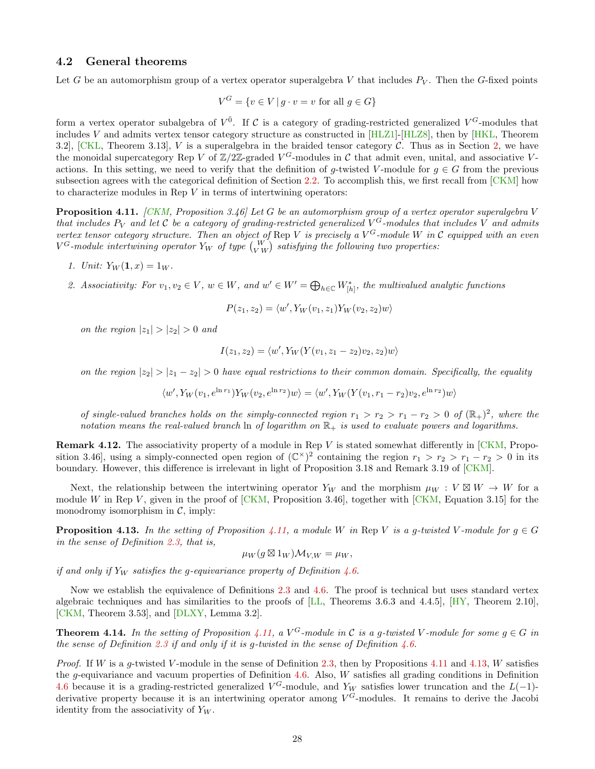#### <span id="page-27-0"></span>4.2 General theorems

Let G be an automorphism group of a vertex operator superalgebra V that includes  $P_V$ . Then the G-fixed points

$$
V^G = \{ v \in V \mid g \cdot v = v \text{ for all } g \in G \}
$$

form a vertex operator subalgebra of  $V^{\bar{0}}$ . If C is a category of grading-restricted generalized  $V^G$ -modules that includes V and admits vertex tensor category structure as constructed in  $[HLZ1]$ - $[HLZ8]$ , then by  $[HKL]$ , Theorem 3.2],  $[CKL, Theorem 3.13]$  $[CKL, Theorem 3.13]$ , V is a superalgebra in the braided tensor category C. Thus as in Section [2,](#page-3-0) we have the monoidal supercategory Rep V of  $\mathbb{Z}/2\mathbb{Z}$ -graded  $V^G$ -modules in C that admit even, unital, and associative Vactions. In this setting, we need to verify that the definition of g-twisted V-module for  $g \in G$  from the previous subsection agrees with the categorical definition of Section [2.2.](#page-7-0) To accomplish this, we first recall from  $[CKM]$  how to characterize modules in Rep  $V$  in terms of intertwining operators:

<span id="page-27-1"></span>**Proposition 4.11.** [\[CKM,](#page-53-0) Proposition 3.46] Let G be an automorphism group of a vertex operator superalgebra V that includes  $P_V$  and let C be a category of grading-restricted generalized  $V^G$ -modules that includes V and admits vertex tensor category structure. Then an object of Rep V is precisely a  $V^G$ -module W in C equipped with an even  $V^G\text{-}module\,\,intertwining\,\,operator\,Y_W\,\,of\,\,type\,\left(\begin{smallmatrix} W\ V W \end{smallmatrix}\right)\,\,satisfying\,\,the\,\,following\,\,two\,\,properties\colon\,B^G\text{-}module\,\,in\,B^G\text{-}recong\,B^G\text{-}recong\,B^G\text{-}recong\,B^G\text{-}recong\,B^G\text{-}recong\,B^G\text{-}recong\,B^G\text{-}recong\,B^G\text{-}recong\,B^G\text{-}recong\,B^G\text{-}recong\,B^G\text{-}recon$ 

- 1. Unit:  $Y_W(1, x) = 1_W$ .
- 2. Associativity: For  $v_1, v_2 \in V$ ,  $w \in W$ , and  $w' \in W' = \bigoplus_{h \in \mathbb{C}} W_{[h]}^*$ , the multivalued analytic functions

$$
P(z_1, z_2) = \langle w', Y_W(v_1, z_1) Y_W(v_2, z_2) w \rangle
$$

on the region  $|z_1| > |z_2| > 0$  and

$$
I(z_1, z_2) = \langle w', Y_W(Y(v_1, z_1 - z_2)v_2, z_2)w \rangle
$$

on the region  $|z_2| > |z_1 - z_2| > 0$  have equal restrictions to their common domain. Specifically, the equality

$$
\langle w', Y_W(v_1, e^{\ln r_1}) Y_W(v_2, e^{\ln r_2}) w \rangle = \langle w', Y_W(Y(v_1, r_1 - r_2) v_2, e^{\ln r_2}) w \rangle
$$

of single-valued branches holds on the simply-connected region  $r_1 > r_2 > r_1 - r_2 > 0$  of  $(\mathbb{R}_+)^2$ , where the notation means the real-valued branch ln of logarithm on  $\mathbb{R}_+$  is used to evaluate powers and logarithms.

**Remark 4.12.** The associativity property of a module in Rep V is stated somewhat differently in  $CKM$ , Proposition 3.46, using a simply-connected open region of  $(\mathbb{C}^{\times})^2$  containing the region  $r_1 > r_2 > r_1 - r_2 > 0$  in its boundary. However, this difference is irrelevant in light of Proposition 3.18 and Remark 3.19 of [\[CKM\]](#page-53-0).

Next, the relationship between the intertwining operator  $Y_W$  and the morphism  $\mu_W : V \boxtimes W \to W$  for a module W in Rep V, given in the proof of  $[CKM,$  Proposition 3.46], together with  $[CKM,$  Equation 3.15] for the monodromy isomorphism in  $C$ , imply:

<span id="page-27-2"></span>**Proposition 4.13.** In the setting of Proposition [4.11,](#page-27-1) a module W in Rep V is a g-twisted V-module for  $q \in G$ in the sense of Definition [2.3,](#page-7-1) that is,

$$
\mu_W(g\boxtimes 1_W)\mathcal{M}_{V,W}=\mu_W,
$$

if and only if  $Y_W$  satisfies the g-equivariance property of Definition [4.6.](#page-25-0)

Now we establish the equivalence of Definitions [2.3](#page-7-1) and [4.6.](#page-25-0) The proof is technical but uses standard vertex algebraic techniques and has similarities to the proofs of [\[LL,](#page-55-17) Theorems 3.6.3 and 4.4.5], [\[HY,](#page-55-16) Theorem 2.10], [\[CKM,](#page-53-0) Theorem 3.53], and [\[DLXY,](#page-54-15) Lemma 3.2].

<span id="page-27-3"></span>**Theorem 4.14.** In the setting of Proposition [4.11,](#page-27-1) a  $V^G$ -module in C is a g-twisted V-module for some  $g \in G$  in the sense of Definition [2.3](#page-7-1) if and only if it is g-twisted in the sense of Definition  $4.6$ .

*Proof.* If W is a q-twisted V-module in the sense of Definition [2.3,](#page-7-1) then by Propositions [4.11](#page-27-1) and [4.13,](#page-27-2) W satisfies the g-equivariance and vacuum properties of Definition  $4.6$ . Also, W satisfies all grading conditions in Definition [4.6](#page-25-0) because it is a grading-restricted generalized  $V^G$ -module, and Y<sub>W</sub> satisfies lower truncation and the L(−1)derivative property because it is an intertwining operator among  $V^G$ -modules. It remains to derive the Jacobi identity from the associativity of  $Y_W$ .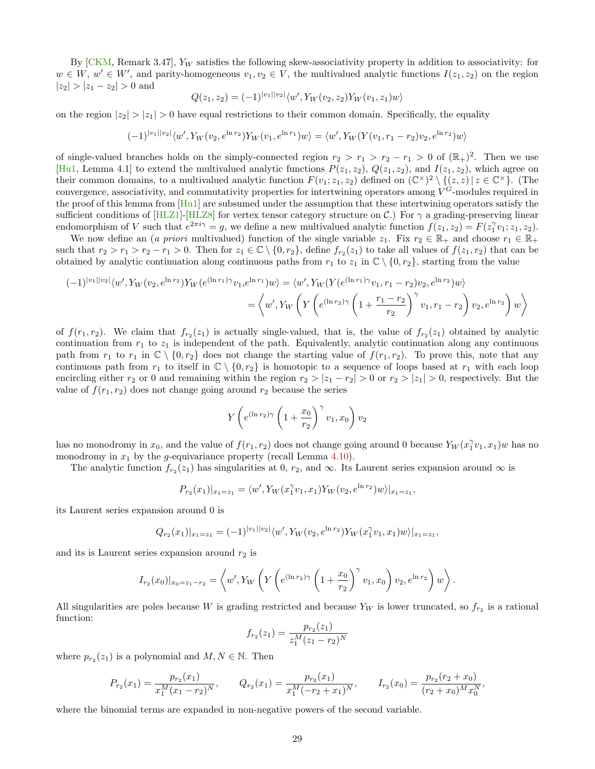By  $\lbrack \text{CKM}, \text{Remark 3.47}, Y_W \text{ satisfies the following skew-associativity property in addition to associativity: for } \rbrack$  $w \in W$ ,  $w' \in W'$ , and parity-homogeneous  $v_1, v_2 \in V$ , the multivalued analytic functions  $I(z_1, z_2)$  on the region  $|z_2| > |z_1 - z_2| > 0$  and

$$
Q(z_1, z_2) = (-1)^{|v_1||v_2|} \langle w', Y_W(v_2, z_2) Y_W(v_1, z_1) w \rangle
$$

on the region  $|z_2| > |z_1| > 0$  have equal restrictions to their common domain. Specifically, the equality

$$
(-1)^{|v_1||v_2|} \langle w', Y_W(v_2, e^{\ln r_2}) Y_W(v_1, e^{\ln r_1}) w \rangle = \langle w', Y_W(Y(v_1, r_1 - r_2)v_2, e^{\ln r_2}) w \rangle
$$

of single-valued branches holds on the simply-connected region  $r_2 > r_1 > r_2 - r_1 > 0$  of  $(\mathbb{R}_+)^2$ . Then we use [\[Hu1,](#page-54-16) Lemma 4.1] to extend the multivalued analytic functions  $P(z_1, z_2)$ ,  $Q(z_1, z_2)$ , and  $I(z_1, z_2)$ , which agree on their common domains, to a multivalued analytic function  $F(v_1; z_1, z_2)$  defined on  $(\mathbb{C}^\times)^2 \setminus \{(z, z) | z \in \mathbb{C}^\times\}$ . (The convergence, associativity, and commutativity properties for intertwining operators among  $V^G$ -modules required in the proof of this lemma from [\[Hu1\]](#page-54-16) are subsumed under the assumption that these intertwining operators satisfy the sufficient conditions of [\[HLZ1\]](#page-54-2)-[\[HLZ8\]](#page-55-0) for vertex tensor category structure on  $\mathcal{C}$ .) For  $\gamma$  a grading-preserving linear endomorphism of V such that  $e^{2\pi i \gamma} = g$ , we define a new multivalued analytic function  $f(z_1, z_2) = F(z_1^{\gamma} v_1; z_1, z_2)$ .

We now define an (a priori multivalued) function of the single variable  $z_1$ . Fix  $r_2 \in \mathbb{R}_+$  and choose  $r_1 \in \mathbb{R}_+$ such that  $r_2 > r_1 > r_2 - r_1 > 0$ . Then for  $z_1 \in \mathbb{C} \setminus \{0, r_2\}$ , define  $f_{r_2}(z_1)$  to take all values of  $f(z_1, r_2)$  that can be obtained by analytic continuation along continuous paths from  $r_1$  to  $z_1$  in  $\mathbb{C} \setminus \{0, r_2\}$ , starting from the value

$$
(-1)^{|v_1||v_2|} \langle w', Y_W(v_2, e^{\ln r_2}) Y_W(e^{(\ln r_1)\gamma} v_1, e^{\ln r_1}) w \rangle = \langle w', Y_W(Y(e^{(\ln r_1)\gamma} v_1, r_1 - r_2) v_2, e^{\ln r_2}) w \rangle
$$
  

$$
= \langle w', Y_W \left( Y \left( e^{(\ln r_2)\gamma} \left( 1 + \frac{r_1 - r_2}{r_2} \right)^{\gamma} v_1, r_1 - r_2 \right) v_2, e^{\ln r_2} \right) w \rangle
$$

of  $f(r_1, r_2)$ . We claim that  $f_{r_2}(z_1)$  is actually single-valued, that is, the value of  $f_{r_2}(z_1)$  obtained by analytic continuation from  $r_1$  to  $z_1$  is independent of the path. Equivalently, analytic continuation along any continuous path from  $r_1$  to  $r_1$  in  $\mathbb{C} \setminus \{0, r_2\}$  does not change the starting value of  $f(r_1, r_2)$ . To prove this, note that any continuous path from  $r_1$  to itself in  $\mathbb{C} \setminus \{0, r_2\}$  is homotopic to a sequence of loops based at  $r_1$  with each loop encircling either  $r_2$  or 0 and remaining within the region  $r_2 > |z_1 - r_2| > 0$  or  $r_2 > |z_1| > 0$ , respectively. But the value of  $f(r_1, r_2)$  does not change going around  $r_2$  because the series

$$
Y\left(e^{(\ln r_2)\gamma}\left(1+\frac{x_0}{r_2}\right)^\gamma v_1, x_0\right)v_2
$$

has no monodromy in  $x_0$ , and the value of  $f(r_1, r_2)$  does not change going around 0 because  $Y_W(x_1^{\gamma}v_1, x_1)w$  has no monodromy in  $x_1$  by the g-equivariance property (recall Lemma [4.10\)](#page-26-2).

The analytic function  $f_{r_2}(z_1)$  has singularities at 0,  $r_2$ , and  $\infty$ . Its Laurent series expansion around  $\infty$  is

$$
P_{r_2}(x_1)|_{x_1=z_1} = \langle w', Y_W(x_1^{\gamma}v_1, x_1)Y_W(v_2, e^{\ln r_2})w \rangle |_{x_1=z_1},
$$

its Laurent series expansion around 0 is

$$
Q_{r_2}(x_1)|_{x_1=z_1} = (-1)^{|v_1||v_2|} \langle w', Y_W(v_2, e^{\ln r_2}) Y_W(x_1^{\gamma} v_1, x_1) w \rangle |_{x_1=z_1},
$$

and its is Laurent series expansion around  $r_2$  is

$$
I_{r_2}(x_0)|_{x_0=z_1-r_2} = \left\langle w', Y_W \left(Y\left(e^{(\ln r_2)\gamma} \left(1+\frac{x_0}{r_2}\right)^{\gamma} v_1, x_0\right) v_2, e^{\ln r_2}\right) w\right\rangle.
$$

All singularities are poles because W is grading restricted and because  $Y_W$  is lower truncated, so  $f_{r_2}$  is a rational function:

$$
f_{r_2}(z_1) = \frac{p_{r_2}(z_1)}{z_1^M(z_1 - r_2)^N}
$$

where  $p_{r_2}(z_1)$  is a polynomial and  $M, N \in \mathbb{N}$ . Then

$$
P_{r_2}(x_1) = \frac{p_{r_2}(x_1)}{x_1^M (x_1 - r_2)^N}, \qquad Q_{r_2}(x_1) = \frac{p_{r_2}(x_1)}{x_1^M (-r_2 + x_1)^N}, \qquad I_{r_2}(x_0) = \frac{p_{r_2}(r_2 + x_0)}{(r_2 + x_0)^M x_0^N},
$$

where the binomial terms are expanded in non-negative powers of the second variable.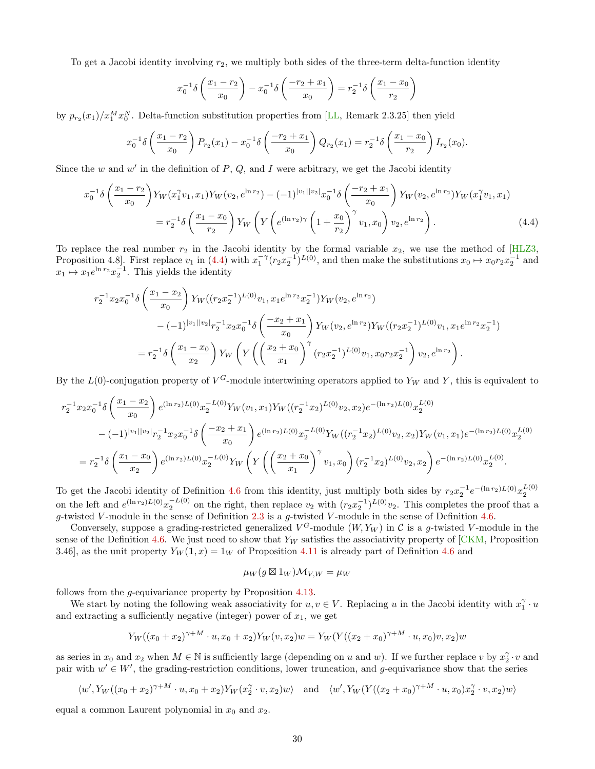To get a Jacobi identity involving  $r_2$ , we multiply both sides of the three-term delta-function identity

<span id="page-29-0"></span>
$$
x_0^{-1}\delta\left(\frac{x_1 - r_2}{x_0}\right) - x_0^{-1}\delta\left(\frac{-r_2 + x_1}{x_0}\right) = r_2^{-1}\delta\left(\frac{x_1 - x_0}{r_2}\right)
$$

by  $p_{r_2}(x_1)/x_1^M x_0^N$ . Delta-function substitution properties from [\[LL,](#page-55-17) Remark 2.3.25] then yield

$$
x_0^{-1}\delta\left(\frac{x_1 - r_2}{x_0}\right)P_{r_2}(x_1) - x_0^{-1}\delta\left(\frac{-r_2 + x_1}{x_0}\right)Q_{r_2}(x_1) = r_2^{-1}\delta\left(\frac{x_1 - x_0}{r_2}\right)I_{r_2}(x_0).
$$

Since the w and  $w'$  in the definition of  $P, Q$ , and I were arbitrary, we get the Jacobi identity

$$
x_0^{-1}\delta\left(\frac{x_1 - r_2}{x_0}\right)Y_W(x_1^{\gamma}v_1, x_1)Y_W(v_2, e^{\ln r_2}) - (-1)^{|v_1||v_2|}x_0^{-1}\delta\left(\frac{-r_2 + x_1}{x_0}\right)Y_W(v_2, e^{\ln r_2})Y_W(x_1^{\gamma}v_1, x_1)
$$
  
=  $r_2^{-1}\delta\left(\frac{x_1 - x_0}{r_2}\right)Y_W\left(Y\left(e^{(\ln r_2)\gamma}\left(1 + \frac{x_0}{r_2}\right)^{\gamma}v_1, x_0\right)v_2, e^{\ln r_2}\right).$  (4.4)

To replace the real number  $r_2$  in the Jacobi identity by the formal variable  $x_2$ , we use the method of [\[HLZ3,](#page-54-17) Proposition 4.8. First replace  $v_1$  in [\(4.4\)](#page-29-0) with  $x_1^{-\gamma}(r_2x_2^{-1})^{L(0)}$ , and then make the substitutions  $x_0 \mapsto x_0r_2x_2^{-1}$  and  $x_1 \mapsto x_1 e^{\ln r_2} x_2^{-1}$ . This yields the identity

$$
r_2^{-1}x_2x_0^{-1}\delta\left(\frac{x_1 - x_2}{x_0}\right)Y_W((r_2x_2^{-1})^{L(0)}v_1, x_1e^{\ln r_2}x_2^{-1})Y_W(v_2, e^{\ln r_2})
$$
  

$$
-(-1)^{|v_1||v_2|}r_2^{-1}x_2x_0^{-1}\delta\left(\frac{-x_2 + x_1}{x_0}\right)Y_W(v_2, e^{\ln r_2})Y_W((r_2x_2^{-1})^{L(0)}v_1, x_1e^{\ln r_2}x_2^{-1})
$$
  

$$
= r_2^{-1}\delta\left(\frac{x_1 - x_0}{x_2}\right)Y_W\left(Y\left(\left(\frac{x_2 + x_0}{x_1}\right)^{\gamma}(r_2x_2^{-1})^{L(0)}v_1, x_0r_2x_2^{-1}\right)v_2, e^{\ln r_2}\right).
$$

By the  $L(0)$ -conjugation property of  $V^G$ -module intertwining operators applied to  $Y_W$  and Y, this is equivalent to

$$
r_2^{-1}x_2x_0^{-1}\delta\left(\frac{x_1 - x_2}{x_0}\right)e^{(\ln r_2)L(0)}x_2^{-L(0)}Y_W(v_1, x_1)Y_W((r_2^{-1}x_2)^{L(0)}v_2, x_2)e^{-(\ln r_2)L(0)}x_2^{L(0)}
$$
  

$$
-(-1)^{|v_1||v_2|}r_2^{-1}x_2x_0^{-1}\delta\left(\frac{-x_2 + x_1}{x_0}\right)e^{(\ln r_2)L(0)}x_2^{-L(0)}Y_W((r_2^{-1}x_2)^{L(0)}v_2, x_2)Y_W(v_1, x_1)e^{-(\ln r_2)L(0)}x_2^{L(0)}
$$
  

$$
= r_2^{-1}\delta\left(\frac{x_1 - x_0}{x_2}\right)e^{(\ln r_2)L(0)}x_2^{-L(0)}Y_W\left(Y\left(\left(\frac{x_2 + x_0}{x_1}\right)^\gamma v_1, x_0\right)(r_2^{-1}x_2)^{L(0)}v_2, x_2\right)e^{-(\ln r_2)L(0)}x_2^{L(0)}.
$$

To get the Jacobi identity of Definition [4.6](#page-25-0) from this identity, just multiply both sides by  $r_2x_2^{-1}e^{-(\ln r_2)L(0)}x_2^{L(0)}$ on the left and  $e^{(\ln r_2)L(0)}x_2^{-L(0)}$  on the right, then replace  $v_2$  with  $(r_2x_2^{-1})^{L(0)}v_2$ . This completes the proof that a g-twisted V-module in the sense of Definition  $2.3$  is a g-twisted V-module in the sense of Definition [4.6.](#page-25-0)

Conversely, suppose a grading-restricted generalized  $V^G$ -module  $(W, Y_W)$  in C is a g-twisted V-module in the sense of the Definition [4.6.](#page-25-0) We just need to show that  $Y_W$  satisfies the associativity property of  $[CKM,$  Proposition 3.46], as the unit property  $Y_W(1, x) = 1_W$  of Proposition [4.11](#page-27-1) is already part of Definition [4.6](#page-25-0) and

$$
\mu_W(g\boxtimes 1_W)\mathcal{M}_{V,W}=\mu_W
$$

follows from the g-equivariance property by Proposition [4.13.](#page-27-2)

We start by noting the following weak associativity for  $u, v \in V$ . Replacing u in the Jacobi identity with  $x_1^{\gamma} \cdot u$ and extracting a sufficiently negative (integer) power of  $x_1$ , we get

$$
Y_W((x_0 + x_2)^{\gamma + M} \cdot u, x_0 + x_2)Y_W(v, x_2)w = Y_W(Y((x_2 + x_0)^{\gamma + M} \cdot u, x_0)v, x_2)w
$$

as series in  $x_0$  and  $x_2$  when  $M \in \mathbb{N}$  is sufficiently large (depending on u and w). If we further replace v by  $x_2^{\gamma} \cdot v$  and pair with  $w' \in W'$ , the grading-restriction conditions, lower truncation, and g-equivariance show that the series

$$
\langle w', Y_W((x_0+x_2)^{\gamma+M} \cdot u, x_0+x_2)Y_W(x_2^{\gamma} \cdot v, x_2)w \rangle \quad \text{and} \quad \langle w', Y_W(Y((x_2+x_0)^{\gamma+M} \cdot u, x_0)x_2^{\gamma} \cdot v, x_2)w \rangle
$$

equal a common Laurent polynomial in  $x_0$  and  $x_2$ .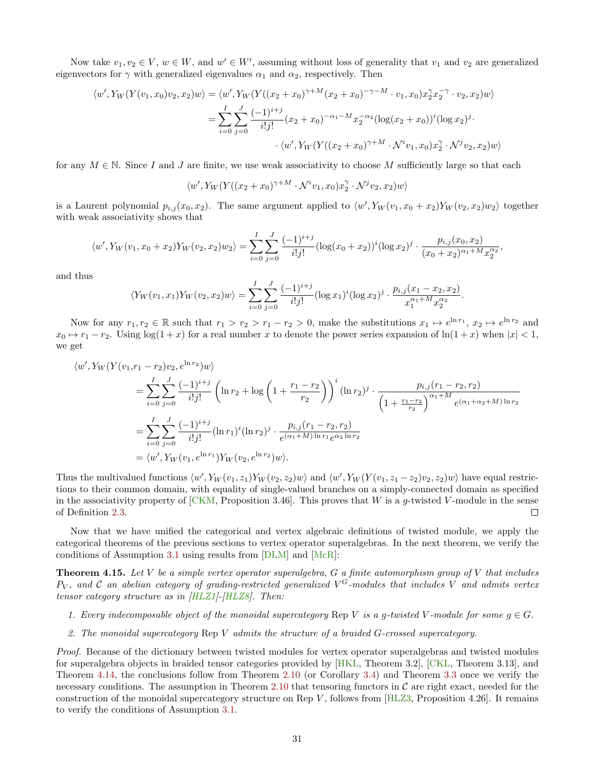Now take  $v_1, v_2 \in V$ ,  $w \in W$ , and  $w' \in W'$ , assuming without loss of generality that  $v_1$  and  $v_2$  are generalized eigenvectors for  $\gamma$  with generalized eigenvalues  $\alpha_1$  and  $\alpha_2$ , respectively. Then

$$
\langle w', Y_W(Y(v_1, x_0)v_2, x_2)w \rangle = \langle w', Y_W(Y((x_2 + x_0)^{\gamma + M}(x_2 + x_0)^{-\gamma - M} \cdot v_1, x_0)x_2^{\gamma}x_2^{-\gamma} \cdot v_2, x_2)w \rangle
$$
  
= 
$$
\sum_{i=0}^{I} \sum_{j=0}^{J} \frac{(-1)^{i+j}}{i!j!} (x_2 + x_0)^{-\alpha_1 - M} x_2^{-\alpha_2} (\log(x_2 + x_0))^i (\log x_2)^j \cdot \langle w', Y_W(Y((x_2 + x_0)^{\gamma + M} \cdot \mathcal{N}^i v_1, x_0)x_2^{\gamma} \cdot \mathcal{N}^j v_2, x_2)w \rangle
$$

for any  $M \in \mathbb{N}$ . Since I and J are finite, we use weak associativity to choose M sufficiently large so that each

$$
\langle w', Y_W(Y((x_2 + x_0)^{\gamma + M} \cdot \mathcal{N}^i v_1, x_0) x_2^{\gamma} \cdot \mathcal{N}^j v_2, x_2) w \rangle
$$

is a Laurent polynomial  $p_{i,j}(x_0, x_2)$ . The same argument applied to  $\langle w', Y_W(v_1, x_0 + x_2)Y_W(v_2, x_2)w_2 \rangle$  together with weak associativity shows that

$$
\langle w', Y_W(v_1, x_0 + x_2) Y_W(v_2, x_2) w_2 \rangle = \sum_{i=0}^I \sum_{j=0}^J \frac{(-1)^{i+j}}{i!j!} (\log(x_0 + x_2))^i (\log x_2)^j \cdot \frac{p_{i,j}(x_0, x_2)}{(x_0 + x_2)^{\alpha_1 + M} x_2^{\alpha_2}},
$$

and thus

$$
\langle Y_W(v_1, x_1) Y_W(v_2, x_2) w \rangle = \sum_{i=0}^I \sum_{j=0}^J \frac{(-1)^{i+j}}{i!j!} (\log x_1)^i (\log x_2)^j \cdot \frac{p_{i,j}(x_1 - x_2, x_2)}{x_1^{\alpha_1 + M} x_2^{\alpha_2}}.
$$

Now for any  $r_1, r_2 \in \mathbb{R}$  such that  $r_1 > r_2 > r_1 - r_2 > 0$ , make the substitutions  $x_1 \mapsto e^{\ln r_1}$ ,  $x_2 \mapsto e^{\ln r_2}$  and  $x_0 \mapsto r_1 - r_2$ . Using  $\log(1 + x)$  for a real number x to denote the power series expansion of  $\ln(1 + x)$  when  $|x| < 1$ , we get

$$
\langle w', Y_W(Y(v_1, r_1 - r_2)v_2, e^{\ln r_2})w \rangle
$$
  
=  $\sum_{i=0}^{I} \sum_{j=0}^{J} \frac{(-1)^{i+j}}{i!j!} \left( \ln r_2 + \log \left( 1 + \frac{r_1 - r_2}{r_2} \right) \right)^i (\ln r_2)^j \cdot \frac{p_{i,j}(r_1 - r_2, r_2)}{\left( 1 + \frac{r_1 - r_2}{r_2} \right)^{\alpha_1 + M} e^{(\alpha_1 + \alpha_2 + M) \ln r_2}}$   
=  $\sum_{i=0}^{I} \sum_{j=0}^{J} \frac{(-1)^{i+j}}{i!j!} (\ln r_1)^i (\ln r_2)^j \cdot \frac{p_{i,j}(r_1 - r_2, r_2)}{e^{(\alpha_1 + M) \ln r_1} e^{\alpha_2 \ln r_2}}$   
=  $\langle w', Y_W(v_1, e^{\ln r_1}) Y_W(v_2, e^{\ln r_2})w \rangle$ .

Thus the multivalued functions  $\langle w', Y_W(v_1, z_1)Y_W(v_2, z_2)w \rangle$  and  $\langle w', Y_W(Y(v_1, z_1 - z_2)v_2, z_2)w \rangle$  have equal restrictions to their common domain, with equality of single-valued branches on a simply-connected domain as specified in the associativity property of  $[CKM,$  Proposition 3.46. This proves that W is a g-twisted V-module in the sense of Definition [2.3.](#page-7-1)  $\Box$ 

Now that we have unified the categorical and vertex algebraic definitions of twisted module, we apply the categorical theorems of the previous sections to vertex operator superalgebras. In the next theorem, we verify the conditions of Assumption [3.1](#page-15-1) using results from [\[DLM\]](#page-54-9) and [\[McR\]](#page-55-10):

<span id="page-30-0"></span>**Theorem 4.15.** Let  $V$  be a simple vertex operator superalgebra,  $G$  a finite automorphism group of  $V$  that includes  $P_V$ , and C an abelian category of grading-restricted generalized  $V^G$ -modules that includes V and admits vertex tensor category structure as in  $[HLZ1]$ - $[HLZ8]$ . Then:

- 1. Every indecomposable object of the monoidal supercategory Rep V is a g-twisted V-module for some  $g \in G$ .
- 2. The monoidal supercategory Rep V admits the structure of a braided G-crossed supercategory.

Proof. Because of the dictionary between twisted modules for vertex operator superalgebras and twisted modules for superalgebra objects in braided tensor categories provided by [\[HKL,](#page-54-8) Theorem 3.2], [\[CKL,](#page-53-3) Theorem 3.13], and Theorem [4.14,](#page-27-3) the conclusions follow from Theorem [2.10](#page-10-0) (or Corollary [3.4\)](#page-16-1) and Theorem [3.3](#page-16-0) once we verify the necessary conditions. The assumption in Theorem [2.10](#page-10-0) that tensoring functors in  $\mathcal C$  are right exact, needed for the construction of the monoidal supercategory structure on Rep V, follows from  $[HLZ3,$  Proposition 4.26]. It remains to verify the conditions of Assumption [3.1.](#page-15-1)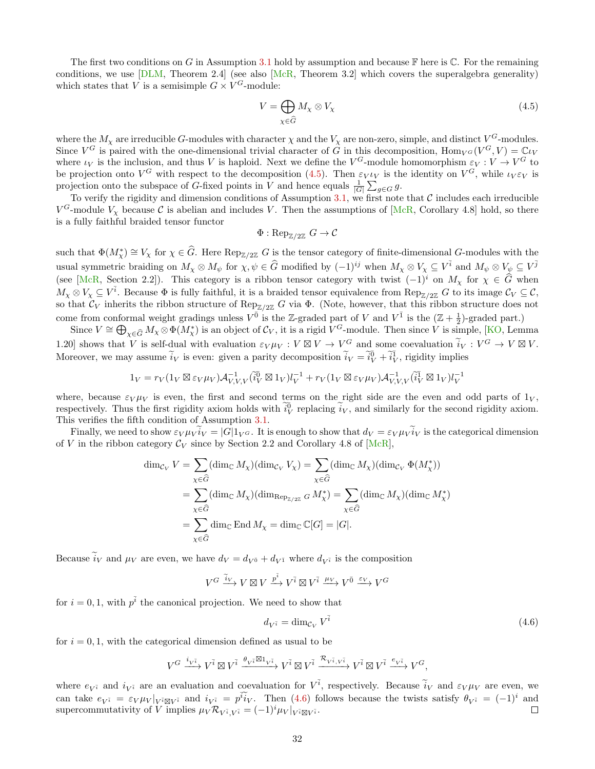The first two conditions on G in Assumption [3.1](#page-15-1) hold by assumption and because  $\mathbb F$  here is  $\mathbb C$ . For the remaining conditions, we use  $[DLM, Theorem 2.4]$  $[DLM, Theorem 2.4]$  (see also  $[McR, Theorem 3.2]$  $[McR, Theorem 3.2]$  which covers the superalgebra generality) which states that V is a semisimple  $G \times V^G$ -module:

<span id="page-31-0"></span>
$$
V = \bigoplus_{\chi \in \widehat{G}} M_{\chi} \otimes V_{\chi} \tag{4.5}
$$

where the  $M_\chi$  are irreducible G-modules with character  $\chi$  and the  $V_\chi$  are non-zero, simple, and distinct  $V^G$ -modules. Since  $V^G$  is paired with the one-dimensional trivial character of  $\tilde{G}$  in this decomposition,  $\text{Hom}_{V^G}(V^G, V) = \mathbb{C} \iota_V$ where  $\iota_V$  is the inclusion, and thus V is haploid. Next we define the  $V^G$ -module homomorphism  $\varepsilon_V : V \to V^G$  to be projection onto  $V^G$  with respect to the decomposition [\(4.5\)](#page-31-0). Then  $\varepsilon_V \iota_V$  is the identity on  $V^G$ , while  $\iota_V \varepsilon_V$  is projection onto the subspace of G-fixed points in V and hence equals  $\frac{1}{|G|} \sum_{g \in G} g$ .

To verify the rigidity and dimension conditions of Assumption [3.1,](#page-15-1) we first note that  $C$  includes each irreducible  $V^G$ -module  $V_\chi$  because C is abelian and includes V. Then the assumptions of [\[McR,](#page-55-10) Corollary 4.8] hold, so there is a fully faithful braided tensor functor

$$
\Phi: \operatorname{Rep}_{\mathbb{Z}/2\mathbb{Z}} G \to \mathcal{C}
$$

such that  $\Phi(M^*_\chi) \cong V_\chi$  for  $\chi \in \widehat{G}$ . Here  $\text{Rep}_{\mathbb{Z}/2\mathbb{Z}} G$  is the tensor category of finite-dimensional G-modules with the usual symmetric braiding on  $M_{\chi} \otimes M_{\psi}$  for  $\chi, \psi \in \widehat{G}$  modified by  $(-1)^{ij}$  when  $M_{\chi} \otimes V_{\chi} \subseteq V^{\overline{i}}$  and  $M_{\psi} \otimes V_{\psi} \subseteq V^{\overline{j}}$ (see [\[McR,](#page-55-10) Section 2.2]). This category is a ribbon tensor category with twist  $(-1)^i$  on  $M_\chi$  for  $\chi \in \widehat{G}$  when  $M_\chi \otimes V_\chi \subseteq V^{\bar{i}}$ . Because  $\Phi$  is fully faithful, it is a braided tensor equivalence from  $\text{Rep}_{\mathbb{Z}/2\mathbb{Z}} G$  to its image  $\mathcal{C}_V \subseteq \mathcal{C}$ , so that  $\mathcal{C}_V$  inherits the ribbon structure of Rep<sub>Z/2Z</sub> G via  $\Phi$ . (Note, however, that this ribbon structure does not come from conformal weight gradings unless  $V^{\bar{0}}$  is the Z-graded part of V and  $V^{\bar{1}}$  is the  $(\mathbb{Z} + \frac{1}{2})$ -graded part.)

Since  $V \cong \bigoplus_{\chi \in \widehat{G}} M_{\chi} \otimes \Phi(M_{\chi}^*)$  is an object of  $\mathcal{C}_V$ , it is a rigid  $V^G$ -module. Then since  $V$  is simple, [\[KO,](#page-55-8) Lemma 1.20] shows that V is self-dual with evaluation  $\varepsilon_V \mu_V : V \boxtimes V \to V^G$  and some coevaluation  $\tilde{i}_V : V^G \to V \boxtimes V$ . Moreover, we may assume  $\tilde{i}_V$  is even: given a parity decomposition  $\tilde{i}_V = \tilde{i}_V^0 + \tilde{i}_V^1$ , rigidity implies

$$
1_V = r_V(1_V \boxtimes \varepsilon_V \mu_V) \mathcal{A}_{V,V,V}^{-1} (\tilde{i}_V^{\overline{0}} \boxtimes 1_V) l_V^{-1} + r_V(1_V \boxtimes \varepsilon_V \mu_V) \mathcal{A}_{V,V,V}^{-1} (\tilde{i}_V^{\overline{1}} \boxtimes 1_V) l_V^{-1}
$$

where, because  $\varepsilon_V \mu_V$  is even, the first and second terms on the right side are the even and odd parts of  $1_V$ , respectively. Thus the first rigidity axiom holds with  $\tilde{i}_{V}^{0}$  replacing  $\tilde{i}_{V}$ , and similarly for the second rigidity axiom. This verifies the fifth condition of Assumption [3.1.](#page-15-1)

Finally, we need to show  $\varepsilon_V \mu_V i_V = |G| 1_V \sigma$ . It is enough to show that  $d_V = \varepsilon_V \mu_V i_V$  is the categorical dimension of V in the ribbon category  $\mathcal{C}_V$  since by Section 2.2 and Corollary 4.8 of [\[McR\]](#page-55-10),

$$
\dim_{\mathcal{C}_V} V = \sum_{\chi \in \widehat{G}} (\dim_{\mathbb{C}} M_\chi)(\dim_{\mathcal{C}_V} V_\chi) = \sum_{\chi \in \widehat{G}} (\dim_{\mathbb{C}} M_\chi)(\dim_{\mathcal{C}_V} \Phi(M_\chi^*))
$$
  
\n
$$
= \sum_{\chi \in \widehat{G}} (\dim_{\mathbb{C}} M_\chi)(\dim_{\mathbb{R}\text{P}_{\mathbb{Z}/2\mathbb{Z}}} G M_\chi^*) = \sum_{\chi \in \widehat{G}} (\dim_{\mathbb{C}} M_\chi)(\dim_{\mathbb{C}} M_\chi^*)
$$
  
\n
$$
= \sum_{\chi \in \widehat{G}} \dim_{\mathbb{C}} \text{End } M_\chi = \dim_{\mathbb{C}} \mathbb{C}[G] = |G|.
$$

Because  $i_V$  and  $\mu_V$  are even, we have  $d_V = d_{V^{\bar{0}}} + d_{V^{\bar{1}}}$  where  $d_{V^{\bar{i}}}$  is the composition

$$
V^G \xrightarrow{\widetilde{i}_V} V \boxtimes V \xrightarrow{p^{\widetilde{i}}} V^{\widetilde{i}} \boxtimes V^{\widetilde{i}} \xrightarrow{\mu_V} V^{\bar{0}} \xrightarrow{\varepsilon_V} V^G
$$

for  $i = 0, 1$ , with  $p^{\bar{i}}$  the canonical projection. We need to show that

<span id="page-31-1"></span>
$$
d_{V^{\bar{i}}} = \dim_{\mathcal{C}_V} V^{\bar{i}} \tag{4.6}
$$

for  $i = 0, 1$ , with the categorical dimension defined as usual to be

$$
V^G \xrightarrow{i_{V^{\bar{i}}}} V^{\bar{i}} \boxtimes V^{\bar{i}} \xrightarrow{\theta_{V^{\bar{i}}} \boxtimes 1_{V^{\bar{i}}} } V^{\bar{i}} \boxtimes V^{\bar{i}} \xrightarrow{\mathcal{R}_{V^{\bar{i}}, V^{\bar{i}}} } V^{\bar{i}} \boxtimes V^{\bar{i}} \xrightarrow{e_{V^{\bar{i}}} } V^G,
$$

where  $e_{V^{\bar{i}}}$  and  $i_{V^{\bar{i}}}$  are an evaluation and coevaluation for  $V^{\bar{i}}$ , respectively. Because  $\tilde{i}_V$  and  $\varepsilon_V \mu_V$  are even, we can take  $e_{V^{\bar{i}}} = \varepsilon_{V} \mu_{V} |_{V^{\bar{i}} \boxtimes V^{\bar{i}}}$  and  $i_{V^{\bar{i}}} = p^{\bar{i}} i_{V}$ . Then [\(4.6\)](#page-31-1) follows because the twists satisfy  $\theta_{V^{\bar{i}}} = (-1)^{i}$  and supercommutativity of  $\hat{V}$  implies  $\mu_V \mathcal{R}_{V^{\bar{i}}, V^{\bar{i}}} = (-1)^i \mu_V |_{V^{\bar{i}} \boxtimes V^{\bar{i}}}$ .  $\Box$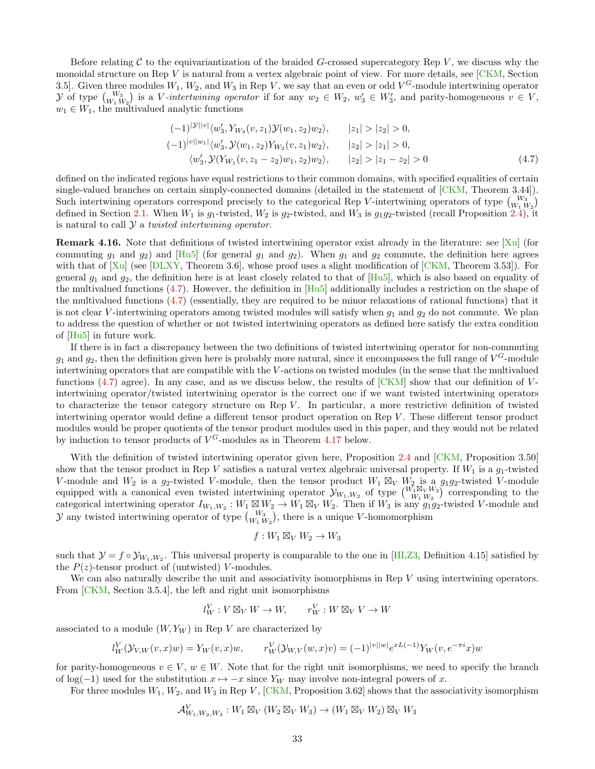Before relating  $C$  to the equivariantization of the braided  $G$ -crossed supercategory Rep  $V$ , we discuss why the monoidal structure on Rep V is natural from a vertex algebraic point of view. For more details, see [\[CKM,](#page-53-0) Section 3.5]. Given three modules  $W_1, W_2$ , and  $W_3$  in Rep V, we say that an even or odd  $V^G$ -module intertwining operator y of type  $\binom{W_3}{W_1\ W_2}$  is a V-intertwining operator if for any  $w_2 \in W_2$ ,  $w'_3 \in W'_3$ , and parity-homogeneous  $v \in V$ ,  $w_1 \in W_1$ , the multivalued analytic functions

<span id="page-32-0"></span>
$$
(-1)^{|\mathcal{Y}||v|} \langle w_3', Y_{W_3}(v, z_1) \mathcal{Y}(w_1, z_2) w_2 \rangle, \qquad |z_1| > |z_2| > 0,
$$
  

$$
(-1)^{|v||w_1|} \langle w_3', \mathcal{Y}(w_1, z_2) Y_{W_2}(v, z_1) w_2 \rangle, \qquad |z_2| > |z_1| > 0,
$$
  

$$
\langle w_3', \mathcal{Y}(Y_{W_1}(v, z_1 - z_2) w_1, z_2) w_2 \rangle, \qquad |z_2| > |z_1 - z_2| > 0
$$
  
(4.7)

defined on the indicated regions have equal restrictions to their common domains, with specified equalities of certain single-valued branches on certain simply-connected domains (detailed in the statement of [\[CKM,](#page-53-0) Theorem 3.44]). Such intertwining operators correspond precisely to the categorical Rep V-intertwining operators of type  $\binom{W_3}{W_1 W_2}$ defined in Section [2.1.](#page-3-1) When  $W_1$  is  $g_1$ -twisted,  $W_2$  is  $g_2$ -twisted, and  $W_3$  is  $g_1g_2$ -twisted (recall Proposition [2.4\)](#page-7-2), it is natural to call  $\mathcal Y$  a *twisted intertwining operator*.

**Remark 4.16.** Note that definitions of twisted intertwining operator exist already in the literature: see  $[X_u]$  (for commuting  $g_1$  and  $g_2$ ) and  $[Hu5]$  (for general  $g_1$  and  $g_2$ ). When  $g_1$  and  $g_2$  commute, the definition here agrees with that of  $[Xu]$  (see  $[DLXY, Theorem 3.6]$  $[DLXY, Theorem 3.6]$ , whose proof uses a slight modification of  $[CKM, Theorem 3.53]$  $[CKM, Theorem 3.53]$ ). For general  $g_1$  and  $g_2$ , the definition here is at least closely related to that of  $[Hu5]$ , which is also based on equality of the multivalued functions  $(4.7)$ . However, the definition in  $[Hu5]$  additionally includes a restriction on the shape of the multivalued functions [\(4.7\)](#page-32-0) (essentially, they are required to be minor relaxations of rational functions) that it is not clear V-intertwining operators among twisted modules will satisfy when  $g_1$  and  $g_2$  do not commute. We plan to address the question of whether or not twisted intertwining operators as defined here satisfy the extra condition of [\[Hu5\]](#page-54-18) in future work.

If there is in fact a discrepancy between the two definitions of twisted intertwining operator for non-commuting  $g_1$  and  $g_2$ , then the definition given here is probably more natural, since it encompasses the full range of  $V^G$ -module intertwining operators that are compatible with the V -actions on twisted modules (in the sense that the multivalued functions [\(4.7\)](#page-32-0) agree). In any case, and as we discuss below, the results of  $\lfloor CKM \rfloor$  show that our definition of Vintertwining operator/twisted intertwining operator is the correct one if we want twisted intertwining operators to characterize the tensor category structure on Rep  $V$ . In particular, a more restrictive definition of twisted intertwining operator would define a different tensor product operation on Rep V. These different tensor product modules would be proper quotients of the tensor product modules used in this paper, and they would not be related by induction to tensor products of  $V^G$ -modules as in Theorem [4.17](#page-33-0) below.

With the definition of twisted intertwining operator given here, Proposition [2.4](#page-7-2) and [\[CKM,](#page-53-0) Proposition 3.50] show that the tensor product in Rep V satisfies a natural vertex algebraic universal property. If  $W_1$  is a  $g_1$ -twisted V-module and  $W_2$  is a  $g_2$ -twisted V-module, then the tensor product  $W_1 \boxtimes_V W_2$  is a  $g_1g_2$ -twisted V-module equipped with a canonical even twisted intertwining operator  $y_{W_1,W_2}$  of type  $\binom{W_1 \boxtimes_V W_2}{W_1 W_2}$  corresponding to the categorical intertwining operator  $I_{W_1,W_2}: W_1 \boxtimes W_2 \to W_1 \boxtimes_V W_2$ . Then if  $W_3$  is any  $g_1g_2$ -twisted V-module and  $\mathcal Y$  any twisted intertwining operator of type  ${W_3 \choose W_1 W_2}$ , there is a unique V-homomorphism

$$
f:W_1\boxtimes_V W_2\to W_3
$$

such that  $\mathcal{Y} = f \circ \mathcal{Y}_{W_1,W_2}$ . This universal property is comparable to the one in [\[HLZ3,](#page-54-17) Definition 4.15] satisfied by the  $P(z)$ -tensor product of (untwisted) V-modules.

We can also naturally describe the unit and associativity isomorphisms in Rep V using intertwining operators. From [\[CKM,](#page-53-0) Section 3.5.4], the left and right unit isomorphisms

$$
l_W^V : V \boxtimes_V W \to W, \qquad r_W^V : W \boxtimes_V V \to W
$$

associated to a module  $(W, Y_W)$  in Rep V are characterized by

$$
l_W^V(\mathcal{Y}_{V,W}(v,x)w) = Y_W(v,x)w, \qquad r_W^V(\mathcal{Y}_{W,V}(w,x)v) = (-1)^{|v||w|} e^{xL(-1)} Y_W(v, e^{-\pi i}x)w
$$

for parity-homogeneous  $v \in V$ ,  $w \in W$ . Note that for the right unit isomorphisms, we need to specify the branch of log(−1) used for the substitution  $x \mapsto -x$  since Y<sub>W</sub> may involve non-integral powers of x.

For three modules  $W_1, W_2$ , and  $W_3$  in Rep V, [\[CKM,](#page-53-0) Proposition 3.62] shows that the associativity isomorphism

$$
\mathcal{A}_{W_1,W_2,W_3}^V: W_1 \boxtimes_V (W_2 \boxtimes_V W_3) \to (W_1 \boxtimes_V W_2) \boxtimes_V W_3
$$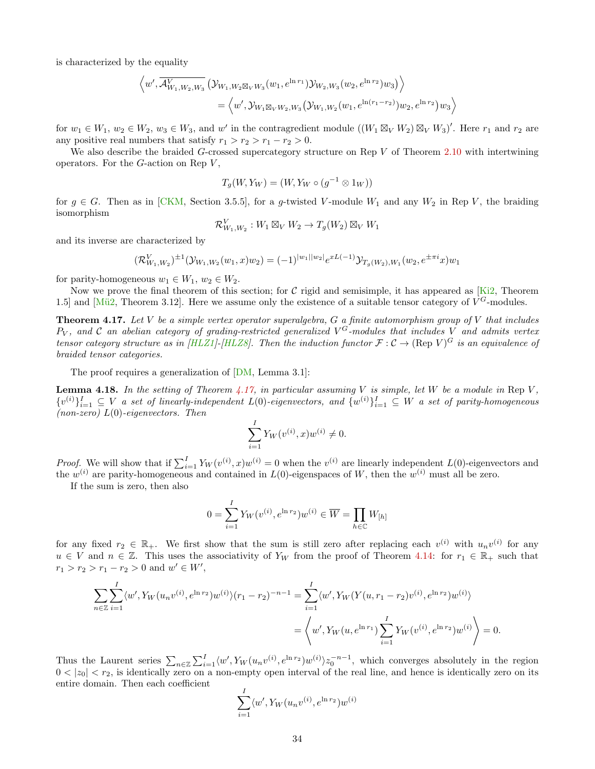is characterized by the equality

$$
\left\langle w', \overline{\mathcal{A}_{W_1, W_2, W_3}^V}(\mathcal{Y}_{W_1, W_2 \boxtimes_V W_3}(w_1, e^{\ln r_1}) \mathcal{Y}_{W_2, W_3}(w_2, e^{\ln r_2}) w_3) \right\rangle = \left\langle w', \mathcal{Y}_{W_1 \boxtimes_V W_2, W_3}(\mathcal{Y}_{W_1, W_2}(w_1, e^{\ln (r_1 - r_2)}) w_2, e^{\ln r_2}) w_3 \right\rangle
$$

for  $w_1 \in W_1$ ,  $w_2 \in W_2$ ,  $w_3 \in W_3$ , and w' in the contragredient module  $((W_1 \boxtimes_V W_2) \boxtimes_V W_3)'$ . Here  $r_1$  and  $r_2$  are any positive real numbers that satisfy  $r_1 > r_2 > r_1 - r_2 > 0$ .

We also describe the braided G-crossed supercategory structure on Rep V of Theorem [2.10](#page-10-0) with intertwining operators. For the  $G$ -action on Rep  $V$ ,

$$
T_g(W, Y_W) = (W, Y_W \circ (g^{-1} \otimes 1_W))
$$

for  $g \in G$ . Then as in [\[CKM,](#page-53-0) Section 3.5.5], for a g-twisted V-module  $W_1$  and any  $W_2$  in Rep V, the braiding isomorphism

$$
\mathcal{R}_{W_1,W_2}^V: W_1 \boxtimes_V W_2 \to T_g(W_2) \boxtimes_V W_1
$$

and its inverse are characterized by

$$
(\mathcal{R}_{W_1,W_2}^V)^{\pm 1}(\mathcal{Y}_{W_1,W_2}(w_1,x)w_2) = (-1)^{|w_1||w_2|} e^{xL(-1)} \mathcal{Y}_{T_g(W_2),W_1}(w_2,e^{\pm \pi i}x)w_1
$$

for parity-homogeneous  $w_1 \in W_1$ ,  $w_2 \in W_2$ .

Now we prove the final theorem of this section; for  $C$  rigid and semisimple, it has appeared as [\[Ki2,](#page-55-9) Theorem 1.5] and  $[M\ddot{u}2,$  Theorem 3.12]. Here we assume only the existence of a suitable tensor category of  $V^G$ -modules.

<span id="page-33-0"></span>**Theorem 4.17.** Let V be a simple vertex operator superalgebra,  $G$  a finite automorphism group of V that includes  $P_V$ , and C an abelian category of grading-restricted generalized  $V^G$ -modules that includes V and admits vertex tensor category structure as in [\[HLZ1\]](#page-54-2)-[\[HLZ8\]](#page-55-0). Then the induction functor  $\mathcal{F}: \mathcal{C} \to (\text{Rep } V)^G$  is an equivalence of braided tensor categories.

The proof requires a generalization of [\[DM,](#page-54-19) Lemma 3.1]:

<span id="page-33-1"></span>**Lemma 4.18.** In the setting of Theorem [4.17,](#page-33-0) in particular assuming V is simple, let W be a module in Rep V,  ${v^{(i)}}_{i=1}^I \subseteq V$  a set of linearly-independent  $L(0)$ -eigenvectors, and  ${w^{(i)}}_{i=1}^I \subseteq W$  a set of parity-homogeneous (non-zero)  $L(0)$ -eigenvectors. Then

$$
\sum_{i=1}^{I} Y_W(v^{(i)}, x)w^{(i)} \neq 0.
$$

*Proof.* We will show that if  $\sum_{i=1}^{I} Y_W(v^{(i)}, x)w^{(i)} = 0$  when the  $v^{(i)}$  are linearly independent  $L(0)$ -eigenvectors and the  $w^{(i)}$  are parity-homogeneous and contained in  $L(0)$ -eigenspaces of W, then the  $w^{(i)}$  must all be zero.

If the sum is zero, then also

$$
0 = \sum_{i=1}^{I} Y_W(v^{(i)}, e^{\ln r_2}) w^{(i)} \in \overline{W} = \prod_{h \in \mathbb{C}} W_{[h]}
$$

for any fixed  $r_2 \in \mathbb{R}_+$ . We first show that the sum is still zero after replacing each  $v^{(i)}$  with  $u_n v^{(i)}$  for any  $u \in V$  and  $n \in \mathbb{Z}$ . This uses the associativity of Y<sub>W</sub> from the proof of Theorem [4.14:](#page-27-3) for  $r_1 \in \mathbb{R}_+$  such that  $r_1 > r_2 > r_1 - r_2 > 0$  and  $w' \in W'$ ,

$$
\sum_{n\in\mathbb{Z}}\sum_{i=1}^{I} \langle w', Y_W(u_n v^{(i)}, e^{\ln r_2})w^{(i)}\rangle (r_1 - r_2)^{-n-1} = \sum_{i=1}^{I} \langle w', Y_W(Y(u, r_1 - r_2)v^{(i)}, e^{\ln r_2})w^{(i)}\rangle
$$
  
=  $\langle w', Y_W(u, e^{\ln r_1})\sum_{i=1}^{I} Y_W(v^{(i)}, e^{\ln r_2})w^{(i)}\rangle = 0.$ 

Thus the Laurent series  $\sum_{n\in\mathbb{Z}}\sum_{i=1}^I \langle w', Y_W(u_nv^{(i)}, e^{\ln r_2})w^{(i)}\rangle z_0^{-n-1}$ , which converges absolutely in the region  $0 < |z_0| < r_2$ , is identically zero on a non-empty open interval of the real line, and hence is identically zero on its entire domain. Then each coefficient

$$
\sum_{i=1}^{I} \langle w', Y_W(u_n v^{(i)}, e^{\ln r_2}) w^{(i)} \rangle
$$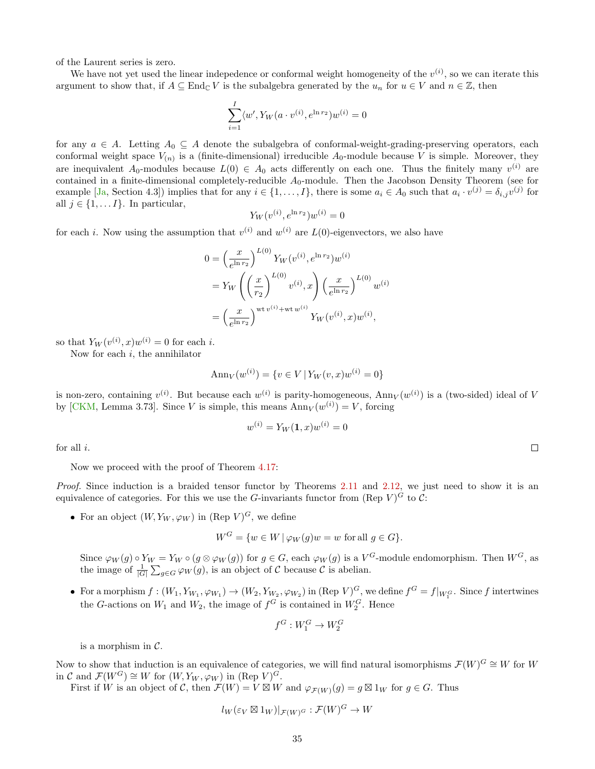of the Laurent series is zero.

We have not yet used the linear indepedence or conformal weight homogeneity of the  $v^{(i)}$ , so we can iterate this argument to show that, if  $A \subseteq \text{End}_{\mathbb{C}} V$  is the subalgebra generated by the  $u_n$  for  $u \in V$  and  $n \in \mathbb{Z}$ , then

$$
\sum_{i=1}^{I} \langle w', Y_W(a \cdot v^{(i)}, e^{\ln r_2}) w^{(i)} \rangle = 0
$$

for any  $a \in A$ . Letting  $A_0 \subseteq A$  denote the subalgebra of conformal-weight-grading-preserving operators, each conformal weight space  $V_{(n)}$  is a (finite-dimensional) irreducible  $A_0$ -module because V is simple. Moreover, they are inequivalent  $A_0$ -modules because  $L(0) \in A_0$  acts differently on each one. Thus the finitely many  $v^{(i)}$  are contained in a finite-dimensional completely-reducible  $A_0$ -module. Then the Jacobson Density Theorem (see for example [\[Ja,](#page-55-18) Section 4.3]) implies that for any  $i \in \{1, ..., I\}$ , there is some  $a_i \in A_0$  such that  $a_i \cdot v^{(j)} = \delta_{i,j}v^{(j)}$  for all  $j \in \{1, \ldots I\}$ . In particular,

$$
Y_W(v^{(i)}, e^{\ln r_2})w^{(i)} = 0
$$

for each *i*. Now using the assumption that  $v^{(i)}$  and  $w^{(i)}$  are  $L(0)$ -eigenvectors, we also have

$$
0 = \left(\frac{x}{e^{\ln r_2}}\right)^{L(0)} Y_W(v^{(i)}, e^{\ln r_2})w^{(i)}
$$
  
=  $Y_W \left( \left(\frac{x}{r_2}\right)^{L(0)} v^{(i)}, x \right) \left(\frac{x}{e^{\ln r_2}}\right)^{L(0)} w^{(i)}$   
=  $\left(\frac{x}{e^{\ln r_2}}\right)^{\text{wt } v^{(i)} + \text{wt } w^{(i)}}$  $Y_W(v^{(i)}, x)w^{(i)},$ 

so that  $Y_W(v^{(i)}, x)w^{(i)} = 0$  for each *i*.

Now for each  $i$ , the annihilator

$$
Ann_V(w^{(i)}) = \{ v \in V \mid Y_W(v, x)w^{(i)} = 0 \}
$$

is non-zero, containing  $v^{(i)}$ . But because each  $w^{(i)}$  is parity-homogeneous,  $Ann_V(w^{(i)})$  is a (two-sided) ideal of V by [\[CKM,](#page-53-0) Lemma 3.73]. Since V is simple, this means  $\text{Ann}_V(w^{(i)}) = V$ , forcing

$$
w^{(i)} = Y_W(1, x)w^{(i)} = 0
$$

for all i.

Now we proceed with the proof of Theorem [4.17:](#page-33-0)

Proof. Since induction is a braided tensor functor by Theorems [2.11](#page-12-1) and [2.12,](#page-14-0) we just need to show it is an equivalence of categories. For this we use the G-invariants functor from (Rep V)<sup>G</sup> to C:

• For an object  $(W, Y_W, \varphi_W)$  in  $(\text{Rep } V)^G$ , we define

$$
W^G = \{ w \in W \mid \varphi_W(g)w = w \text{ for all } g \in G \}.
$$

Since  $\varphi_W(g) \circ Y_W = Y_W \circ (g \otimes \varphi_W(g))$  for  $g \in G$ , each  $\varphi_W(g)$  is a  $V^G$ -module endomorphism. Then  $W^G$ , as the image of  $\frac{1}{|G|} \sum_{g \in G} \varphi_W(g)$ , is an object of C because C is abelian.

• For a morphism  $f: (W_1, Y_{W_1}, \varphi_{W_1}) \to (W_2, Y_{W_2}, \varphi_{W_2})$  in  $(\text{Rep } V)^G$ , we define  $f^G = f|_{W_1^G}$ . Since f intertwines the G-actions on  $W_1$  and  $W_2$ , the image of  $f^G$  is contained in  $W_2^G$ . Hence

$$
f^G: W_1^G \to W_2^G
$$

is a morphism in  $\mathcal{C}$ .

Now to show that induction is an equivalence of categories, we will find natural isomorphisms  $\mathcal{F}(W)^G \cong W$  for W in C and  $\mathcal{F}(W^G) \cong W$  for  $(W, Y_W, \varphi_W)$  in  $(\text{Rep } V)^G$ .

First if W is an object of C, then  $\mathcal{F}(W) = V \boxtimes W$  and  $\varphi_{\mathcal{F}(W)}(g) = g \boxtimes 1_W$  for  $g \in G$ . Thus

$$
l_W(\varepsilon_V \boxtimes 1_W)|_{\mathcal{F}(W)^G} : \mathcal{F}(W)^G \to W
$$

 $\Box$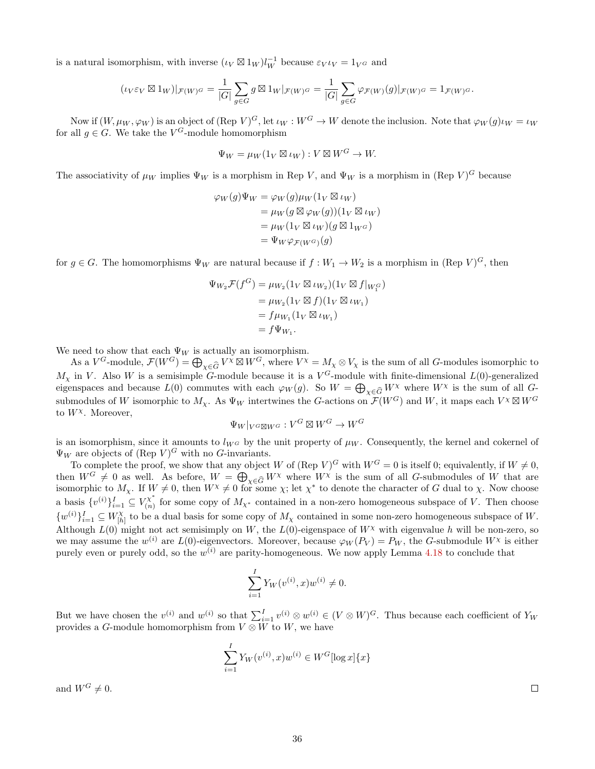is a natural isomorphism, with inverse  $(\iota_V \boxtimes 1_W)l_W^{-1}$  because  $\varepsilon_V \iota_V = 1_V \sigma$  and

$$
(\iota_V \varepsilon_V \boxtimes 1_W)|_{\mathcal{F}(W)^G} = \frac{1}{|G|} \sum_{g \in G} g \boxtimes 1_W|_{\mathcal{F}(W)^G} = \frac{1}{|G|} \sum_{g \in G} \varphi_{\mathcal{F}(W)}(g)|_{\mathcal{F}(W)^G} = 1_{\mathcal{F}(W)^G}.
$$

Now if  $(W, \mu_W, \varphi_W)$  is an object of  $(\text{Rep }V)^G$ , let  $\iota_W : W^G \to W$  denote the inclusion. Note that  $\varphi_W(g)\iota_W = \iota_W$ for all  $g \in G$ . We take the  $V^G$ -module homomorphism

$$
\Psi_W = \mu_W(1_V \boxtimes \iota_W) : V \boxtimes W^G \to W.
$$

The associativity of  $\mu_W$  implies  $\Psi_W$  is a morphism in Rep V, and  $\Psi_W$  is a morphism in (Rep V)<sup>G</sup> because

$$
\varphi_W(g)\Psi_W = \varphi_W(g)\mu_W(1_V \boxtimes \iota_W)
$$
  
=  $\mu_W(g \boxtimes \varphi_W(g))(1_V \boxtimes \iota_W)$   
=  $\mu_W(1_V \boxtimes \iota_W)(g \boxtimes 1_{W^G})$   
=  $\Psi_W \varphi_{\mathcal{F}(W^G)}(g)$ 

for  $g \in G$ . The homomorphisms  $\Psi_W$  are natural because if  $f: W_1 \to W_2$  is a morphism in  $(\text{Rep } V)^G$ , then

$$
\Psi_{W_2} \mathcal{F}(f^G) = \mu_{W_2} (\mathbb{1}_V \boxtimes \iota_{W_2}) (\mathbb{1}_V \boxtimes f|_{W_1^G})
$$
  
=  $\mu_{W_2} (\mathbb{1}_V \boxtimes f)(\mathbb{1}_V \boxtimes \iota_{W_1})$   
=  $f \mu_{W_1} (\mathbb{1}_V \boxtimes \iota_{W_1})$   
=  $f \Psi_{W_1}.$ 

We need to show that each  $\Psi_W$  is actually an isomorphism.

As a  $V^G$ -module,  $\mathcal{F}(W^G) = \bigoplus_{\chi \in \widehat{G}} V^\chi \boxtimes W^G$ , where  $V^\chi = M_\chi \otimes V_\chi$  is the sum of all  $G$ -modules isomorphic to  $M_{\chi}$  in V. Also W is a semisimple G-module because it is a  $V^G$ -module with finite-dimensional  $L(0)$ -generalized eigenspaces and because  $L(0)$  commutes with each  $\varphi_W(g)$ . So  $W = \bigoplus_{\chi \in \widehat{G}} W^{\chi}$  where  $W^{\chi}$  is the sum of all  $G$ submodules of W isomorphic to  $M_{\chi}$ . As  $\Psi_W$  intertwines the G-actions on  $\mathcal{F}(W^G)$  and W, it maps each  $V^{\chi} \boxtimes W^G$ to  $W^{\chi}$ . Moreover,

$$
\Psi_W|_{V^G \boxtimes W^G} : V^G \boxtimes W^G \to W^G
$$

is an isomorphism, since it amounts to  $l_{W^G}$  by the unit property of  $\mu_W$ . Consequently, the kernel and cokernel of  $\Psi_W$  are objects of (Rep  $V)^G$  with no G-invariants.

To complete the proof, we show that any object W of  $(\text{Rep } V)^G$  with  $W^G = 0$  is itself 0; equivalently, if  $W \neq 0$ , then  $W^G \neq 0$  as well. As before,  $W = \bigoplus_{\chi \in \widehat{G}} W^{\chi}$  where  $W^{\chi}$  is the sum of all G-submodules of W that are isomorphic to  $M_{\chi}$ . If  $W \neq 0$ , then  $W^{\chi} \neq 0$  for some  $\chi$ ; let  $\chi^*$  to denote the character of G dual to  $\chi$ . Now choose a basis  $\{v^{(i)}\}_{i=1}^I \subseteq V_{(n)}^{\chi^*}$  $\binom{n}{n}$  for some copy of  $M_{\chi^*}$  contained in a non-zero homogeneous subspace of V. Then choose  $\{w^{(i)}\}_{i=1}^I \subseteq W_{[h]}^{\chi}$  $\mathcal{H}_{h}^{\chi}$  to be a dual basis for some copy of  $M_{\chi}$  contained in some non-zero homogeneous subspace of W. Although  $L(0)$  might not act semisimply on W, the  $L(0)$ -eigenspace of  $W^{\chi}$  with eigenvalue h will be non-zero, so we may assume the  $w^{(i)}$  are  $L(0)$ -eigenvectors. Moreover, because  $\varphi_W(P_V) = P_W$ , the G-submodule  $W^{\chi}$  is either purely even or purely odd, so the  $w^{(i)}$  are parity-homogeneous. We now apply Lemma [4.18](#page-33-1) to conclude that

$$
\sum_{i=1}^{I} Y_W(v^{(i)}, x)w^{(i)} \neq 0.
$$

But we have chosen the  $v^{(i)}$  and  $w^{(i)}$  so that  $\sum_{i=1}^{I} v^{(i)} \otimes w^{(i)} \in (V \otimes W)^G$ . Thus because each coefficient of  $Y_W$ provides a G-module homomorphism from  $V \otimes W$  to  $W$ , we have

$$
\sum_{i=1}^{I} Y_W(v^{(i)}, x)w^{(i)} \in W^G[\log x]\{x\}
$$

and  $W^G \neq 0$ .

 $\Box$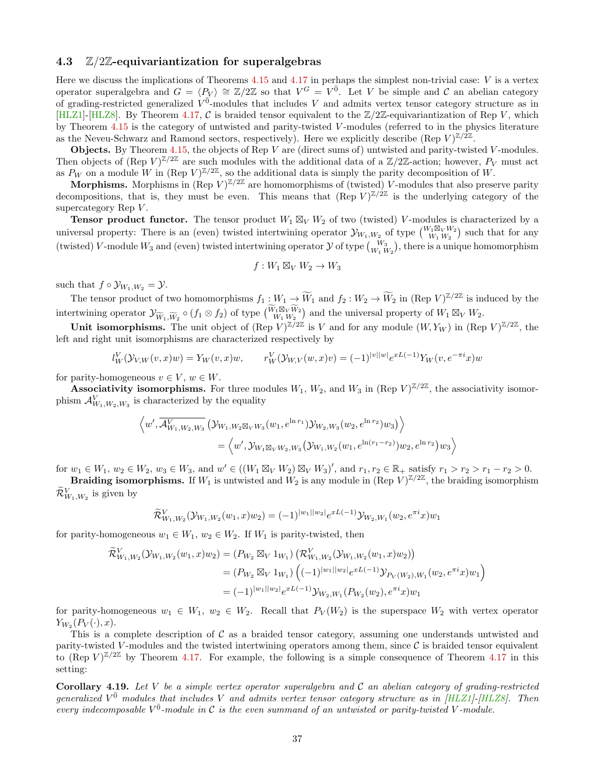#### <span id="page-36-0"></span>4.3  $\mathbb{Z}/2\mathbb{Z}$ -equivariantization for superalgebras

Here we discuss the implications of Theorems  $4.15$  and  $4.17$  in perhaps the simplest non-trivial case:  $V$  is a vertex operator superalgebra and  $G = \langle P_V \rangle \cong \mathbb{Z}/2\mathbb{Z}$  so that  $V^G = V^{\overline{0}}$ . Let V be simple and C an abelian category of grading-restricted generalized  $V^{\bar{0}}$ -modules that includes V and admits vertex tensor category structure as in [\[HLZ1\]](#page-54-2)-[\[HLZ8\]](#page-55-0). By Theorem [4.17,](#page-33-0) C is braided tensor equivalent to the  $\mathbb{Z}/2\mathbb{Z}$ -equivariantization of Rep V, which by Theorem [4.15](#page-30-0) is the category of untwisted and parity-twisted V -modules (referred to in the physics literature as the Neveu-Schwarz and Ramond sectors, respectively). Here we explicitly describe (Rep V) $\mathbb{Z}/2\mathbb{Z}$ .

**Objects.** By Theorem [4.15,](#page-30-0) the objects of Rep V are (direct sums of) untwisted and parity-twisted V-modules. Then objects of (Rep  $V)^{\mathbb{Z}/2\mathbb{Z}}$  are such modules with the additional data of a  $\mathbb{Z}/2\mathbb{Z}$ -action; however,  $P_V$  must act as  $P_W$  on a module W in (Rep  $V^{\mathbb{Z}/2\mathbb{Z}}$ , so the additional data is simply the parity decomposition of W.

**Morphisms.** Morphisms in (Rep  $V^{\mathbb{Z}/2\mathbb{Z}}$  are homomorphisms of (twisted) V-modules that also preserve parity decompositions, that is, they must be even. This means that  $(\text{Rep } V)^{\mathbb{Z}/2\mathbb{Z}}$  is the underlying category of the supercategory Rep  $V$ .

**Tensor product functor.** The tensor product  $W_1 \boxtimes_V W_2$  of two (twisted) V-modules is characterized by a universal property: There is an (even) twisted intertwining operator  $\mathcal{Y}_{W_1,W_2}$  of type  $\binom{W_1 \boxtimes_V W_2}{W_1 W_2}$  such that for any (twisted) V-module  $W_3$  and (even) twisted intertwining operator  $\mathcal Y$  of type  $\binom{W_3}{W_1 W_2}$ , there is a unique homomorphism

$$
f:W_1\boxtimes_V W_2\to W_3
$$

such that  $f \circ \mathcal{Y}_{W_1,W_2} = \mathcal{Y}$ .

The tensor product of two homomorphisms  $f_1: W_1 \to \widetilde{W}_1$  and  $f_2: W_2 \to \widetilde{W}_2$  in  $(\text{Rep } V)^{\mathbb{Z}/2\mathbb{Z}}$  is induced by the intertwining operator  $\mathcal{Y}_{\widetilde{W}_1,\widetilde{W}_2} \circ (f_1 \otimes f_2)$  of type  $\begin{pmatrix} \widetilde{W}_1 \boxtimes_V \widetilde{W}_2 \\ W_1 \boxtimes_V \widetilde{W}_2 \end{pmatrix}$  and the universal property of  $W_1 \boxtimes_V W_2$ .

Unit isomorphisms. The unit object of  $(\text{Rep } V)^{\mathbb{Z}/2\mathbb{Z}}$  is V and for any module  $(W, Y_W)$  in  $(\text{Rep } V)^{\mathbb{Z}/2\mathbb{Z}}$ , the left and right unit isomorphisms are characterized respectively by

$$
l_W^V(\mathcal{Y}_{V,W}(v,x)w) = Y_W(v,x)w, \qquad r_W^V(\mathcal{Y}_{W,V}(w,x)v) = (-1)^{|v||w|} e^{xL(-1)} Y_W(v, e^{-\pi i}x)w
$$

for parity-homogeneous  $v \in V$ ,  $w \in W$ .

**Associativity isomorphisms.** For three modules  $W_1, W_2$ , and  $W_3$  in (Rep  $V^{\mathbb{Z}/2\mathbb{Z}}$ , the associativity isomorphism  $\mathcal{A}_{W_1,W_2,W_3}^V$  is characterized by the equality

$$
\left\langle w', \overline{\mathcal{A}_{W_1, W_2, W_3}^V}(\mathcal{Y}_{W_1, W_2 \boxtimes_V W_3}(w_1, e^{\ln r_1}) \mathcal{Y}_{W_2, W_3}(w_2, e^{\ln r_2}) w_3) \right\rangle = \left\langle w', \mathcal{Y}_{W_1 \boxtimes_V W_2, W_3}(\mathcal{Y}_{W_1, W_2}(w_1, e^{\ln (r_1 - r_2)}) w_2, e^{\ln r_2}) w_3 \right\rangle
$$

for  $w_1 \in W_1$ ,  $w_2 \in W_2$ ,  $w_3 \in W_3$ , and  $w' \in ((W_1 \boxtimes_V W_2) \boxtimes_V W_3)'$ , and  $r_1, r_2 \in \mathbb{R}_+$  satisfy  $r_1 > r_2 > r_1 - r_2 > 0$ .

**Braiding isomorphisms.** If  $W_1$  is untwisted and  $W_2$  is any module in (Rep  $V^{\frac{\gamma}{2}}/2\mathbb{Z}$ , the braiding isomorphism  $\widetilde{\mathcal{R}}_{W_1,W_2}^V$  is given by

$$
\widetilde{\mathcal{R}}_{W_1,W_2}^V(\mathcal{Y}_{W_1,W_2}(w_1,x)w_2) = (-1)^{|w_1||w_2|} e^{xL(-1)} \mathcal{Y}_{W_2,W_1}(w_2, e^{\pi i}x)w_1
$$

for parity-homogeneous  $w_1 \in W_1$ ,  $w_2 \in W_2$ . If  $W_1$  is parity-twisted, then

$$
\widetilde{\mathcal{R}}_{W_1,W_2}^V(\mathcal{Y}_{W_1,W_2}(w_1,x)w_2) = (P_{W_2} \boxtimes_V 1_{W_1}) \left( \mathcal{R}_{W_1,W_2}^V(\mathcal{Y}_{W_1,W_2}(w_1,x)w_2) \right)
$$
  
\n
$$
= (P_{W_2} \boxtimes_V 1_{W_1}) \left( (-1)^{|w_1||w_2|} e^{xL(-1)} \mathcal{Y}_{P_V(W_2),W_1}(w_2, e^{\pi i}x)w_1 \right)
$$
  
\n
$$
= (-1)^{|w_1||w_2|} e^{xL(-1)} \mathcal{Y}_{W_2,W_1}(P_{W_2}(w_2), e^{\pi i}x)w_1
$$

for parity-homogeneous  $w_1 \in W_1$ ,  $w_2 \in W_2$ . Recall that  $P_V(W_2)$  is the superspace  $W_2$  with vertex operator  $Y_{W_2}(P_V(\cdot),x).$ 

This is a complete description of C as a braided tensor category, assuming one understands untwisted and parity-twisted V-modules and the twisted intertwining operators among them, since  $\mathcal C$  is braided tensor equivalent to  $(\text{Rep } V)^{\mathbb{Z}/2\mathbb{Z}}$  by Theorem [4.17.](#page-33-0) For example, the following is a simple consequence of Theorem [4.17](#page-33-0) in this setting:

**Corollary 4.19.** Let V be a simple vertex operator superalgebra and C an abelian category of grading-restricted generalized  $V^{\bar{0}}$  modules that includes V and admits vertex tensor category structure as in [\[HLZ1\]](#page-54-2)-[\[HLZ8\]](#page-55-0). Then every indecomposable  $V^{\bar{0}}$ -module in C is the even summand of an untwisted or parity-twisted V-module.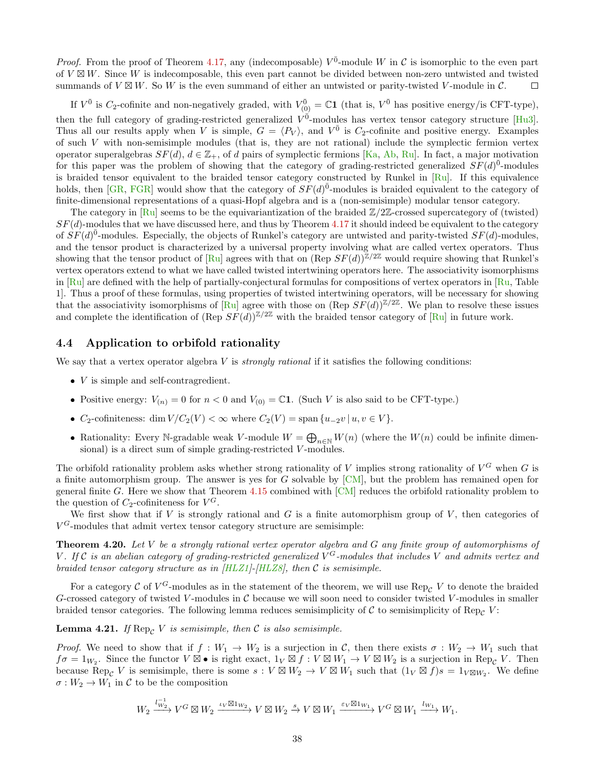*Proof.* From the proof of Theorem [4.17,](#page-33-0) any (indecomposable)  $V^{\bar{0}}$ -module W in C is isomorphic to the even part of  $V \boxtimes W$ . Since W is indecomposable, this even part cannot be divided between non-zero untwisted and twisted summands of  $V \boxtimes W$ . So W is the even summand of either an untwisted or parity-twisted V-module in C.  $\Box$ 

If  $V^{\bar{0}}$  is  $C_2$ -cofinite and non-negatively graded, with  $V^{\bar{0}}_{(0)} = \mathbb{C}1$  (that is,  $V^{\bar{0}}$  has positive energy/is CFT-type), then the full category of grading-restricted generalized  $V^{\vec{0}}$ -modules has vertex tensor category structure [\[Hu3\]](#page-54-4). Thus all our results apply when V is simple,  $G = \langle P_V \rangle$ , and  $V^{\bar{0}}$  is  $C_2$ -cofinite and positive energy. Examples of such  $V$  with non-semisimple modules (that is, they are not rational) include the symplectic fermion vertex operator superalgebras  $SF(d)$ ,  $d \in \mathbb{Z}_+$ , of d pairs of symplectic fermions [\[Ka,](#page-55-11) [Ab,](#page-53-2) [Ru\]](#page-55-12). In fact, a major motivation for this paper was the problem of showing that the category of grading-restricted generalized  $SF(d)^{\bar{0}}$ -modules is braided tensor equivalent to the braided tensor category constructed by Runkel in [\[Ru\]](#page-55-12). If this equivalence holds, then [\[GR,](#page-54-6) [FGR\]](#page-54-7) would show that the category of  $SF(d)^{\bar{0}}$ -modules is braided equivalent to the category of finite-dimensional representations of a quasi-Hopf algebra and is a (non-semisimple) modular tensor category.

The category in  $\lceil \text{Ru} \rceil$  seems to be the equivariantization of the braided  $\mathbb{Z}/2\mathbb{Z}$ -crossed supercategory of (twisted)  $SF(d)$ -modules that we have discussed here, and thus by Theorem [4.17](#page-33-0) it should indeed be equivalent to the category of  $SF(d)^{\bar{0}}$ -modules. Especially, the objects of Runkel's category are untwisted and parity-twisted  $SF(d)$ -modules, and the tensor product is characterized by a universal property involving what are called vertex operators. Thus showing that the tensor product of [\[Ru\]](#page-55-12) agrees with that on  $(\text{Rep } SF(d))^{\mathbb{Z}/2\mathbb{Z}}$  would require showing that Runkel's vertex operators extend to what we have called twisted intertwining operators here. The associativity isomorphisms in  $\lceil Ru \rceil$  are defined with the help of partially-conjectural formulas for compositions of vertex operators in  $\lceil Ru \rceil$ . Table 1]. Thus a proof of these formulas, using properties of twisted intertwining operators, will be necessary for showing that the associativity isomorphisms of  $\overline{R}u$  agree with those on  $(\text{Rep } SF(d))^{\mathbb{Z}/2\mathbb{Z}}$ . We plan to resolve these issues and complete the identification of  $(\text{Rep } SF(d))^{\mathbb{Z}/2\mathbb{Z}}$  with the braided tensor category of  $\lceil \text{Rul} \rceil$  in future work.

#### <span id="page-37-0"></span>4.4 Application to orbifold rationality

We say that a vertex operator algebra  $V$  is *strongly rational* if it satisfies the following conditions:

- $\bullet$  V is simple and self-contragredient.
- Positive energy:  $V_{(n)} = 0$  for  $n < 0$  and  $V_{(0)} = \mathbb{C}1$ . (Such V is also said to be CFT-type.)
- $C_2$ -cofiniteness: dim  $V/C_2(V) < \infty$  where  $C_2(V) = \text{span} \{u_{-2}v \mid u, v \in V\}.$
- Rationality: Every N-gradable weak V-module  $W = \bigoplus_{n \in \mathbb{N}} W(n)$  (where the  $W(n)$  could be infinite dimensional) is a direct sum of simple grading-restricted V-modules.

The orbifold rationality problem asks whether strong rationality of V implies strong rationality of  $V^G$  when G is a finite automorphism group. The answer is yes for  $G$  solvable by  $\lbrack CM\rbrack$ , but the problem has remained open for general finite G. Here we show that Theorem [4.15](#page-30-0) combined with [\[CM\]](#page-53-1) reduces the orbifold rationality problem to the question of  $C_2$ -cofiniteness for  $V^G$ .

We first show that if V is strongly rational and G is a finite automorphism group of V, then categories of  $V^G$ -modules that admit vertex tensor category structure are semisimple:

<span id="page-37-1"></span>**Theorem 4.20.** Let V be a strongly rational vertex operator algebra and G any finite group of automorphisms of V. If C is an abelian category of grading-restricted generalized  $V^G$ -modules that includes V and admits vertex and braided tensor category structure as in [\[HLZ1\]](#page-54-2)-[\[HLZ8\]](#page-55-0), then C is semisimple.

For a category C of  $V^G$ -modules as in the statement of the theorem, we will use  $\text{Rep}_{\mathcal{C}} V$  to denote the braided G-crossed category of twisted V-modules in  $\mathcal C$  because we will soon need to consider twisted V-modules in smaller braided tensor categories. The following lemma reduces semisimplicity of C to semisimplicity of Rep<sub>C</sub> V:

**Lemma 4.21.** If  $\text{Rep}_{\mathcal{C}} V$  is semisimple, then  $\mathcal{C}$  is also semisimple.

*Proof.* We need to show that if  $f : W_1 \to W_2$  is a surjection in C, then there exists  $\sigma : W_2 \to W_1$  such that  $f\sigma = 1_{W_2}$ . Since the functor  $V \boxtimes \bullet$  is right exact,  $1_V \boxtimes f : V \boxtimes W_1 \to V \boxtimes W_2$  is a surjection in Rep<sub>C</sub> V. Then because Rep<sub>C</sub> V is semisimple, there is some  $s: V \boxtimes W_2 \to V \boxtimes W_1$  such that  $(1_V \boxtimes f)s = 1_{V \boxtimes W_2}$ . We define  $\sigma:W_2\to W_1$  in  $\mathcal C$  to be the composition

$$
W_2 \xrightarrow{l_{W_2}^{-1}} V^G \boxtimes W_2 \xrightarrow{\iota_V \boxtimes 1_{W_2}} V \boxtimes W_2 \xrightarrow{s} V \boxtimes W_1 \xrightarrow{\varepsilon_V \boxtimes 1_{W_1}} V^G \boxtimes W_1 \xrightarrow{l_{W_1}} W_1.
$$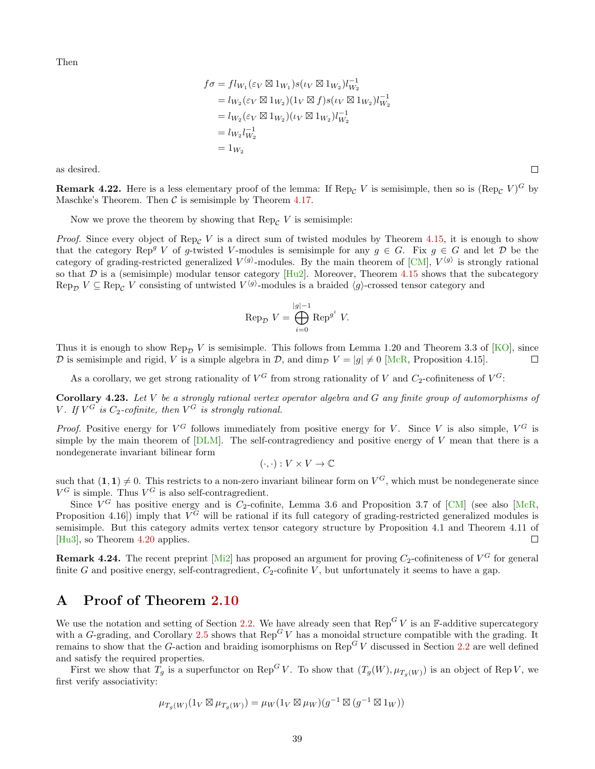Then

$$
f\sigma = fl_{W_1}(\varepsilon_V \boxtimes 1_{W_1})s(\iota_V \boxtimes 1_{W_2})l_{W_2}^{-1}
$$
  
=  $l_{W_2}(\varepsilon_V \boxtimes 1_{W_2})(1_V \boxtimes f)s(\iota_V \boxtimes 1_{W_2})l_{W_2}^{-1}$   
=  $l_{W_2}(\varepsilon_V \boxtimes 1_{W_2})(\iota_V \boxtimes 1_{W_2})l_{W_2}^{-1}$   
=  $l_{W_2}l_{W_2}^{-1}$   
=  $1_{W_2}$ 

as desired.

 $\Box$ 

**Remark 4.22.** Here is a less elementary proof of the lemma: If  $\text{Rep}_{\mathcal{C}} V$  is semisimple, then so is  $(\text{Rep}_{\mathcal{C}} V)^G$  by Maschke's Theorem. Then  $\mathcal C$  is semisimple by Theorem [4.17.](#page-33-0)

Now we prove the theorem by showing that  $\text{Rep}_{\mathcal{C}} V$  is semisimple:

*Proof.* Since every object of Rep<sub>C</sub> V is a direct sum of twisted modules by Theorem [4.15,](#page-30-0) it is enough to show that the category Rep<sup>g</sup> V of g-twisted V-modules is semisimple for any  $g \in G$ . Fix  $g \in G$  and let D be the category of grading-restricted generalized  $V^{(g)}$ -modules. By the main theorem of  $\text{[CM]}, V^{(g)}$  $\text{[CM]}, V^{(g)}$  $\text{[CM]}, V^{(g)}$  is strongly rational so that D is a (semisimple) modular tensor category  $[Hu2]$ . Moreover, Theorem [4.15](#page-30-0) shows that the subcategory Rep<sub>D</sub>  $V \subseteq \text{Rep}_{\mathcal{C}}$  V consisting of untwisted  $V^{\langle g \rangle}$ -modules is a braided  $\langle g \rangle$ -crossed tensor category and

$$
\operatorname{Rep}_{\mathcal{D}} V = \bigoplus_{i=0}^{|g|-1} \operatorname{Rep}^{g^i} V.
$$

Thus it is enough to show Rep<sub>D</sub> V is semisimple. This follows from Lemma 1.20 and Theorem 3.3 of [\[KO\]](#page-55-8), since D is semisimple and rigid, V is a simple algebra in D, and dim<sub>p</sub>  $V = |g| \neq 0$  [\[McR,](#page-55-10) Proposition 4.15].  $\Box$ 

As a corollary, we get strong rationality of  $V^G$  from strong rationality of V and  $C_2$ -cofiniteness of  $V^G$ :

<span id="page-38-1"></span>Corollary 4.23. Let V be a strongly rational vertex operator algebra and G any finite group of automorphisms of V. If  $V^G$  is  $C_2$ -cofinite, then  $V^G$  is strongly rational.

*Proof.* Positive energy for  $V^G$  follows immediately from positive energy for V. Since V is also simple,  $V^G$  is simple by the main theorem of  $[DLM]$ . The self-contragrediency and positive energy of V mean that there is a nondegenerate invariant bilinear form

$$
(\cdot, \cdot): V \times V \to \mathbb{C}
$$

such that  $(1,1) \neq 0$ . This restricts to a non-zero invariant bilinear form on  $V^G$ , which must be nondegenerate since  $V^G$  is simple. Thus  $V^G$  is also self-contragredient.

Since  $V^G$  has positive energy and is  $C_2$ -cofinite, Lemma 3.6 and Proposition 3.7 of [\[CM\]](#page-53-1) (see also [\[McR,](#page-55-10) Proposition 4.16) imply that  $V^G$  will be rational if its full category of grading-restricted generalized modules is semisimple. But this category admits vertex tensor category structure by Proposition 4.1 and Theorem 4.11 of [\[Hu3\]](#page-54-4), so Theorem [4.20](#page-37-1) applies.  $\Box$ 

**Remark 4.24.** The recent preprint [\[Mi2\]](#page-55-2) has proposed an argument for proving  $C_2$ -cofiniteness of  $V^G$  for general finite G and positive energy, self-contragredient,  $C_2$ -cofinite V, but unfortunately it seems to have a gap.

### <span id="page-38-0"></span>A Proof of Theorem [2.10](#page-10-0)

We use the notation and setting of Section [2.2.](#page-7-0) We have already seen that  $\text{Rep}^G V$  is an F-additive supercategory with a G-grading, and Corollary [2.5](#page-8-1) shows that  $\text{Rep}^G V$  has a monoidal structure compatible with the grading. It remains to show that the G-action and braiding isomorphisms on  $\text{Rep}^G V$  discussed in Section [2.2](#page-7-0) are well defined and satisfy the required properties.

First we show that  $T_g$  is a superfunctor on Rep<sup>G</sup> V. To show that  $(T_g(W), \mu_{T_g(W)})$  is an object of Rep V, we first verify associativity:

$$
\mu_{T_g(W)}(1_V \boxtimes \mu_{T_g(W)}) = \mu_W(1_V \boxtimes \mu_W)(g^{-1} \boxtimes (g^{-1} \boxtimes 1_W))
$$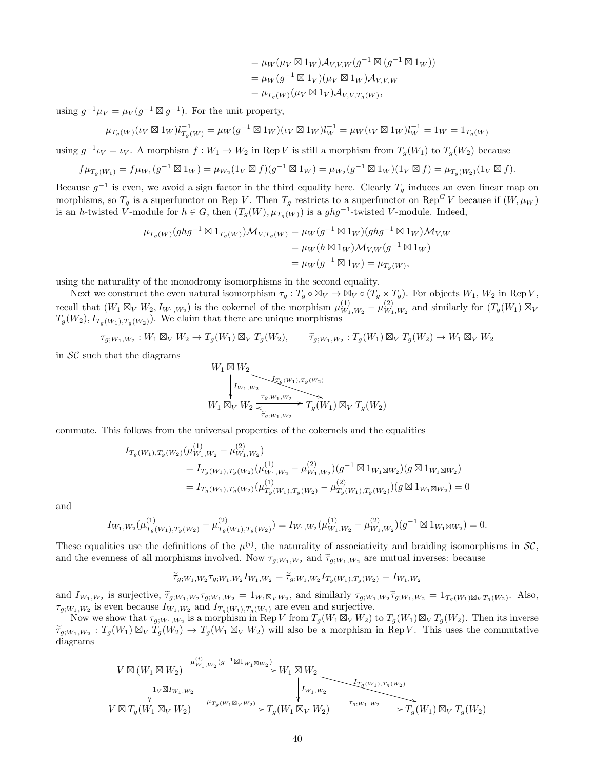$$
= \mu_W(\mu_V \boxtimes 1_W) \mathcal{A}_{V,V,W}(g^{-1} \boxtimes (g^{-1} \boxtimes 1_W))
$$
  
=  $\mu_W(g^{-1} \boxtimes 1_V)(\mu_V \boxtimes 1_W) \mathcal{A}_{V,V,W}$   
=  $\mu_{T_g(W)}(\mu_V \boxtimes 1_V) \mathcal{A}_{V,V,T_g(W)},$ 

using  $g^{-1}\mu_V = \mu_V(g^{-1} \boxtimes g^{-1})$ . For the unit property,

$$
\mu_{T_g(W)}(\iota_V \boxtimes 1_W)l_{T_g(W)}^{-1} = \mu_W(g^{-1} \boxtimes 1_W)(\iota_V \boxtimes 1_W)l_W^{-1} = \mu_W(\iota_V \boxtimes 1_W)l_W^{-1} = 1_W = 1_{T_g(W)}
$$

using  $g^{-1}\iota_V = \iota_V$ . A morphism  $f: W_1 \to W_2$  in Rep V is still a morphism from  $T_g(W_1)$  to  $T_g(W_2)$  because

$$
f\mu_{T_g(W_1)} = f\mu_{W_1}(g^{-1} \boxtimes 1_W) = \mu_{W_2}(1_V \boxtimes f)(g^{-1} \boxtimes 1_W) = \mu_{W_2}(g^{-1} \boxtimes 1_W)(1_V \boxtimes f) = \mu_{T_g(W_2)}(1_V \boxtimes f).
$$

Because  $g^{-1}$  is even, we avoid a sign factor in the third equality here. Clearly  $T_g$  induces an even linear map on morphisms, so  $T_g$  is a superfunctor on Rep V. Then  $T_g$  restricts to a superfunctor on Rep<sup>G</sup> V because if  $(W, \mu_W)$ is an h-twisted V-module for  $h \in G$ , then  $(T_g(W), \mu_{T_g(W)})$  is a  $ghg^{-1}$ -twisted V-module. Indeed,

$$
\mu_{T_g(W)}(ghg^{-1} \boxtimes 1_{T_g(W)})\mathcal{M}_{V,T_g(W)} = \mu_W(g^{-1} \boxtimes 1_W)(ghg^{-1} \boxtimes 1_W)\mathcal{M}_{V,W} \n= \mu_W(h \boxtimes 1_W)\mathcal{M}_{V,W}(g^{-1} \boxtimes 1_W) \n= \mu_W(g^{-1} \boxtimes 1_W) = \mu_{T_g(W)},
$$

using the naturality of the monodromy isomorphisms in the second equality.

Next we construct the even natural isomorphism  $\tau_g: T_g \circ \boxtimes_V \to \boxtimes_V \circ (T_g \times T_g)$ . For objects  $W_1, W_2$  in Rep V, recall that  $(W_1 \boxtimes_V W_2, I_{W_1,W_2})$  is the cokernel of the morphism  $\mu_{W_1}^{(1)}$  $\frac{(1)}{W_1,W_2}-\mu\frac{(2)}{W_1}$  $W_{1,W_2}^{(2)}$  and similarly for  $(T_g(W_1) \boxtimes_V$  $T_g(W_2)$ ,  $I_{T_g(W_1),T_g(W_2)}$ . We claim that there are unique morphisms

$$
\tau_{g;W_1,W_2}: W_1 \boxtimes_V W_2 \to T_g(W_1) \boxtimes_V T_g(W_2), \qquad \widetilde{\tau}_{g;W_1,W_2}: T_g(W_1) \boxtimes_V T_g(W_2) \to W_1 \boxtimes_V W_2
$$

in  $SC$  such that the diagrams

$$
\begin{array}{c}\nW_1 \boxtimes W_2 \\
\downarrow I_{W_1,W_2} \\
W_1 \boxtimes_V W_2 \xrightarrow[\tau_g, w_1, w_2]{\tau_g, w_1, w_2} T_g(W_1) \boxtimes_V T_g(W_2)\n\end{array}
$$

commute. This follows from the universal properties of the cokernels and the equalities

$$
I_{T_g(W_1),T_g(W_2)}(\mu_{W_1,W_2}^{(1)} - \mu_{W_1,W_2}^{(2)})
$$
  
=  $I_{T_g(W_1),T_g(W_2)}(\mu_{W_1,W_2}^{(1)} - \mu_{W_1,W_2}^{(2)}) (g^{-1} \boxtimes 1_{W_1 \boxtimes W_2}) (g \boxtimes 1_{W_1 \boxtimes W_2})$   
=  $I_{T_g(W_1),T_g(W_2)}(\mu_{T_g(W_1),T_g(W_2)}^{(1)} - \mu_{T_g(W_1),T_g(W_2)}^{(2)}) (g \boxtimes 1_{W_1 \boxtimes W_2}) = 0$ 

and

$$
I_{W_1,W_2}(\mu_{T_g(W_1),T_g(W_2)}^{(1)} - \mu_{T_g(W_1),T_g(W_2)}^{(2)}) = I_{W_1,W_2}(\mu_{W_1,W_2}^{(1)} - \mu_{W_1,W_2}^{(2)}) (g^{-1} \boxtimes 1_{W_1 \boxtimes W_2}) = 0.
$$

These equalities use the definitions of the  $\mu^{(i)}$ , the naturality of associativity and braiding isomorphisms in  $\mathcal{SC}$ , and the evenness of all morphisms involved. Now  $\tau_{g;W_1,W_2}$  and  $\widetilde{\tau}_{g;W_1,W_2}$  are mutual inverses: because

$$
\widetilde{\tau}_{g;W_1,W_2}\tau_{g;W_1,W_2}I_{W_1,W_2} = \widetilde{\tau}_{g;W_1,W_2}I_{T_g(W_1),T_g(W_2)} = I_{W_1,W_2}
$$

and  $I_{W_1,W_2}$  is surjective,  $\tilde{\tau}_{g;W_1,W_2} \tau_{g;W_1,W_2} = 1_{W_1 \boxtimes_V W_2}$ , and similarly  $\tau_{g;W_1,W_2} \tilde{\tau}_{g;W_1,W_2} = 1_{T_g(W_1) \boxtimes_V T_g(W_2)}$ . Also,  $\tau_{g;W_1,W_2}$  is even because  $I_{W_1,W_2}$  and  $I_{T_g(W_1),T_g(W_1)}$  are even and surjective.

Now we show that  $\tau_{g;W_1,W_2}$  is a morphism in Rep V from  $T_g(W_1 \boxtimes_V W_2)$  to  $T_g(W_1) \boxtimes_V T_g(W_2)$ . Then its inverse  $\widetilde{\tau}_{g;W_1,W_2}: T_g(W_1) \boxtimes_V \widetilde{T}_g(W_2) \to T_g(W_1 \boxtimes_V W_2)$  will also be a morphism in Rep V. This uses the commutative diagrams diagrams

$$
\begin{CD} V \boxtimes (W_1 \boxtimes W_2) @>\mu_{W_1,W_2}^{(i)}(g^{-1} \boxtimes 1_{W_1 \boxtimes W_2}) \\ & \downarrow & \downarrow & \downarrow \\ V \boxtimes T_g(W_1 \boxtimes_V W_2) @>\mu_{T_g(W_1 \boxtimes_V W_2)} @>H_{\mathcal{H}}(W_1 \boxtimes_V W_2) \\ & \downarrow & \downarrow & \downarrow \\ V \boxtimes T_g(W_1 \boxtimes_V W_2) @>\mu_{T_g(W_1 \boxtimes_V W_2)} @>T_g(W_1 \boxtimes_V W_2) @>\tau_{g;W_1,W_2}^{T_g(W_1) , T_g(W_2) } @>T_g(W_1) \boxtimes_V T_g(W_2) \\ \end{CD}
$$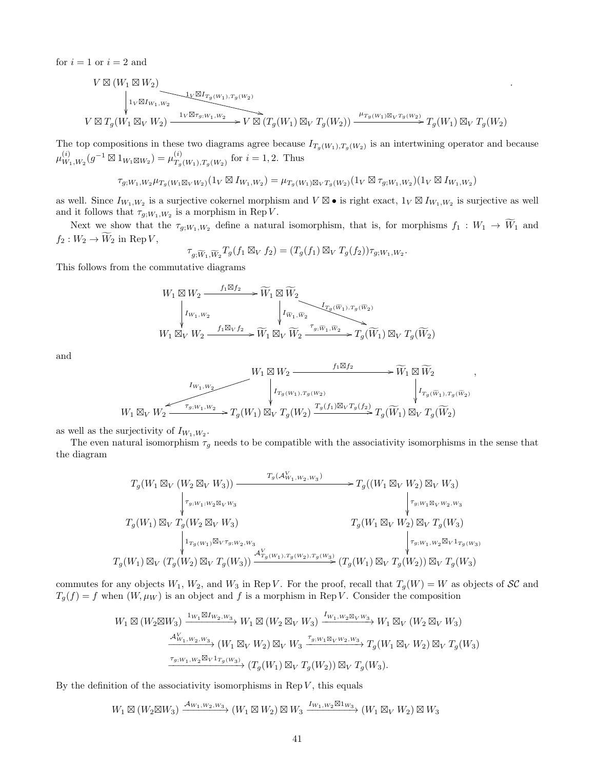for  $i = 1$  or  $i = 2$  and

$$
\begin{array}{l} V\boxtimes (W_{1}\boxtimes W_{2})\\ \downarrow_{1_{V}\boxtimes I_{W_{1},W_{2}}}\hspace*{-3mm}\downarrow_{1_{V}\boxtimes I_{T_{g}(W_{1}),T_{g}(W_{2})}}\\ V\boxtimes T_{g}(W_{1}\boxtimes_{V}W_{2})\stackrel{1_{V}\boxtimes\tau_{g,W_{1},W_{2}}}{\longrightarrow} V\boxtimes (T_{g}(W_{1})\boxtimes_{V}T_{g}(W_{2}))\stackrel{\mu_{T_{g}(W_{1})\boxtimes_{V}T_{g}(W_{2})}}{\longrightarrow} T_{g}(W_{1})\boxtimes_{V}T_{g}(W_{2})\\ \end{array}
$$

.

,

The top compositions in these two diagrams agree because  $I_{T_g(W_1),T_g(W_2)}$  is an intertwining operator and because  $\mu^{(i)}_W$  $W_{1,W_2}^{(i)}(g^{-1} \boxtimes 1_{W_1 \boxtimes W_2}) = \mu_{T_q}^{(i)}$  $T_g(W_1), T_g(W_2)$  for  $i = 1, 2$ . Thus

$$
\tau_{g;W_1,W_2} \mu_{T_g(W_1 \boxtimes_V W_2)}(1_V \boxtimes I_{W_1,W_2}) = \mu_{T_g(W_1) \boxtimes_V T_g(W_2)}(1_V \boxtimes \tau_{g;W_1,W_2})(1_V \boxtimes I_{W_1,W_2})
$$

as well. Since  $I_{W_1,W_2}$  is a surjective cokernel morphism and  $V \boxtimes \bullet$  is right exact,  $1_V \boxtimes I_{W_1,W_2}$  is surjective as well and it follows that  $\tau_{g;W_1,W_2}$  is a morphism in Rep V.

Next we show that the  $\tau_{g;W_1,W_2}$  define a natural isomorphism, that is, for morphisms  $f_1 : W_1 \to \widetilde{W}_1$  and  $f_2: W_2 \to \widetilde{W}_2$  in Rep V,

$$
\tau_{g,\widetilde{W}_1,\widetilde{W}_2}T_g(f_1\boxtimes_V f_2)=(T_g(f_1)\boxtimes_V T_g(f_2))\tau_{g,W_1,W_2}.
$$

This follows from the commutative diagrams

$$
\begin{CD} W_1\boxtimes W_2 \xrightarrow{\quad f_1\boxtimes f_2\quad \searrow \widetilde W_1\boxtimes \widetilde W_2\\[1mm] \Big|_{I_{W_1,W_2}}\\[1mm] W_1\boxtimes_V W_2 \xrightarrow{\quad f_1\boxtimes_V f_2\quad \searrow \widetilde W_1\boxtimes_V \widetilde W_2\xrightarrow{\quad \tau_g, \widetilde w_1, \widetilde w_2\\[1mm] } \widetilde W_2\xrightarrow{\quad \tau_g, \widetilde w_1, \widetilde w_2\quad \searrow T_g(\widetilde W_1)\boxtimes_V T_g(\widetilde W_2) \end{CD}
$$

and

$$
W_1 \boxtimes W_2 \xrightarrow{\qquad \qquad f_1 \boxtimes f_2} W_1 \boxtimes \widetilde{W}_1 \boxtimes \widetilde{W}_2
$$
\n
$$
W_1 \boxtimes_V W_2 \xrightarrow{\qquad \qquad f_1, w_2} T_g(W_1) \boxtimes_V T_g(W_2) \xrightarrow{\qquad \qquad f_2(f_1) \boxtimes_V T_g(f_2)} T_g(\widetilde{W}_1) \boxtimes_V T_g(\widetilde{W}_2)
$$

as well as the surjectivity of  $I_{W_1,W_2}$ .

The even natural isomorphism  $\tau_g$  needs to be compatible with the associativity isomorphisms in the sense that the diagram

$$
T_g(W_1 \boxtimes_V (W_2 \boxtimes_V W_3)) \xrightarrow{\begin{array}{c} T_g(\mathcal{A}_{W_1,W_2,W_3}^V) \\ \n\downarrow \tau_{g;W_1;W_2 \boxtimes_V W_3} \end{array}} T_g((W_1 \boxtimes_V W_2) \boxtimes_V W_3) \xrightarrow{\begin{array}{c} T_{g;W_1 \boxtimes_V W_3} \\ \n\downarrow \tau_{g;W_1 \boxtimes_V W_2} \end{array}} T_g(W_1 \boxtimes_V W_2) \boxtimes_V W_3)
$$
\n
$$
T_g(W_1 \boxtimes_V T_g(W_3) \xrightarrow{\begin{array}{c} T_{g;W_1 \boxtimes_V W_2, W_3} \\ \n\downarrow \tau_{g;W_1 \boxtimes_V \tau_{g;W_2} \end{array}} T_g(W_1 \boxtimes_V W_2) \boxtimes_V T_g(W_3)
$$
\n
$$
T_g(W_1) \boxtimes_V (T_g(W_2) \boxtimes_V T_g(W_3)) \xrightarrow{\mathcal{A}_{T_g(W_1), T_g(W_2), T_g(W_3)}^{\mathcal{A}_{T_g(W_1), T_g(W_2), T_g(W_3)}} (T_g(W_1) \boxtimes_V T_g(W_2)) \boxtimes_V T_g(W_3)
$$

commutes for any objects  $W_1, W_2$ , and  $W_3$  in Rep V. For the proof, recall that  $T_g(W) = W$  as objects of  $\mathcal{SC}$  and  $T_g(f) = f$  when  $(W, \mu_W)$  is an object and f is a morphism in Rep V. Consider the composition

$$
W_1 \boxtimes (W_2 \boxtimes W_3) \xrightarrow{\mathbf{1}_{W_1} \boxtimes \mathbf{1}_{W_2, W_3}} W_1 \boxtimes (W_2 \boxtimes_V W_3) \xrightarrow{\mathbf{1}_{W_1, W_2} \boxtimes_V W_3} W_1 \boxtimes_V (W_2 \boxtimes_V W_3)
$$

$$
\xrightarrow{\mathbf{A}_{W_1, W_2, W_3}^V} (W_1 \boxtimes_V W_2) \boxtimes_V W_3 \xrightarrow{\tau_g, W_1 \boxtimes_V W_2, W_3} T_g(W_1 \boxtimes_V W_2) \boxtimes_V T_g(W_3)
$$

$$
\xrightarrow{\tau_g, W_1, W_2 \boxtimes_V \mathbf{1}_{T_g(W_3)}} (T_g(W_1) \boxtimes_V T_g(W_2)) \boxtimes_V T_g(W_3).
$$

By the definition of the associativity isomorphisms in Rep  $V$ , this equals

$$
W_1\boxtimes (W_2\boxtimes W_3)\xrightarrow{\mathcal{A}_{W_1,W_2,W_3}} (W_1\boxtimes W_2)\boxtimes W_3\xrightarrow{I_{W_1,W_2}\boxtimes 1_{W_3}} (W_1\boxtimes_V W_2)\boxtimes W_3
$$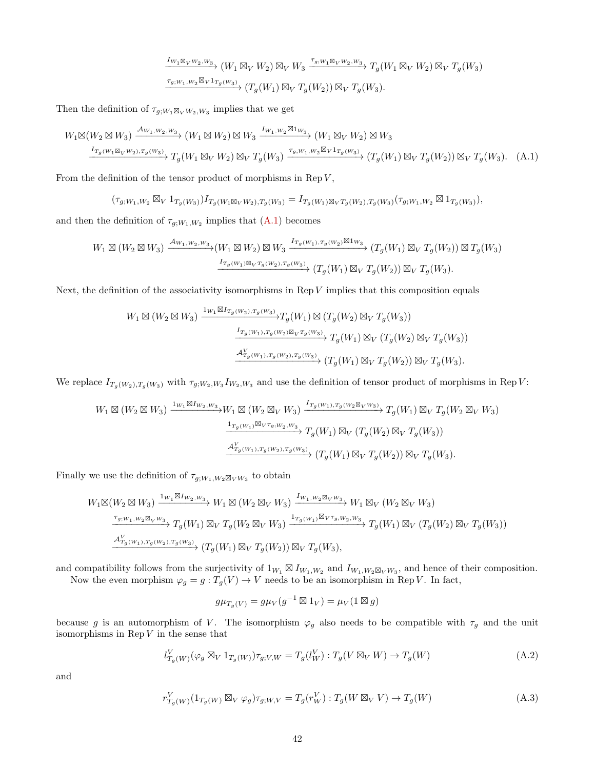<span id="page-41-0"></span>
$$
\frac{I_{W_1 \boxtimes_V W_2, W_3}}{I_{g;W_1, W_2 \boxtimes_V 1_{T_g(W_3)}} (W_1 \boxtimes_V W_2) \boxtimes_V W_3 \xrightarrow{\tau_{g;W_1 \boxtimes_V W_2, W_3}} T_g(W_1 \boxtimes_V W_2) \boxtimes_V T_g(W_3)
$$
  

$$
\xrightarrow{\tau_{g;W_1, W_2 \boxtimes_V 1_{T_g(W_3)}} (T_g(W_1) \boxtimes_V T_g(W_2)) \boxtimes_V T_g(W_3).
$$

Then the definition of  $\tau_{g;W_1\boxtimes_V W_2,W_3}$  implies that we get

$$
W_1 \boxtimes (W_2 \boxtimes W_3) \xrightarrow{\mathcal{A}_{W_1, W_2, W_3}} (W_1 \boxtimes W_2) \boxtimes W_3 \xrightarrow{I_{W_1, W_2} \boxtimes 1_{W_3}} (W_1 \boxtimes_V W_2) \boxtimes W_3
$$
  

$$
\xrightarrow{I_{T_g(W_1 \boxtimes_V W_2), T_g(W_3)} T_g(W_1 \boxtimes_V W_2) \boxtimes_V T_g(W_3) \xrightarrow{\tau_{g;W_1, W_2} \boxtimes_V 1_{T_g(W_3)}} (T_g(W_1) \boxtimes_V T_g(W_2)) \boxtimes_V T_g(W_3). \tag{A.1}
$$

From the definition of the tensor product of morphisms in Rep  $V$ ,

$$
(\tau_{g,W_1,W_2}\boxtimes_V 1_{T_g(W_3)})I_{T_g(W_1\boxtimes_V W_2),T_g(W_3)}=I_{T_g(W_1)\boxtimes_V T_g(W_2),T_g(W_3)}(\tau_{g,W_1,W_2}\boxtimes 1_{T_g(W_3)}),
$$

and then the definition of  $\tau_{g;W_1,W_2}$  implies that  $(A.1)$  becomes

$$
W_1 \boxtimes (W_2 \boxtimes W_3) \xrightarrow{\mathcal{A}_{W_1,W_2,W_3}} (W_1 \boxtimes W_2) \boxtimes W_3 \xrightarrow{I_{T_g(W_1),T_g(W_2)} \boxtimes 1_{W_3}} (T_g(W_1) \boxtimes_V T_g(W_2)) \boxtimes T_g(W_3)
$$
  

$$
\xrightarrow{I_{T_g(W_1) \boxtimes_V T_g(W_2),T_g(W_3)}} (T_g(W_1) \boxtimes_V T_g(W_2)) \boxtimes_V T_g(W_3).
$$

Next, the definition of the associativity isomorphisms in Rep  $V$  implies that this composition equals

$$
W_1 \boxtimes (W_2 \boxtimes W_3) \xrightarrow{\mathbf{1}_{W_1} \boxtimes \mathbf{1}_{T_g(W_2), T_g(W_3)}} T_g(W_1) \boxtimes (T_g(W_2) \boxtimes_V T_g(W_3))
$$

$$
\xrightarrow{\mathbf{1}_{T_g(W_1), T_g(W_2) \boxtimes_V T_g(W_3)}} T_g(W_1) \boxtimes_V (T_g(W_2) \boxtimes_V T_g(W_3))
$$

$$
\xrightarrow{\mathbf{A}_{T_g(W_1), T_g(W_2), T_g(W_3)}^V} (T_g(W_1) \boxtimes_V T_g(W_2)) \boxtimes_V T_g(W_3).
$$

We replace  $I_{T_g(W_2), T_g(W_3)}$  with  $\tau_{g;W_2,W_3} I_{W_2,W_3}$  and use the definition of tensor product of morphisms in Rep V:

$$
W_1 \boxtimes (W_2 \boxtimes W_3) \xrightarrow{\mathbf{1}_{W_1} \boxtimes \mathbf{1}_{W_2, W_3}} W_1 \boxtimes (W_2 \boxtimes_V W_3) \xrightarrow{\mathbf{1}_{T_g(W_1), T_g(W_2 \boxtimes_V W_3)}} T_g(W_1) \boxtimes_V T_g(W_2 \boxtimes_V W_3)
$$

$$
\xrightarrow{\mathbf{1}_{T_g(W_1)} \boxtimes_V \tau_{g;W_2, W_3}} T_g(W_1) \boxtimes_V (T_g(W_2) \boxtimes_V T_g(W_3))
$$

$$
\xrightarrow{\mathbf{A}_{T_g(W_1), T_g(W_2), T_g(W_3)}^V} (T_g(W_1) \boxtimes_V T_g(W_2)) \boxtimes_V T_g(W_3).
$$

Finally we use the definition of  $\tau_{g;W_1,W_2\boxtimes_V W_3}$  to obtain

$$
W_1 \boxtimes (W_2 \boxtimes W_3) \xrightarrow{\mathbf{1}_{W_1} \boxtimes \mathbf{1}_{W_2, W_3}} W_1 \boxtimes (W_2 \boxtimes_V W_3) \xrightarrow{\mathbf{1}_{W_1, W_2} \boxtimes_V W_3} W_1 \boxtimes_V (W_2 \boxtimes_V W_3)
$$
  

$$
\xrightarrow{\tau_{g;W_1, W_2} \boxtimes_V W_3} T_g(W_1) \boxtimes_V T_g(W_2 \boxtimes_V W_3) \xrightarrow{\mathbf{1}_{T_g(W_1)} \boxtimes_V \tau_{g;W_2, W_3}} T_g(W_1) \boxtimes_V (T_g(W_2) \boxtimes_V T_g(W_3))
$$
  

$$
\xrightarrow{\mathcal{A}_{T_g(W_1), T_g(W_2), T_g(W_3)}^V} (T_g(W_1) \boxtimes_V T_g(W_2)) \boxtimes_V T_g(W_3),
$$

and compatibility follows from the surjectivity of  $1_{W_1} \boxtimes I_{W_1,W_2}$  and  $I_{W_1,W_2 \boxtimes_V W_3}$ , and hence of their composition.

Now the even morphism  $\varphi_g = g : T_g(V) \to V$  needs to be an isomorphism in Rep V. In fact,

<span id="page-41-2"></span><span id="page-41-1"></span>
$$
g\mu_{T_g(V)} = g\mu_V(g^{-1} \boxtimes 1_V) = \mu_V(1 \boxtimes g)
$$

because g is an automorphism of V. The isomorphism  $\varphi_g$  also needs to be compatible with  $\tau_g$  and the unit isomorphisms in  $\mathop{\mathrm{Rep}}\nolimits V$  in the sense that

$$
l_{T_g(W)}^V(\varphi_g \boxtimes_V 1_{T_g(W)}) \tau_{g;V,W} = T_g(l_W^V) : T_g(V \boxtimes_V W) \to T_g(W)
$$
\n(A.2)

and

$$
r_{T_g(W)}^V(1_{T_g(W)} \boxtimes_V \varphi_g) \tau_{g;W,V} = T_g(r_W^V) : T_g(W \boxtimes_V V) \to T_g(W)
$$
\n(A.3)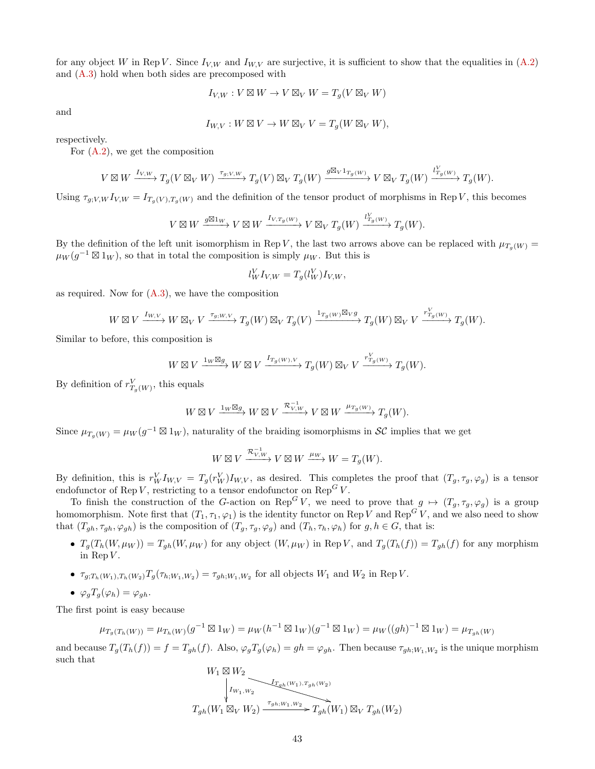for any object W in Rep V. Since  $I_{V,W}$  and  $I_{W,V}$  are surjective, it is sufficient to show that the equalities in [\(A.2\)](#page-41-1) and [\(A.3\)](#page-41-2) hold when both sides are precomposed with

$$
I_{V,W}: V \boxtimes W \to V \boxtimes_V W = T_g(V \boxtimes_V W)
$$

and

$$
I_{W,V}: W \boxtimes V \to W \boxtimes_V V = T_g(W \boxtimes_V W),
$$

respectively.

For [\(A.2\)](#page-41-1), we get the composition

$$
V \boxtimes W \xrightarrow{I_{V,W}} T_g(V \boxtimes_V W) \xrightarrow{\tau_{g;V,W}} T_g(V) \boxtimes_V T_g(W) \xrightarrow{g \boxtimes_V 1_{T_g(W)}} V \boxtimes_V T_g(W) \xrightarrow{l_{T_g(W)}^V} T_g(W).
$$

Using  $\tau_{g;V,W} I_{V,W} = I_{T_g(V),T_g(W)}$  and the definition of the tensor product of morphisms in Rep V, this becomes

$$
V\boxtimes W\xrightarrow{g\boxtimes 1_W} V\boxtimes W\xrightarrow{I_{V,T_g(W)}} V\boxtimes_V T_g(W)\xrightarrow{l_{T_g(W)}^V} T_g(W).
$$

By the definition of the left unit isomorphism in Rep V, the last two arrows above can be replaced with  $\mu_{T_g(W)} =$  $\mu_W(g^{-1} \boxtimes 1_W)$ , so that in total the composition is simply  $\mu_W$ . But this is

$$
l_W^V I_{V,W} = T_g(l_W^V) I_{V,W},
$$

as required. Now for  $(A.3)$ , we have the composition

$$
W \boxtimes V \xrightarrow{I_{W,V}} W \boxtimes_V V \xrightarrow{\tau_{g;W,V}} T_g(W) \boxtimes_V T_g(V) \xrightarrow{1_{T_g(W)} \boxtimes_V g} T_g(W) \boxtimes_V V \xrightarrow{r_{T_g(W)}^V} T_g(W).
$$

Similar to before, this composition is

$$
W \boxtimes V \xrightarrow{1_W \boxtimes g} W \boxtimes V \xrightarrow{I_{T_g(W),V}} T_g(W) \boxtimes_V V \xrightarrow{r_{T_g(W)}^V} T_g(W).
$$

By definition of  $r_{T_g(W)}^V$ , this equals

$$
W \boxtimes V \xrightarrow{1_W \boxtimes g} W \boxtimes V \xrightarrow{\mathcal{R}_{V,W}^{-1}} V \boxtimes W \xrightarrow{\mu_{T_g(W)}} T_g(W).
$$

Since  $\mu_{T_g(W)} = \mu_W(g^{-1} \boxtimes 1_W)$ , naturality of the braiding isomorphisms in SC implies that we get

$$
W \boxtimes V \xrightarrow{\mathcal{R}_{V,W}^{-1}} V \boxtimes W \xrightarrow{\mu_W} W = T_g(W).
$$

By definition, this is  $r_W^V I_{W,V} = T_g(r_W^V)I_{W,V}$ , as desired. This completes the proof that  $(T_g, \tau_g, \varphi_g)$  is a tensor endofunctor of Rep V, restricting to a tensor endofunctor on  $\mathrm{Rep}^G V$ .

To finish the construction of the G-action on Rep<sup>G</sup> V, we need to prove that  $g \mapsto (T_g, \tau_g, \varphi_g)$  is a group homomorphism. Note first that  $(T_1, \tau_1, \varphi_1)$  is the identity functor on Rep V and Rep<sup>G</sup> V, and we also need to show that  $(T_{gh}, \tau_{gh}, \varphi_{gh})$  is the composition of  $(T_g, \tau_g, \varphi_g)$  and  $(T_h, \tau_h, \varphi_h)$  for  $g, h \in G$ , that is:

- $T_g(T_h(W, \mu_W)) = T_{gh}(W, \mu_W)$  for any object  $(W, \mu_W)$  in Rep V, and  $T_g(T_h(f)) = T_{gh}(f)$  for any morphism in Rep  $V$ .
- $\tau_{g;T_h(W_1),T_h(W_2)} T_g(\tau_{h;W_1,W_2}) = \tau_{gh;W_1,W_2}$  for all objects  $W_1$  and  $W_2$  in Rep V.
- $\bullet \ \varphi_g T_g(\varphi_h) = \varphi_{gh}.$

The first point is easy because

$$
\mu_{T_g(T_h(W))} = \mu_{T_h(W)}(g^{-1} \boxtimes 1_W) = \mu_W(h^{-1} \boxtimes 1_W)(g^{-1} \boxtimes 1_W) = \mu_W((gh)^{-1} \boxtimes 1_W) = \mu_{T_{gh}(W)}
$$

and because  $T_g(T_h(f)) = f = T_{gh}(f)$ . Also,  $\varphi_g T_g(\varphi_h) = gh = \varphi_{gh}$ . Then because  $\tau_{gh;W_1,W_2}$  is the unique morphism such that

$$
\begin{array}{c}W_1\boxtimes W_2\\ \\\Big\downarrow_{I_{W_1,W_2}}\qquad \qquad \xrightarrow{I_{T_{gh}(W_1),T_{gh}(W_2)}}\\ T_{gh}(W_1\boxtimes_V W_2)\xrightarrow{\tau_{gh;W_1,W_2}} T_{gh}(W_1)\boxtimes_V T_{gh}(W_2)\end{array}
$$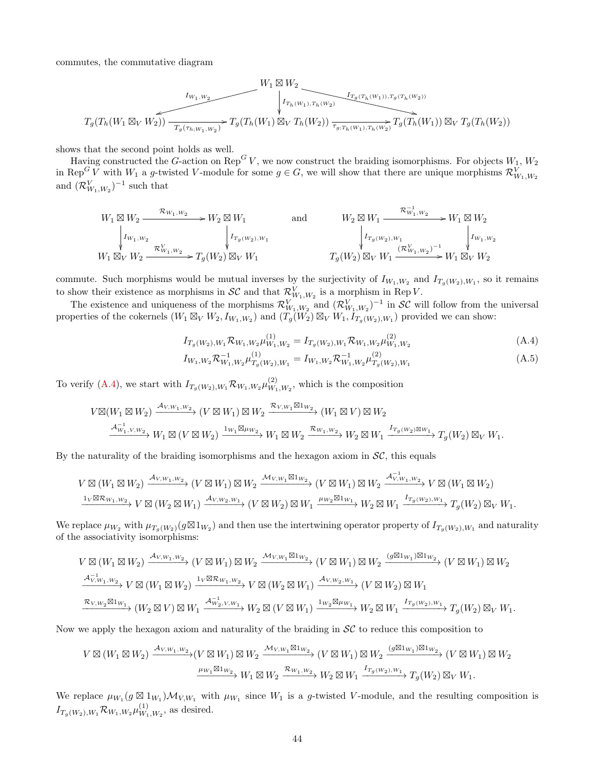commutes, the commutative diagram

$$
\underbrace{T_g(T_h(W_1 \boxtimes_V W_2)) - T_g(\tau_{h,W_1,W_2})}_{T_g(T_h(W_1 \boxtimes_V W_2))} \times T_g(T_h(W_1) \boxtimes_V T_h(W_2)) \xrightarrow[\tau_{g:T_h(W_1),\tau_h(W_2)} T_g(T_h(W_1)) \boxtimes_V T_g(T_h(W_1))] \boxtimes_V T_g(T_h(W_2))}
$$

shows that the second point holds as well.

Having constructed the G-action on Rep<sup>G</sup> V, we now construct the braiding isomorphisms. For objects  $W_1, W_2$ in Rep<sup>G</sup> V with  $W_1$  a g-twisted V-module for some  $g \in G$ , we will show that there are unique morphisms  $\mathcal{R}_{W_1,W_2}^V$ and  $(\mathcal{R}_{W_1,W_2}^V)^{-1}$  such that

$$
\begin{array}{ccc}\nW_1 \boxtimes W_2 \xrightarrow{\mathcal{R}_{W_1,W_2}} & W_2 \boxtimes W_1 & \text{and} & W_2 \boxtimes W_1 \xrightarrow{\mathcal{R}_{W_1,W_2}^{-1}} & W_1 \boxtimes W_2 \\
\downarrow I_{W_1,W_2} & \downarrow I_{T_g(W_2),W_1} & \downarrow I_{T_g(W_2),W_1} & \downarrow I_{W_1,W_2} \\
W_1 \boxtimes_V & W_2 \xrightarrow{\mathcal{R}_{W_1,W_2}^V} T_g(W_2) \boxtimes_V W_1 & T_g(W_2) \boxtimes_V W_1 \xrightarrow{(\mathcal{R}_{W_1,W_2}^V)^{-1}} & W_1 \boxtimes_V W_2\n\end{array}
$$

commute. Such morphisms would be mutual inverses by the surjectivity of  $I_{W_1,W_2}$  and  $I_{T_g(W_2),W_1}$ , so it remains to show their existence as morphisms in  $\mathcal{SC}$  and that  $\mathcal{R}_{W_1,W_2}^V$  is a morphism in Rep V.

The existence and uniqueness of the morphisms  $\mathcal{R}_{W_1,W_2}^V$  and  $(\mathcal{R}_{W_1,W_2}^V)^{-1}$  in  $\mathcal{SC}$  will follow from the universal properties of the cokernels  $(W_1 \boxtimes_V W_2, I_{W_1,W_2})$  and  $(T_g(W_2) \boxtimes_V W_1, I_{T_g(W_2),W_1})$  provided we can show:

<span id="page-43-1"></span><span id="page-43-0"></span>
$$
I_{T_g(W_2),W_1} \mathcal{R}_{W_1,W_2} \mu_{W_1,W_2}^{(1)} = I_{T_g(W_2),W_1} \mathcal{R}_{W_1,W_2} \mu_{W_1,W_2}^{(2)}
$$
(A.4)

$$
I_{W_1,W_2} \mathcal{R}_{W_1,W_2}^{-1} \mu_{T_g(W_2),W_1}^{(1)} = I_{W_1,W_2} \mathcal{R}_{W_1,W_2}^{-1} \mu_{T_g(W_2),W_1}^{(2)} \tag{A.5}
$$

To verify [\(A.4\)](#page-43-0), we start with  $I_{T_g(W_2),W_1} \mathcal{R}_{W_1,W_2} \mu_{W_1}^{(2)}$  $W_{1,W_2}^{(2)}$ , which is the composition

$$
\begin{split} V\boxtimes(W_1\boxtimes W_2) \xrightarrow{\mathcal{A}_{V,W_1,W_2}} (V\boxtimes W_1)\boxtimes W_2\xrightarrow{\mathcal{R}_{V,W_1}\boxtimes 1_{W_2}} (W_1\boxtimes V)\boxtimes W_2\\ \xrightarrow{\mathcal{A}_{W_1,V,W_2}^{-1}} W_1\boxtimes (V\boxtimes W_2)\xrightarrow{1_{W_1}\boxtimes \mu_{W_2}} W_1\boxtimes W_2\xrightarrow{\mathcal{R}_{W_1,W_2}} W_2\boxtimes W_1\xrightarrow{I_{T_g(W_2)\boxtimes W_1}} T_g(W_2)\boxtimes_V W_1. \end{split}
$$

By the naturality of the braiding isomorphisms and the hexagon axiom in  $\mathcal{SC}$ , this equals

$$
\begin{split} V & \boxtimes (W_1 \boxtimes W_2) \xrightarrow{\mathcal{A}_{V,W_1,W_2}} (V \boxtimes W_1) \boxtimes W_2 \xrightarrow{\mathcal{M}_{V,W_1} \boxtimes 1_{W_2}} (V \boxtimes W_1) \boxtimes W_2 \xrightarrow{\mathcal{A}^{-1}_{V,W_1,W_2}} V \boxtimes (W_1 \boxtimes W_2) \\ & \xrightarrow{\mathbf{1}_V \boxtimes \mathcal{R}_{W_1,W_2}} V \boxtimes (W_2 \boxtimes W_1) \xrightarrow{\mathcal{A}_{V,W_2,W_1}} (V \boxtimes W_2) \boxtimes W_1 \xrightarrow{\mu_{W_2} \boxtimes 1_{W_1}} W_2 \boxtimes W_1 \xrightarrow{I_{T_g(W_2),W_1}} T_g(W_2) \boxtimes_V W_1. \end{split}
$$

We replace  $\mu_{W_2}$  with  $\mu_{T_g(W_2)}(g \boxtimes 1_{W_2})$  and then use the intertwining operator property of  $I_{T_g(W_2),W_1}$  and naturality of the associativity isomorphisms:

$$
\begin{split} V &\boxtimes (W_1 \boxtimes W_2) \xrightarrow{\mathcal{A}_{V,W_1,W_2}} (V \boxtimes W_1) \boxtimes W_2 \xrightarrow{\mathcal{M}_{V,W_1} \boxtimes 1_{W_2}} (V \boxtimes W_1) \boxtimes W_2 \xrightarrow{ (g \boxtimes 1_{W_1}) \boxtimes 1_{W_2}} (V \boxtimes W_1) \boxtimes W_2 \\ &\xrightarrow{\mathcal{A}_{V,W_1,W_2}^{-1}} V \boxtimes (W_1 \boxtimes W_2) \xrightarrow{1_V \boxtimes \mathcal{R}_{W_1,W_2}} V \boxtimes (W_2 \boxtimes W_1) \xrightarrow{\mathcal{A}_{V,W_2,W_1}} (V \boxtimes W_2) \boxtimes W_1 \\ &\xrightarrow{\mathcal{R}_{V,W_2} \boxtimes 1_{W_1}} (W_2 \boxtimes V) \boxtimes W_1 \xrightarrow{\mathcal{A}_{W_2,V,W_1}^{-1}} W_2 \boxtimes (V \boxtimes W_1) \xrightarrow{1_{W_2} \boxtimes \mu_{W_1}} W_2 \boxtimes W_1 \xrightarrow{I_{T_g(W_2),W_1}} T_g(W_2) \boxtimes_V W_1. \end{split}
$$

Now we apply the hexagon axiom and naturality of the braiding in  $\mathcal{SC}$  to reduce this composition to

$$
V\boxtimes (W_1\boxtimes W_2)\xrightarrow{\mathcal{A}_{V,W_1,W_2}}(V\boxtimes W_1)\boxtimes W_2\xrightarrow{\mathcal{M}_{V,W_1}\boxtimes 1_{W_2}}(V\boxtimes W_1)\boxtimes W_2\xrightarrow{(g\boxtimes 1_{W_1})\boxtimes 1_{W_2}}(V\boxtimes W_1)\boxtimes W_2
$$
  

$$
\xrightarrow{\mu_{W_1}\boxtimes 1_{W_2}} W_1\boxtimes W_2\xrightarrow{\mathcal{R}_{W_1,W_2}} W_2\boxtimes W_1\xrightarrow{I_{T_g(W_2),W_1}}T_g(W_2)\boxtimes_V W_1.
$$

We replace  $\mu_{W_1}(g \boxtimes 1_{W_1})\mathcal{M}_{V,W_1}$  with  $\mu_{W_1}$  since  $W_1$  is a g-twisted V-module, and the resulting composition is  $I_{T_{g}(W_2), W_1}\mathcal{R}_{W_1,W_2} \mu^{(1)}_{W_1}$  $W_{1},W_{2}$ , as desired.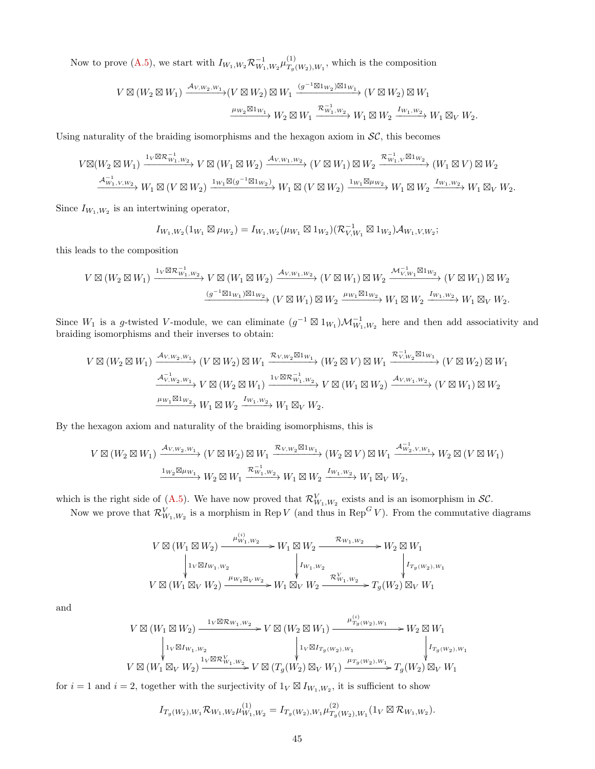Now to prove [\(A.5\)](#page-43-1), we start with  $I_{W_1,W_2} \mathcal{R}_{W_1,W_2}^{-1} \mu_{T_q}^{(1)}$  $T_g(W_2), W_1$ , which is the composition

$$
V \boxtimes (W_2 \boxtimes W_1) \xrightarrow{\mathcal{A}_{V,W_2,W_1}} (V \boxtimes W_2) \boxtimes W_1 \xrightarrow{(g^{-1} \boxtimes 1_{W_2}) \boxtimes 1_{W_1}} (V \boxtimes W_2) \boxtimes W_1
$$

$$
\xrightarrow{\mu_{W_2} \boxtimes 1_{W_1}} W_2 \boxtimes W_1 \xrightarrow{\mathcal{R}_{W_1,W_2}} W_1 \boxtimes W_2 \xrightarrow{I_{W_1,W_2}} W_1 \boxtimes_V W_2.
$$

Using naturality of the braiding isomorphisms and the hexagon axiom in  $\mathcal{SC}$ , this becomes

$$
V\boxtimes (W_2\boxtimes W_1) \xrightarrow{1_V\boxtimes \mathcal{R}_{W_1,W_2}^{-1}} V\boxtimes (W_1\boxtimes W_2) \xrightarrow{\mathcal{A}_{V,W_1,W_2}} (V\boxtimes W_1)\boxtimes W_2 \xrightarrow{\mathcal{R}_{W_1,V}^{-1}\boxtimes 1_{W_2}} (W_1\boxtimes V)\boxtimes W_2
$$
  

$$
\xrightarrow{\mathcal{A}_{W_1,V,W_2}^{-1}} W_1\boxtimes (V\boxtimes W_2) \xrightarrow{1_{W_1}\boxtimes (g^{-1}\boxtimes 1_{W_2})} W_1\boxtimes (V\boxtimes W_2) \xrightarrow{1_{W_1}\boxtimes \mu_{W_2}} W_1\boxtimes W_2 \xrightarrow{I_{W_1,W_2}} W_1\boxtimes V.
$$

Since  $I_{W_1,W_2}$  is an intertwining operator,

$$
I_{W_1,W_2}(1_{W_1} \boxtimes \mu_{W_2}) = I_{W_1,W_2}(\mu_{W_1} \boxtimes 1_{W_2}) (\mathcal{R}_{V,W_1}^{-1} \boxtimes 1_{W_2}) \mathcal{A}_{W_1,V,W_2};
$$

this leads to the composition

$$
V \boxtimes (W_2 \boxtimes W_1) \xrightarrow{\mathbf{1}_V \boxtimes \mathcal{R}_{W_1, W_2}} V \boxtimes (W_1 \boxtimes W_2) \xrightarrow{\mathcal{A}_{V, W_1, W_2}} (V \boxtimes W_1) \boxtimes W_2 \xrightarrow{\mathcal{M}_{V, W_1}^{-1} \boxtimes \mathbf{1}_{W_2}} (V \boxtimes W_1) \boxtimes W_2
$$
  

$$
\xrightarrow{(g^{-1} \boxtimes \mathbf{1}_{W_1}) \boxtimes \mathbf{1}_{W_2}} (V \boxtimes W_1) \boxtimes W_2 \xrightarrow{\mu_{W_1} \boxtimes \mathbf{1}_{W_2}} W_1 \boxtimes W_2 \xrightarrow{\mathbf{1}_{W_1, W_2}} W_1 \boxtimes W_2.
$$

Since  $W_1$  is a g-twisted V-module, we can eliminate  $(g^{-1} \boxtimes 1_{W_1})\mathcal{M}_{W_1,W_2}^{-1}$  here and then add associativity and braiding isomorphisms and their inverses to obtain:

$$
V \boxtimes (W_2 \boxtimes W_1) \xrightarrow{\mathcal{A}_{V,W_2,W_1}} (V \boxtimes W_2) \boxtimes W_1 \xrightarrow{\mathcal{R}_{V,W_2} \boxtimes 1_{W_1}} (W_2 \boxtimes V) \boxtimes W_1 \xrightarrow{\mathcal{R}_{V,W_2}^{-1} \boxtimes 1_{W_1}} (V \boxtimes W_2) \boxtimes W_1
$$
  

$$
\xrightarrow{\mathcal{A}_{V,W_2,W_1}^{-1}} V \boxtimes (W_2 \boxtimes W_1) \xrightarrow{1_V \boxtimes \mathcal{R}_{W_1,W_2}^{-1}} V \boxtimes (W_1 \boxtimes W_2) \xrightarrow{\mathcal{A}_{V,W_1,W_2}} (V \boxtimes W_1) \boxtimes W_2
$$
  

$$
\xrightarrow{\mu_{W_1} \boxtimes 1_{W_2}} W_1 \boxtimes W_2 \xrightarrow{\mathcal{I}_{W_1,W_2}} W_1 \boxtimes_V W_2.
$$

By the hexagon axiom and naturality of the braiding isomorphisms, this is

$$
V \boxtimes (W_2 \boxtimes W_1) \xrightarrow{\mathcal{A}_{V,W_2,W_1}} (V \boxtimes W_2) \boxtimes W_1 \xrightarrow{\mathcal{R}_{V,W_2} \boxtimes 1_{W_1}} (W_2 \boxtimes V) \boxtimes W_1 \xrightarrow{\mathcal{A}_{W_2,V,W_1}^{-1}} W_2 \boxtimes (V \boxtimes W_1)
$$
  

$$
\xrightarrow{\mathbf{1}_{W_2} \boxtimes \mu_{W_1}} W_2 \boxtimes W_1 \xrightarrow{\mathcal{R}_{W_1,W_2}} W_1 \boxtimes W_2 \xrightarrow{I_{W_1,W_2}} W_1 \boxtimes_V W_2,
$$

which is the right side of [\(A.5\)](#page-43-1). We have now proved that  $\mathcal{R}_{W_1,W_2}^V$  exists and is an isomorphism in  $\mathcal{SC}$ .

Now we prove that  $\mathcal{R}_{W_1,W_2}^V$  is a morphism in Rep V (and thus in Rep<sup>G</sup>V). From the commutative diagrams

$$
V \boxtimes (W_1 \boxtimes W_2) \xrightarrow{\mu_{W_1, W_2}^{(i)}} W_1 \boxtimes W_2 \xrightarrow{\mathcal{R}_{W_1, W_2}} W_2 \boxtimes W_1
$$
  
\n
$$
\downarrow_{1} \text{Var}_{W_1, W_2} \qquad \qquad \downarrow_{W_1, W_2} \qquad \qquad \downarrow_{W_1, W_2} \qquad \qquad \downarrow_{I_{T_g(W_2), W_1}} V \boxtimes (W_1 \boxtimes_V W_2) \xrightarrow{\mu_{W_1} \boxtimes_V W_2} W_1 \boxtimes_V W_2 \xrightarrow{\mathcal{R}_{W_1, W_2}^{V}} T_g(W_2) \boxtimes_V W_1
$$

and

$$
\begin{array}{c} V\boxtimes (W_{1}\boxtimes W_{2})\xrightarrow{\qquad \qquad 1_{V}\boxtimes \mathcal{R}_{W_{1},W_{2}}}\qquad V\boxtimes (W_{2}\boxtimes W_{1})\xrightarrow{\qquad \qquad \mu_{T_{g}(W_{2}),W_{1}}'} \qquad \qquad W_{2}\boxtimes W_{1}\\ \downarrow^{~}1_{V}\boxtimes I_{W_{1},W_{2}}\qquad \qquad \qquad \qquad \downarrow^{~}1_{V}\boxtimes I_{T_{g}(W_{2}),W_{1}}\qquad \qquad \qquad \downarrow^{~}I_{T_{g}(W_{2}),W_{1}}\\ V\boxtimes (W_{1}\boxtimes_{V}W_{2})\xrightarrow{\qquad \qquad 1_{V}\boxtimes \mathcal{R}_{W_{1},W_{2}}'} V\boxtimes (T_{g}(W_{2})\boxtimes_{V}W_{1})\xrightarrow{\qquad \qquad \mu_{T_{g}(W_{2}),W_{1}} }T_{g}(W_{2})\boxtimes_{V}W_{1}\\ \end{array}
$$

for  $i = 1$  and  $i = 2$ , together with the surjectivity of  $1_V \boxtimes I_{W_1,W_2}$ , it is sufficient to show

$$
I_{T_g(W_2),W_1} \mathcal{R}_{W_1,W_2} \mu_{W_1,W_2}^{(1)} = I_{T_g(W_2),W_1} \mu_{T_g(W_2),W_1}^{(2)} (1_V \boxtimes \mathcal{R}_{W_1,W_2}).
$$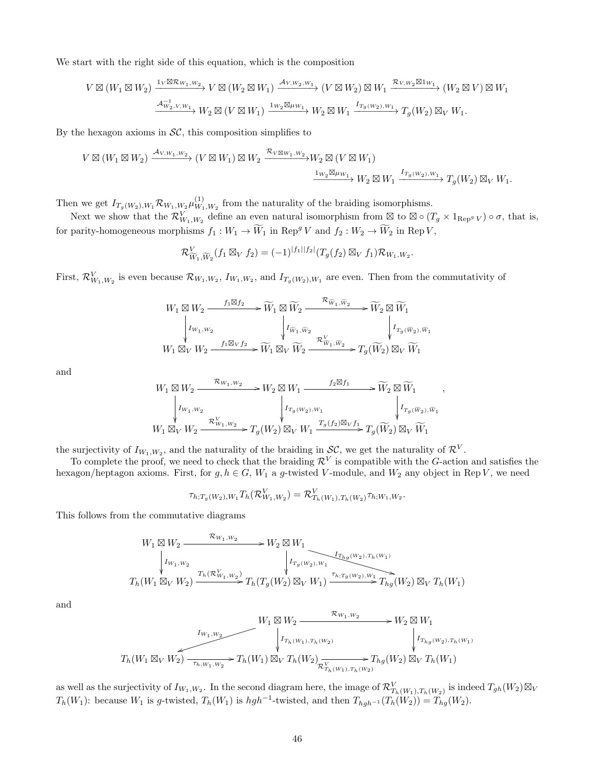We start with the right side of this equation, which is the composition

$$
V \boxtimes (W_1 \boxtimes W_2) \xrightarrow{1_V \boxtimes \mathcal{R}_{W_1, W_2}} V \boxtimes (W_2 \boxtimes W_1) \xrightarrow{\mathcal{A}_{V, W_2, W_1}} (V \boxtimes W_2) \boxtimes W_1 \xrightarrow{\mathcal{R}_{V, W_2} \boxtimes 1_{W_1}} (W_2 \boxtimes V) \boxtimes W_1
$$
  

$$
\xrightarrow{\mathcal{A}_{W_2, V, W_1}} W_2 \boxtimes (V \boxtimes W_1) \xrightarrow{1_{W_2} \boxtimes \mu_{W_1}} W_2 \boxtimes W_1 \xrightarrow{I_{T_g(W_2), W_1}} T_g(W_2) \boxtimes_V W_1.
$$

By the hexagon axioms in  $\mathcal{SC}$ , this composition simplifies to

R<sup>V</sup>

$$
V \boxtimes (W_1 \boxtimes W_2) \xrightarrow{\mathcal{A}_{V,W_1,W_2}} (V \boxtimes W_1) \boxtimes W_2 \xrightarrow{\mathcal{R}_{V \boxtimes W_1,W_2}} W_2 \boxtimes (V \boxtimes W_1)
$$

$$
\xrightarrow{\mathbf{1}_{W_2} \boxtimes \mu_{W_1}} W_2 \boxtimes W_1 \xrightarrow{\mathbf{1}_{T_g(W_2),W_1}} T_g(W_2) \boxtimes_V W_1.
$$

Then we get  $I_{T_g(W_2), W_1} \mathcal{R}_{W_1, W_2} \mu_{W_1}^{(1)}$  $\binom{11}{W_1,W_2}$  from the naturality of the braiding isomorphisms.

Next we show that the  $\mathcal{R}_{W_1,W_2}^V$  define an even natural isomorphism from  $\boxtimes$  to  $\boxtimes \circ (T_g \times 1_{\text{Rep}^g V}) \circ \sigma$ , that is, for parity-homogeneous morphisms  $f_1 : W_1 \to \widetilde{W}_1$  in Rep<sup>g</sup> V and  $f_2 : W_2 \to \widetilde{W}_2$  in Rep V,

$$
\mathcal{R}_{\widetilde{W}_1,\widetilde{W}_2}^V(f_1\boxtimes_V f_2) = (-1)^{|f_1||f_2|}(T_g(f_2)\boxtimes_V f_1)\mathcal{R}_{W_1,W_2}.
$$

First,  $\mathcal{R}_{W_1,W_2}^V$  is even because  $\mathcal{R}_{W_1,W_2}$ ,  $I_{W_1,W_2}$ , and  $I_{T_g(W_2),W_1}$  are even. Then from the commutativity of

$$
\begin{array}{ccc}\nW_1 \boxtimes W_2 \xrightarrow{\quad f_1 \boxtimes f_2} & \widetilde{W}_1 \boxtimes \widetilde{W}_2 \xrightarrow{\quad \mathcal{R}_{\widetilde{W}_1, \widetilde{W}_2}} & \widetilde{W}_2 \boxtimes \widetilde{W}_1 \\
\downarrow I_{W_1, W_2} & & \downarrow I_{\widetilde{W}_1, \widetilde{W}_2} & \downarrow I_{T_g(\widetilde{W}_2), \widetilde{W}_1} \\
W_1 \boxtimes_V W_2 \xrightarrow{\quad f_1 \boxtimes_V f_2} & \widetilde{W}_1 \boxtimes_V \widetilde{W}_2 \xrightarrow{\quad \mathcal{R}_{\widetilde{W}_1, \widetilde{W}_2}^V} T_g(\widetilde{W}_2) \boxtimes_V \widetilde{W}_1\n\end{array}
$$

and

$$
W_1 \boxtimes W_2 \xrightarrow{\mathcal{R}_{W_1,W_2}} W_2 \boxtimes W_1 \xrightarrow{f_2 \boxtimes f_1} \widetilde{W}_2 \boxtimes \widetilde{W}_1
$$
  
\n
$$
\downarrow I_{W_1,W_2} \qquad \qquad \downarrow I_{T_g(W_2),W_1} \qquad \qquad \downarrow I_{T_g(\widetilde{W}_2),\widetilde{W}_1}
$$
  
\n
$$
W_1 \boxtimes_V W_2 \xrightarrow{\mathcal{R}_{W_1,W_2}^V} T_g(W_2) \boxtimes_V W_1 \xrightarrow{T_g(f_2) \boxtimes_V f_1} T_g(\widetilde{W}_2) \boxtimes_V \widetilde{W}_1
$$

,

the surjectivity of  $I_{W_1,W_2}$ , and the naturality of the braiding in  $\mathcal{SC}$ , we get the naturality of  $\mathcal{R}^V$ .

To complete the proof, we need to check that the braiding  $\mathcal{R}^V$  is compatible with the G-action and satisfies the hexagon/heptagon axioms. First, for  $g, h \in G$ ,  $W_1$  a g-twisted V-module, and  $W_2$  any object in Rep V, we need

$$
\tau_{h;T_g(W_2),W_1} T_h(\mathcal{R}_{W_1,W_2}^V) = \mathcal{R}_{T_h(W_1),T_h(W_2)}^V \tau_{h;W_1,W_2}.
$$

This follows from the commutative diagrams

$$
W_1 \boxtimes W_2 \xrightarrow{\mathcal{R}_{W_1, W_2}} W_2 \boxtimes W_1
$$
  
\n
$$
\downarrow_{I_{W_1, W_2}} \qquad \qquad V_2 \boxtimes W_1
$$
  
\n
$$
T_{h}(W_1 \boxtimes_V W_2) \xrightarrow{T_h(\mathcal{R}_{W_1, W_2})} T_h(T_g(W_2) \boxtimes_V W_1) \xrightarrow{\tau_{h; T_g(W_2), W_1}} T_{hg}(W_2) \boxtimes_V T_h(W_1)
$$

and

$$
T_{h}(W_{1} \boxtimes_{V} W_{2}) \xrightarrow{\begin{array}{c} I_{W_{1},W_{2}} \\ \downarrow T_{h}(W_{1}) \boxtimes_{V} T_{h}(W_{2}) \end{array}} T_{h}(W_{1}) \boxtimes_{V} T_{h}(W_{2}) \xrightarrow{\begin{array}{c} R_{W_{1},W_{2}} \\ \downarrow T_{h_{1},W_{2}} \end{array}} T_{h} \otimes W_{1} \boxtimes_{V} T_{h}(W_{1}) \boxtimes_{V} T_{h}(W_{2}) \otimes_{V} T_{h}(W_{2}) \boxtimes_{V} T_{h}(W_{1}) \end{array}
$$

as well as the surjectivity of  $I_{W_1,W_2}$ . In the second diagram here, the image of  $\mathcal{R}_{T_h(W_1),T_h(W_2)}^V$  is indeed  $T_{gh}(W_2) \boxtimes_V$  $T_h(W_1)$ : because  $W_1$  is g-twisted,  $T_h(W_1)$  is  $hgh^{-1}$ -twisted, and then  $T_{hgh^{-1}}(T_h(W_2)) = T_{hg}(W_2)$ .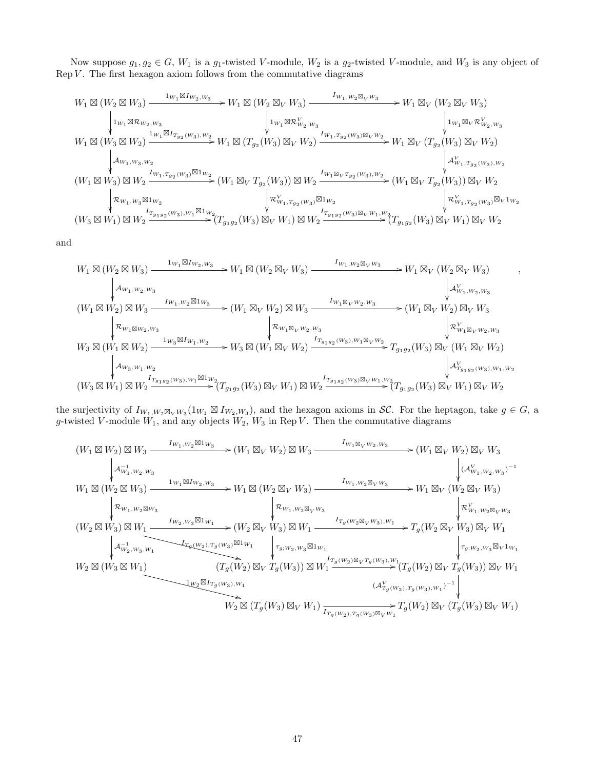Now suppose  $g_1, g_2 \in G$ ,  $W_1$  is a  $g_1$ -twisted V-module,  $W_2$  is a  $g_2$ -twisted V-module, and  $W_3$  is any object of  $\operatorname{Rep} V$ . The first hexagon axiom follows from the commutative diagrams

$$
\begin{array}{ccccc} W_1\boxtimes (W_2\boxtimes W_3) \xrightarrow{\phantom{aa} 1_{W_1}\boxtimes I_{W_2,W_3}} & W_1\boxtimes (W_2\boxtimes_V W_3) \xrightarrow{\phantom{aa} 1_{W_1\boxtimes W_2\boxtimes_V W_3}} & W_1\boxtimes (W_2\boxtimes_V W_3) \\ & & \phantom{aa} \downarrow_{1_{W_1}\boxtimes R_{W_2,W_3}} & W_1\boxtimes (W_2\boxtimes_V W_3) \xrightarrow{\phantom{aa} 1_{W_1}\boxtimes R_{W_2,W_3}} & W_1\boxtimes (W_2\boxtimes_W W_3) \xrightarrow{\phantom{aa} 1_{W_1}\boxtimes_R W_2} & W_1\boxtimes (W_2\boxtimes_W W_3) \\ & & \phantom{aa} \downarrow_{1_{W_1}\boxtimes_R W_2} & W_1\boxtimes (W_2\boxtimes_W W_3) \xrightarrow{\phantom{aa} 1_{W_1}\boxtimes_R W_2} & W_1\boxtimes_V (T_{g_2}(W_3)\boxtimes_V W_2) \xrightarrow{\phantom{aa} 1_{W_1}\boxtimes_V R_{W_2,W_3}^V} & W_1\boxtimes_V (T_{g_2}(W_3)\boxtimes_V W_2) \xrightarrow{\phantom{aa} 1_{W_1\boxtimes_H W_3,W_2}} & W_1\boxtimes_V (T_{g_2}(W_3)\boxtimes_V W_2) \xrightarrow{\phantom{aa} 1_{W_1\boxtimes_H W_3,W_2}} & W_1\boxtimes_V (T_{g_2}(W_3)\boxtimes_V W_2) \xrightarrow{\phantom{aa} 1_{W_1\boxtimes_H W_3,W_2} & W_1\boxtimes_W (T_{g_2}(W_3)\boxtimes_V W_2) \xrightarrow{\phantom{aa} 1_{W_1\boxtimes_H W_3,W_2} & W_1\boxtimes_W T_{g_2}(W_3) \xrightarrow{\phantom{aa} 1_{W_1\boxtimes_H W_3} & W_1\boxtimes_W T_{g_2}(W_3) \xrightarrow{\phantom{aa} 1_{W_1\boxtimes_H W_3} & W_1\boxtimes_W T_{g_2}(W_3) \xrightarrow{\phantom{aa} 1_{W_1\boxtimes_H W_3} & W_1\boxtimes_W T_{g_2}(W_3) \xrightarrow{\phantom{aa} 1_{W_1\boxtimes_H W_3} & W_1\boxtimes
$$

and

$$
\begin{array}{ccccc} W_1\boxtimes (W_2\boxtimes W_3) \xrightarrow{\phantom{aa}1_{W_1}\boxtimes I_{W_2,W_3}} & W_1\boxtimes (W_2\boxtimes_V W_3) \xrightarrow{\phantom{aa}I_{W_1,W_2}\boxtimes_V W_3} & W_1\boxtimes_V (W_2\boxtimes_V W_3) & , \\[1.1ex] &\phantom{AA} &\phantom{AA} &\phantom{AA} &\phantom{AA} &\phantom{AA} &\phantom{AA} &\phantom{AA} &\phantom{AA} &\phantom{AA} &\phantom{AA} &\phantom{AA} &\phantom{AA} &\phantom{AA} &\phantom{AA} &\phantom{AA} &\phantom{AA} &\phantom{AA} &\phantom{AA} &\phantom{AA} &\phantom{AA} &\phantom{AA} &\phantom{AA} &\phantom{AA} &\phantom{AA} &\phantom{AA} &\phantom{AA} &\phantom{AA} &\phantom{AA} &\phantom{AA} &\phantom{AA} &\phantom{AA} &\phantom{AA} &\phantom{AA} &\phantom{AA} &\phantom{AA} &\phantom{AA} &\phantom{AA} &\phantom{AA} &\phantom{AA} &\phantom{AA} &\phantom{AA} &\phantom{AA} &\phantom{AA} &\phantom{AA} &\phantom{AA} &\phantom{AA} &\phantom{AA} &\phantom{AA} &\phantom{AA} &\phantom{AA} &\phantom{AA} &\phantom{AA} &\phantom{AA} &\phantom{AA} &\phantom{AA} &\phantom{AA} &\phantom{AA} &\phantom{AA} &\phantom{AA} &\phantom{AA} &\phantom{AA} &\phantom{AA} &\phantom{AA} &\phantom{AA} &\phantom{AA} &\phantom{AA} &\phantom{AA} &\phantom{AA} &\phantom{AA} &\phantom{AA} &\phantom{AA} &\phantom{AA} &\phantom{AA} &\phantom{AA} &\phantom{AA} &\phantom{AA} &\phantom{AA} &\phantom{AA} &\phantom{AA} &\phantom{AA} &\phantom{AA} &\phantom{AA} &\phantom{AA} &\phantom{AA} &\phantom{AA} &\phantom{AA} &\phantom{AA} &\phantom{AA} &\phantom{AA} &\phantom{AA} &\phantom{AA
$$

the surjectivity of  $I_{W_1,W_2 \boxtimes_V W_3}(1_{W_1} \boxtimes I_{W_2,W_3})$ , and the hexagon axioms in SC. For the heptagon, take  $g \in G$ , a g-twisted V-module  $W_1$ , and any objects  $W_2$ ,  $W_3$  in Rep V. Then the commutative diagrams

$$
(W_{1} \boxtimes W_{2}) \boxtimes W_{3} \xrightarrow{I_{W_{1},W_{2}} \boxtimes 1_{W_{3}}} (W_{1} \boxtimes W_{2}) \boxtimes W_{3} \xrightarrow{I_{W_{1} \boxtimes_{V} W_{2},W_{3}}} (W_{1} \boxtimes (W_{2} \boxtimes W_{3}) \xrightarrow{I_{W_{1},W_{2},W_{3}}} W_{1} \boxtimes (W_{2} \boxtimes W_{3}) \xrightarrow{I_{W_{1},W_{2} \boxtimes_{V} W_{3}}} W_{1} \boxtimes (W_{2} \boxtimes W_{3}) \xrightarrow{I_{W_{1},W_{2} \boxtimes_{V} W_{3}}} W_{1} \boxtimes (W_{2} \boxtimes W_{3}) \xrightarrow{I_{W_{1},W_{2} \boxtimes_{V} W_{3}}} W_{1} \boxtimes (W_{2} \boxtimes W_{3}) \xrightarrow{I_{W_{1},W_{2} \boxtimes_{V} W_{3}}} W_{1} \boxtimes (W_{2} \boxtimes W_{3}) \xrightarrow{I_{W_{1},W_{2} \boxtimes_{V} W_{3}}} W_{1} \boxtimes (W_{2} \boxtimes W_{3}) \otimes W_{1} \xrightarrow{I_{W_{2},W_{2} \boxtimes 1_{W_{1}}} (W_{2} \boxtimes W_{3}) \boxtimes W_{1} \xrightarrow{I_{W_{2},W_{3}} \boxtimes 1_{W_{1}}} (W_{2} \boxtimes W_{3}) \boxtimes W_{1} \xrightarrow{I_{W_{2},W_{3}} \boxtimes 1_{W_{1}}} (W_{2} \boxtimes W_{3}) \boxtimes W_{1} \xrightarrow{I_{W_{2},W_{3}} \boxtimes 1_{W_{1}}} (W_{2} \boxtimes W_{3}) \boxtimes W_{1} \xrightarrow{I_{W_{2},W_{3}} \boxtimes 1_{W_{1}}} (W_{2} \boxtimes W_{3}) \boxtimes W_{1} \xrightarrow{I_{W_{2},W_{3}} \boxtimes 1_{W_{1}}} (T_{g}(W_{2}) \boxtimes_{V} T_{g}(W_{3})) \boxtimes W_{1} \xrightarrow{I_{W_{2} \boxtimes (W_{3},W_{1}}} (T_{g}(W_{2}) \boxtimes_{V} T_{g}(W_{3})) \boxtimes_{V} W_{1} \xrightarrow{I_{W_{2} \boxtimes (W_{3},W_{1}}} (A^{V}_{T_{g}(W_{2}),T_{g}(W_{3}),W_{1}})^{-1} \xrightarrow{I_{W_{2} \boxtimes (W_{1},W_{
$$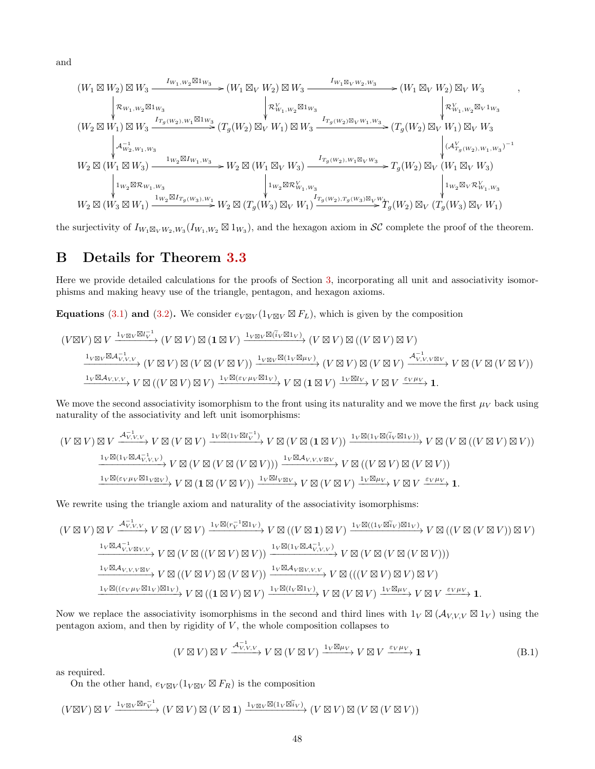and

$$
(W_1 \boxtimes W_2) \boxtimes W_3 \xrightarrow{\begin{array}{c} I_{W_1,W_2} \boxtimes 1_{W_3} \\ \text{ $\bigvee \bigvee_{\mathclap{\substack{ \{W_1, W_2 \boxtimes 1_{W_3} \\ \text{ $\bigvee \bigvee_{\mathclap{\substack{ \{W_1, W_2 \boxtimes 1_{W_3} \\ \text{ $\bigvee \bigvee_{\mathclap{\substack{ \{W_1, W_2 \boxtimes 1_{W_3} \\ \text{ $\bigvee \bigvee_{\mathclap{\substack{ \{W_1, W_2 \boxtimes 1_{W_3} \\ \text{ $\bigvee \bigvee_{\mathclap{\substack{ \{W_1, W_2 \boxtimes 1_{W_3} \\ \text{ $\bigvee \bigvee_{\mathclap{\substack{ \{W_1, W_3}} \\ \text{ $\bigvee \bigvee_{\mathclap{\substack{ \{W_1, W_3}} \\ \text{ $\bigvee \bigvee_{\mathclap{\substack{ \{W_1, W_3}} \\ \text{ $\bigvee \bigvee_{\mathclap{\substack{ \{W_1, W_3}} \\ \text{ $\bigvee \bigvee_{\mathclap{\substack{ \{W_1, W_3}} \\ \text{ $\bigvee \bigvee_{\mathclap{\substack{ \{W_1, W_3}} \\ \text{ $\bigvee \bigvee_{\mathclap{\substack{ \{W_1, W_3}} \\ \text{ $\bigvee \bigvee_{\mathclap{\substack{ \{W_1, W_3}} \\ \text{ $\bigvee \bigvee_{\mathclap{\substack{ \{W_1, W_3}} \\ \text{ $\bigvee \bigvee_{\mathclap{\substack{ \{W_1, W_3}} \\ \text{ $\bigvee \bigvee_{\mathclap{\substack{ \{W_1, W_3}} \\ \text{ $\bigvee \bigvee_{\mathclap{\substack{ \{W_1, W_3}} \\ \text{ $\bigvee \bigvee_{\mathclap{\substack{ \{W_1, W_3}} \\ \text{ $\bigvee \bigvee_{\mathclap{\substack{ \{W_1, W_3}} \\ \text{ $\bigvee \bigvee_{\mathclap{\substack{ \{W_1, W_3}} \\ \text{ $\bigvee \bigvee_{\mathclap{\substack{ \{W_1, W_3}} \\ \text{ $\bigvee \bigvee_{\mathclap{\
$$

,

the surjectivity of  $I_{W_1 \boxtimes_V W_2,W_3}(I_{W_1,W_2} \boxtimes 1_{W_3})$ , and the hexagon axiom in  $\mathcal{SC}$  complete the proof of the theorem.

# <span id="page-47-0"></span>B Details for Theorem [3.3](#page-16-0)

Here we provide detailed calculations for the proofs of Section [3,](#page-15-0) incorporating all unit and associativity isomorphisms and making heavy use of the triangle, pentagon, and hexagon axioms.

**Equations** [\(3.1\)](#page-18-0) and [\(3.2\)](#page-18-2). We consider  $e_{V\boxtimes V}(1_{V\boxtimes V}\boxtimes F_L)$ , which is given by the composition

$$
(V \boxtimes V) \boxtimes V \xrightarrow{1_{V \boxtimes V} \boxtimes l_V^{-1}} (V \boxtimes V) \boxtimes (\mathbf{1} \boxtimes V) \xrightarrow{1_{V \boxtimes V} \boxtimes (\tilde{i}_V \boxtimes 1_V)} (V \boxtimes V) \boxtimes ((V \boxtimes V) \boxtimes V)
$$
\n
$$
\xrightarrow{1_{V \boxtimes V} \boxtimes \mathcal{A}_{V,V,V}^{-1}} (V \boxtimes V) \boxtimes (V \boxtimes (V \boxtimes V)) \xrightarrow{1_{V \boxtimes V} \boxtimes (1_{V} \boxtimes \mu_V)} (V \boxtimes V) \boxtimes (V \boxtimes V) \otimes (V \boxtimes V) \xrightarrow{\mathcal{A}_{V,V,V \boxtimes V}} V \boxtimes (V \boxtimes (V \boxtimes V))
$$
\n
$$
\xrightarrow{1_{V} \boxtimes \mathcal{A}_{V,V,V}} V \boxtimes ((V \boxtimes V) \boxtimes V) \xrightarrow{1_{V} \boxtimes (\varepsilon_V \mu_V \boxtimes 1_V)} V \boxtimes (\mathbf{1} \boxtimes V) \xrightarrow{1_{V} \boxtimes l_V} V \boxtimes V \xrightarrow{\varepsilon_V \mu_V} \mathbf{1}.
$$

We move the second associativity isomorphism to the front using its naturality and we move the first  $\mu_V$  back using naturality of the associativity and left unit isomorphisms:

$$
(V \boxtimes V) \boxtimes V \xrightarrow{\mathcal{A}_{V,V,V}^{-1}} V \boxtimes (V \boxtimes V) \xrightarrow{1_V \boxtimes (1_V \boxtimes l_V^{-1})} V \boxtimes (V \boxtimes (1 \boxtimes V)) \xrightarrow{1_V \boxtimes (1_V \boxtimes l_V \boxtimes (V \boxtimes (V \boxtimes (V \boxtimes V))))} V \boxtimes (V \boxtimes (V \boxtimes (V \boxtimes V)) \wedge V \boxtimes (V \boxtimes (V \boxtimes V))))}
$$
\n
$$
\xrightarrow{1_V \boxtimes (1_V \boxtimes \mathcal{A}_{V,V,V})} V \boxtimes (V \boxtimes (V \boxtimes (V \boxtimes V))) \xrightarrow{1_V \boxtimes \mathcal{A}_{V,V,V \boxtimes V}} V \boxtimes ((V \boxtimes V) \boxtimes (V \boxtimes V))
$$
\n
$$
\xrightarrow{1_V \boxtimes (\varepsilon_V \mu_V \boxtimes 1_V \boxtimes V)} V \boxtimes (1 \boxtimes (V \boxtimes V)) \xrightarrow{1_V \boxtimes l_V \boxtimes V} V \boxtimes (V \boxtimes V) \xrightarrow{1_V \boxtimes \mu_V} V \boxtimes (V \boxtimes V) \xrightarrow{1_V \boxtimes \mu_V} V \boxtimes V \xrightarrow{\varepsilon_V \mu_V} 1.
$$

We rewrite using the triangle axiom and naturality of the associativity isomorphisms:

$$
(V \boxtimes V) \boxtimes V \xrightarrow{A_{V,V,V}^{-1}} V \boxtimes (V \boxtimes V) \xrightarrow{1_V \boxtimes (r_V^{-1} \boxtimes 1_V)} V \boxtimes ((V \boxtimes 1) \boxtimes V) \xrightarrow{1_V \boxtimes ((1_V \boxtimes \widetilde{u}_V) \boxtimes 1_V)} V \boxtimes ((V \boxtimes (V \boxtimes V)) \boxtimes V)
$$
  
\n
$$
\xrightarrow{1_V \boxtimes A_{V,V \boxtimes V,V}^{-1}} V \boxtimes (V \boxtimes (V \boxtimes (V \boxtimes V) \boxtimes V)) \xrightarrow{1_V \boxtimes (1_V \boxtimes A_{V,V,V}^{-1})} V \boxtimes (V \boxtimes (V \boxtimes (V \boxtimes V)))
$$
  
\n
$$
\xrightarrow{1_V \boxtimes A_{V,V,V \boxtimes V}} V \boxtimes ((V \boxtimes V) \boxtimes (V \boxtimes V)) \xrightarrow{1_V \boxtimes A_{V \boxtimes V,V,V}} V \boxtimes (((V \boxtimes V) \boxtimes V) \boxtimes V)
$$
  
\n
$$
\xrightarrow{1_V \boxtimes ((\varepsilon_V \mu_V \boxtimes 1_V) \boxtimes 1_V)} V \boxtimes ((1 \boxtimes V) \boxtimes V) \xrightarrow{1_V \boxtimes (l_V \boxtimes 1_V)} V \boxtimes (V \boxtimes V) \xrightarrow{1_V \boxtimes \mu_V} V \boxtimes V \xrightarrow{\varepsilon_V \mu_V} 1.
$$

Now we replace the associativity isomorphisms in the second and third lines with  $1_V \boxtimes (\mathcal{A}_{V,V,V} \boxtimes 1_V)$  using the pentagon axiom, and then by rigidity of  $V$ , the whole composition collapses to

<span id="page-47-1"></span>
$$
(V \boxtimes V) \boxtimes V \xrightarrow{\mathcal{A}_{V,V,V}^{-1}} V \boxtimes (V \boxtimes V) \xrightarrow{1_V \boxtimes \mu_V} V \boxtimes V \xrightarrow{\varepsilon_V \mu_V} \mathbf{1}
$$
 (B.1)

as required.

On the other hand,  $e_{V\boxtimes V}(1_{V\boxtimes V}\boxtimes F_R)$  is the composition

$$
(V \boxtimes V) \boxtimes V \xrightarrow{1_{V \boxtimes V} \boxtimes r_V^{-1}} (V \boxtimes V) \boxtimes (V \boxtimes \mathbf{1}) \xrightarrow{1_{V \boxtimes V} \boxtimes (1_V \boxtimes V_V)} (V \boxtimes V) \boxtimes (V \boxtimes (V \boxtimes V))
$$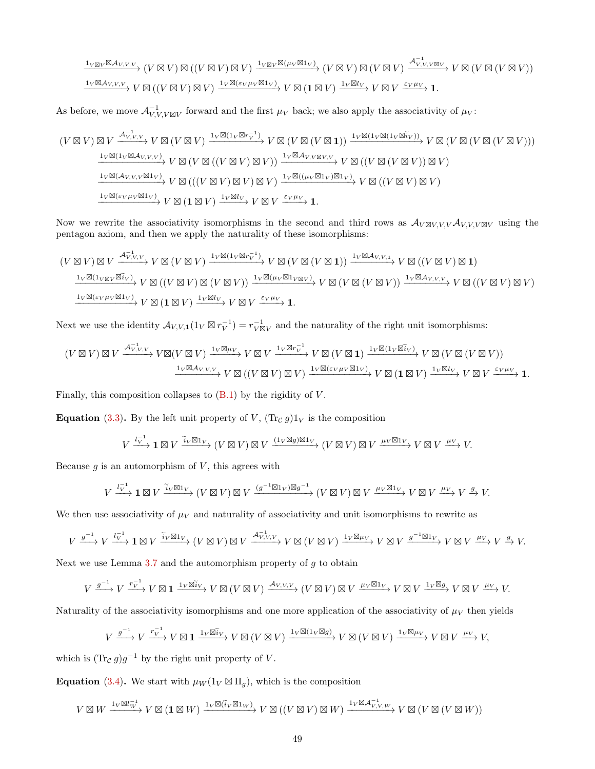$$
\xrightarrow{1_{V\boxtimes V}\boxtimes \mathcal{A}_{V,V,V}} (V\boxtimes V) \boxtimes ((V\boxtimes V) \boxtimes V) \xrightarrow{1_{V\boxtimes V}\boxtimes (\mu_V\boxtimes 1_V)} (V\boxtimes V) \boxtimes (V\boxtimes V) \xrightarrow{\mathcal{A}_{V,V,V\boxtimes V}} V \boxtimes (V\boxtimes (V\boxtimes V))
$$
\n
$$
\xrightarrow{1_{V}\boxtimes \mathcal{A}_{V,V,V}} V\boxtimes ((V\boxtimes V) \boxtimes V) \xrightarrow{1_{V}\boxtimes (\varepsilon_{V}\mu_{V}\boxtimes 1_V)} V \boxtimes (1\boxtimes V) \xrightarrow{1_{V}\boxtimes l_{V}} V \boxtimes V \xrightarrow{\varepsilon_{V}\mu_{V}} 1.
$$

As before, we move  $\mathcal{A}_{V,V,\forall\boxtimes V}^{-1}$  forward and the first  $\mu_V$  back; we also apply the associativity of  $\mu_V$ :

$$
(V \boxtimes V) \boxtimes V \xrightarrow{\mathcal{A}_{V,V,V}^{-1}} V \boxtimes (V \boxtimes V) \xrightarrow{1_V \boxtimes (1_V \boxtimes r_V^{-1})} V \boxtimes (V \boxtimes (V \boxtimes 1)) \xrightarrow{1_V \boxtimes (1_V \boxtimes (1_V \boxtimes r_V))} V \boxtimes (V \boxtimes (V \boxtimes (V \boxtimes V)))
$$
\n
$$
\xrightarrow{1_V \boxtimes (1_V \boxtimes \mathcal{A}_{V,V,V})} V \boxtimes (V \boxtimes (V \boxtimes (V \boxtimes V) \boxtimes V)) \xrightarrow{1_V \boxtimes \mathcal{A}_{V,V \boxtimes V,V}} V \boxtimes ((V \boxtimes (V \boxtimes V)) \boxtimes V)
$$
\n
$$
\xrightarrow{1_V \boxtimes (\mathcal{A}_{V,V,V} \boxtimes 1_V)} V \boxtimes ((V \boxtimes V) \boxtimes V) \boxtimes V) \xrightarrow{1_V \boxtimes ((\mu_V \boxtimes 1_V) \boxtimes 1_V)} V \boxtimes ((V \boxtimes V) \boxtimes V)
$$
\n
$$
\xrightarrow{1_V \boxtimes (\varepsilon_V \mu_V \boxtimes 1_V)} V \boxtimes ((V \boxtimes V) \boxtimes V) \boxtimes V) \xrightarrow{1_V \boxtimes (V)} V \boxtimes V \xrightarrow{1_V \boxtimes (V \boxtimes V)} V \boxtimes (V \boxtimes V) \boxtimes V
$$

Now we rewrite the associativity isomorphisms in the second and third rows as  $\mathcal{A}_{V \boxtimes V, V, V} \mathcal{A}_{V, V, V \boxtimes V}$  using the pentagon axiom, and then we apply the naturality of these isomorphisms:

$$
(V \boxtimes V) \boxtimes V \xrightarrow{\mathcal{A}_{V,V,V}^{-1}} V \boxtimes (V \boxtimes V) \xrightarrow{1_V \boxtimes (1_V \boxtimes r_V^{-1})} V \boxtimes (V \boxtimes (V \boxtimes 1)) \xrightarrow{1_V \boxtimes \mathcal{A}_{V,V,1}} V \boxtimes ((V \boxtimes V) \boxtimes 1)
$$
\n
$$
\xrightarrow{1_V \boxtimes (1_{V \boxtimes V} \boxtimes \tilde{\iota}_V)} V \boxtimes ((V \boxtimes V) \boxtimes (V \boxtimes V)) \xrightarrow{1_V \boxtimes (\mu_V \boxtimes 1_{V \boxtimes V})} V \boxtimes (V \boxtimes (V \boxtimes (V) \boxtimes V)) \xrightarrow{1_V \boxtimes \mathcal{A}_{V,V,1}} V \boxtimes ((V \boxtimes V) \boxtimes V)
$$
\n
$$
\xrightarrow{1_V \boxtimes (\varepsilon_V \mu_V \boxtimes 1_V)} V \boxtimes (1 \boxtimes V) \xrightarrow{1_V \boxtimes l_V} V \boxtimes V \xrightarrow{\varepsilon_V \mu_V} 1.
$$

Next we use the identity  $\mathcal{A}_{V,V,1}(1_V \boxtimes r_V^{-1}) = r_{V \boxtimes V}^{-1}$  and the naturality of the right unit isomorphisms:

$$
(V \boxtimes V) \boxtimes V \xrightarrow{\mathcal{A}_{V,V,V}^{-1}} V \boxtimes (V \boxtimes V) \xrightarrow{1_V \boxtimes \mu_V} V \boxtimes V \xrightarrow{1_V \boxtimes r_V^{-1}} V \boxtimes (V \boxtimes \mathbf{1}) \xrightarrow{1_V \boxtimes (1_V \boxtimes \tilde{\iota}_V)} V \boxtimes (V \boxtimes (V \boxtimes V))
$$

$$
\xrightarrow{1_V \boxtimes \mathcal{A}_{V,V,V}} V \boxtimes ((V \boxtimes V) \boxtimes V) \xrightarrow{1_V \boxtimes (\varepsilon_V \mu_V \boxtimes 1_V)} V \boxtimes (\mathbf{1} \boxtimes V) \xrightarrow{1_V \boxtimes l_V} V \boxtimes V \xrightarrow{\varepsilon_V \mu_V} \mathbf{1}.
$$

Finally, this composition collapses to  $(B.1)$  by the rigidity of  $V$ .

**Equation** [\(3.3\)](#page-19-0). By the left unit property of V,  $(\text{Tr}_{\mathcal{C}} g)1_V$  is the composition

$$
V \xrightarrow{l_V^{-1}} \mathbf{1} \boxtimes V \xrightarrow{\tilde{i}_V \boxtimes 1_V} (V \boxtimes V) \boxtimes V \xrightarrow{(1_V \boxtimes g) \boxtimes 1_V} (V \boxtimes V) \boxtimes V \xrightarrow{\mu_V \boxtimes 1_V} V \boxtimes V \xrightarrow{\mu_V} V.
$$

Because  $g$  is an automorphism of  $V$ , this agrees with

$$
V \xrightarrow{l_V^{-1}} \mathbf{1} \boxtimes V \xrightarrow{\tilde{i}_V \boxtimes 1_V} (V \boxtimes V) \boxtimes V \xrightarrow{(g^{-1} \boxtimes 1_V) \boxtimes g^{-1}} (V \boxtimes V) \boxtimes V \xrightarrow{\mu_V \boxtimes 1_V} V \boxtimes V \xrightarrow{\mu_V} V \xrightarrow{g} V.
$$

We then use associativity of  $\mu_V$  and naturality of associativity and unit isomorphisms to rewrite as

$$
V \xrightarrow{g^{-1}} V \xrightarrow{l_V^{-1}} \mathbf{1} \boxtimes V \xrightarrow{\widetilde{i}_V \boxtimes 1_V} (V \boxtimes V) \boxtimes V \xrightarrow{\mathcal{A}_{V,V,V}^{-1}} V \boxtimes (V \boxtimes V) \xrightarrow{1_V \boxtimes \mu_V} V \boxtimes V \xrightarrow{g^{-1} \boxtimes 1_V} V \boxtimes V \xrightarrow{\mu_V} V \xrightarrow{g} V.
$$

Next we use Lemma [3.7](#page-17-0) and the automorphism property of  $g$  to obtain

$$
V\xrightarrow{g^{-1}} V\xrightarrow{r_V^{-1}} V\boxtimes \mathbf{1}\xrightarrow{1_V\boxtimes \widetilde{i}_V} V\boxtimes (V\boxtimes V)\xrightarrow{\mathcal{A}_{V,V,V}}(V\boxtimes V)\boxtimes V\xrightarrow{\mu_V\boxtimes 1_V} V\boxtimes V\xrightarrow{1_V\boxtimes g} V\boxtimes V\xrightarrow{\mu_V} V.
$$

Naturality of the associativity isomorphisms and one more application of the associativity of  $\mu_V$  then yields

$$
V \xrightarrow{g^{-1}} V \xrightarrow{r_V^{-1}} V \boxtimes \mathbf{1} \xrightarrow{1_V \boxtimes \widetilde{i}_V} V \boxtimes (V \boxtimes V) \xrightarrow{1_V \boxtimes (1_V \boxtimes g)} V \boxtimes (V \boxtimes V) \xrightarrow{1_V \boxtimes \mu_V} V \boxtimes V \xrightarrow{\mu_V} V,
$$

which is  $(\text{Tr}_{\mathcal{C}} g)g^{-1}$  by the right unit property of V.

**Equation** [\(3.4\)](#page-20-0). We start with  $\mu_W(1_V \boxtimes \Pi_g)$ , which is the composition

$$
V\boxtimes W\xrightarrow{1_V\boxtimes l_W^{-1}}V\boxtimes ({\bf 1}\boxtimes W)\xrightarrow{1_V\boxtimes (\tilde i_V\boxtimes 1_W)}V\boxtimes ((V\boxtimes V)\boxtimes W)\xrightarrow{1_V\boxtimes {\cal A}^{-1}_{V,V,W}}V\boxtimes (V\boxtimes (V\boxtimes W))
$$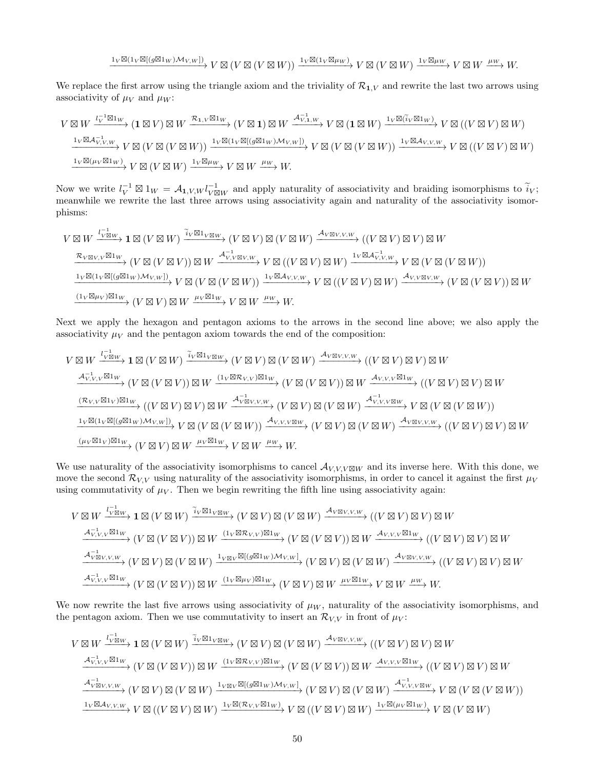$$
\xrightarrow{1_V\boxtimes (1_V\boxtimes [(g\boxtimes 1_W) \mathcal{M}_{V,W}])} V\boxtimes (V\boxtimes (V\boxtimes W)) \xrightarrow{1_V\boxtimes (1_V\boxtimes \mu_W)} V\boxtimes (V\boxtimes W) \xrightarrow{1_V\boxtimes \mu_W} V\boxtimes W \xrightarrow{\mu_W} W.
$$

We replace the first arrow using the triangle axiom and the triviality of  $\mathcal{R}_{1,V}$  and rewrite the last two arrows using associativity of  $\mu_V$  and  $\mu_W$ :

$$
V \boxtimes W \xrightarrow{l_V \boxtimes 1_W} (1 \boxtimes V) \boxtimes W \xrightarrow{\mathcal{R}_{1,V} \boxtimes 1_W} (V \boxtimes 1) \boxtimes W \xrightarrow{\mathcal{A}_{V,1,W}^{-1}} V \boxtimes (1 \boxtimes W) \xrightarrow{1_V \boxtimes (\tilde{i}_V \boxtimes 1_W)} V \boxtimes ((V \boxtimes V) \boxtimes W)
$$
  

$$
\xrightarrow{l_V \boxtimes \mathcal{A}_{V,V,W}^{-1}} V \boxtimes (V \boxtimes (V \boxtimes W)) \xrightarrow{l_V \boxtimes (1_V \boxtimes [(g \boxtimes 1_W) \mathcal{M}_{V,W}])} V \boxtimes (V \boxtimes (V \boxtimes W)) \xrightarrow{1_V \boxtimes \mathcal{A}_{V,V,W}} V \boxtimes ((V \boxtimes V) \boxtimes W)
$$
  

$$
\xrightarrow{l_V \boxtimes (\mu_V \boxtimes 1_W)} V \boxtimes (V \boxtimes W) \xrightarrow{1_V \boxtimes \mu_W} V \boxtimes W \xrightarrow{\mu_W} W.
$$

Now we write  $l_V^{-1} \boxtimes 1_W = A_{1,V,W} l_{V \boxtimes W}^{-1}$  and apply naturality of associativity and braiding isomorphisms to  $\tilde{i}_V$ ; meanwhile we rewrite the last three arrows using associativity again and naturality of the associativity isomorphisms:

$$
V \boxtimes W \xrightarrow{l_{V \boxtimes W}^{-1} \mathbf{1}} \mathbf{1} \boxtimes (V \boxtimes W) \xrightarrow{\widetilde{i}_{V} \boxtimes 1_{V \boxtimes W}} (V \boxtimes V) \boxtimes (V \boxtimes W) \xrightarrow{\mathcal{A}_{V \boxtimes V, V, W}} ((V \boxtimes V) \boxtimes V) \boxtimes W
$$
\n
$$
\xrightarrow{\mathcal{R}_{V \boxtimes V, V} \boxtimes 1_W} (V \boxtimes (V \boxtimes V)) \boxtimes W \xrightarrow{\mathcal{A}_{V, V \boxtimes V, W}} V \boxtimes ((V \boxtimes V) \boxtimes W) \xrightarrow{1_{V} \boxtimes \mathcal{A}_{V, V, W}} V \boxtimes (V \boxtimes (V \boxtimes W))
$$
\n
$$
\xrightarrow{\mathbf{1}_{V} \boxtimes (\mathbf{1}_{V} \boxtimes [(\mathbf{1}_{V} \boxtimes [(\mathbf{1}_{W}) \mathcal{M}_{V, W}]))} V \boxtimes (V \boxtimes (V \boxtimes W)) \xrightarrow{\mathbf{1}_{V} \boxtimes \mathcal{A}_{V, V, W}} V \boxtimes ((V \boxtimes V) \boxtimes W) \xrightarrow{\mathbf{1}_{V} \boxtimes \mathbf{1}_{V, V}} V \boxtimes (V \boxtimes (V \boxtimes W)) \boxtimes W
$$
\n
$$
\xrightarrow{(\mathbf{1}_{V} \boxtimes \mu_{V}) \boxtimes \mathbf{1}_{W}} (V \boxtimes V) \boxtimes W \xrightarrow{\mu_{V} \boxtimes \mathbf{1}_{W}} V \boxtimes W \xrightarrow{\mu_{W}} W.
$$

Next we apply the hexagon and pentagon axioms to the arrows in the second line above; we also apply the associativity  $\mu_V$  and the pentagon axiom towards the end of the composition:

$$
V \boxtimes W \xrightarrow{l_{V \boxtimes W}^{-1} \longrightarrow} \mathbf{1} \boxtimes (V \boxtimes W) \xrightarrow{\widetilde{i}_{V} \boxtimes 1_{V \boxtimes W}} (V \boxtimes V) \boxtimes (V \boxtimes W) \xrightarrow{\mathcal{A}_{V \boxtimes V, V, W}} ((V \boxtimes V) \boxtimes V) \boxtimes W
$$
\n
$$
\xrightarrow{\mathcal{A}_{V, V, V}^{-1} \boxtimes 1_W} (V \boxtimes (V \boxtimes V)) \boxtimes W \xrightarrow{(1_V \boxtimes \mathcal{R}_{V, V}) \boxtimes 1_W} (V \boxtimes (V \boxtimes V)) \boxtimes W \xrightarrow{\mathcal{A}_{V, V, V} \boxtimes 1_W} ((V \boxtimes V) \boxtimes V) \boxtimes W
$$
\n
$$
\xrightarrow{(\mathcal{R}_{V, V} \boxtimes 1_V) \boxtimes 1_W} ((V \boxtimes V) \boxtimes V) \boxtimes V) \boxtimes W \xrightarrow{\mathcal{A}_{V \boxtimes V, V, W}} (V \boxtimes (V \boxtimes V)) \boxtimes (V \boxtimes W) \xrightarrow{\mathcal{A}_{V, V, V \boxtimes W}} (V \boxtimes V) \boxtimes (V \boxtimes W))
$$
\n
$$
\xrightarrow{\mathbf{1}_V \boxtimes (\mathbf{1}_V \boxtimes [(\mathcal{G} \boxtimes 1_W) \mathcal{M}_{V, W}])} V \boxtimes (V \boxtimes (V \boxtimes W)) \xrightarrow{\mathcal{A}_{V, V, V \boxtimes W}} (V \boxtimes V) \boxtimes (V \boxtimes W) \xrightarrow{\mathcal{A}_{V \boxtimes V, V, W}} (V \boxtimes V) \boxtimes (V \boxtimes W) \boxtimes W
$$
\n
$$
\xrightarrow{(\mu_V \boxtimes 1_V) \boxtimes 1_W} (V \boxtimes V) \boxtimes W \xrightarrow{\mu_V \boxtimes 1_W} V \boxtimes W \xrightarrow{\mu_V} W.
$$

We use naturality of the associativity isomorphisms to cancel  $\mathcal{A}_{V,V,V\boxtimes W}$  and its inverse here. With this done, we move the second  $\mathcal{R}_{VV}$  using naturality of the associativity isomorphisms, in order to cancel it against the first  $\mu_V$ using commutativity of  $\mu_V$ . Then we begin rewriting the fifth line using associativity again:

$$
V \boxtimes W \xrightarrow{l_{V \boxtimes W}^{-1} \to} \mathbf{1} \boxtimes (V \boxtimes W) \xrightarrow{\widetilde{i}_{V} \boxtimes 1_{V \boxtimes W}} (V \boxtimes V) \boxtimes (V \boxtimes W) \xrightarrow{\mathcal{A}_{V \boxtimes V, V, W}} ((V \boxtimes V) \boxtimes V) \boxtimes W
$$
\n
$$
\xrightarrow{\mathcal{A}_{V, V, V}^{-1} \boxtimes 1_W} (V \boxtimes (V \boxtimes V)) \boxtimes W \xrightarrow{(1_V \boxtimes \mathcal{R}_{V, V}) \boxtimes 1_W} (V \boxtimes (V \boxtimes V)) \boxtimes W \xrightarrow{\mathcal{A}_{V, V, V} \boxtimes 1_W} ((V \boxtimes V) \boxtimes V) \boxtimes W
$$
\n
$$
\xrightarrow{\mathcal{A}_{V \boxtimes V, V, W}^{-1}} (V \boxtimes (V \boxtimes V) \boxtimes (V \boxtimes W) \xrightarrow{1_{V \boxtimes V} \boxtimes [(g \boxtimes 1_W) \mathcal{M}_{V, W}]} (V \boxtimes V) \boxtimes (V \boxtimes W) \xrightarrow{\mathcal{A}_{V \boxtimes V, V, W}} ((V \boxtimes V) \boxtimes V) \boxtimes W
$$
\n
$$
\xrightarrow{\mathcal{A}_{V, V, V}^{-1} \boxtimes 1_W} (V \boxtimes (V \boxtimes V)) \boxtimes W \xrightarrow{(1_V \boxtimes \mu_V) \boxtimes 1_W} (V \boxtimes V) \boxtimes W \xrightarrow{\mu_V \boxtimes 1_W} V \boxtimes W \xrightarrow{\mu_W} W.
$$

We now rewrite the last five arrows using associativity of  $\mu_W$ , naturality of the associativity isomorphisms, and the pentagon axiom. Then we use commutativity to insert an  $\mathcal{R}_{V,V}$  in front of  $\mu_V$ :

$$
V \boxtimes W \xrightarrow{l_{V\boxtimes W}^{-1} \to} \mathbf{1} \boxtimes (V \boxtimes W) \xrightarrow{\widetilde{i}_{V} \boxtimes 1_{V\boxtimes W}} (V \boxtimes V) \boxtimes (V \boxtimes W) \xrightarrow{\mathcal{A}_{V\boxtimes V, V, W}} ((V \boxtimes V) \boxtimes V) \boxtimes W
$$
\n
$$
\xrightarrow{\mathcal{A}_{V, V, V}^{-1} \boxtimes 1_W} (V \boxtimes (V \boxtimes V)) \boxtimes W \xrightarrow{(1_{V} \boxtimes \mathcal{R}_{V, V}) \boxtimes 1_W} (V \boxtimes (V \boxtimes V)) \boxtimes W \xrightarrow{\mathcal{A}_{V, V, V} \boxtimes 1_W} ((V \boxtimes V) \boxtimes V) \boxtimes W
$$
\n
$$
\xrightarrow{\mathcal{A}_{V\boxtimes V, V, W}^{-1}} (V \boxtimes (V \boxtimes V)) \boxtimes (V \boxtimes W) \xrightarrow{1_{V\boxtimes V} \boxtimes [(g \boxtimes 1_W) \mathcal{M}_{V, W}]} (V \boxtimes V) \boxtimes (V \boxtimes W) \xrightarrow{\mathcal{A}_{V, V, V\boxtimes W}} (V \boxtimes V) \boxtimes (V \boxtimes W))
$$
\n
$$
\xrightarrow{\mathbf{1}_{V} \boxtimes \mathcal{A}_{V, V, W}} V \boxtimes ((V \boxtimes V) \boxtimes W) \xrightarrow{\mathbf{1}_{V} \boxtimes (\mathcal{R}_{V, V} \boxtimes 1_W)} V \boxtimes ((V \boxtimes V) \boxtimes W) \xrightarrow{\mathbf{1}_{V} \boxtimes (\mu_{V} \boxtimes 1_W)} V \boxtimes (V \boxtimes W))
$$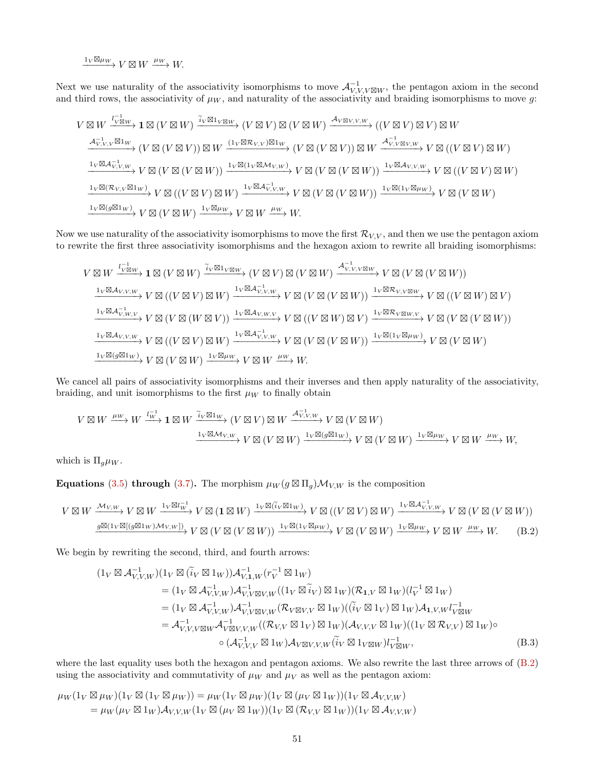$\xrightarrow{1_V \boxtimes \mu_W} V \boxtimes W \xrightarrow{\mu_W} W.$ 

Next we use naturality of the associativity isomorphisms to move  $\mathcal{A}_{V,V,\forall}^{-1}$  the pentagon axiom in the second and third rows, the associativity of  $\mu_W$ , and naturality of the associativity and braiding isomorphisms to move g:

$$
V \boxtimes W \xrightarrow{l_{V}^{-1} \boxtimes w} \mathbf{1} \boxtimes (V \boxtimes W) \xrightarrow{\widetilde{i}_{V} \boxtimes 1_{V} \boxtimes w} (V \boxtimes V) \boxtimes (V \boxtimes W) \xrightarrow{A_{V} \boxtimes v, v, w} ((V \boxtimes V) \boxtimes V) \boxtimes W
$$
\n
$$
\xrightarrow{A_{V,V,V}^{-1} \boxtimes 1_W} (V \boxtimes (V \boxtimes V)) \boxtimes W \xrightarrow{(1_{V} \boxtimes \mathcal{R}_{V,V}) \boxtimes 1_W} (V \boxtimes (V \boxtimes V)) \boxtimes W \xrightarrow{A_{V,V \boxtimes V,W}^{-1} \mathbf{1} \vee (V \boxtimes V) \boxtimes W)
$$
\n
$$
\xrightarrow{1_{V} \boxtimes A_{V,V,W}^{-1}} V \boxtimes (V \boxtimes (V \boxtimes W)) \xrightarrow{1_{V} \boxtimes (1_{V} \boxtimes M_{V,W})} V \boxtimes (V \boxtimes (V \boxtimes W)) \xrightarrow{1_{V} \boxtimes (1_{V} \boxtimes M_{V,W})} V \boxtimes ((V \boxtimes V) \boxtimes W)
$$
\n
$$
\xrightarrow{1_{V} \boxtimes (\mathcal{R}_{V,V} \boxtimes 1_W)} V \boxtimes ((V \boxtimes V) \boxtimes W) \xrightarrow{1_{V} \boxtimes (1_{V} \boxtimes M_{V,W})} V \boxtimes (V \boxtimes (V \boxtimes W)) \xrightarrow{1_{V} \boxtimes (1_{V} \boxtimes \mu w)} V \boxtimes (V \boxtimes W)
$$
\n
$$
\xrightarrow{1_{V} \boxtimes (g \boxtimes 1_W)} V \boxtimes (V \boxtimes W) \xrightarrow{1_{V} \boxtimes \mu w} V \boxtimes W \xrightarrow{\mu w} W.
$$

Now we use naturality of the associativity isomorphisms to move the first  $\mathcal{R}_{V,V}$ , and then we use the pentagon axiom to rewrite the first three associativity isomorphisms and the hexagon axiom to rewrite all braiding isomorphisms:

$$
V \boxtimes W \xrightarrow{l_V \boxtimes w} \mathbf{1} \boxtimes (V \boxtimes W) \xrightarrow{\tilde{i}_V \boxtimes \mathbf{1}_V \boxtimes w} (V \boxtimes V) \boxtimes (V \boxtimes W) \xrightarrow{\mathcal{A}_{V,V,V \boxtimes w}^{-1}} V \boxtimes (V \boxtimes (V \boxtimes W))
$$
\n
$$
\xrightarrow{l_V \boxtimes \mathcal{A}_{V,V,W}} V \boxtimes ((V \boxtimes V) \boxtimes W) \xrightarrow{\mathbf{1}_V \boxtimes \mathcal{A}_{V,V,W}^{-1}} V \boxtimes (V \boxtimes (V \boxtimes W)) \xrightarrow{\mathbf{1}_V \boxtimes \mathcal{A}_{V,V,W}^{-1}} V \boxtimes ((V \boxtimes W) \boxtimes W)
$$
\n
$$
\xrightarrow{\mathbf{1}_V \boxtimes \mathcal{A}_{V,W,V}} V \boxtimes (V \boxtimes (W \boxtimes V)) \xrightarrow{\mathbf{1}_V \boxtimes \mathcal{A}_{V,W,V}} V \boxtimes (V \boxtimes (V \boxtimes W)) \xrightarrow{\mathbf{1}_V \boxtimes \mathcal{A}_{V,W,V}} V \boxtimes ((V \boxtimes W)) \xrightarrow{\mathbf{1}_V \boxtimes \mathcal{A}_{V,W,V}} V \boxtimes (V \boxtimes (W \boxtimes W))
$$
\n
$$
\xrightarrow{\mathbf{1}_V \boxtimes \mathcal{A}_{V,V,W}} V \boxtimes ((V \boxtimes V) \boxtimes W) \xrightarrow{\mathbf{1}_V \boxtimes \mathcal{A}_{V,V,W}} V \boxtimes (V \boxtimes (V \boxtimes W)) \xrightarrow{\mathbf{1}_V \boxtimes (\mathbf{1}_V \boxtimes \mathbf{1}_W)} V \boxtimes (V \boxtimes W)
$$
\n
$$
\xrightarrow{\mathbf{1}_V \boxtimes (\mathcal{g} \boxtimes \mathbf{1}_W)} V \boxtimes (V \boxtimes W) \xrightarrow{\mathbf{1}_V \boxtimes \mathcal{M}} V \boxtimes W \xrightarrow{\mathcal{H}_{W} \times W} V \boxtimes (V \boxtimes W) \xrightarrow{\mathbf{1}_V \boxtimes (\mathcal{g} \boxtimes \mathbf{1}_W)} V \boxtimes (V \boxtimes W)
$$

We cancel all pairs of associativity isomorphisms and their inverses and then apply naturality of the associativity, braiding, and unit isomorphisms to the first  $\mu_W$  to finally obtain

$$
V \boxtimes W \xrightarrow{\mu_W} W \xrightarrow{l_W^{-1}} \mathbf{1} \boxtimes W \xrightarrow{\tilde{i}_V \boxtimes 1_W} (V \boxtimes V) \boxtimes W \xrightarrow{\mathcal{A}_{V,V,W}^{-1}} V \boxtimes (V \boxtimes W)
$$

$$
\xrightarrow{\mathbf{1}_V \boxtimes \mathcal{M}_{V,W}} V \boxtimes (V \boxtimes W) \xrightarrow{\mathbf{1}_V \boxtimes (g \boxtimes 1_W)} V \boxtimes (V \boxtimes W) \xrightarrow{\mathbf{1}_V \boxtimes \mu_W} V \boxtimes W \xrightarrow{\mu_W} W,
$$

which is  $\Pi_g \mu_W$ .

Equations [\(3.5\)](#page-21-0) through [\(3.7\)](#page-22-1). The morphism  $\mu_W(g \boxtimes \Pi_g) \mathcal{M}_{V,W}$  is the composition

$$
V \boxtimes W \xrightarrow{\mathcal{M}_{V,W}} V \boxtimes W \xrightarrow{1_V \boxtimes l_W^{-1}} V \boxtimes (\mathbf{1} \boxtimes W) \xrightarrow{1_V \boxtimes (\tilde{i}_V \boxtimes 1_W)} V \boxtimes ((V \boxtimes V) \boxtimes W) \xrightarrow{1_V \boxtimes \mathcal{A}_{V,V,W}^{-1}} V \boxtimes (V \boxtimes (V \boxtimes W))
$$
  

$$
\xrightarrow{g \boxtimes (1_V \boxtimes [(g \boxtimes 1_W) \mathcal{M}_{V,W}])} V \boxtimes (V \boxtimes (V \boxtimes W)) \xrightarrow{1_V \boxtimes (1_V \boxtimes \mu_W)} V \boxtimes (V \boxtimes W) \xrightarrow{1_V \boxtimes \mu_W} V \boxtimes W \xrightarrow{\mu_W} W.
$$
 (B.2)

We begin by rewriting the second, third, and fourth arrows:

<span id="page-50-1"></span><span id="page-50-0"></span>
$$
(1_V \boxtimes \mathcal{A}_{V,V,W}^{-1})(1_V \boxtimes (\widetilde{i}_V \boxtimes 1_W))\mathcal{A}_{V,1,W}^{-1}(r_V^{-1} \boxtimes 1_W)
$$
  
\n
$$
= (1_V \boxtimes \mathcal{A}_{V,V,W}^{-1})\mathcal{A}_{V,V\boxtimes V,W}^{-1}((1_V \boxtimes \widetilde{i}_V) \boxtimes 1_W)(\mathcal{R}_{1,V} \boxtimes 1_W)(l_V^{-1} \boxtimes 1_W)
$$
  
\n
$$
= (1_V \boxtimes \mathcal{A}_{V,V,W}^{-1})\mathcal{A}_{V,V\boxtimes V,W}^{-1}((\mathcal{R}_{V\boxtimes V,V} \boxtimes 1_W)((\widetilde{i}_V \boxtimes 1_V) \boxtimes 1_W)\mathcal{A}_{1,V,W}l_{V\boxtimes W}^{-1}
$$
  
\n
$$
= \mathcal{A}_{V,V,V\boxtimes W}^{-1}\mathcal{A}_{V\boxtimes V,V,W}^{-1}((\mathcal{R}_{V,V} \boxtimes 1_V) \boxtimes 1_W)(\mathcal{A}_{V,V,V} \boxtimes 1_W)((1_V \boxtimes \mathcal{R}_{V,V}) \boxtimes 1_W)\circ
$$
  
\n
$$
\circ (\mathcal{A}_{V,V,V}^{-1} \boxtimes 1_W)\mathcal{A}_{V\boxtimes V,V,W}(\widetilde{i}_V \boxtimes 1_V \boxtimes W)l_{V\boxtimes W}^{-1},
$$
  
\n(B.3)

where the last equality uses both the hexagon and pentagon axioms. We also rewrite the last three arrows of  $(B.2)$ using the associativity and commutativity of  $\mu_W$  and  $\mu_V$  as well as the pentagon axiom:

$$
\mu_W(1_V \boxtimes \mu_W)(1_V \boxtimes (1_V \boxtimes \mu_W)) = \mu_W(1_V \boxtimes \mu_W)(1_V \boxtimes (\mu_V \boxtimes 1_W))(1_V \boxtimes \mathcal{A}_{V,V,W}) \n= \mu_W(\mu_V \boxtimes 1_W) \mathcal{A}_{V,V,W}(1_V \boxtimes (\mu_V \boxtimes 1_W))(1_V \boxtimes (\mathcal{R}_{V,V} \boxtimes 1_W))(1_V \boxtimes \mathcal{A}_{V,V,W})
$$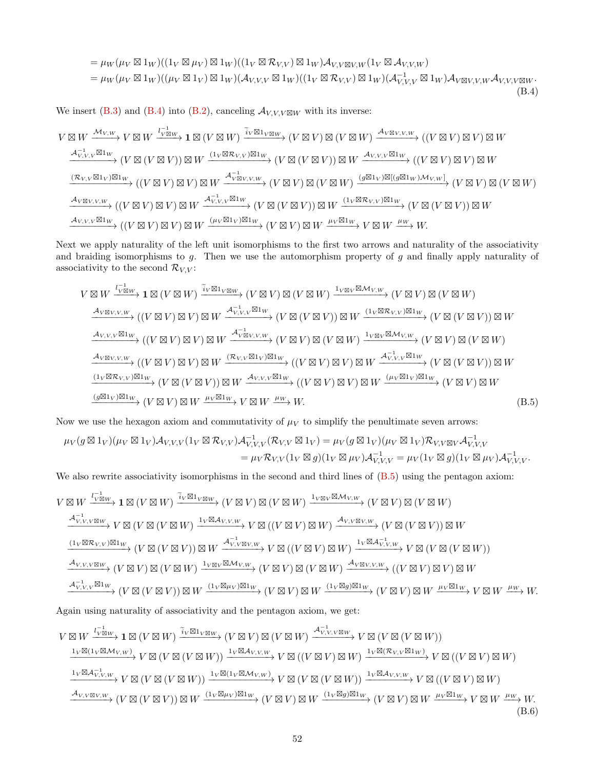<span id="page-51-0"></span>
$$
= \mu_W(\mu_V \boxtimes 1_W)((1_V \boxtimes \mu_V) \boxtimes 1_W)((1_V \boxtimes \mathcal{R}_{V,V}) \boxtimes 1_W) \mathcal{A}_{V,V \boxtimes V,W}(1_V \boxtimes \mathcal{A}_{V,V,W})
$$
  
=  $\mu_W(\mu_V \boxtimes 1_W)((\mu_V \boxtimes 1_V) \boxtimes 1_W)(\mathcal{A}_{V,V,V} \boxtimes 1_W)((1_V \boxtimes \mathcal{R}_{V,V}) \boxtimes 1_W)(\mathcal{A}_{V,V,V}^{-1} \boxtimes 1_W) \mathcal{A}_{V \boxtimes V,V,W} \mathcal{A}_{V,V,V \boxtimes W}. \tag{B.4}$ 

We insert [\(B.3\)](#page-50-1) and [\(B.4\)](#page-51-0) into [\(B.2\)](#page-50-0), canceling  $\mathcal{A}_{V,V,V\boxtimes W}$  with its inverse:

$$
V \boxtimes W \xrightarrow{\mathcal{M}_{V,W}} V \boxtimes W \xrightarrow{l_{V \boxtimes W}^{-1}} \mathbf{1} \boxtimes (V \boxtimes W) \xrightarrow{\tilde{i}_{V} \boxtimes 1_{V \boxtimes W}} (V \boxtimes V) \boxtimes (V \boxtimes W) \xrightarrow{\mathcal{A}_{V \boxtimes V, V, W}} ((V \boxtimes V) \boxtimes V) \boxtimes W
$$
\n
$$
\xrightarrow{\mathcal{A}_{V,V,V}^{-1} \boxtimes 1_W} (V \boxtimes (V \boxtimes V)) \boxtimes W \xrightarrow{(1_V \boxtimes \mathcal{R}_{V,V}) \boxtimes 1_W} (V \boxtimes (V \boxtimes V)) \boxtimes W \xrightarrow{\mathcal{A}_{V,V,V} \boxtimes 1_W} ((V \boxtimes V) \boxtimes V) \boxtimes W
$$
\n
$$
\xrightarrow{(\mathcal{R}_{V,V} \boxtimes 1_V) \boxtimes 1_W} ((V \boxtimes V) \boxtimes V) \boxtimes W \xrightarrow{\mathcal{A}_{V \boxtimes V, V, W}} (V \boxtimes V) \boxtimes (V \boxtimes V)) \boxtimes (V \boxtimes W) \xrightarrow{(\mathcal{R}_{V,V} \boxtimes 1_W} ((V \boxtimes V) \boxtimes V) \boxtimes W \xrightarrow{(\mathcal{R}_{V,V} \boxtimes 1_W} ((V \boxtimes V) \boxtimes V) \boxtimes W \xrightarrow{\mathcal{A}_{V,V,V} \boxtimes 1_W} (V \boxtimes V) \boxtimes W \xrightarrow{\mathcal{A}_{V,V}^{-1} \boxtimes 1_W} (V \boxtimes (V \boxtimes V)) \boxtimes W \xrightarrow{\mathcal{A}_{V,V,V} \boxtimes 1_W} ((V \boxtimes V) \boxtimes W \xrightarrow{\mathcal{A}_{V,V,V} \boxtimes 1_W} ((V \boxtimes V) \boxtimes W \xrightarrow{\mathcal{A}_{V,V,V} \boxtimes 1_W} ((V \boxtimes V) \boxtimes W \xrightarrow{(\mu_V \boxtimes 1_V) \boxtimes 1_W} (V \boxtimes V) \boxtimes W \xrightarrow{(\mu_V \boxtimes 1_V) \boxtimes 1_W} (V \boxtimes V) \boxtimes W \xrightarrow{\mu_V \boxtimes 1_W} W.
$$

Next we apply naturality of the left unit isomorphisms to the first two arrows and naturality of the associativity and braiding isomorphisms to  $g$ . Then we use the automorphism property of  $g$  and finally apply naturality of associativity to the second  $\mathcal{R}_{V,V}$ :

<span id="page-51-1"></span>
$$
V \boxtimes W \xrightarrow{l_{V \boxtimes W} \atop \sum_{V \boxtimes V, W} l} 1 \boxtimes (V \boxtimes W) \xrightarrow{\widetilde{i}_{V} \boxtimes 1_{V \boxtimes W}} (V \boxtimes V) \boxtimes (V \boxtimes W) \xrightarrow{1_{V \boxtimes V} \boxtimes M_{V, W}} (V \boxtimes V) \boxtimes (V \boxtimes W)
$$
\n
$$
\xrightarrow{A_{V \boxtimes V, V, W} \atop \sum_{V, V, V} (V \boxtimes V) \boxtimes V) \boxtimes W} \xrightarrow{A_{V, V, V}^{-1} \boxtimes 1_W} (V \boxtimes (V \boxtimes V)) \boxtimes W \xrightarrow{(1_{V} \boxtimes R_{V, V}) \boxtimes 1_W} (V \boxtimes (V \boxtimes V)) \boxtimes W
$$
\n
$$
\xrightarrow{A_{V, V, V} \boxtimes 1_W} ((V \boxtimes V) \boxtimes V) \boxtimes W \xrightarrow{A_{V \boxtimes V, V, W}^{-1} \atop \sum_{V, V, V} (V \boxtimes V) \boxtimes (V \boxtimes V)) \boxtimes W} \xrightarrow{(N_{V \boxtimes V} \boxtimes 1_V, V \boxtimes 1_W} (V \boxtimes V) \boxtimes (V \boxtimes V)) \boxtimes W
$$
\n
$$
\xrightarrow{(1_{V} \boxtimes R_{V, V}) \boxtimes 1_W} ((V \boxtimes V) \boxtimes V) \boxtimes W \xrightarrow{(R_{V, V} \boxtimes 1_V) \boxtimes 1_W} ((V \boxtimes V) \boxtimes V) \boxtimes W \xrightarrow{A_{V, V, V}^{-1} \boxtimes 1_W} (V \boxtimes (V \boxtimes V)) \boxtimes W
$$
\n
$$
\xrightarrow{(1_{V} \boxtimes R_{V, V}) \boxtimes 1_W} (V \boxtimes (V \boxtimes V)) \boxtimes W \xrightarrow{A_{V, V, V} \boxtimes 1_W} ((V \boxtimes V) \boxtimes V) \boxtimes W \xrightarrow{(H_{V} \boxtimes 1_V) \boxtimes 1_W} (V \boxtimes V) \boxtimes W
$$
\n
$$
\xrightarrow{(g \boxtimes 1_V) \boxtimes 1_W} (V \boxtimes V) \boxtimes W \xrightarrow{\mu_V \boxtimes 1_W} V \boxtimes W \xrightarrow{\mu_W} W.
$$
\n(B.5)

Now we use the hexagon axiom and commutativity of  $\mu_V$  to simplify the penultimate seven arrows:

$$
\mu_V(g\boxtimes 1_V)(\mu_V\boxtimes 1_V)\mathcal{A}_{V,V,V}(1_V\boxtimes \mathcal{R}_{V,V})\mathcal{A}_{V,V,V}^{-1}(\mathcal{R}_{V,V}\boxtimes 1_V)=\mu_V(g\boxtimes 1_V)(\mu_V\boxtimes 1_V)\mathcal{R}_{V,V\boxtimes V}\mathcal{A}_{V,V,V}^{-1}
$$
  
= 
$$
\mu_V\mathcal{R}_{V,V}(1_V\boxtimes g)(1_V\boxtimes \mu_V)\mathcal{A}_{V,V,V}^{-1}=\mu_V(1_V\boxtimes g)(1_V\boxtimes \mu_V)\mathcal{A}_{V,V,V}^{-1}.
$$

We also rewrite associativity isomorphisms in the second and third lines of  $(B.5)$  using the pentagon axiom:

$$
V \boxtimes W \xrightarrow{l_{V}^{-1} \boxtimes w} \mathbf{1} \boxtimes (V \boxtimes W) \xrightarrow{\widetilde{i}_{V} \boxtimes 1_{V} \boxtimes w} (V \boxtimes V) \boxtimes (V \boxtimes W) \xrightarrow{1_{V} \boxtimes V} \boxtimes w, \psi_{V} \boxtimes (V \boxtimes V) \boxtimes (V \boxtimes W)
$$
\n
$$
\xrightarrow{A_{V,V,V\boxtimes w}^{-1} \longrightarrow} V \boxtimes (V \boxtimes (V \boxtimes W) \xrightarrow{1_{V} \boxtimes A_{V,V,W}} V \boxtimes ((V \boxtimes V) \boxtimes W) \xrightarrow{A_{V,V\boxtimes V,W}} (V \boxtimes (V \boxtimes V)) \boxtimes W
$$
\n
$$
\xrightarrow{(1_{V} \boxtimes \mathcal{R}_{V,V}) \boxtimes 1_{W}} (V \boxtimes (V \boxtimes V)) \boxtimes W \xrightarrow{A_{V,V\boxtimes V,W}^{-1} \longrightarrow} V \boxtimes ((V \boxtimes V) \boxtimes W) \xrightarrow{A_{V,V\boxtimes V,W}} V \boxtimes (V \boxtimes (V \boxtimes W))
$$
\n
$$
\xrightarrow{A_{V,V,V\boxtimes w}} (V \boxtimes V) \boxtimes (V \boxtimes W) \xrightarrow{1_{V\boxtimes V} \boxtimes M_{V,W}} (V \boxtimes V) \boxtimes (V \boxtimes W) \xrightarrow{A_{V\boxtimes V,V,W}} ((V \boxtimes V) \boxtimes W) \boxtimes W
$$
\n
$$
\xrightarrow{A_{V,V,V}^{-1} \boxtimes 1_{W}} (V \boxtimes V) \boxtimes (V \boxtimes W) \boxtimes W \xrightarrow{(1_{V} \boxtimes \mu_{V}) \boxtimes 1_{W}} (V \boxtimes V) \boxtimes W \xrightarrow{(1_{V} \boxtimes g) \boxtimes 1_{W}} (V \boxtimes V) \boxtimes W \xrightarrow{\mu_{V} \boxtimes 1_{W}} V.
$$

Again using naturality of associativity and the pentagon axiom, we get:

<span id="page-51-2"></span>
$$
V \boxtimes W \xrightarrow{l_{V} \boxtimes w} \mathbf{1} \boxtimes (V \boxtimes W) \xrightarrow{\tilde{i}_{V} \boxtimes \mathbf{1}_{V \boxtimes w}} (V \boxtimes V) \boxtimes (V \boxtimes W) \xrightarrow{A_{V,V,V \boxtimes w}^{-1}} V \boxtimes (V \boxtimes (V \boxtimes W))
$$
\n
$$
\xrightarrow{l_{V} \boxtimes (1_{V} \boxtimes M_{V,W})} V \boxtimes (V \boxtimes (V \boxtimes W)) \xrightarrow{1_{V} \boxtimes A_{V,V,W}} V \boxtimes ((V \boxtimes V) \boxtimes W) \xrightarrow{1_{V} \boxtimes (\mathcal{R}_{V,V} \boxtimes 1_{W})} V \boxtimes ((V \boxtimes V) \boxtimes W)
$$
\n
$$
\xrightarrow{l_{V} \boxtimes A_{V,V,W}^{-1}} V \boxtimes (V \boxtimes (V \boxtimes W)) \xrightarrow{1_{V} \boxtimes (1_{V} \boxtimes M_{V,W})} V \boxtimes ((V \boxtimes V) \boxtimes W) \xrightarrow{1_{V} \boxtimes A_{V,V,W}} V \boxtimes ((V \boxtimes V) \boxtimes W)
$$
\n
$$
\xrightarrow{A_{V,V \boxtimes V,W}} (V \boxtimes (V \boxtimes V)) \boxtimes W \xrightarrow{(1_{V} \boxtimes \mu_{V}) \boxtimes 1_{W}} (V \boxtimes V) \boxtimes W \xrightarrow{(1_{V} \boxtimes g) \boxtimes 1_{W}} (V \boxtimes V) \boxtimes W \xrightarrow{1_{W} \boxtimes 1_{W}} V \boxtimes W \xrightarrow{\mu_{W}} W.
$$
\n
$$
\xrightarrow{A_{V,V \boxtimes V,W}} (V \boxtimes (V \boxtimes V)) \boxtimes W \xrightarrow{(1_{V} \boxtimes \mu_{V}) \boxtimes 1_{W}} (V \boxtimes V) \boxtimes W \xrightarrow{(1_{V} \boxtimes g) \boxtimes 1_{W}} (V \boxtimes V) \boxtimes W \xrightarrow{\mu_{V} \boxtimes 1_{W}} V.
$$
\n(B.6)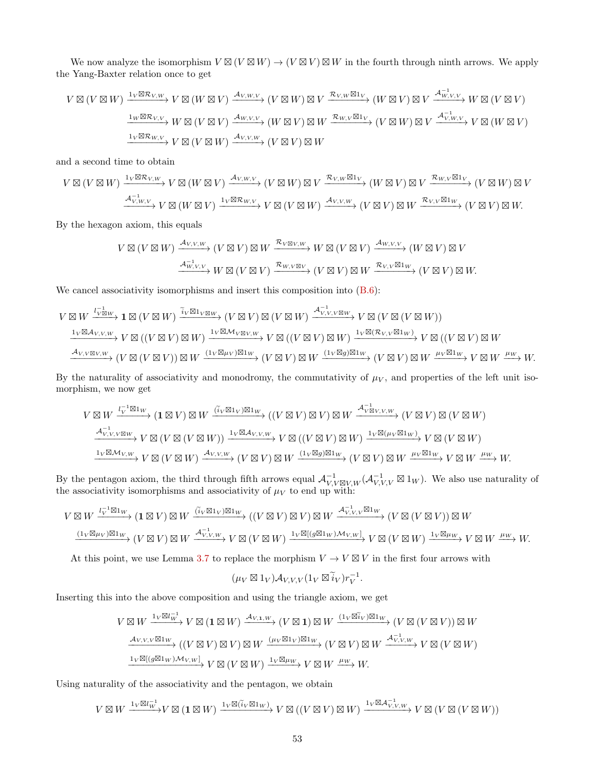We now analyze the isomorphism  $V \boxtimes (V \boxtimes W) \to (V \boxtimes V) \boxtimes W$  in the fourth through ninth arrows. We apply the Yang-Baxter relation once to get

$$
V \boxtimes (V \boxtimes W) \xrightarrow{1_V \boxtimes \mathcal{R}_{V,W}} V \boxtimes (W \boxtimes V) \xrightarrow{\mathcal{A}_{V,W,V}} (V \boxtimes W) \boxtimes V \xrightarrow{\mathcal{R}_{V,W} \boxtimes 1_V} (W \boxtimes V) \boxtimes V \xrightarrow{\mathcal{A}_{W,V,V}^{-1}} W \boxtimes (V \boxtimes V)
$$

$$
\xrightarrow{1_W \boxtimes \mathcal{R}_{V,V}} W \boxtimes (V \boxtimes V) \xrightarrow{\mathcal{A}_{W,V,V}} (W \boxtimes V) \boxtimes W \xrightarrow{\mathcal{R}_{W,V} \boxtimes 1_V} (V \boxtimes W) \boxtimes V \xrightarrow{\mathcal{A}_{V,W,V}} V \boxtimes (W \boxtimes V)
$$

$$
\xrightarrow{1_V \boxtimes \mathcal{R}_{W,V}} V \boxtimes (V \boxtimes W) \xrightarrow{\mathcal{A}_{V,V,W}} (V \boxtimes V) \boxtimes W
$$

and a second time to obtain

$$
V \boxtimes (V \boxtimes W) \xrightarrow{1_V \boxtimes \mathcal{R}_{V,W}} V \boxtimes (W \boxtimes V) \xrightarrow{\mathcal{A}_{V,W,V}} (V \boxtimes W) \boxtimes V \xrightarrow{\mathcal{R}_{V,W} \boxtimes 1_V} (W \boxtimes V) \boxtimes V \xrightarrow{\mathcal{R}_{W,V} \boxtimes 1_V} (V \boxtimes W) \boxtimes V
$$
  

$$
\xrightarrow{\mathcal{A}_{V,W,V}^{-1}} V \boxtimes (W \boxtimes V) \xrightarrow{1_V \boxtimes \mathcal{R}_{W,V}} V \boxtimes (V \boxtimes W) \xrightarrow{\mathcal{A}_{V,V,W}} (V \boxtimes V) \boxtimes W \xrightarrow{\mathcal{R}_{V,V} \boxtimes 1_W} (V \boxtimes V) \boxtimes W.
$$

By the hexagon axiom, this equals

$$
V \boxtimes (V \boxtimes W) \xrightarrow{\mathcal{A}_{V,V,W}} (V \boxtimes V) \boxtimes W \xrightarrow{\mathcal{R}_{V \boxtimes V,W}} W \boxtimes (V \boxtimes V) \xrightarrow{\mathcal{A}_{W,V,V}} (W \boxtimes V) \boxtimes V
$$

$$
\xrightarrow{\mathcal{A}_{W,V,V}^{-1}} W \boxtimes (V \boxtimes V) \xrightarrow{\mathcal{R}_{W,V \boxtimes V}} (V \boxtimes V) \boxtimes W \xrightarrow{\mathcal{R}_{V,V} \boxtimes 1_W} (V \boxtimes V) \boxtimes W.
$$

We cancel associativity isomorphisms and insert this composition into  $(B.6)$ :

$$
V \boxtimes W \xrightarrow{l_{V} \boxtimes w} \mathbf{1} \boxtimes (V \boxtimes W) \xrightarrow{\widetilde{i}_{V} \boxtimes 1_{V} \boxtimes w} (V \boxtimes V) \boxtimes (V \boxtimes W) \xrightarrow{\mathcal{A}_{V,V,V}^{-1} \boxtimes w} V \boxtimes (V \boxtimes (V \boxtimes W))
$$
\n
$$
\xrightarrow{\mathbf{1}_{V} \boxtimes \mathcal{A}_{V,V,W}} V \boxtimes ((V \boxtimes V) \boxtimes W) \xrightarrow{\mathbf{1}_{V} \boxtimes \mathcal{M}_{V \boxtimes V,W}} V \boxtimes ((V \boxtimes V) \boxtimes W) \xrightarrow{\mathbf{1}_{V} \boxtimes (\mathcal{R}_{V,V} \boxtimes 1_W)} V \boxtimes ((V \boxtimes V) \boxtimes W)
$$
\n
$$
\xrightarrow{\mathcal{A}_{V,V \boxtimes V,W}} (V \boxtimes (V \boxtimes V) \boxtimes W \xrightarrow{\mathbf{1}_{V} \boxtimes \mathcal{M}_{V \boxtimes V}} (V \boxtimes V) \boxtimes W \xrightarrow{\mathbf{1}_{V} \boxtimes (\mathcal{R}_{V,V} \boxtimes 1_W)} V \boxtimes ((V \boxtimes V) \boxtimes W \xrightarrow{\mu_{V} \boxtimes 1_W} V \boxtimes (V \boxtimes V)) \xrightarrow{\mathbf{1}_{V} \boxtimes \mathcal{M}_{V \boxtimes V}} (V \boxtimes V) \otimes W \xrightarrow{\mathbf{1}_{V} \boxtimes \mathcal{M}_{V \boxtimes V}} V \boxtimes (V \boxtimes V) \xrightarrow{\mathbf{1}_{V} \boxtimes \mathcal{M}_{V \boxtimes V}} V \otimes W \xrightarrow{\mu_{V} \boxtimes \mathcal{M}_{V \boxtimes V}} W.
$$

By the naturality of associativity and monodromy, the commutativity of  $\mu_V$ , and properties of the left unit isomorphism, we now get

$$
V \boxtimes W \xrightarrow{l_V^{-1} \boxtimes 1_W} (\mathbf{1} \boxtimes V) \boxtimes W \xrightarrow{(\tilde{i}_V \boxtimes 1_V) \boxtimes 1_W} ((V \boxtimes V) \boxtimes V) \boxtimes W \xrightarrow{A_{V \boxtimes V, V, W}^{-1}} (V \boxtimes V) \boxtimes (V \boxtimes W)
$$
  
\n
$$
\xrightarrow{A_{V, V, V \boxtimes W}^{-1}} V \boxtimes (V \boxtimes (V \boxtimes W)) \xrightarrow{1_V \boxtimes A_{V, V, W}} V \boxtimes ((V \boxtimes V) \boxtimes W) \xrightarrow{1_V \boxtimes (\mu_V \boxtimes 1_W)} V \boxtimes (V \boxtimes W)
$$
  
\n
$$
\xrightarrow{1_V \boxtimes M_{V, W}} V \boxtimes (V \boxtimes W) \xrightarrow{A_{V, V, W}} (V \boxtimes V) \boxtimes W \xrightarrow{(1_V \boxtimes g) \boxtimes 1_W} (V \boxtimes V) \boxtimes W \xrightarrow{\mu_V \boxtimes 1_W} V \boxtimes W \xrightarrow{\mu_W} W.
$$

By the pentagon axiom, the third through fifth arrows equal  $\mathcal{A}_{V,V\boxtimes V,W}^{-1}(\mathcal{A}_{V,V,V}^{-1}\boxtimes 1_W)$ . We also use naturality of the associativity isomorphisms and associativity of  $\mu_V$  to end up with:

$$
V \boxtimes W \xrightarrow{l_V^{-1} \boxtimes 1_W} (\mathbf{1} \boxtimes V) \boxtimes W \xrightarrow{(\tilde{i}_V \boxtimes 1_V) \boxtimes 1_W} ((V \boxtimes V) \boxtimes V) \boxtimes W \xrightarrow{\mathcal{A}_{V,V,V}^{-1} \boxtimes 1_W} (V \boxtimes (V \boxtimes V)) \boxtimes W
$$
  

$$
\xrightarrow{(1_V \boxtimes \mu_V) \boxtimes 1_W} (V \boxtimes V) \boxtimes W \xrightarrow{\mathcal{A}_{V,V,W}^{-1}} V \boxtimes (V \boxtimes W) \xrightarrow{1_V \boxtimes [(g \boxtimes 1_W) \mathcal{M}_V, W]} V \boxtimes (V \boxtimes W) \xrightarrow{1_V \boxtimes \mu_W} V \boxtimes W \xrightarrow{\mu_W} W.
$$

At this point, we use Lemma [3.7](#page-17-0) to replace the morphism  $V \to V \boxtimes V$  in the first four arrows with

$$
(\mu_V \boxtimes 1_V) \mathcal{A}_{V,V,V} (1_V \boxtimes \widetilde{i}_V) r_V^{-1}.
$$

Inserting this into the above composition and using the triangle axiom, we get

$$
V \boxtimes W \xrightarrow{1_V \boxtimes l_W^{-1}} V \boxtimes (\mathbf{1} \boxtimes W) \xrightarrow{\mathcal{A}_{V,1,W}} (V \boxtimes \mathbf{1}) \boxtimes W \xrightarrow{(1_V \boxtimes \widetilde{i}_V) \boxtimes 1_W} (V \boxtimes (V \boxtimes V)) \boxtimes W
$$

$$
\xrightarrow{\mathcal{A}_{V,V,V} \boxtimes 1_W} ((V \boxtimes V) \boxtimes V) \boxtimes W \xrightarrow{(\mu_V \boxtimes 1_V) \boxtimes 1_W} (V \boxtimes V) \boxtimes W \xrightarrow{\mathcal{A}_{V,V,W}^{-1}} V \boxtimes (V \boxtimes W)
$$

$$
\xrightarrow{1_V \boxtimes [(g \boxtimes 1_W) \mathcal{M}_{V,W}]} V \boxtimes (V \boxtimes W) \xrightarrow{1_V \boxtimes \mu_W} V \boxtimes W \xrightarrow{\mu_W} W.
$$

Using naturality of the associativity and the pentagon, we obtain

$$
V\boxtimes W\xrightarrow{1_V\boxtimes l_W^{-1}}V\boxtimes ({\bf 1}\boxtimes W)\xrightarrow{1_V\boxtimes (\tilde i_V\boxtimes 1_W)} V\boxtimes ((V\boxtimes V)\boxtimes W)\xrightarrow{1_V\boxtimes \mathcal A_{V,V,W}^{-1}}V\boxtimes (V\boxtimes (V\boxtimes W))
$$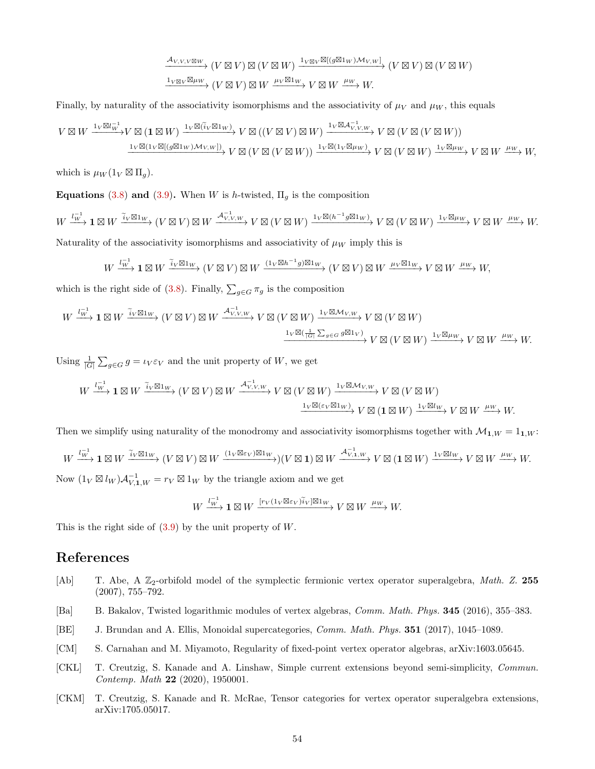$$
\xrightarrow{\mathcal{A}_{V,V,V\boxtimes W}} (V \boxtimes V) \boxtimes (V \boxtimes W) \xrightarrow{1_{V\boxtimes V} \boxtimes [(g \boxtimes 1_W) \mathcal{M}_{V,W}]} (V \boxtimes V) \boxtimes (V \boxtimes W)
$$
  

$$
\xrightarrow{1_{V\boxtimes V} \boxtimes \mu_W} (V \boxtimes V) \boxtimes W \xrightarrow{\mu_V \boxtimes 1_W} V \boxtimes W \xrightarrow{\mu_W} W.
$$

Finally, by naturality of the associativity isomorphisms and the associativity of  $\mu_V$  and  $\mu_W$ , this equals

$$
V \boxtimes W \xrightarrow{1_V \boxtimes l_W^{-1}} V \boxtimes (\mathbf{1} \boxtimes W) \xrightarrow{1_V \boxtimes (\tilde{i}_V \boxtimes 1_W)} V \boxtimes ((V \boxtimes V) \boxtimes W) \xrightarrow{1_V \boxtimes \mathcal{A}_{V,V,W}^{-1}} V \boxtimes (V \boxtimes (V \boxtimes W))
$$
  

$$
\xrightarrow{1_V \boxtimes (1_V \boxtimes [(g \boxtimes 1_W) \mathcal{M}_{V,W}])} V \boxtimes (V \boxtimes (V \boxtimes W)) \xrightarrow{1_V \boxtimes (1_V \boxtimes \mu_W)} V \boxtimes (V \boxtimes W) \xrightarrow{1_V \boxtimes \mu_W} V \boxtimes W \xrightarrow{\mu_W} W,
$$

which is  $\mu_W(1_V \boxtimes \Pi_g)$ .

**Equations** [\(3.8\)](#page-23-2) and [\(3.9\)](#page-23-3). When W is h-twisted,  $\Pi_g$  is the composition

$$
W \xrightarrow{l_W^{-1}} \mathbf{1} \boxtimes W \xrightarrow{\tilde{i}_V \boxtimes 1_W} (V \boxtimes V) \boxtimes W \xrightarrow{\mathcal{A}_{V,V,W}^{-1}} V \boxtimes (V \boxtimes W) \xrightarrow{1_V \boxtimes (h^{-1}g \boxtimes 1_W)} V \boxtimes (V \boxtimes W) \xrightarrow{1_V \boxtimes \mu_W} V \boxtimes W \xrightarrow{\mu_W} W.
$$
  
Naturally of the associativity isomorphisms and associativity of  $\mu_W$  imply this is

$$
W \xrightarrow{l_W^{-1}} \mathbf{1} \boxtimes W \xrightarrow{\widetilde{i}_V \boxtimes \mathbf{1}_W} (V \boxtimes V) \boxtimes W \xrightarrow{(\mathbf{1}_V \boxtimes h^{-1}g) \boxtimes \mathbf{1}_W} (V \boxtimes V) \boxtimes W \xrightarrow{\mu_V \boxtimes \mathbf{1}_W} V \boxtimes W \xrightarrow{\mu_W} W,
$$

which is the right side of [\(3.8\)](#page-23-2). Finally,  $\sum_{g \in G} \pi_g$  is the composition

$$
W \xrightarrow{l_V^{-1} \mathbf{1}} \mathbf{1} \boxtimes W \xrightarrow{\tilde{i}_V \boxtimes \mathbf{1}_W} (V \boxtimes V) \boxtimes W \xrightarrow{\mathcal{A}_{V,V,W}^{-1}} V \boxtimes (V \boxtimes W) \xrightarrow{\mathbf{1}_V \boxtimes \mathcal{M}_{V,W}} V \boxtimes (V \boxtimes W)
$$

$$
\xrightarrow{\mathbf{1}_V \boxtimes (\frac{1}{|G|} \sum_{g \in G} g \boxtimes \mathbf{1}_V)} V \boxtimes (V \boxtimes W) \xrightarrow{\mathbf{1}_V \boxtimes \mu_W} V \boxtimes W \xrightarrow{\mu_W} W.
$$

Using  $\frac{1}{|G|} \sum_{g \in G} g = \iota_V \varepsilon_V$  and the unit property of W, we get

$$
W\xrightarrow{l_W^{-1}}\mathbf{1}\boxtimes W\xrightarrow{\tilde{i}_V\boxtimes 1_W} (V\boxtimes V)\boxtimes W\xrightarrow{\mathcal{A}^{-1}_{V,V,W}} V\boxtimes (V\boxtimes W)\xrightarrow{1_V\boxtimes \mathcal{M}_{V,W}} V\boxtimes (V\boxtimes W)
$$

$$
\xrightarrow{1_V\boxtimes (\varepsilon_V\boxtimes 1_W)} V\boxtimes (\mathbf{1}\boxtimes W)\xrightarrow{1_V\boxtimes l_W} V\boxtimes W\xrightarrow{\mu_W} W.
$$

Then we simplify using naturality of the monodromy and associativity isomorphisms together with  $\mathcal{M}_{1,W} = 1_{1,W}$ :

$$
W \xrightarrow{l_W^{-1}} \mathbf{1} \boxtimes W \xrightarrow{\widetilde{i}_V \boxtimes 1_W} (V \boxtimes V) \boxtimes W \xrightarrow{(1_V \boxtimes \varepsilon_V) \boxtimes 1_W} (V \boxtimes \mathbf{1}) \boxtimes W \xrightarrow{A_{V,1,W}^{-1}} V \boxtimes (\mathbf{1} \boxtimes W) \xrightarrow{1_V \boxtimes l_W} V \boxtimes W \xrightarrow{\mu_W} W.
$$
\n
$$
\text{Let } \mathbf{1} \otimes \mathbf{1} \to \mathbf{1} \text{ be the triangle given and we get}
$$

Now  $(1_V \boxtimes l_W) \mathcal{A}_{V,1,W}^{-1} = r_V \boxtimes 1_W$  by the triangle axiom and we get

$$
W \xrightarrow{l_W^{-1}} \mathbf{1} \boxtimes W \xrightarrow{[r_V(1_V \boxtimes \varepsilon_V)\widetilde{i}_V] \boxtimes 1_W} V \boxtimes W \xrightarrow{\mu_W} W.
$$

This is the right side of  $(3.9)$  by the unit property of W.

### References

- <span id="page-53-2"></span>[Ab] T. Abe, A  $\mathbb{Z}_2$ -orbifold model of the symplectic fermionic vertex operator superalgebra, Math. Z. 255 (2007), 755–792.
- <span id="page-53-5"></span>[Ba] B. Bakalov, Twisted logarithmic modules of vertex algebras, Comm. Math. Phys. 345 (2016), 355–383.
- <span id="page-53-4"></span>[BE] J. Brundan and A. Ellis, Monoidal supercategories, Comm. Math. Phys. 351 (2017), 1045–1089.
- <span id="page-53-1"></span>[CM] S. Carnahan and M. Miyamoto, Regularity of fixed-point vertex operator algebras, arXiv:1603.05645.
- <span id="page-53-3"></span>[CKL] T. Creutzig, S. Kanade and A. Linshaw, Simple current extensions beyond semi-simplicity, Commun. Contemp. Math 22 (2020), 1950001.
- <span id="page-53-0"></span>[CKM] T. Creutzig, S. Kanade and R. McRae, Tensor categories for vertex operator superalgebra extensions, arXiv:1705.05017.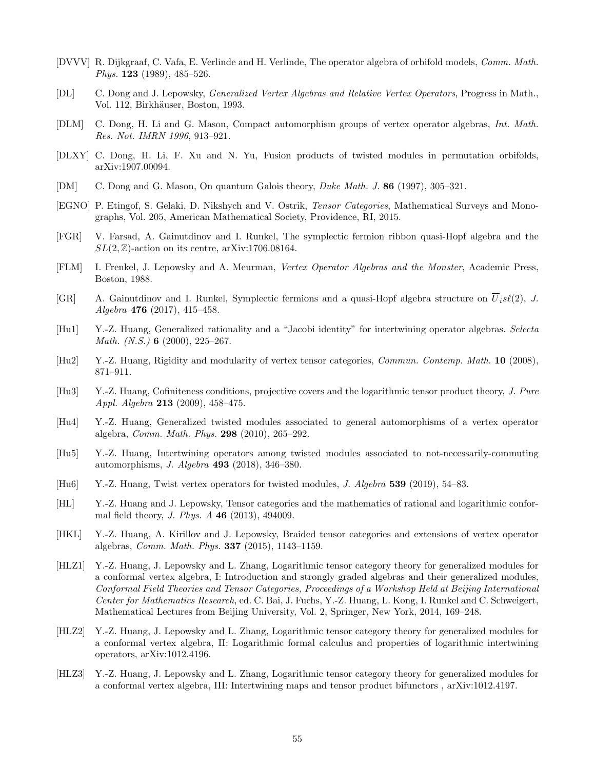- <span id="page-54-0"></span>[DVVV] R. Dijkgraaf, C. Vafa, E. Verlinde and H. Verlinde, The operator algebra of orbifold models, Comm. Math. Phys. 123 (1989), 485–526.
- <span id="page-54-11"></span>[DL] C. Dong and J. Lepowsky, Generalized Vertex Algebras and Relative Vertex Operators, Progress in Math., Vol. 112, Birkhäuser, Boston, 1993.
- <span id="page-54-9"></span>[DLM] C. Dong, H. Li and G. Mason, Compact automorphism groups of vertex operator algebras, Int. Math. Res. Not. IMRN 1996, 913–921.
- <span id="page-54-15"></span>[DLXY] C. Dong, H. Li, F. Xu and N. Yu, Fusion products of twisted modules in permutation orbifolds, arXiv:1907.00094.
- <span id="page-54-19"></span>[DM] C. Dong and G. Mason, On quantum Galois theory, Duke Math. J. 86 (1997), 305–321.
- <span id="page-54-10"></span>[EGNO] P. Etingof, S. Gelaki, D. Nikshych and V. Ostrik, Tensor Categories, Mathematical Surveys and Monographs, Vol. 205, American Mathematical Society, Providence, RI, 2015.
- <span id="page-54-7"></span>[FGR] V. Farsad, A. Gainutdinov and I. Runkel, The symplectic fermion ribbon quasi-Hopf algebra and the  $SL(2, \mathbb{Z})$ -action on its centre, arXiv:1706.08164.
- <span id="page-54-1"></span>[FLM] I. Frenkel, J. Lepowsky and A. Meurman, Vertex Operator Algebras and the Monster, Academic Press, Boston, 1988.
- <span id="page-54-6"></span>[GR] A. Gainutdinov and I. Runkel, Symplectic fermions and a quasi-Hopf algebra structure on  $\overline{U}_i s\ell(2)$ , J. Algebra 476 (2017), 415–458.
- <span id="page-54-16"></span>[Hu1] Y.-Z. Huang, Generalized rationality and a "Jacobi identity" for intertwining operator algebras. Selecta Math. (N.S.) **6** (2000), 225–267.
- <span id="page-54-5"></span>[Hu2] Y.-Z. Huang, Rigidity and modularity of vertex tensor categories, Commun. Contemp. Math. 10 (2008), 871–911.
- <span id="page-54-4"></span>[Hu3] Y.-Z. Huang, Cofiniteness conditions, projective covers and the logarithmic tensor product theory, J. Pure Appl. Algebra 213 (2009), 458–475.
- <span id="page-54-12"></span>[Hu4] Y.-Z. Huang, Generalized twisted modules associated to general automorphisms of a vertex operator algebra, Comm. Math. Phys. 298 (2010), 265–292.
- <span id="page-54-18"></span>[Hu5] Y.-Z. Huang, Intertwining operators among twisted modules associated to not-necessarily-commuting automorphisms, J. Algebra 493 (2018), 346–380.
- <span id="page-54-13"></span>[Hu6] Y.-Z. Huang, Twist vertex operators for twisted modules, J. Algebra 539 (2019), 54–83.
- <span id="page-54-3"></span>[HL] Y.-Z. Huang and J. Lepowsky, Tensor categories and the mathematics of rational and logarithmic conformal field theory, J. Phys. A 46 (2013), 494009.
- <span id="page-54-8"></span>[HKL] Y.-Z. Huang, A. Kirillov and J. Lepowsky, Braided tensor categories and extensions of vertex operator algebras, Comm. Math. Phys. 337 (2015), 1143–1159.
- <span id="page-54-2"></span>[HLZ1] Y.-Z. Huang, J. Lepowsky and L. Zhang, Logarithmic tensor category theory for generalized modules for a conformal vertex algebra, I: Introduction and strongly graded algebras and their generalized modules, Conformal Field Theories and Tensor Categories, Proceedings of a Workshop Held at Beijing International Center for Mathematics Research, ed. C. Bai, J. Fuchs, Y.-Z. Huang, L. Kong, I. Runkel and C. Schweigert, Mathematical Lectures from Beijing University, Vol. 2, Springer, New York, 2014, 169–248.
- <span id="page-54-14"></span>[HLZ2] Y.-Z. Huang, J. Lepowsky and L. Zhang, Logarithmic tensor category theory for generalized modules for a conformal vertex algebra, II: Logarithmic formal calculus and properties of logarithmic intertwining operators, arXiv:1012.4196.
- <span id="page-54-17"></span>[HLZ3] Y.-Z. Huang, J. Lepowsky and L. Zhang, Logarithmic tensor category theory for generalized modules for a conformal vertex algebra, III: Intertwining maps and tensor product bifunctors , arXiv:1012.4197.